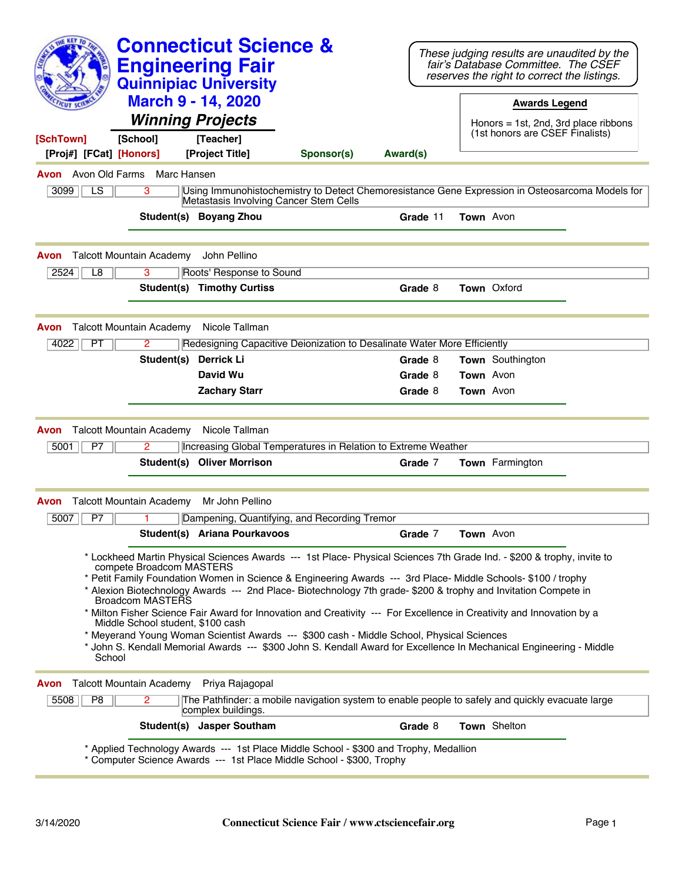| <b>KEY TO</b>                                                                                                                                                                                                                                                                                                                                                                          | <b>Connecticut Science &amp;</b><br><b>Engineering Fair</b><br><b>Quinnipiac University</b> |                                                                                                  |          |                  | These judging results are unaudited by the<br>fair's Database Committee. The CSEF<br>reserves the right to correct the listings. |  |
|----------------------------------------------------------------------------------------------------------------------------------------------------------------------------------------------------------------------------------------------------------------------------------------------------------------------------------------------------------------------------------------|---------------------------------------------------------------------------------------------|--------------------------------------------------------------------------------------------------|----------|------------------|----------------------------------------------------------------------------------------------------------------------------------|--|
|                                                                                                                                                                                                                                                                                                                                                                                        | <b>March 9 - 14, 2020</b><br><b>Winning Projects</b>                                        |                                                                                                  |          |                  | <b>Awards Legend</b><br>Honors $= 1st$ , 2nd, 3rd place ribbons                                                                  |  |
| [School]<br>[SchTown]                                                                                                                                                                                                                                                                                                                                                                  | [Teacher]                                                                                   |                                                                                                  |          |                  | (1st honors are CSEF Finalists)                                                                                                  |  |
| [Proj#] [FCat] [Honors]                                                                                                                                                                                                                                                                                                                                                                | [Project Title]                                                                             | Sponsor(s)                                                                                       | Award(s) |                  |                                                                                                                                  |  |
| <b>Avon</b> Avon Old Farms<br>Marc Hansen                                                                                                                                                                                                                                                                                                                                              |                                                                                             |                                                                                                  |          |                  |                                                                                                                                  |  |
| LS.<br>3<br>3099                                                                                                                                                                                                                                                                                                                                                                       | Metastasis Involving Cancer Stem Cells                                                      | Using Immunohistochemistry to Detect Chemoresistance Gene Expression in Osteosarcoma Models for  |          |                  |                                                                                                                                  |  |
|                                                                                                                                                                                                                                                                                                                                                                                        | Student(s) Boyang Zhou                                                                      |                                                                                                  | Grade 11 | <b>Town</b> Avon |                                                                                                                                  |  |
| <b>Talcott Mountain Academy</b><br>Avon                                                                                                                                                                                                                                                                                                                                                | John Pellino                                                                                |                                                                                                  |          |                  |                                                                                                                                  |  |
| 3<br>2524<br>L8                                                                                                                                                                                                                                                                                                                                                                        | Roots' Response to Sound                                                                    |                                                                                                  |          |                  |                                                                                                                                  |  |
|                                                                                                                                                                                                                                                                                                                                                                                        | <b>Student(s) Timothy Curtiss</b>                                                           |                                                                                                  | Grade 8  |                  | <b>Town</b> Oxford                                                                                                               |  |
| <b>Talcott Mountain Academy</b><br>Avon                                                                                                                                                                                                                                                                                                                                                | Nicole Tallman                                                                              |                                                                                                  |          |                  |                                                                                                                                  |  |
| 4022<br>PT<br>2                                                                                                                                                                                                                                                                                                                                                                        |                                                                                             | Redesigning Capacitive Deionization to Desalinate Water More Efficiently                         |          |                  |                                                                                                                                  |  |
| Student(s)                                                                                                                                                                                                                                                                                                                                                                             | Derrick Li                                                                                  |                                                                                                  | Grade 8  |                  | Town Southington                                                                                                                 |  |
|                                                                                                                                                                                                                                                                                                                                                                                        | David Wu                                                                                    |                                                                                                  | Grade 8  | Town Avon        |                                                                                                                                  |  |
|                                                                                                                                                                                                                                                                                                                                                                                        | <b>Zachary Starr</b>                                                                        |                                                                                                  | Grade 8  |                  | <b>Town</b> Avon                                                                                                                 |  |
| <b>Talcott Mountain Academy</b><br>Avon                                                                                                                                                                                                                                                                                                                                                | Nicole Tallman                                                                              |                                                                                                  |          |                  |                                                                                                                                  |  |
| 5001<br>P7<br>2                                                                                                                                                                                                                                                                                                                                                                        |                                                                                             | Increasing Global Temperatures in Relation to Extreme Weather                                    |          |                  |                                                                                                                                  |  |
|                                                                                                                                                                                                                                                                                                                                                                                        | Student(s) Oliver Morrison                                                                  |                                                                                                  | Grade 7  |                  | <b>Town</b> Farmington                                                                                                           |  |
| <b>Talcott Mountain Academy</b><br>Avon                                                                                                                                                                                                                                                                                                                                                | Mr John Pellino                                                                             |                                                                                                  |          |                  |                                                                                                                                  |  |
| P7<br>5007                                                                                                                                                                                                                                                                                                                                                                             |                                                                                             | Dampening, Quantifying, and Recording Tremor                                                     |          |                  |                                                                                                                                  |  |
|                                                                                                                                                                                                                                                                                                                                                                                        | Student(s) Ariana Pourkavoos                                                                |                                                                                                  | Grade 7  | <b>Town</b> Avon |                                                                                                                                  |  |
| * Lockheed Martin Physical Sciences Awards --- 1st Place- Physical Sciences 7th Grade Ind. - \$200 & trophy, invite to<br>compete Broadcom MASTERS<br>* Petit Family Foundation Women in Science & Engineering Awards --- 3rd Place- Middle Schools- \$100 / trophy<br>* Alexion Biotechnology Awards --- 2nd Place- Biotechnology 7th grade- \$200 & trophy and Invitation Compete in |                                                                                             |                                                                                                  |          |                  |                                                                                                                                  |  |
| Broadcom MASTERS<br>* Milton Fisher Science Fair Award for Innovation and Creativity --- For Excellence in Creativity and Innovation by a                                                                                                                                                                                                                                              |                                                                                             |                                                                                                  |          |                  |                                                                                                                                  |  |
| Middle School student, \$100 cash<br>* Meyerand Young Woman Scientist Awards --- \$300 cash - Middle School, Physical Sciences                                                                                                                                                                                                                                                         |                                                                                             |                                                                                                  |          |                  |                                                                                                                                  |  |
| * John S. Kendall Memorial Awards --- \$300 John S. Kendall Award for Excellence In Mechanical Engineering - Middle<br>School                                                                                                                                                                                                                                                          |                                                                                             |                                                                                                  |          |                  |                                                                                                                                  |  |
| <b>Talcott Mountain Academy</b><br>Avon                                                                                                                                                                                                                                                                                                                                                | Priya Rajagopal                                                                             |                                                                                                  |          |                  |                                                                                                                                  |  |
| P8<br>5508<br>2                                                                                                                                                                                                                                                                                                                                                                        | complex buildings.                                                                          | The Pathfinder: a mobile navigation system to enable people to safely and quickly evacuate large |          |                  |                                                                                                                                  |  |
|                                                                                                                                                                                                                                                                                                                                                                                        | Student(s) Jasper Southam                                                                   |                                                                                                  | Grade 8  |                  | Town Shelton                                                                                                                     |  |
| * Applied Technology Awards --- 1st Place Middle School - \$300 and Trophy, Medallion<br>* Computer Science Awards --- 1st Place Middle School - \$300, Trophy                                                                                                                                                                                                                         |                                                                                             |                                                                                                  |          |                  |                                                                                                                                  |  |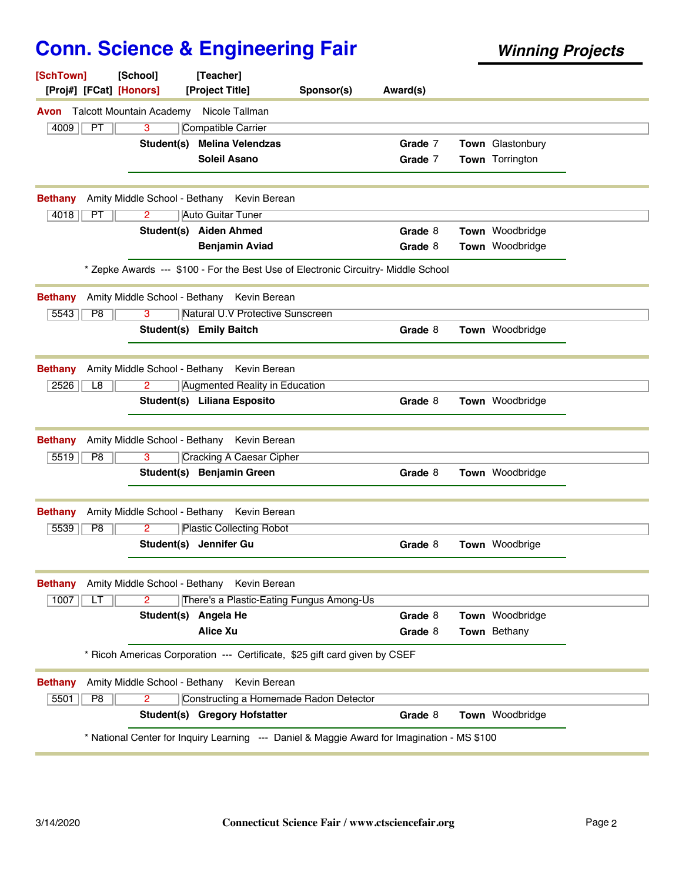| [SchTown]<br>[Proj#] [FCat] [Honors] | [School]                        | [Teacher]<br>[Project Title]                                                                | Sponsor(s) | Award(s) |                  |  |
|--------------------------------------|---------------------------------|---------------------------------------------------------------------------------------------|------------|----------|------------------|--|
| Avon                                 | <b>Talcott Mountain Academy</b> | Nicole Tallman                                                                              |            |          |                  |  |
| 4009<br>PT                           | 3                               | <b>Compatible Carrier</b>                                                                   |            |          |                  |  |
|                                      | Student(s)                      | <b>Melina Velendzas</b>                                                                     |            | Grade 7  | Town Glastonbury |  |
|                                      |                                 | <b>Soleil Asano</b>                                                                         |            | Grade 7  | Town Torrington  |  |
| <b>Bethany</b>                       | Amity Middle School - Bethany   | Kevin Berean                                                                                |            |          |                  |  |
| PT<br>4018                           | $\overline{2}$                  | Auto Guitar Tuner                                                                           |            |          |                  |  |
|                                      |                                 | Student(s) Aiden Ahmed                                                                      |            | Grade 8  | Town Woodbridge  |  |
|                                      |                                 | <b>Benjamin Aviad</b>                                                                       |            | Grade 8  | Town Woodbridge  |  |
|                                      |                                 | * Zepke Awards --- \$100 - For the Best Use of Electronic Circuitry- Middle School          |            |          |                  |  |
| <b>Bethany</b>                       | Amity Middle School - Bethany   | Kevin Berean                                                                                |            |          |                  |  |
| 5543<br>P <sub>8</sub>               | 3                               | Natural U.V Protective Sunscreen                                                            |            |          |                  |  |
|                                      |                                 | <b>Student(s) Emily Baitch</b>                                                              |            | Grade 8  | Town Woodbridge  |  |
| <b>Bethany</b>                       |                                 | Amity Middle School - Bethany Kevin Berean                                                  |            |          |                  |  |
| 2526<br>L8                           | 2                               | Augmented Reality in Education                                                              |            |          |                  |  |
|                                      |                                 | Student(s) Liliana Esposito                                                                 |            | Grade 8  | Town Woodbridge  |  |
| <b>Bethany</b>                       | Amity Middle School - Bethany   | Kevin Berean                                                                                |            |          |                  |  |
| 5519<br>P <sub>8</sub>               | 3                               | <b>Cracking A Caesar Cipher</b>                                                             |            |          |                  |  |
|                                      |                                 | Student(s) Benjamin Green                                                                   |            | Grade 8  | Town Woodbridge  |  |
| <b>Bethany</b>                       | Amity Middle School - Bethany   | Kevin Berean                                                                                |            |          |                  |  |
| 5539<br>P <sub>8</sub>               | 2                               | <b>Plastic Collecting Robot</b>                                                             |            |          |                  |  |
|                                      |                                 | Student(s) Jennifer Gu                                                                      |            | Grade 8  | Town Woodbrige   |  |
| <b>Bethany</b>                       | Amity Middle School - Bethany   | Kevin Berean                                                                                |            |          |                  |  |
| 1007<br>LT                           | $\overline{2}$                  | There's a Plastic-Eating Fungus Among-Us                                                    |            |          |                  |  |
|                                      |                                 | Student(s) Angela He                                                                        |            | Grade 8  | Town Woodbridge  |  |
|                                      |                                 | <b>Alice Xu</b>                                                                             |            | Grade 8  | Town Bethany     |  |
|                                      |                                 | * Ricoh Americas Corporation --- Certificate, \$25 gift card given by CSEF                  |            |          |                  |  |
| <b>Bethany</b>                       | Amity Middle School - Bethany   | Kevin Berean                                                                                |            |          |                  |  |
| 5501<br>P8                           | $\mathbf{2}^{\circ}$            | Constructing a Homemade Radon Detector                                                      |            |          |                  |  |
|                                      |                                 | Student(s) Gregory Hofstatter                                                               |            | Grade 8  | Town Woodbridge  |  |
|                                      |                                 | * National Center for Inquiry Learning --- Daniel & Maggie Award for Imagination - MS \$100 |            |          |                  |  |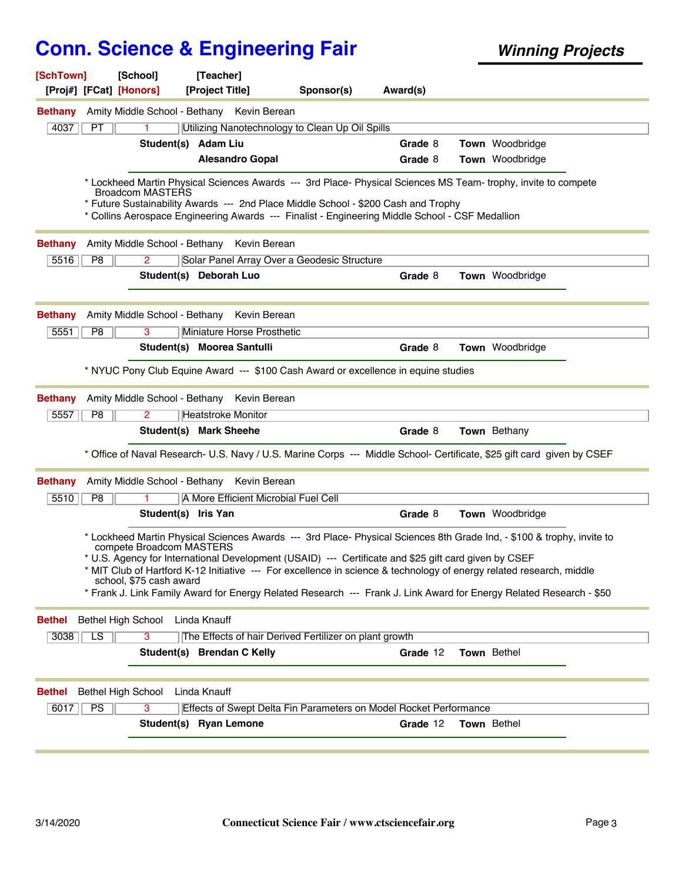| [SchTown]<br>[Proj#] [FCat] [Honors]       | [School]                                            | [Teacher]<br>[Project Title]                                                                                                                                                          | Sponsor(s)                                             | Award(s) |                                                                                                                                                                                                                                                                                                                                                                       |
|--------------------------------------------|-----------------------------------------------------|---------------------------------------------------------------------------------------------------------------------------------------------------------------------------------------|--------------------------------------------------------|----------|-----------------------------------------------------------------------------------------------------------------------------------------------------------------------------------------------------------------------------------------------------------------------------------------------------------------------------------------------------------------------|
| <b>Bethany</b>                             |                                                     | Amity Middle School - Bethany Kevin Berean                                                                                                                                            |                                                        |          |                                                                                                                                                                                                                                                                                                                                                                       |
| 4037<br>PT                                 |                                                     | Utilizing Nanotechnology to Clean Up Oil Spills                                                                                                                                       |                                                        |          |                                                                                                                                                                                                                                                                                                                                                                       |
|                                            | Student(s) Adam Liu                                 |                                                                                                                                                                                       |                                                        | Grade 8  | Town Woodbridge                                                                                                                                                                                                                                                                                                                                                       |
|                                            |                                                     | <b>Alesandro Gopal</b>                                                                                                                                                                |                                                        | Grade 8  | Town Woodbridge                                                                                                                                                                                                                                                                                                                                                       |
|                                            | Broadcom MASTERS                                    | * Future Sustainability Awards --- 2nd Place Middle School - \$200 Cash and Trophy<br>* Collins Aerospace Engineering Awards --- Finalist - Engineering Middle School - CSF Medallion |                                                        |          | * Lockheed Martin Physical Sciences Awards --- 3rd Place- Physical Sciences MS Team- trophy, invite to compete                                                                                                                                                                                                                                                        |
| <b>Bethany</b>                             |                                                     | Amity Middle School - Bethany Kevin Berean                                                                                                                                            |                                                        |          |                                                                                                                                                                                                                                                                                                                                                                       |
| P8<br>5516                                 | 2                                                   | Solar Panel Array Over a Geodesic Structure                                                                                                                                           |                                                        |          |                                                                                                                                                                                                                                                                                                                                                                       |
|                                            |                                                     | Student(s) Deborah Luo                                                                                                                                                                |                                                        | Grade 8  | Town Woodbridge                                                                                                                                                                                                                                                                                                                                                       |
| <b>Bethany</b>                             |                                                     | Amity Middle School - Bethany Kevin Berean                                                                                                                                            |                                                        |          |                                                                                                                                                                                                                                                                                                                                                                       |
| 5551<br>P8                                 | 3                                                   | Miniature Horse Prosthetic                                                                                                                                                            |                                                        |          |                                                                                                                                                                                                                                                                                                                                                                       |
|                                            |                                                     | Student(s) Moorea Santulli                                                                                                                                                            |                                                        | Grade 8  | Town Woodbridge                                                                                                                                                                                                                                                                                                                                                       |
| <b>Bethany</b>                             |                                                     | * NYUC Pony Club Equine Award --- \$100 Cash Award or excellence in equine studies<br>Amity Middle School - Bethany Kevin Berean                                                      |                                                        |          |                                                                                                                                                                                                                                                                                                                                                                       |
| P8<br>5557                                 | 2                                                   | <b>Heatstroke Monitor</b>                                                                                                                                                             |                                                        |          |                                                                                                                                                                                                                                                                                                                                                                       |
|                                            |                                                     | Student(s) Mark Sheehe                                                                                                                                                                |                                                        | Grade 8  | <b>Town</b> Bethany                                                                                                                                                                                                                                                                                                                                                   |
|                                            |                                                     |                                                                                                                                                                                       |                                                        |          | * Office of Naval Research- U.S. Navy / U.S. Marine Corps --- Middle School- Certificate, \$25 gift card given by CSEF                                                                                                                                                                                                                                                |
| <b>Bethany</b>                             |                                                     | Amity Middle School - Bethany Kevin Berean                                                                                                                                            |                                                        |          |                                                                                                                                                                                                                                                                                                                                                                       |
| 5510<br>P8                                 |                                                     | A More Efficient Microbial Fuel Cell                                                                                                                                                  |                                                        |          |                                                                                                                                                                                                                                                                                                                                                                       |
|                                            | Student(s) Iris Yan                                 |                                                                                                                                                                                       |                                                        | Grade 8  | <b>Town</b> Woodbridge                                                                                                                                                                                                                                                                                                                                                |
|                                            | compete Broadcom MASTERS<br>school, \$75 cash award | * U.S. Agency for International Development (USAID) --- Certificate and \$25 gift card given by CSEF                                                                                  |                                                        |          | * Lockheed Martin Physical Sciences Awards --- 3rd Place- Physical Sciences 8th Grade Ind, - \$100 & trophy, invite to<br>* MIT Club of Hartford K-12 Initiative --- For excellence in science & technology of energy related research, middle<br>* Frank J. Link Family Award for Energy Related Research --- Frank J. Link Award for Energy Related Research - \$50 |
| <b>Bethel High School</b><br><b>Bethel</b> |                                                     | Linda Knauff                                                                                                                                                                          |                                                        |          |                                                                                                                                                                                                                                                                                                                                                                       |
| $\overline{LS}$                            |                                                     |                                                                                                                                                                                       | The Effects of hair Derived Fertilizer on plant growth |          |                                                                                                                                                                                                                                                                                                                                                                       |
| 3038                                       | 3                                                   |                                                                                                                                                                                       |                                                        |          |                                                                                                                                                                                                                                                                                                                                                                       |
|                                            |                                                     | Student(s) Brendan C Kelly                                                                                                                                                            |                                                        | Grade 12 | Town Bethel                                                                                                                                                                                                                                                                                                                                                           |
| Bethel High School<br><b>Bethel</b>        |                                                     | Linda Knauff                                                                                                                                                                          |                                                        |          |                                                                                                                                                                                                                                                                                                                                                                       |
| PS<br>6017                                 | $\overline{3}$                                      | <b>Effects of Swept Delta Fin Parameters on Model Rocket Performance</b>                                                                                                              |                                                        |          |                                                                                                                                                                                                                                                                                                                                                                       |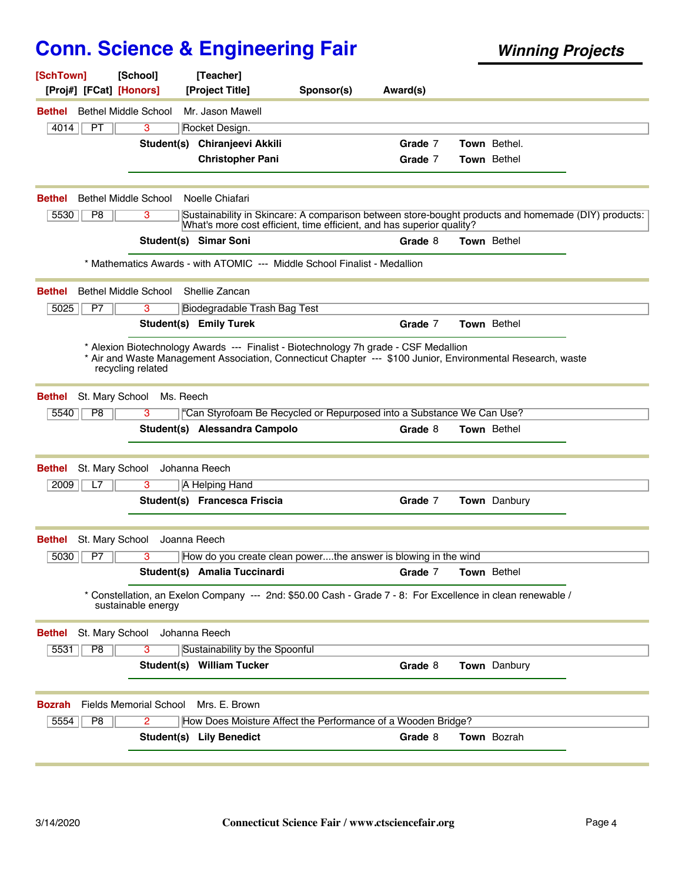| [SchTown]<br>[Proj#] [FCat] [Honors]         | [School]                      | [Teacher]<br>[Project Title]    | Sponsor(s)                                                                           | Award(s) |                                                                                                             |  |
|----------------------------------------------|-------------------------------|---------------------------------|--------------------------------------------------------------------------------------|----------|-------------------------------------------------------------------------------------------------------------|--|
| <b>Bethel Middle School</b><br>Bethel        |                               | Mr. Jason Mawell                |                                                                                      |          |                                                                                                             |  |
| 4014<br>PT                                   | 3                             | Rocket Design.                  |                                                                                      |          |                                                                                                             |  |
|                                              |                               | Student(s) Chiranjeevi Akkili   |                                                                                      | Grade 7  | <b>Town</b> Bethel.                                                                                         |  |
|                                              |                               | <b>Christopher Pani</b>         |                                                                                      | Grade 7  | Town Bethel                                                                                                 |  |
|                                              |                               |                                 |                                                                                      |          |                                                                                                             |  |
| <b>Bethel Middle School</b><br><b>Bethel</b> |                               | Noelle Chiafari                 |                                                                                      |          |                                                                                                             |  |
| 5530<br>P8                                   | 3                             |                                 | What's more cost efficient, time efficient, and has superior quality?                |          | Sustainability in Skincare: A comparison between store-bought products and homemade (DIY) products:         |  |
|                                              |                               | <b>Student(s) Simar Soni</b>    |                                                                                      | Grade 8  | Town Bethel                                                                                                 |  |
|                                              |                               |                                 | * Mathematics Awards - with ATOMIC --- Middle School Finalist - Medallion            |          |                                                                                                             |  |
| <b>Bethel Middle School</b><br><b>Bethel</b> |                               | Shellie Zancan                  |                                                                                      |          |                                                                                                             |  |
| 5025<br>P7                                   | 3                             | Biodegradable Trash Bag Test    |                                                                                      |          |                                                                                                             |  |
|                                              |                               | <b>Student(s) Emily Turek</b>   |                                                                                      | Grade 7  | Town Bethel                                                                                                 |  |
| recycling related                            |                               |                                 | * Alexion Biotechnology Awards --- Finalist - Biotechnology 7h grade - CSF Medallion |          | * Air and Waste Management Association, Connecticut Chapter --- \$100 Junior, Environmental Research, waste |  |
| St. Mary School<br><b>Bethel</b>             | Ms. Reech                     |                                 |                                                                                      |          |                                                                                                             |  |
| P8<br>5540                                   | 3                             |                                 | "Can Styrofoam Be Recycled or Repurposed into a Substance We Can Use?                |          |                                                                                                             |  |
|                                              |                               | Student(s) Alessandra Campolo   |                                                                                      | Grade 8  | Town Bethel                                                                                                 |  |
| St. Mary School<br><b>Bethel</b>             |                               | Johanna Reech                   |                                                                                      |          |                                                                                                             |  |
| 2009<br>L7                                   | 3                             | A Helping Hand                  |                                                                                      |          |                                                                                                             |  |
|                                              |                               | Student(s) Francesca Friscia    |                                                                                      | Grade 7  | Town Danbury                                                                                                |  |
| St. Mary School<br>Bethel                    | Joanna Reech                  |                                 |                                                                                      |          |                                                                                                             |  |
| P7<br>5030                                   | 3                             |                                 | How do you create clean powerthe answer is blowing in the wind                       |          |                                                                                                             |  |
|                                              |                               | Student(s) Amalia Tuccinardi    |                                                                                      | Grade 7  | <b>Town</b> Bethel                                                                                          |  |
|                                              | sustainable energy            |                                 |                                                                                      |          | Constellation, an Exelon Company --- 2nd: \$50.00 Cash - Grade 7 - 8: For Excellence in clean renewable /   |  |
| St. Mary School<br><b>Bethel</b>             |                               | Johanna Reech                   |                                                                                      |          |                                                                                                             |  |
| P8<br>5531                                   | 3                             | Sustainability by the Spoonful  |                                                                                      |          |                                                                                                             |  |
|                                              |                               | Student(s) William Tucker       |                                                                                      | Grade 8  | Town Danbury                                                                                                |  |
| <b>Bozrah</b>                                | <b>Fields Memorial School</b> | Mrs. E. Brown                   |                                                                                      |          |                                                                                                             |  |
| P8<br>5554                                   | 2                             |                                 | How Does Moisture Affect the Performance of a Wooden Bridge?                         |          |                                                                                                             |  |
|                                              |                               | <b>Student(s) Lily Benedict</b> |                                                                                      | Grade 8  | Town Bozrah                                                                                                 |  |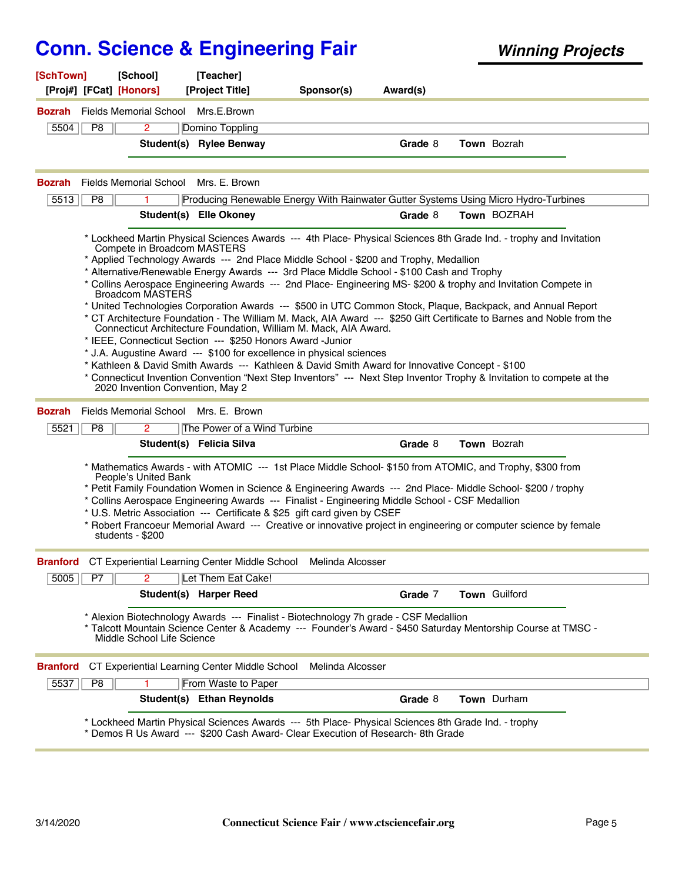| [SchTown]<br>[Proj#] [FCat] [Honors] | [School]                                                                            | [Teacher]<br>[Project Title]                                                                                                                                                                                                                                                                                                                                                                                                                                                                                                                                                                                                                                                                                                                                                                                                                                                                                                                                                                                                                                                                             | Sponsor(s) | Award(s) |                    |  |
|--------------------------------------|-------------------------------------------------------------------------------------|----------------------------------------------------------------------------------------------------------------------------------------------------------------------------------------------------------------------------------------------------------------------------------------------------------------------------------------------------------------------------------------------------------------------------------------------------------------------------------------------------------------------------------------------------------------------------------------------------------------------------------------------------------------------------------------------------------------------------------------------------------------------------------------------------------------------------------------------------------------------------------------------------------------------------------------------------------------------------------------------------------------------------------------------------------------------------------------------------------|------------|----------|--------------------|--|
|                                      | <b>Bozrah</b> Fields Memorial School                                                | Mrs.E.Brown                                                                                                                                                                                                                                                                                                                                                                                                                                                                                                                                                                                                                                                                                                                                                                                                                                                                                                                                                                                                                                                                                              |            |          |                    |  |
| 5504<br>P8                           | $\overline{2}$                                                                      | Domino Toppling                                                                                                                                                                                                                                                                                                                                                                                                                                                                                                                                                                                                                                                                                                                                                                                                                                                                                                                                                                                                                                                                                          |            |          |                    |  |
|                                      |                                                                                     | Student(s) Rylee Benway                                                                                                                                                                                                                                                                                                                                                                                                                                                                                                                                                                                                                                                                                                                                                                                                                                                                                                                                                                                                                                                                                  |            | Grade 8  | Town Bozrah        |  |
|                                      |                                                                                     |                                                                                                                                                                                                                                                                                                                                                                                                                                                                                                                                                                                                                                                                                                                                                                                                                                                                                                                                                                                                                                                                                                          |            |          |                    |  |
| <b>Bozrah</b>                        | Fields Memorial School                                                              | Mrs. E. Brown                                                                                                                                                                                                                                                                                                                                                                                                                                                                                                                                                                                                                                                                                                                                                                                                                                                                                                                                                                                                                                                                                            |            |          |                    |  |
| 5513<br>P8                           |                                                                                     | Producing Renewable Energy With Rainwater Gutter Systems Using Micro Hydro-Turbines                                                                                                                                                                                                                                                                                                                                                                                                                                                                                                                                                                                                                                                                                                                                                                                                                                                                                                                                                                                                                      |            |          |                    |  |
|                                      |                                                                                     | Student(s) Elle Okoney                                                                                                                                                                                                                                                                                                                                                                                                                                                                                                                                                                                                                                                                                                                                                                                                                                                                                                                                                                                                                                                                                   |            | Grade 8  | Town BOZRAH        |  |
|                                      | Compete in Broadcom MASTERS<br>Broadcom MASTERS<br>2020 Invention Convention, May 2 | * Lockheed Martin Physical Sciences Awards --- 4th Place- Physical Sciences 8th Grade Ind. - trophy and Invitation<br>* Applied Technology Awards --- 2nd Place Middle School - \$200 and Trophy, Medallion<br>* Alternative/Renewable Energy Awards --- 3rd Place Middle School - \$100 Cash and Trophy<br>* Collins Aerospace Engineering Awards --- 2nd Place- Engineering MS- \$200 & trophy and Invitation Compete in<br>* United Technologies Corporation Awards --- \$500 in UTC Common Stock, Plaque, Backpack, and Annual Report<br>* CT Architecture Foundation - The William M. Mack, AIA Award --- \$250 Gift Certificate to Barnes and Noble from the<br>Connecticut Architecture Foundation, William M. Mack, AIA Award.<br>* IEEE, Connecticut Section --- \$250 Honors Award -Junior<br>* J.A. Augustine Award --- \$100 for excellence in physical sciences<br>* Kathleen & David Smith Awards --- Kathleen & David Smith Award for Innovative Concept - \$100<br>* Connecticut Invention Convention "Next Step Inventors" --- Next Step Inventor Trophy & Invitation to compete at the |            |          |                    |  |
| <b>Bozrah</b>                        | Fields Memorial School                                                              | Mrs. E. Brown                                                                                                                                                                                                                                                                                                                                                                                                                                                                                                                                                                                                                                                                                                                                                                                                                                                                                                                                                                                                                                                                                            |            |          |                    |  |
| 5521<br>P8                           | $\overline{2}$                                                                      | The Power of a Wind Turbine                                                                                                                                                                                                                                                                                                                                                                                                                                                                                                                                                                                                                                                                                                                                                                                                                                                                                                                                                                                                                                                                              |            |          |                    |  |
|                                      |                                                                                     | Student(s) Felicia Silva                                                                                                                                                                                                                                                                                                                                                                                                                                                                                                                                                                                                                                                                                                                                                                                                                                                                                                                                                                                                                                                                                 |            | Grade 8  | <b>Town</b> Bozrah |  |
|                                      | People's United Bank<br>students - \$200                                            | * Mathematics Awards - with ATOMIC --- 1st Place Middle School- \$150 from ATOMIC, and Trophy, \$300 from<br>* Petit Family Foundation Women in Science & Engineering Awards --- 2nd Place- Middle School- \$200 / trophy<br>* Collins Aerospace Engineering Awards --- Finalist - Engineering Middle School - CSF Medallion<br>* U.S. Metric Association --- Certificate & \$25 gift card given by CSEF<br>* Robert Francoeur Memorial Award --- Creative or innovative project in engineering or computer science by female                                                                                                                                                                                                                                                                                                                                                                                                                                                                                                                                                                            |            |          |                    |  |
|                                      |                                                                                     | <b>Branford</b> CT Experiential Learning Center Middle School Melinda Alcosser                                                                                                                                                                                                                                                                                                                                                                                                                                                                                                                                                                                                                                                                                                                                                                                                                                                                                                                                                                                                                           |            |          |                    |  |
| P7<br>5005                           | $\overline{2}$                                                                      | Let Them Eat Cake!                                                                                                                                                                                                                                                                                                                                                                                                                                                                                                                                                                                                                                                                                                                                                                                                                                                                                                                                                                                                                                                                                       |            |          |                    |  |
|                                      |                                                                                     | <b>Student(s) Harper Reed</b>                                                                                                                                                                                                                                                                                                                                                                                                                                                                                                                                                                                                                                                                                                                                                                                                                                                                                                                                                                                                                                                                            |            | Grade 7  | Town Guilford      |  |
|                                      | Middle School Life Science                                                          | * Alexion Biotechnology Awards --- Finalist - Biotechnology 7h grade - CSF Medallion<br>* Talcott Mountain Science Center & Academy --- Founder's Award - \$450 Saturday Mentorship Course at TMSC -                                                                                                                                                                                                                                                                                                                                                                                                                                                                                                                                                                                                                                                                                                                                                                                                                                                                                                     |            |          |                    |  |
| <b>Branford</b>                      |                                                                                     | CT Experiential Learning Center Middle School Melinda Alcosser                                                                                                                                                                                                                                                                                                                                                                                                                                                                                                                                                                                                                                                                                                                                                                                                                                                                                                                                                                                                                                           |            |          |                    |  |
| 5537<br>$\overline{P8}$              |                                                                                     | From Waste to Paper                                                                                                                                                                                                                                                                                                                                                                                                                                                                                                                                                                                                                                                                                                                                                                                                                                                                                                                                                                                                                                                                                      |            |          |                    |  |
|                                      |                                                                                     | Student(s) Ethan Reynolds                                                                                                                                                                                                                                                                                                                                                                                                                                                                                                                                                                                                                                                                                                                                                                                                                                                                                                                                                                                                                                                                                |            | Grade 8  | Town Durham        |  |
|                                      |                                                                                     | * Lockheed Martin Physical Sciences Awards --- 5th Place- Physical Sciences 8th Grade Ind. - trophy<br>* Demos R Us Award --- \$200 Cash Award- Clear Execution of Research- 8th Grade                                                                                                                                                                                                                                                                                                                                                                                                                                                                                                                                                                                                                                                                                                                                                                                                                                                                                                                   |            |          |                    |  |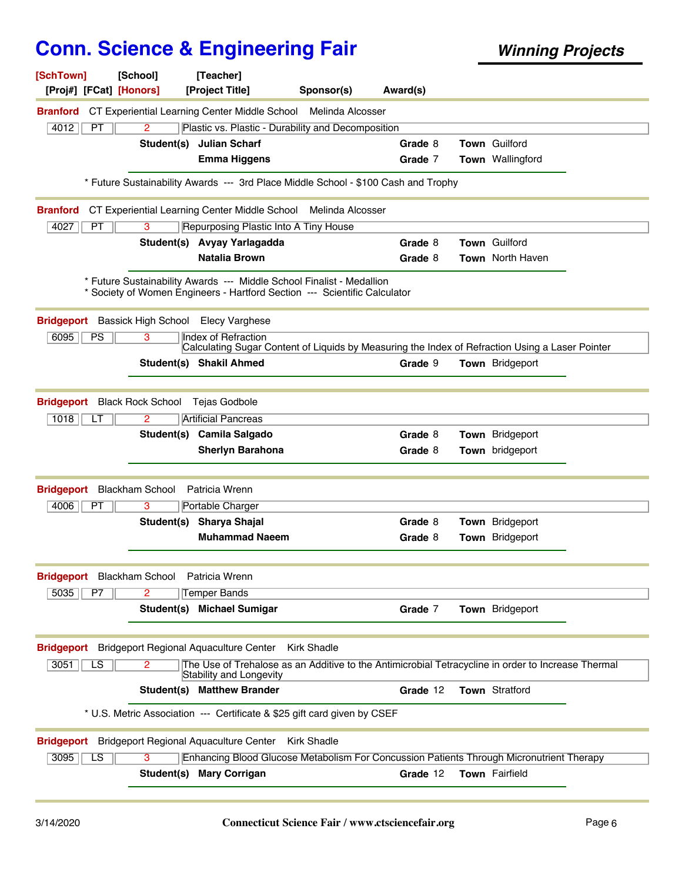| [SchTown]                                 | [School]                 | [Teacher]                                                                                                                                          |                    |          |                         |  |
|-------------------------------------------|--------------------------|----------------------------------------------------------------------------------------------------------------------------------------------------|--------------------|----------|-------------------------|--|
| [Proj#] [FCat] [Honors]                   |                          | [Project Title]                                                                                                                                    | Sponsor(s)         | Award(s) |                         |  |
| <b>Branford</b>                           |                          | CT Experiential Learning Center Middle School Melinda Alcosser                                                                                     |                    |          |                         |  |
| 4012<br>PT                                | $\overline{2}$           | Plastic vs. Plastic - Durability and Decomposition                                                                                                 |                    |          |                         |  |
|                                           |                          | Student(s) Julian Scharf                                                                                                                           |                    | Grade 8  | Town Guilford           |  |
|                                           |                          | <b>Emma Higgens</b>                                                                                                                                |                    | Grade 7  | Town Wallingford        |  |
|                                           |                          |                                                                                                                                                    |                    |          |                         |  |
|                                           |                          | * Future Sustainability Awards --- 3rd Place Middle School - \$100 Cash and Trophy                                                                 |                    |          |                         |  |
| <b>Branford</b>                           |                          | CT Experiential Learning Center Middle School                                                                                                      | Melinda Alcosser   |          |                         |  |
| 4027<br>PT                                | 3                        | Repurposing Plastic Into A Tiny House                                                                                                              |                    |          |                         |  |
|                                           |                          | Student(s) Avyay Yarlagadda                                                                                                                        |                    | Grade 8  | <b>Town Guilford</b>    |  |
|                                           |                          | <b>Natalia Brown</b>                                                                                                                               |                    | Grade 8  | <b>Town</b> North Haven |  |
|                                           |                          | * Future Sustainability Awards --- Middle School Finalist - Medallion<br>* Society of Women Engineers - Hartford Section --- Scientific Calculator |                    |          |                         |  |
| <b>Bridgeport</b> Bassick High School     |                          | <b>Elecy Varghese</b>                                                                                                                              |                    |          |                         |  |
| 6095<br>PS                                | 3                        | <b>Index of Refraction</b><br>Calculating Sugar Content of Liquids by Measuring the Index of Refraction Using a Laser Pointer                      |                    |          |                         |  |
|                                           |                          | Student(s) Shakil Ahmed                                                                                                                            |                    | Grade 9  | <b>Town</b> Bridgeport  |  |
|                                           |                          |                                                                                                                                                    |                    |          |                         |  |
| <b>Bridgeport</b>                         | <b>Black Rock School</b> | Tejas Godbole                                                                                                                                      |                    |          |                         |  |
| 1018<br>LТ                                | 2                        | <b>Artificial Pancreas</b>                                                                                                                         |                    |          |                         |  |
|                                           |                          | Student(s) Camila Salgado                                                                                                                          |                    | Grade 8  | Town Bridgeport         |  |
|                                           |                          | <b>Sherlyn Barahona</b>                                                                                                                            |                    | Grade 8  | Town bridgeport         |  |
|                                           |                          |                                                                                                                                                    |                    |          |                         |  |
| <b>Bridgeport</b>                         | <b>Blackham School</b>   | Patricia Wrenn                                                                                                                                     |                    |          |                         |  |
| 4006<br>PT                                | 3                        | Portable Charger                                                                                                                                   |                    |          |                         |  |
|                                           |                          | Student(s) Sharya Shajal                                                                                                                           |                    | Grade 8  | Town Bridgeport         |  |
|                                           |                          | <b>Muhammad Naeem</b>                                                                                                                              |                    | Grade 8  | Town Bridgeport         |  |
|                                           |                          |                                                                                                                                                    |                    |          |                         |  |
| Bridgeport Blackham School Patricia Wrenn |                          |                                                                                                                                                    |                    |          |                         |  |
| 5035<br>P7                                | 2                        | <b>Temper Bands</b>                                                                                                                                |                    |          |                         |  |
|                                           |                          | Student(s) Michael Sumigar                                                                                                                         |                    | Grade 7  | Town Bridgeport         |  |
|                                           |                          |                                                                                                                                                    |                    |          |                         |  |
|                                           |                          | <b>Bridgeport</b> Bridgeport Regional Aquaculture Center                                                                                           | <b>Kirk Shadle</b> |          |                         |  |
| 3051<br>LS                                | 2                        | The Use of Trehalose as an Additive to the Antimicrobial Tetracycline in order to Increase Thermal                                                 |                    |          |                         |  |
|                                           |                          | Stability and Longevity                                                                                                                            |                    |          |                         |  |
|                                           |                          | <b>Student(s) Matthew Brander</b>                                                                                                                  |                    | Grade 12 | <b>Town Stratford</b>   |  |
|                                           |                          | * U.S. Metric Association --- Certificate & \$25 gift card given by CSEF                                                                           |                    |          |                         |  |
|                                           |                          | <b>Bridgeport</b> Bridgeport Regional Aquaculture Center                                                                                           | Kirk Shadle        |          |                         |  |
| 3095<br>LS                                | з                        | Enhancing Blood Glucose Metabolism For Concussion Patients Through Micronutrient Therapy                                                           |                    |          |                         |  |
|                                           |                          | Student(s) Mary Corrigan                                                                                                                           |                    | Grade 12 | Town Fairfield          |  |
|                                           |                          |                                                                                                                                                    |                    |          |                         |  |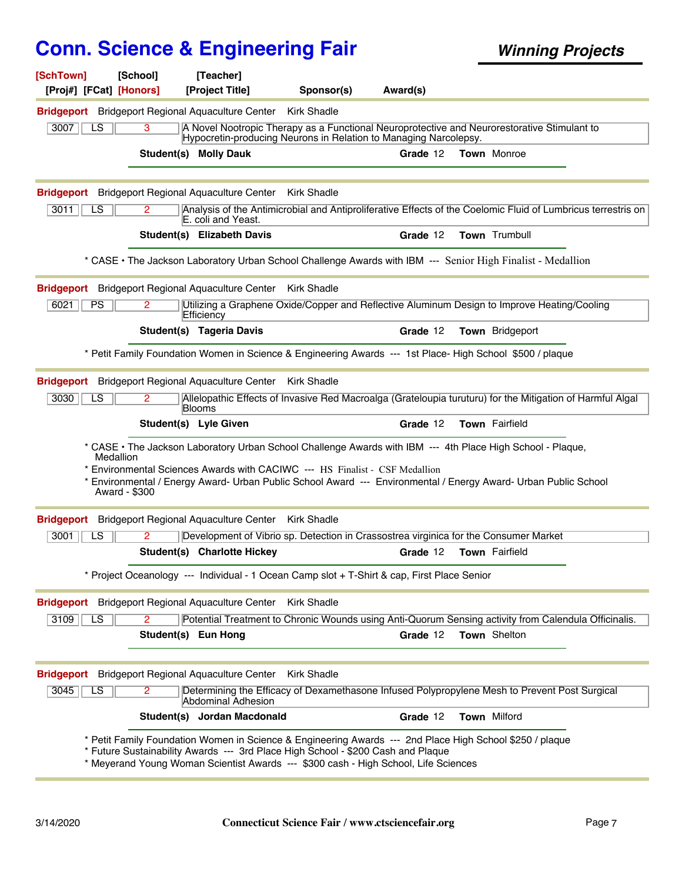| [SchTown]<br>[Proj#] [FCat] [Honors] | [School]      | [Teacher]<br>[Project Title]                             | Sponsor(s)                                                                                                                                                              | Award(s) |                                                                                                                 |
|--------------------------------------|---------------|----------------------------------------------------------|-------------------------------------------------------------------------------------------------------------------------------------------------------------------------|----------|-----------------------------------------------------------------------------------------------------------------|
|                                      |               | <b>Bridgeport</b> Bridgeport Regional Aquaculture Center | <b>Kirk Shadle</b>                                                                                                                                                      |          |                                                                                                                 |
| LS<br>3007                           | 3             |                                                          | Hypocretin-producing Neurons in Relation to Managing Narcolepsy.                                                                                                        |          | A Novel Nootropic Therapy as a Functional Neuroprotective and Neurorestorative Stimulant to                     |
|                                      |               | <b>Student(s) Molly Dauk</b>                             |                                                                                                                                                                         | Grade 12 | <b>Town Monroe</b>                                                                                              |
| <b>Bridgeport</b>                    |               | <b>Bridgeport Regional Aquaculture Center</b>            | <b>Kirk Shadle</b>                                                                                                                                                      |          |                                                                                                                 |
| 3011<br>LS                           | 2             | E. coli and Yeast.                                       |                                                                                                                                                                         |          | Analysis of the Antimicrobial and Antiproliferative Effects of the Coelomic Fluid of Lumbricus terrestris on    |
|                                      |               | Student(s) Elizabeth Davis                               |                                                                                                                                                                         | Grade 12 | Town Trumbull                                                                                                   |
|                                      |               |                                                          |                                                                                                                                                                         |          | * CASE • The Jackson Laboratory Urban School Challenge Awards with IBM --- Senior High Finalist - Medallion     |
|                                      |               | <b>Bridgeport</b> Bridgeport Regional Aquaculture Center | Kirk Shadle                                                                                                                                                             |          |                                                                                                                 |
| 6021<br><b>PS</b>                    | 2.            | Efficiency                                               |                                                                                                                                                                         |          | Utilizing a Graphene Oxide/Copper and Reflective Aluminum Design to Improve Heating/Cooling                     |
|                                      |               | <b>Student(s) Tageria Davis</b>                          |                                                                                                                                                                         | Grade 12 | Town Bridgeport                                                                                                 |
|                                      |               |                                                          |                                                                                                                                                                         |          | * Petit Family Foundation Women in Science & Engineering Awards --- 1st Place- High School \$500 / plaque       |
|                                      |               | <b>Bridgeport</b> Bridgeport Regional Aquaculture Center | Kirk Shadle                                                                                                                                                             |          |                                                                                                                 |
| 3030<br>LS                           |               | Blooms                                                   |                                                                                                                                                                         |          | Allelopathic Effects of Invasive Red Macroalga (Grateloupia turuturu) for the Mitigation of Harmful Algal       |
|                                      |               | Student(s) Lyle Given                                    |                                                                                                                                                                         | Grade 12 | Town Fairfield                                                                                                  |
|                                      | Medallion     |                                                          |                                                                                                                                                                         |          | * CASE • The Jackson Laboratory Urban School Challenge Awards with IBM --- 4th Place High School - Plaque,      |
|                                      | Award - \$300 |                                                          | * Environmental Sciences Awards with CACIWC --- HS Finalist - CSF Medallion                                                                                             |          | * Environmental / Energy Award- Urban Public School Award --- Environmental / Energy Award- Urban Public School |
| <b>Bridgeport</b>                    |               | Bridgeport Regional Aquaculture Center Kirk Shadle       |                                                                                                                                                                         |          |                                                                                                                 |
| LS<br>3001                           | 2             |                                                          |                                                                                                                                                                         |          | Development of Vibrio sp. Detection in Crassostrea virginica for the Consumer Market                            |
|                                      |               | Student(s) Charlotte Hickey                              |                                                                                                                                                                         | Grade 12 | Town Fairfield                                                                                                  |
|                                      |               |                                                          | * Project Oceanology --- Individual - 1 Ocean Camp slot + T-Shirt & cap, First Place Senior                                                                             |          |                                                                                                                 |
|                                      |               | <b>Bridgeport</b> Bridgeport Regional Aquaculture Center | <b>Kirk Shadle</b>                                                                                                                                                      |          |                                                                                                                 |
| 3109<br>LS                           | 2             |                                                          |                                                                                                                                                                         |          | Potential Treatment to Chronic Wounds using Anti-Quorum Sensing activity from Calendula Officinalis.            |
|                                      |               | Student(s) Eun Hong                                      |                                                                                                                                                                         | Grade 12 | Town Shelton                                                                                                    |
|                                      |               | <b>Bridgeport</b> Bridgeport Regional Aquaculture Center | <b>Kirk Shadle</b>                                                                                                                                                      |          |                                                                                                                 |
| $\overline{LS}$<br>3045              | 2             | Abdominal Adhesion                                       |                                                                                                                                                                         |          | Determining the Efficacy of Dexamethasone Infused Polypropylene Mesh to Prevent Post Surgical                   |
|                                      |               | Student(s) Jordan Macdonald                              |                                                                                                                                                                         | Grade 12 | Town Milford                                                                                                    |
|                                      |               |                                                          | * Future Sustainability Awards --- 3rd Place High School - \$200 Cash and Plaque<br>* Meyerand Young Woman Scientist Awards --- \$300 cash - High School, Life Sciences |          | * Petit Family Foundation Women in Science & Engineering Awards --- 2nd Place High School \$250 / plaque        |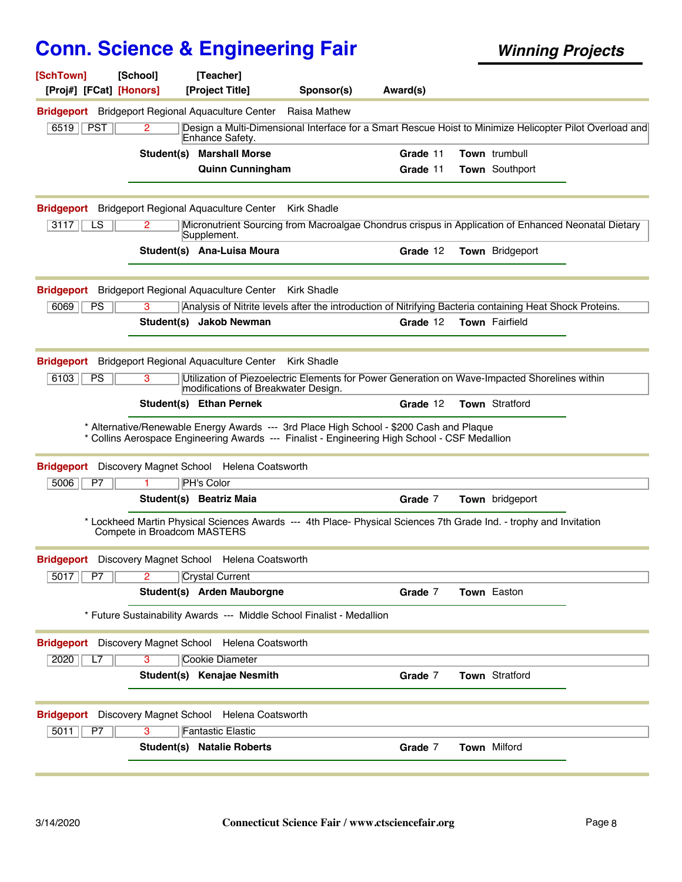| [SchTown]<br>[Proj#] [FCat] [Honors] | [School]                    | [Teacher]<br>[Project Title]                                                                                                                                                             | Sponsor(s)         | Award(s) |                        |  |
|--------------------------------------|-----------------------------|------------------------------------------------------------------------------------------------------------------------------------------------------------------------------------------|--------------------|----------|------------------------|--|
|                                      |                             | <b>Bridgeport</b> Bridgeport Regional Aquaculture Center                                                                                                                                 | Raisa Mathew       |          |                        |  |
| <b>PST</b><br>6519                   | 2                           | Design a Multi-Dimensional Interface for a Smart Rescue Hoist to Minimize Helicopter Pilot Overload and<br>Enhance Safety.                                                               |                    |          |                        |  |
|                                      | Student(s)                  | <b>Marshall Morse</b>                                                                                                                                                                    |                    | Grade 11 | <b>Town</b> trumbull   |  |
|                                      |                             | <b>Quinn Cunningham</b>                                                                                                                                                                  |                    | Grade 11 | Town Southport         |  |
|                                      |                             | <b>Bridgeport</b> Bridgeport Regional Aquaculture Center                                                                                                                                 | <b>Kirk Shadle</b> |          |                        |  |
| 3117<br>LS                           | $\mathbf{2}^{\circ}$        | Micronutrient Sourcing from Macroalgae Chondrus crispus in Application of Enhanced Neonatal Dietary<br>Supplement.                                                                       |                    |          |                        |  |
|                                      |                             | Student(s) Ana-Luisa Moura                                                                                                                                                               |                    | Grade 12 | Town Bridgeport        |  |
|                                      |                             | <b>Bridgeport</b> Bridgeport Regional Aquaculture Center                                                                                                                                 | <b>Kirk Shadle</b> |          |                        |  |
| 6069<br><b>PS</b>                    | 3                           | Analysis of Nitrite levels after the introduction of Nitrifying Bacteria containing Heat Shock Proteins.                                                                                 |                    |          |                        |  |
|                                      |                             | Student(s) Jakob Newman                                                                                                                                                                  |                    | Grade 12 | Town Fairfield         |  |
| <b>Bridgeport</b>                    |                             | <b>Bridgeport Regional Aquaculture Center</b>                                                                                                                                            | <b>Kirk Shadle</b> |          |                        |  |
| 6103<br>PS                           | 3                           | Utilization of Piezoelectric Elements for Power Generation on Wave-Impacted Shorelines within<br>modifications of Breakwater Design.                                                     |                    |          |                        |  |
|                                      |                             | Student(s) Ethan Pernek                                                                                                                                                                  |                    | Grade 12 | Town Stratford         |  |
|                                      |                             | * Alternative/Renewable Energy Awards --- 3rd Place High School - \$200 Cash and Plaque<br>* Collins Aerospace Engineering Awards --- Finalist - Engineering High School - CSF Medallion |                    |          |                        |  |
| <b>Bridgeport</b>                    |                             | Discovery Magnet School Helena Coatsworth                                                                                                                                                |                    |          |                        |  |
| P7<br>5006                           |                             | <b>PH's Color</b>                                                                                                                                                                        |                    |          |                        |  |
|                                      |                             | Student(s) Beatriz Maia                                                                                                                                                                  |                    | Grade 7  | <b>Town</b> bridgeport |  |
|                                      | Compete in Broadcom MASTERS | * Lockheed Martin Physical Sciences Awards --- 4th Place- Physical Sciences 7th Grade Ind. - trophy and Invitation                                                                       |                    |          |                        |  |
|                                      |                             | <b>Bridgeport</b> Discovery Magnet School Helena Coatsworth                                                                                                                              |                    |          |                        |  |
| 5017<br>P7                           | $\overline{2}$              | <b>Crystal Current</b>                                                                                                                                                                   |                    |          |                        |  |
|                                      |                             | Student(s) Arden Mauborgne                                                                                                                                                               |                    | Grade 7  | Town Easton            |  |
|                                      |                             | * Future Sustainability Awards --- Middle School Finalist - Medallion                                                                                                                    |                    |          |                        |  |
|                                      |                             | Bridgeport Discovery Magnet School Helena Coatsworth                                                                                                                                     |                    |          |                        |  |
| 2020<br>L7                           | $\overline{3}$              | <b>Cookie Diameter</b>                                                                                                                                                                   |                    |          |                        |  |
|                                      |                             | Student(s) Kenajae Nesmith                                                                                                                                                               |                    | Grade 7  | <b>Town Stratford</b>  |  |
|                                      |                             | Bridgeport Discovery Magnet School Helena Coatsworth                                                                                                                                     |                    |          |                        |  |
| 5011<br>P7                           | 3                           | <b>Fantastic Elastic</b>                                                                                                                                                                 |                    |          |                        |  |
|                                      |                             | <b>Student(s) Natalie Roberts</b>                                                                                                                                                        |                    | Grade 7  | <b>Town Milford</b>    |  |
|                                      |                             |                                                                                                                                                                                          |                    |          |                        |  |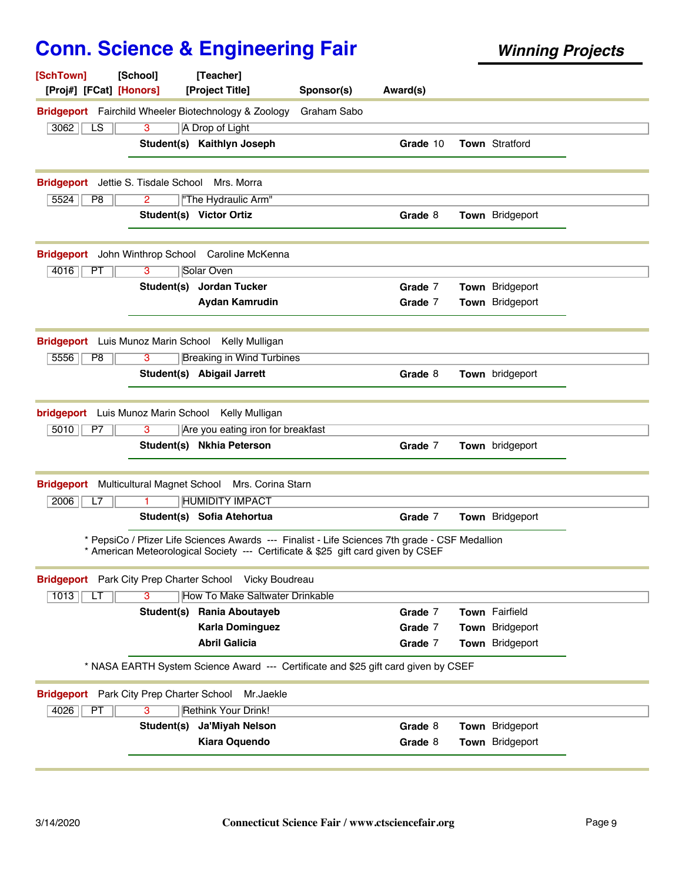| [SchTown]<br>[School]<br>[Proj#] [FCat] [Honors]            | [Teacher]<br>[Project Title]                                                                                                                                                       | Sponsor(s)  | Award(s) |                        |  |
|-------------------------------------------------------------|------------------------------------------------------------------------------------------------------------------------------------------------------------------------------------|-------------|----------|------------------------|--|
| <b>Bridgeport</b> Fairchild Wheeler Biotechnology & Zoology |                                                                                                                                                                                    | Graham Sabo |          |                        |  |
| 3062<br>$\overline{LS}$<br>3                                | A Drop of Light                                                                                                                                                                    |             |          |                        |  |
|                                                             | Student(s) Kaithlyn Joseph                                                                                                                                                         |             | Grade 10 | Town Stratford         |  |
| <b>Bridgeport</b> Jettie S. Tisdale School                  | Mrs. Morra                                                                                                                                                                         |             |          |                        |  |
| 5524<br>P8<br>$\overline{2}$                                | "The Hydraulic Arm"                                                                                                                                                                |             |          |                        |  |
|                                                             | Student(s) Victor Ortiz                                                                                                                                                            |             | Grade 8  | Town Bridgeport        |  |
| Bridgeport John Winthrop School Caroline McKenna            |                                                                                                                                                                                    |             |          |                        |  |
| 4016<br>PT<br>3                                             | Solar Oven                                                                                                                                                                         |             |          |                        |  |
|                                                             | Student(s) Jordan Tucker                                                                                                                                                           |             | Grade 7  | Town Bridgeport        |  |
|                                                             | <b>Aydan Kamrudin</b>                                                                                                                                                              |             | Grade 7  | Town Bridgeport        |  |
| Bridgeport Luis Munoz Marin School Kelly Mulligan           |                                                                                                                                                                                    |             |          |                        |  |
| 5556<br>P <sub>8</sub><br>3                                 | <b>Breaking in Wind Turbines</b>                                                                                                                                                   |             |          |                        |  |
|                                                             | Student(s) Abigail Jarrett                                                                                                                                                         |             | Grade 8  | <b>Town</b> bridgeport |  |
| <b>bridgeport</b> Luis Munoz Marin School Kelly Mulligan    |                                                                                                                                                                                    |             |          |                        |  |
| 5010<br>P7<br>3                                             | Are you eating iron for breakfast                                                                                                                                                  |             |          |                        |  |
|                                                             | Student(s) Nkhia Peterson                                                                                                                                                          |             | Grade 7  | Town bridgeport        |  |
| <b>Bridgeport</b><br><b>Multicultural Magnet School</b>     | Mrs. Corina Starn                                                                                                                                                                  |             |          |                        |  |
| 2006<br>L7<br>1.                                            | <b>HUMIDITY IMPACT</b>                                                                                                                                                             |             |          |                        |  |
|                                                             | Student(s) Sofia Atehortua                                                                                                                                                         |             | Grade 7  | Town Bridgeport        |  |
|                                                             | * PepsiCo / Pfizer Life Sciences Awards --- Finalist - Life Sciences 7th grade - CSF Medallion<br>* American Meteorological Society --- Certificate & \$25 gift card given by CSEF |             |          |                        |  |
| Bridgeport Park City Prep Charter School Vicky Boudreau     |                                                                                                                                                                                    |             |          |                        |  |
| 1013<br>з<br>LТ                                             | <b>How To Make Saltwater Drinkable</b>                                                                                                                                             |             |          |                        |  |
| Student(s)                                                  | <b>Rania Aboutayeb</b>                                                                                                                                                             |             | Grade 7  | Town Fairfield         |  |
|                                                             | <b>Karla Dominguez</b>                                                                                                                                                             |             | Grade 7  | Town Bridgeport        |  |
|                                                             | <b>Abril Galicia</b>                                                                                                                                                               |             | Grade 7  | Town Bridgeport        |  |
|                                                             | * NASA EARTH System Science Award --- Certificate and \$25 gift card given by CSEF                                                                                                 |             |          |                        |  |
| <b>Bridgeport</b> Park City Prep Charter School             | Mr.Jaekle                                                                                                                                                                          |             |          |                        |  |
| 4026<br>PT<br>3                                             | <b>Rethink Your Drink!</b>                                                                                                                                                         |             |          |                        |  |
| Student(s)                                                  | Ja'Miyah Nelson                                                                                                                                                                    |             | Grade 8  | Town Bridgeport        |  |
|                                                             | <b>Kiara Oquendo</b>                                                                                                                                                               |             | Grade 8  | Town Bridgeport        |  |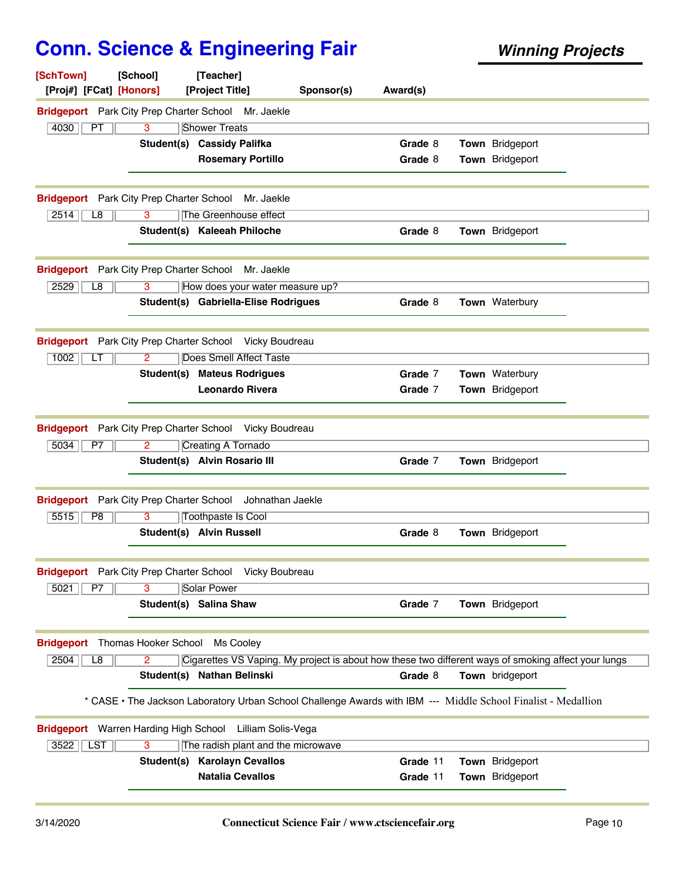| [SchTown]<br>[Proj#] [FCat] [Honors]            | [School]              | [Teacher]<br>[Project Title]                                                                                  | Sponsor(s) | Award(s) |                 |  |
|-------------------------------------------------|-----------------------|---------------------------------------------------------------------------------------------------------------|------------|----------|-----------------|--|
|                                                 |                       | Bridgeport Park City Prep Charter School Mr. Jaekle                                                           |            |          |                 |  |
| 4030<br>PT                                      | 3                     | <b>Shower Treats</b>                                                                                          |            |          |                 |  |
|                                                 |                       | Student(s) Cassidy Palifka                                                                                    |            | Grade 8  | Town Bridgeport |  |
|                                                 |                       | <b>Rosemary Portillo</b>                                                                                      |            | Grade 8  | Town Bridgeport |  |
| <b>Bridgeport</b> Park City Prep Charter School |                       | Mr. Jaekle                                                                                                    |            |          |                 |  |
| 2514<br>L8                                      | 3                     | The Greenhouse effect                                                                                         |            |          |                 |  |
|                                                 |                       | Student(s) Kaleeah Philoche                                                                                   |            | Grade 8  | Town Bridgeport |  |
| <b>Bridgeport</b> Park City Prep Charter School |                       | Mr. Jaekle                                                                                                    |            |          |                 |  |
| 2529<br>L8                                      | 3                     | How does your water measure up?                                                                               |            |          |                 |  |
|                                                 |                       | Student(s) Gabriella-Elise Rodrigues                                                                          |            | Grade 8  | Town Waterbury  |  |
| <b>Bridgeport</b> Park City Prep Charter School |                       | Vicky Boudreau                                                                                                |            |          |                 |  |
| 1002<br>LT                                      | $\overline{2}$        | <b>Does Smell Affect Taste</b>                                                                                |            |          |                 |  |
|                                                 |                       | <b>Student(s) Mateus Rodrigues</b>                                                                            |            | Grade 7  | Town Waterbury  |  |
|                                                 |                       | Leonardo Rivera                                                                                               |            | Grade 7  | Town Bridgeport |  |
|                                                 |                       |                                                                                                               |            |          |                 |  |
|                                                 |                       | <b>Bridgeport</b> Park City Prep Charter School Vicky Boudreau                                                |            |          |                 |  |
| 5034<br>P7                                      | $\mathbf{2}^{\prime}$ | <b>Creating A Tornado</b>                                                                                     |            |          |                 |  |
|                                                 |                       | Student(s) Alvin Rosario III                                                                                  |            | Grade 7  | Town Bridgeport |  |
| <b>Bridgeport</b> Park City Prep Charter School |                       | Johnathan Jaekle                                                                                              |            |          |                 |  |
| 5515<br>P8                                      | 3                     | <b>Toothpaste Is Cool</b>                                                                                     |            |          |                 |  |
|                                                 |                       | Student(s) Alvin Russell                                                                                      |            | Grade 8  | Town Bridgeport |  |
|                                                 |                       | Bridgeport Park City Prep Charter School Vicky Boubreau                                                       |            |          |                 |  |
| 5021<br>P7                                      | 3                     | <b>Solar Power</b>                                                                                            |            |          |                 |  |
|                                                 |                       | Student(s) Salina Shaw                                                                                        |            | Grade 7  | Town Bridgeport |  |
| <b>Bridgeport</b>                               | Thomas Hooker School  | Ms Cooley                                                                                                     |            |          |                 |  |
| 2504<br>L8                                      | 2                     | Cigarettes VS Vaping. My project is about how these two different ways of smoking affect your lungs           |            |          |                 |  |
|                                                 |                       | Student(s) Nathan Belinski                                                                                    |            | Grade 8  | Town bridgeport |  |
|                                                 |                       | * CASE · The Jackson Laboratory Urban School Challenge Awards with IBM --- Middle School Finalist - Medallion |            |          |                 |  |
|                                                 |                       | Bridgeport Warren Harding High School Lilliam Solis-Vega                                                      |            |          |                 |  |
| LST<br>$3522$                                   | $\overline{3}$        | The radish plant and the microwave                                                                            |            |          |                 |  |
|                                                 | Student(s)            | <b>Karolayn Cevallos</b>                                                                                      |            | Grade 11 | Town Bridgeport |  |
|                                                 |                       | <b>Natalia Cevallos</b>                                                                                       |            | Grade 11 | Town Bridgeport |  |
|                                                 |                       |                                                                                                               |            |          |                 |  |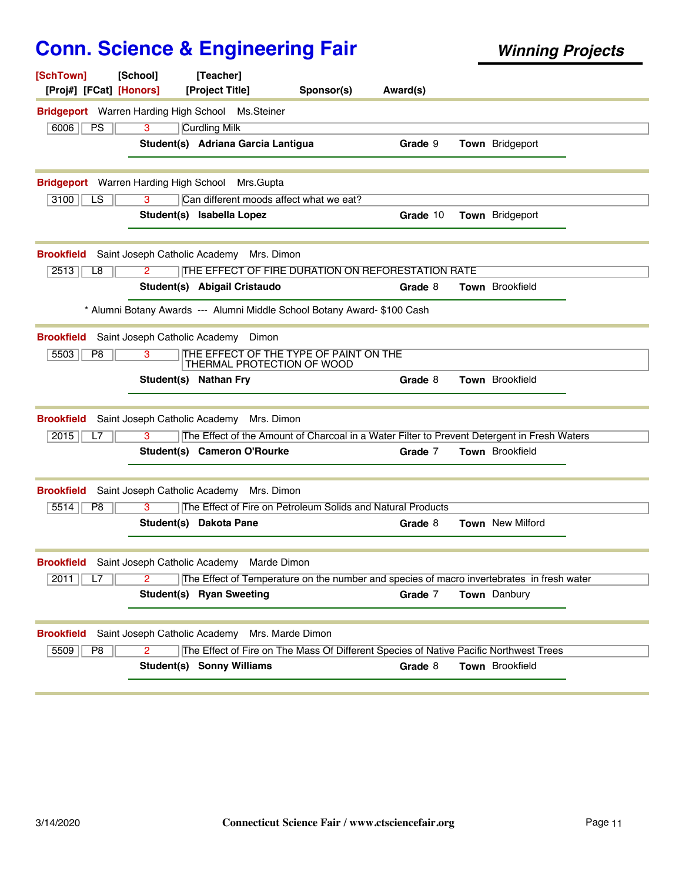| [SchTown]<br>[Proj#] [FCat] [Honors]                    | [School]                      | [Teacher]<br>[Project Title]                                                                | Sponsor(s) | Award(s) |                         |  |
|---------------------------------------------------------|-------------------------------|---------------------------------------------------------------------------------------------|------------|----------|-------------------------|--|
| <b>Bridgeport</b> Warren Harding High School Ms.Steiner |                               |                                                                                             |            |          |                         |  |
| 6006<br><b>PS</b>                                       | 3                             | <b>Curdling Milk</b>                                                                        |            |          |                         |  |
|                                                         |                               | Student(s) Adriana Garcia Lantigua                                                          |            | Grade 9  | Town Bridgeport         |  |
| <b>Bridgeport</b> Warren Harding High School            |                               | Mrs.Gupta                                                                                   |            |          |                         |  |
| $\overline{LS}$<br>3100                                 | $\overline{3}$                | Can different moods affect what we eat?                                                     |            |          |                         |  |
|                                                         |                               | Student(s) Isabella Lopez                                                                   |            | Grade 10 | Town Bridgeport         |  |
| <b>Brookfield</b>                                       | Saint Joseph Catholic Academy | Mrs. Dimon                                                                                  |            |          |                         |  |
| 2513<br>L8                                              | $\overline{2}$                | THE EFFECT OF FIRE DURATION ON REFORESTATION RATE                                           |            |          |                         |  |
|                                                         |                               | Student(s) Abigail Cristaudo                                                                |            | Grade 8  | <b>Town</b> Brookfield  |  |
|                                                         |                               | * Alumni Botany Awards --- Alumni Middle School Botany Award- \$100 Cash                    |            |          |                         |  |
| <b>Brookfield</b>                                       | Saint Joseph Catholic Academy | Dimon                                                                                       |            |          |                         |  |
| 5503<br>P8                                              | 3                             | THE EFFECT OF THE TYPE OF PAINT ON THE<br>THERMAL PROTECTION OF WOOD                        |            |          |                         |  |
|                                                         | Student(s) Nathan Fry         |                                                                                             |            | Grade 8  | <b>Town</b> Brookfield  |  |
| <b>Brookfield</b>                                       |                               | Saint Joseph Catholic Academy Mrs. Dimon                                                    |            |          |                         |  |
| 2015<br>L7                                              | 3                             | The Effect of the Amount of Charcoal in a Water Filter to Prevent Detergent in Fresh Waters |            |          |                         |  |
|                                                         |                               | Student(s) Cameron O'Rourke                                                                 |            | Grade 7  | Town Brookfield         |  |
| <b>Brookfield</b>                                       | Saint Joseph Catholic Academy | Mrs. Dimon                                                                                  |            |          |                         |  |
| 5514<br>P <sub>8</sub>                                  | 3                             | The Effect of Fire on Petroleum Solids and Natural Products                                 |            |          |                         |  |
|                                                         |                               | Student(s) Dakota Pane                                                                      |            | Grade 8  | <b>Town</b> New Milford |  |
| <b>Brookfield</b>                                       | Saint Joseph Catholic Academy | Marde Dimon                                                                                 |            |          |                         |  |
| 2011<br>L7                                              | 2                             | The Effect of Temperature on the number and species of macro invertebrates in fresh water   |            |          |                         |  |
|                                                         |                               | Student(s) Ryan Sweeting                                                                    |            | Grade 7  | <b>Town</b> Danbury     |  |
| <b>Brookfield</b>                                       | Saint Joseph Catholic Academy | Mrs. Marde Dimon                                                                            |            |          |                         |  |
| 5509<br>P <sub>8</sub>                                  | 2                             | The Effect of Fire on The Mass Of Different Species of Native Pacific Northwest Trees       |            |          |                         |  |
|                                                         |                               | <b>Student(s) Sonny Williams</b>                                                            |            | Grade 8  | Town Brookfield         |  |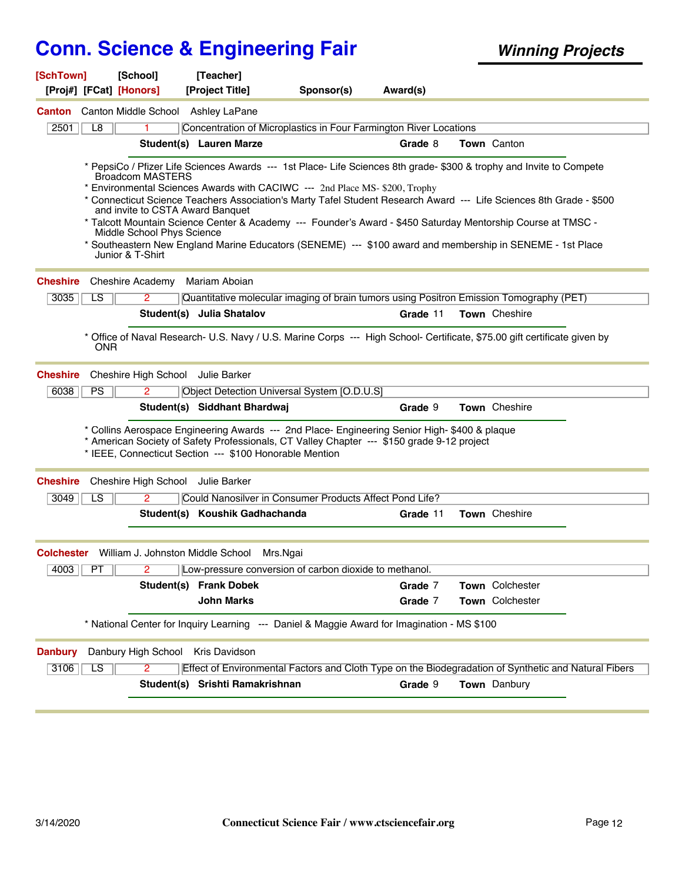| [SchTown]<br>[Proj#] [FCat] [Honors] | [School]                                                                                                      | [Teacher]<br>[Project Title]                            | Sponsor(s)                                                                                                                                                                                                                                                                                                                                                                                                                                                                                                                                             | Award(s) |                 |  |
|--------------------------------------|---------------------------------------------------------------------------------------------------------------|---------------------------------------------------------|--------------------------------------------------------------------------------------------------------------------------------------------------------------------------------------------------------------------------------------------------------------------------------------------------------------------------------------------------------------------------------------------------------------------------------------------------------------------------------------------------------------------------------------------------------|----------|-----------------|--|
|                                      |                                                                                                               |                                                         |                                                                                                                                                                                                                                                                                                                                                                                                                                                                                                                                                        |          |                 |  |
| <b>Canton</b>                        | Canton Middle School Ashley LaPane                                                                            |                                                         |                                                                                                                                                                                                                                                                                                                                                                                                                                                                                                                                                        |          |                 |  |
| 2501<br>L8                           |                                                                                                               | Student(s) Lauren Marze                                 | Concentration of Microplastics in Four Farmington River Locations                                                                                                                                                                                                                                                                                                                                                                                                                                                                                      | Grade 8  | Town Canton     |  |
|                                      |                                                                                                               |                                                         |                                                                                                                                                                                                                                                                                                                                                                                                                                                                                                                                                        |          |                 |  |
|                                      | <b>Broadcom MASTERS</b><br>and invite to CSTA Award Banquet<br>Middle School Phys Science<br>Junior & T-Shirt |                                                         | * PepsiCo / Pfizer Life Sciences Awards --- 1st Place- Life Sciences 8th grade- \$300 & trophy and Invite to Compete<br>* Environmental Sciences Awards with CACIWC --- 2nd Place MS-\$200, Trophy<br>* Connecticut Science Teachers Association's Marty Tafel Student Research Award --- Life Sciences 8th Grade - \$500<br>* Talcott Mountain Science Center & Academy --- Founder's Award - \$450 Saturday Mentorship Course at TMSC -<br>* Southeastern New England Marine Educators (SENEME) --- \$100 award and membership in SENEME - 1st Place |          |                 |  |
| <b>Cheshire</b>                      | <b>Cheshire Academy</b>                                                                                       | Mariam Aboian                                           |                                                                                                                                                                                                                                                                                                                                                                                                                                                                                                                                                        |          |                 |  |
| 3035<br>LS                           | $\overline{2}$                                                                                                |                                                         | Quantitative molecular imaging of brain tumors using Positron Emission Tomography (PET)                                                                                                                                                                                                                                                                                                                                                                                                                                                                |          |                 |  |
|                                      |                                                                                                               | Student(s) Julia Shatalov                               |                                                                                                                                                                                                                                                                                                                                                                                                                                                                                                                                                        | Grade 11 | Town Cheshire   |  |
| <b>ONR</b><br><b>Cheshire</b>        | Cheshire High School                                                                                          | Julie Barker                                            | * Office of Naval Research- U.S. Navy / U.S. Marine Corps --- High School- Certificate, \$75.00 gift certificate given by                                                                                                                                                                                                                                                                                                                                                                                                                              |          |                 |  |
| 6038<br>PS                           | 2                                                                                                             |                                                         | Object Detection Universal System [O.D.U.S]                                                                                                                                                                                                                                                                                                                                                                                                                                                                                                            |          |                 |  |
|                                      |                                                                                                               | Student(s) Siddhant Bhardwaj                            |                                                                                                                                                                                                                                                                                                                                                                                                                                                                                                                                                        | Grade 9  | Town Cheshire   |  |
|                                      |                                                                                                               | * IEEE, Connecticut Section --- \$100 Honorable Mention | * Collins Aerospace Engineering Awards --- 2nd Place- Engineering Senior High- \$400 & plaque<br>* American Society of Safety Professionals, CT Valley Chapter --- \$150 grade 9-12 project                                                                                                                                                                                                                                                                                                                                                            |          |                 |  |
| <b>Cheshire</b>                      | Cheshire High School                                                                                          | Julie Barker                                            |                                                                                                                                                                                                                                                                                                                                                                                                                                                                                                                                                        |          |                 |  |
| LS<br>3049                           | 2                                                                                                             |                                                         | Could Nanosilver in Consumer Products Affect Pond Life?                                                                                                                                                                                                                                                                                                                                                                                                                                                                                                |          |                 |  |
|                                      |                                                                                                               | Student(s) Koushik Gadhachanda                          |                                                                                                                                                                                                                                                                                                                                                                                                                                                                                                                                                        | Grade 11 | Town Cheshire   |  |
|                                      | <b>Colchester</b> William J. Johnston Middle School                                                           |                                                         | Mrs.Ngai                                                                                                                                                                                                                                                                                                                                                                                                                                                                                                                                               |          |                 |  |
| $4003$ $PT$                          | 2                                                                                                             |                                                         | Low-pressure conversion of carbon dioxide to methanol.                                                                                                                                                                                                                                                                                                                                                                                                                                                                                                 |          |                 |  |
|                                      |                                                                                                               | <b>Student(s) Frank Dobek</b>                           |                                                                                                                                                                                                                                                                                                                                                                                                                                                                                                                                                        | Grade 7  | Town Colchester |  |
|                                      |                                                                                                               | <b>John Marks</b>                                       |                                                                                                                                                                                                                                                                                                                                                                                                                                                                                                                                                        | Grade 7  | Town Colchester |  |
|                                      |                                                                                                               |                                                         | * National Center for Inquiry Learning --- Daniel & Maggie Award for Imagination - MS \$100                                                                                                                                                                                                                                                                                                                                                                                                                                                            |          |                 |  |
| <b>Danbury</b>                       | Danbury High School Kris Davidson                                                                             |                                                         |                                                                                                                                                                                                                                                                                                                                                                                                                                                                                                                                                        |          |                 |  |
| $\overline{LS}$<br>3106              | 2                                                                                                             |                                                         | Effect of Environmental Factors and Cloth Type on the Biodegradation of Synthetic and Natural Fibers                                                                                                                                                                                                                                                                                                                                                                                                                                                   |          |                 |  |
|                                      |                                                                                                               | Student(s) Srishti Ramakrishnan                         |                                                                                                                                                                                                                                                                                                                                                                                                                                                                                                                                                        | Grade 9  | Town Danbury    |  |
|                                      |                                                                                                               |                                                         |                                                                                                                                                                                                                                                                                                                                                                                                                                                                                                                                                        |          |                 |  |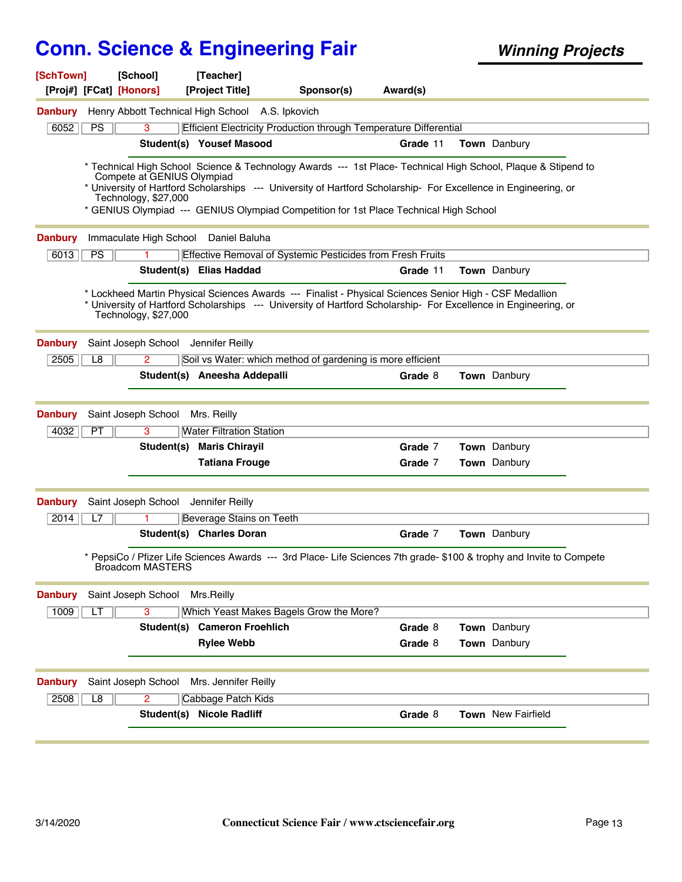| [SchTown]              | [School]<br>[Proj#] [FCat] [Honors]                |            | [Teacher]<br>[Project Title]                                                                         | Sponsor(s)                                                                                                                                                                                                                                                                                                                | Award(s)           |                                                                                                                      |
|------------------------|----------------------------------------------------|------------|------------------------------------------------------------------------------------------------------|---------------------------------------------------------------------------------------------------------------------------------------------------------------------------------------------------------------------------------------------------------------------------------------------------------------------------|--------------------|----------------------------------------------------------------------------------------------------------------------|
| <b>Danbury</b>         | Henry Abbott Technical High School A.S. Ipkovich   |            |                                                                                                      |                                                                                                                                                                                                                                                                                                                           |                    |                                                                                                                      |
| 6052                   | PS<br>3                                            |            |                                                                                                      | Efficient Electricity Production through Temperature Differential                                                                                                                                                                                                                                                         |                    |                                                                                                                      |
|                        |                                                    |            | Student(s) Yousef Masood                                                                             |                                                                                                                                                                                                                                                                                                                           | Grade 11           | Town Danbury                                                                                                         |
|                        | Compete at GENIUS Olympiad<br>Technology, \$27,000 |            |                                                                                                      | * Technical High School Science & Technology Awards --- 1st Place- Technical High School, Plaque & Stipend to<br>* University of Hartford Scholarships --- University of Hartford Scholarship- For Excellence in Engineering, or<br>* GENIUS Olympiad --- GENIUS Olympiad Competition for 1st Place Technical High School |                    |                                                                                                                      |
| <b>Danbury</b>         | Immaculate High School                             |            | Daniel Baluha                                                                                        |                                                                                                                                                                                                                                                                                                                           |                    |                                                                                                                      |
| 6013                   | PS                                                 |            |                                                                                                      | Effective Removal of Systemic Pesticides from Fresh Fruits                                                                                                                                                                                                                                                                |                    |                                                                                                                      |
|                        |                                                    |            | Student(s) Elias Haddad                                                                              |                                                                                                                                                                                                                                                                                                                           | Grade 11           | Town Danbury                                                                                                         |
|                        | Technology, \$27,000                               |            |                                                                                                      | * Lockheed Martin Physical Sciences Awards --- Finalist - Physical Sciences Senior High - CSF Medallion<br>* University of Hartford Scholarships --- University of Hartford Scholarship- For Excellence in Engineering, or                                                                                                |                    |                                                                                                                      |
| <b>Danbury</b>         | Saint Joseph School Jennifer Reilly                |            |                                                                                                      |                                                                                                                                                                                                                                                                                                                           |                    |                                                                                                                      |
| 2505                   | L8<br>2                                            |            |                                                                                                      | Soil vs Water: which method of gardening is more efficient                                                                                                                                                                                                                                                                |                    |                                                                                                                      |
|                        |                                                    |            | Student(s) Aneesha Addepalli                                                                         |                                                                                                                                                                                                                                                                                                                           | Grade 8            | Town Danbury                                                                                                         |
| <b>Danbury</b><br>4032 | Saint Joseph School<br>PT<br>3                     |            | Mrs. Reilly<br><b>Water Filtration Station</b><br>Student(s) Maris Chirayil<br><b>Tatiana Frouge</b> |                                                                                                                                                                                                                                                                                                                           | Grade 7<br>Grade 7 | <b>Town</b> Danbury<br>Town Danbury                                                                                  |
|                        |                                                    |            |                                                                                                      |                                                                                                                                                                                                                                                                                                                           |                    |                                                                                                                      |
| <b>Danbury</b>         | Saint Joseph School                                |            | Jennifer Reilly                                                                                      |                                                                                                                                                                                                                                                                                                                           |                    |                                                                                                                      |
| 2014                   | L7                                                 |            | Beverage Stains on Teeth                                                                             |                                                                                                                                                                                                                                                                                                                           |                    |                                                                                                                      |
|                        |                                                    |            | Student(s) Charles Doran                                                                             |                                                                                                                                                                                                                                                                                                                           | Grade 7            | Town Danbury                                                                                                         |
|                        | <b>Broadcom MASTERS</b>                            |            |                                                                                                      |                                                                                                                                                                                                                                                                                                                           |                    | * PepsiCo / Pfizer Life Sciences Awards --- 3rd Place- Life Sciences 7th grade- \$100 & trophy and Invite to Compete |
| <b>Danbury</b>         | Saint Joseph School                                |            | Mrs.Reilly                                                                                           |                                                                                                                                                                                                                                                                                                                           |                    |                                                                                                                      |
| 1009                   | 3<br>LT                                            |            |                                                                                                      | Which Yeast Makes Bagels Grow the More?                                                                                                                                                                                                                                                                                   |                    |                                                                                                                      |
|                        |                                                    | Student(s) | <b>Cameron Froehlich</b>                                                                             |                                                                                                                                                                                                                                                                                                                           | Grade 8            | Town Danbury                                                                                                         |
|                        |                                                    |            | <b>Rylee Webb</b>                                                                                    |                                                                                                                                                                                                                                                                                                                           | Grade 8            | Town Danbury                                                                                                         |
| <b>Danbury</b><br>2508 | Saint Joseph School<br>L8<br>2                     |            | Mrs. Jennifer Reilly<br>Cabbage Patch Kids                                                           |                                                                                                                                                                                                                                                                                                                           |                    |                                                                                                                      |
|                        |                                                    |            | <b>Student(s) Nicole Radliff</b>                                                                     |                                                                                                                                                                                                                                                                                                                           | Grade 8            | Town New Fairfield                                                                                                   |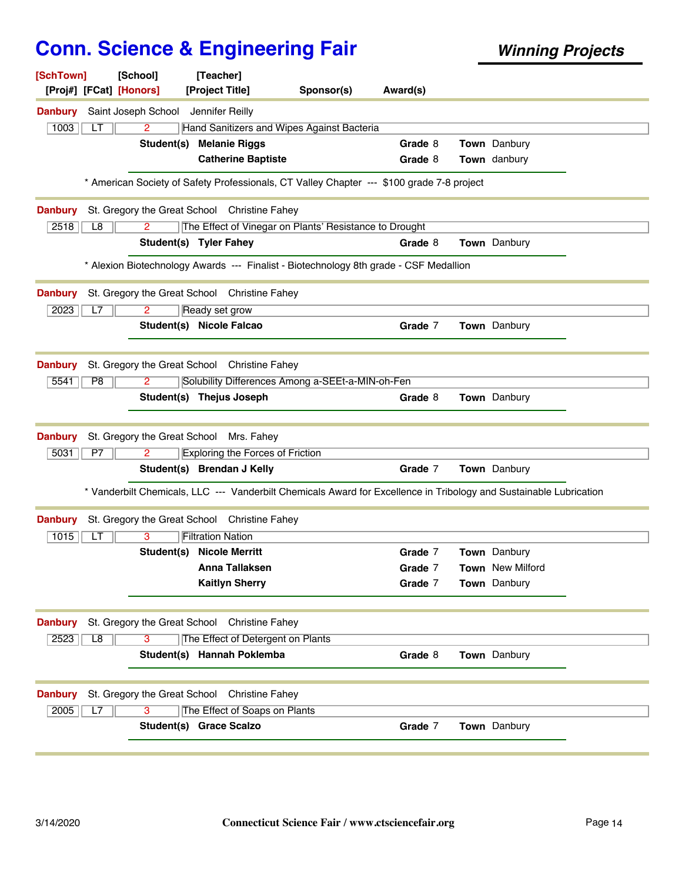| [SchTown]<br>[Proj#] [FCat] [Honors] | [School]                                | [Teacher]<br>[Project Title]                                                                                       | Sponsor(s) | Award(s) |                         |  |
|--------------------------------------|-----------------------------------------|--------------------------------------------------------------------------------------------------------------------|------------|----------|-------------------------|--|
| <b>Danbury</b>                       | Saint Joseph School Jennifer Reilly     |                                                                                                                    |            |          |                         |  |
| 1003<br>LТ                           | $\overline{2}$                          | Hand Sanitizers and Wipes Against Bacteria                                                                         |            |          |                         |  |
|                                      | Student(s) Melanie Riggs                |                                                                                                                    |            | Grade 8  | Town Danbury            |  |
|                                      |                                         | <b>Catherine Baptiste</b>                                                                                          |            | Grade 8  | Town danbury            |  |
|                                      |                                         | * American Society of Safety Professionals, CT Valley Chapter --- \$100 grade 7-8 project                          |            |          |                         |  |
| <b>Danbury</b>                       |                                         | St. Gregory the Great School Christine Fahey                                                                       |            |          |                         |  |
| 2518<br>L8                           | $\mathbf{2}^{\circ}$                    | The Effect of Vinegar on Plants' Resistance to Drought                                                             |            |          |                         |  |
|                                      | Student(s) Tyler Fahey                  |                                                                                                                    |            | Grade 8  | Town Danbury            |  |
|                                      |                                         | * Alexion Biotechnology Awards --- Finalist - Biotechnology 8th grade - CSF Medallion                              |            |          |                         |  |
| <b>Danbury</b>                       |                                         | St. Gregory the Great School Christine Fahey                                                                       |            |          |                         |  |
| 2023<br>L7                           | 2                                       | Ready set grow                                                                                                     |            |          |                         |  |
|                                      | Student(s) Nicole Falcao                |                                                                                                                    |            | Grade 7  | Town Danbury            |  |
|                                      |                                         |                                                                                                                    |            |          |                         |  |
| <b>Danbury</b>                       |                                         | St. Gregory the Great School Christine Fahey                                                                       |            |          |                         |  |
| P8<br>5541                           | 2                                       | Solubility Differences Among a-SEEt-a-MIN-oh-Fen                                                                   |            |          |                         |  |
|                                      | Student(s) Thejus Joseph                |                                                                                                                    |            | Grade 8  | Town Danbury            |  |
| <b>Danbury</b>                       | St. Gregory the Great School Mrs. Fahey |                                                                                                                    |            |          |                         |  |
| 5031<br>P7                           | $\mathbf{2}^{\circ}$                    | <b>Exploring the Forces of Friction</b>                                                                            |            |          |                         |  |
|                                      | Student(s) Brendan J Kelly              |                                                                                                                    |            | Grade 7  | Town Danbury            |  |
|                                      |                                         | * Vanderbilt Chemicals, LLC --- Vanderbilt Chemicals Award for Excellence in Tribology and Sustainable Lubrication |            |          |                         |  |
| <b>Danbury</b>                       |                                         | St. Gregory the Great School Christine Fahey                                                                       |            |          |                         |  |
| 1015<br>LТ                           | 3                                       | <b>Filtration Nation</b>                                                                                           |            |          |                         |  |
|                                      | <b>Student(s) Nicole Merritt</b>        |                                                                                                                    |            | Grade 7  | Town Danbury            |  |
|                                      |                                         | Anna Tallaksen                                                                                                     |            | Grade 7  | <b>Town</b> New Milford |  |
|                                      |                                         | <b>Kaitlyn Sherry</b>                                                                                              |            | Grade 7  | Town Danbury            |  |
| <b>Danbury</b>                       | St. Gregory the Great School            | <b>Christine Fahey</b>                                                                                             |            |          |                         |  |
| 2523<br>$\overline{L8}$              | 3                                       | The Effect of Detergent on Plants                                                                                  |            |          |                         |  |
|                                      |                                         | Student(s) Hannah Poklemba                                                                                         |            | Grade 8  | Town Danbury            |  |
| <b>Danbury</b>                       | St. Gregory the Great School            | <b>Christine Fahey</b>                                                                                             |            |          |                         |  |
| 2005<br>L7                           | 3                                       | The Effect of Soaps on Plants                                                                                      |            |          |                         |  |
|                                      | Student(s) Grace Scalzo                 |                                                                                                                    |            | Grade 7  | Town Danbury            |  |
|                                      |                                         |                                                                                                                    |            |          |                         |  |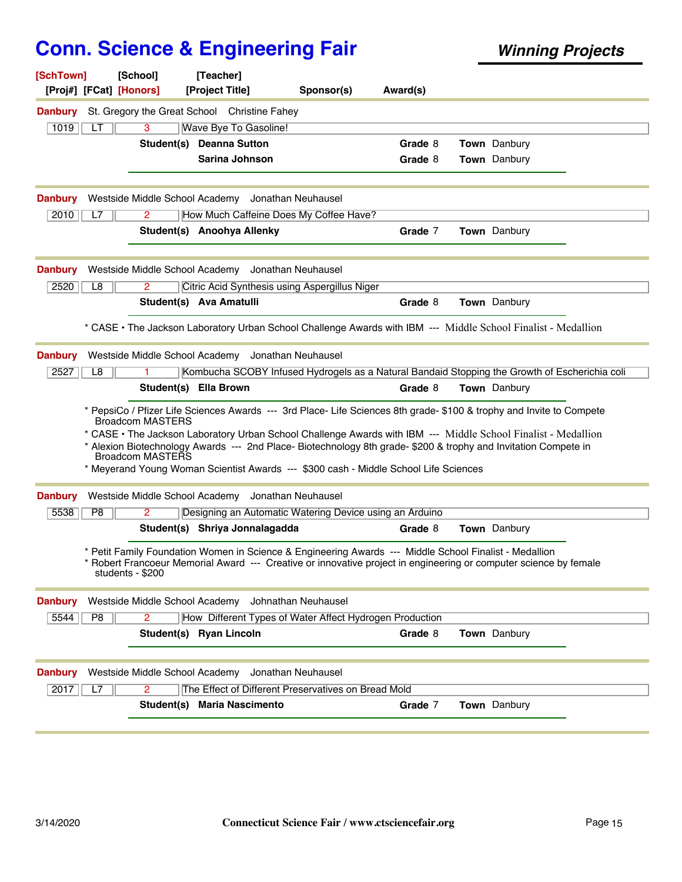| [SchTown]<br>[Proj#] [FCat] [Honors] | [School]                       | [Teacher]<br>[Project Title]                                                                                                                                                                                                                                                                                                                             | Sponsor(s)          | Award(s) |                     |  |
|--------------------------------------|--------------------------------|----------------------------------------------------------------------------------------------------------------------------------------------------------------------------------------------------------------------------------------------------------------------------------------------------------------------------------------------------------|---------------------|----------|---------------------|--|
| <b>Danbury</b>                       |                                | St. Gregory the Great School Christine Fahey                                                                                                                                                                                                                                                                                                             |                     |          |                     |  |
| 1019<br>LT                           | 3                              | Wave Bye To Gasoline!                                                                                                                                                                                                                                                                                                                                    |                     |          |                     |  |
|                                      |                                | Student(s) Deanna Sutton                                                                                                                                                                                                                                                                                                                                 |                     | Grade 8  | <b>Town</b> Danbury |  |
|                                      |                                | <b>Sarina Johnson</b>                                                                                                                                                                                                                                                                                                                                    |                     | Grade 8  | Town Danbury        |  |
|                                      |                                |                                                                                                                                                                                                                                                                                                                                                          |                     |          |                     |  |
| <b>Danbury</b>                       | Westside Middle School Academy |                                                                                                                                                                                                                                                                                                                                                          | Jonathan Neuhausel  |          |                     |  |
| 2010<br>L7                           | 2                              | How Much Caffeine Does My Coffee Have?                                                                                                                                                                                                                                                                                                                   |                     |          |                     |  |
|                                      |                                | Student(s) Anoohya Allenky                                                                                                                                                                                                                                                                                                                               |                     | Grade 7  | Town Danbury        |  |
|                                      |                                |                                                                                                                                                                                                                                                                                                                                                          |                     |          |                     |  |
| <b>Danbury</b>                       |                                | Westside Middle School Academy Jonathan Neuhausel                                                                                                                                                                                                                                                                                                        |                     |          |                     |  |
| 2520<br>L8                           | $\overline{2}$                 | Citric Acid Synthesis using Aspergillus Niger                                                                                                                                                                                                                                                                                                            |                     |          |                     |  |
|                                      |                                | Student(s) Ava Amatulli                                                                                                                                                                                                                                                                                                                                  |                     | Grade 8  | Town Danbury        |  |
|                                      |                                | * CASE • The Jackson Laboratory Urban School Challenge Awards with IBM --- Middle School Finalist - Medallion                                                                                                                                                                                                                                            |                     |          |                     |  |
| <b>Danbury</b>                       |                                | Westside Middle School Academy Jonathan Neuhausel                                                                                                                                                                                                                                                                                                        |                     |          |                     |  |
| 2527<br>L <sub>8</sub>               |                                | Kombucha SCOBY Infused Hydrogels as a Natural Bandaid Stopping the Growth of Escherichia coli                                                                                                                                                                                                                                                            |                     |          |                     |  |
|                                      | Student(s) Ella Brown          |                                                                                                                                                                                                                                                                                                                                                          |                     | Grade 8  | Town Danbury        |  |
|                                      | <b>Broadcom MASTERS</b>        | * PepsiCo / Pfizer Life Sciences Awards --- 3rd Place- Life Sciences 8th grade- \$100 & trophy and Invite to Compete<br>* CASE • The Jackson Laboratory Urban School Challenge Awards with IBM --- Middle School Finalist - Medallion<br>* Alexion Biotechnology Awards --- 2nd Place- Biotechnology 8th grade- \$200 & trophy and Invitation Compete in |                     |          |                     |  |
|                                      | Broadcom MASTERS               | * Meyerand Young Woman Scientist Awards --- \$300 cash - Middle School Life Sciences                                                                                                                                                                                                                                                                     |                     |          |                     |  |
| <b>Danbury</b>                       |                                | Westside Middle School Academy Jonathan Neuhausel                                                                                                                                                                                                                                                                                                        |                     |          |                     |  |
| 5538<br>$\overline{P8}$              | 2                              | Designing an Automatic Watering Device using an Arduino                                                                                                                                                                                                                                                                                                  |                     |          |                     |  |
|                                      |                                | Student(s) Shriya Jonnalagadda                                                                                                                                                                                                                                                                                                                           |                     | Grade 8  | Town Danbury        |  |
|                                      | students - \$200               | * Petit Family Foundation Women in Science & Engineering Awards --- Middle School Finalist - Medallion<br>* Robert Francoeur Memorial Award --- Creative or innovative project in engineering or computer science by female                                                                                                                              |                     |          |                     |  |
| <b>Danbury</b>                       | Westside Middle School Academy |                                                                                                                                                                                                                                                                                                                                                          | Johnathan Neuhausel |          |                     |  |
| 5544<br>P8                           | 2                              | How Different Types of Water Affect Hydrogen Production                                                                                                                                                                                                                                                                                                  |                     |          |                     |  |
|                                      |                                | Student(s) Ryan Lincoln                                                                                                                                                                                                                                                                                                                                  |                     | Grade 8  | Town Danbury        |  |
| <b>Danbury</b>                       | Westside Middle School Academy |                                                                                                                                                                                                                                                                                                                                                          | Jonathan Neuhausel  |          |                     |  |
| 2017<br>L7                           | 2                              | The Effect of Different Preservatives on Bread Mold                                                                                                                                                                                                                                                                                                      |                     |          |                     |  |
|                                      |                                | Student(s) Maria Nascimento                                                                                                                                                                                                                                                                                                                              |                     | Grade 7  | Town Danbury        |  |
|                                      |                                |                                                                                                                                                                                                                                                                                                                                                          |                     |          |                     |  |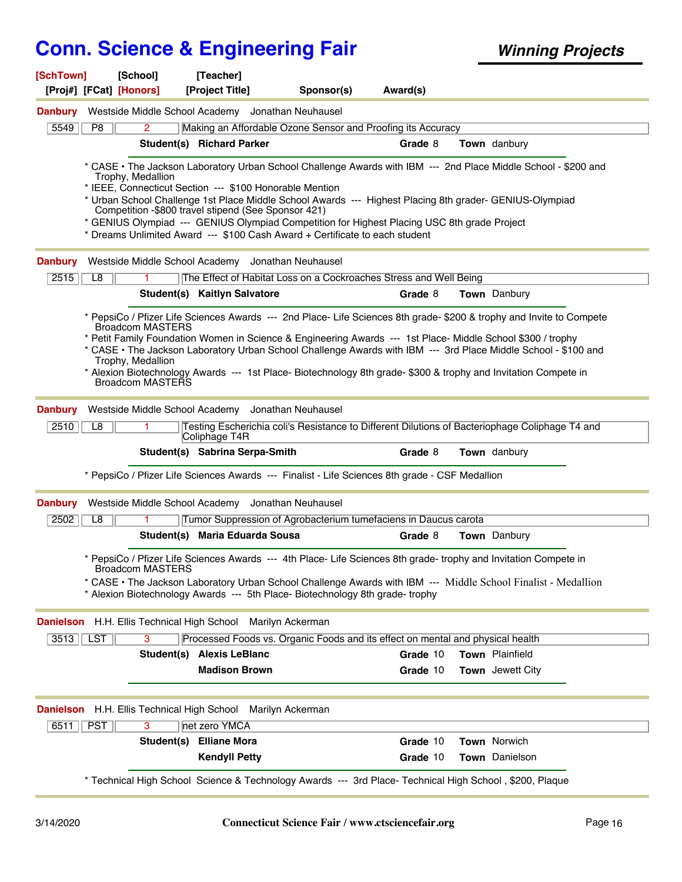| [SchTown]      |                         | [School]                | <b>Teacherl</b>                                                                                                                                                |            |          |                                                                                                                      |
|----------------|-------------------------|-------------------------|----------------------------------------------------------------------------------------------------------------------------------------------------------------|------------|----------|----------------------------------------------------------------------------------------------------------------------|
|                | [Proj#] [FCat] [Honors] |                         | [Project Title]                                                                                                                                                | Sponsor(s) | Award(s) |                                                                                                                      |
| <b>Danbury</b> |                         |                         | Westside Middle School Academy Jonathan Neuhausel                                                                                                              |            |          |                                                                                                                      |
| 5549           | P8                      | $\overline{2}$          | Making an Affordable Ozone Sensor and Proofing its Accuracy                                                                                                    |            |          |                                                                                                                      |
|                |                         |                         | Student(s) Richard Parker                                                                                                                                      |            | Grade 8  | <b>Town</b> danbury                                                                                                  |
|                |                         | Trophy, Medallion       | * IEEE, Connecticut Section --- \$100 Honorable Mention                                                                                                        |            |          | * CASE • The Jackson Laboratory Urban School Challenge Awards with IBM --- 2nd Place Middle School - \$200 and       |
|                |                         |                         | * Urban School Challenge 1st Place Middle School Awards --- Highest Placing 8th grader- GENIUS-Olympiad<br>Competition -\$800 travel stipend (See Sponsor 421) |            |          |                                                                                                                      |
|                |                         |                         | * GENIUS Olympiad --- GENIUS Olympiad Competition for Highest Placing USC 8th grade Project                                                                    |            |          |                                                                                                                      |
|                |                         |                         | * Dreams Unlimited Award --- \$100 Cash Award + Certificate to each student                                                                                    |            |          |                                                                                                                      |
| <b>Danbury</b> |                         |                         | Westside Middle School Academy Jonathan Neuhausel                                                                                                              |            |          |                                                                                                                      |
| 2515           | L8                      |                         | The Effect of Habitat Loss on a Cockroaches Stress and Well Being                                                                                              |            |          |                                                                                                                      |
|                |                         |                         | Student(s) Kaitlyn Salvatore                                                                                                                                   |            | Grade 8  | Town Danbury                                                                                                         |
|                |                         | <b>Broadcom MASTERS</b> |                                                                                                                                                                |            |          | * PepsiCo / Pfizer Life Sciences Awards --- 2nd Place- Life Sciences 8th grade- \$200 & trophy and Invite to Compete |
|                |                         |                         | * Petit Family Foundation Women in Science & Engineering Awards --- 1st Place- Middle School \$300 / trophy                                                    |            |          | * CASE · The Jackson Laboratory Urban School Challenge Awards with IBM --- 3rd Place Middle School - \$100 and       |
|                |                         | Trophy, Medallion       |                                                                                                                                                                |            |          |                                                                                                                      |
|                |                         | Broadcom MASTERS        |                                                                                                                                                                |            |          | * Alexion Biotechnology Awards --- 1st Place- Biotechnology 8th grade- \$300 & trophy and Invitation Compete in      |
| <b>Danbury</b> |                         |                         | Westside Middle School Academy Jonathan Neuhausel                                                                                                              |            |          |                                                                                                                      |
| 2510           | L8                      |                         | Coliphage T4R                                                                                                                                                  |            |          | Testing Escherichia coli's Resistance to Different Dilutions of Bacteriophage Coliphage T4 and                       |
|                |                         |                         | Student(s) Sabrina Serpa-Smith                                                                                                                                 |            | Grade 8  | Town danbury                                                                                                         |
|                |                         |                         | * PepsiCo / Pfizer Life Sciences Awards --- Finalist - Life Sciences 8th grade - CSF Medallion                                                                 |            |          |                                                                                                                      |
| <b>Danbury</b> |                         |                         | Westside Middle School Academy Jonathan Neuhausel                                                                                                              |            |          |                                                                                                                      |
| 2502           | L8                      |                         | Tumor Suppression of Agrobacterium tumefaciens in Daucus carota                                                                                                |            |          |                                                                                                                      |
|                |                         |                         | Student(s) Maria Eduarda Sousa                                                                                                                                 |            | Grade 8  | Town Danbury                                                                                                         |
|                |                         | Broadcom MASTERS        |                                                                                                                                                                |            |          | * PepsiCo / Pfizer Life Sciences Awards --- 4th Place- Life Sciences 8th grade- trophy and Invitation Compete in     |
|                |                         |                         | * Alexion Biotechnology Awards --- 5th Place- Biotechnology 8th grade- trophy                                                                                  |            |          | * CASE • The Jackson Laboratory Urban School Challenge Awards with IBM --- Middle School Finalist - Medallion        |
|                |                         |                         | Danielson H.H. Ellis Technical High School Marilyn Ackerman                                                                                                    |            |          |                                                                                                                      |
| $3513$ LST     |                         | 3                       | Processed Foods vs. Organic Foods and its effect on mental and physical health                                                                                 |            |          |                                                                                                                      |
|                |                         |                         | Student(s) Alexis LeBlanc                                                                                                                                      |            | Grade 10 | Town Plainfield                                                                                                      |
|                |                         |                         | <b>Madison Brown</b>                                                                                                                                           |            | Grade 10 | Town Jewett City                                                                                                     |
|                |                         |                         | Danielson H.H. Ellis Technical High School Marilyn Ackerman                                                                                                    |            |          |                                                                                                                      |
| 6511           | <b>PST</b>              | 3                       | net zero YMCA                                                                                                                                                  |            |          |                                                                                                                      |
|                |                         |                         | Student(s) Elliane Mora                                                                                                                                        |            | Grade 10 | <b>Town Norwich</b>                                                                                                  |
|                |                         |                         | <b>Kendyll Petty</b>                                                                                                                                           |            | Grade 10 | Town Danielson                                                                                                       |
|                |                         |                         | * Technical High School Science & Technology Awards --- 3rd Place- Technical High School, \$200, Plaque                                                        |            |          |                                                                                                                      |
|                |                         |                         |                                                                                                                                                                |            |          |                                                                                                                      |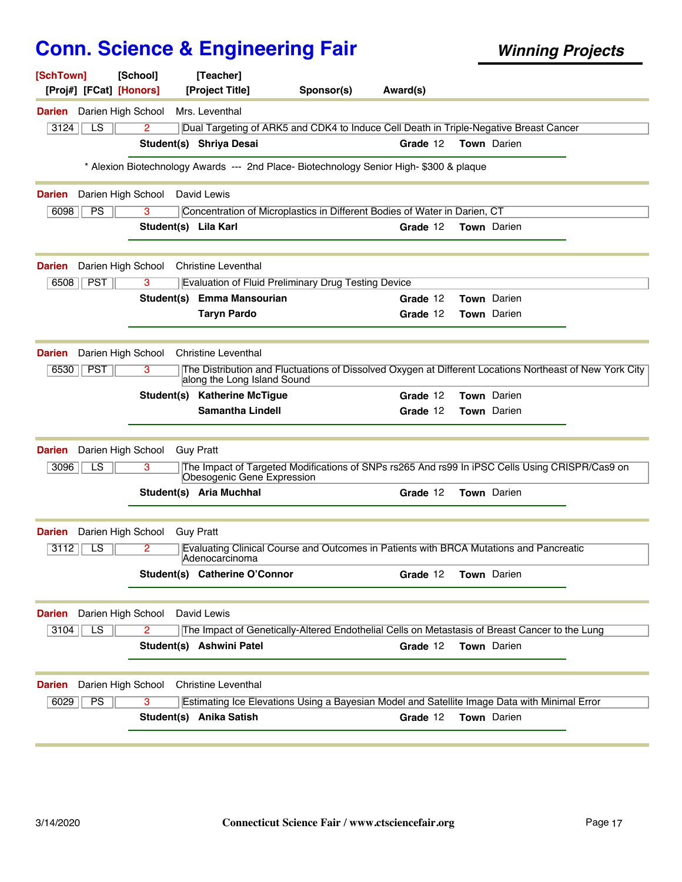| [SchTown]<br>[Proj#] [FCat] [Honors] | [School]             | [Teacher]<br>[Project Title]           | Sponsor(s)                                                                                              | Award(s) |                    |  |
|--------------------------------------|----------------------|----------------------------------------|---------------------------------------------------------------------------------------------------------|----------|--------------------|--|
| <b>Darien</b> Darien High School     |                      | Mrs. Leventhal                         |                                                                                                         |          |                    |  |
| 3124<br>LS.                          | 2                    |                                        | Dual Targeting of ARK5 and CDK4 to Induce Cell Death in Triple-Negative Breast Cancer                   |          |                    |  |
|                                      |                      | Student(s) Shriya Desai                |                                                                                                         | Grade 12 | <b>Town</b> Darien |  |
|                                      |                      |                                        | * Alexion Biotechnology Awards --- 2nd Place- Biotechnology Senior High- \$300 & plaque                 |          |                    |  |
| <b>Darien</b>                        | Darien High School   | David Lewis                            |                                                                                                         |          |                    |  |
| PS<br>6098                           | 3                    |                                        | Concentration of Microplastics in Different Bodies of Water in Darien, CT                               |          |                    |  |
|                                      | Student(s) Lila Karl |                                        |                                                                                                         | Grade 12 | Town Darien        |  |
| <b>Darien</b>                        |                      | Darien High School Christine Leventhal |                                                                                                         |          |                    |  |
| <b>PST</b><br>6508                   | 3                    |                                        | <b>Evaluation of Fluid Preliminary Drug Testing Device</b>                                              |          |                    |  |
|                                      | Student(s)           | <b>Emma Mansourian</b>                 |                                                                                                         | Grade 12 | Town Darien        |  |
|                                      |                      | <b>Taryn Pardo</b>                     |                                                                                                         | Grade 12 | <b>Town</b> Darien |  |
| <b>Darien</b>                        | Darien High School   | <b>Christine Leventhal</b>             |                                                                                                         |          |                    |  |
| 6530<br><b>PST</b>                   | 3                    | along the Long Island Sound            | The Distribution and Fluctuations of Dissolved Oxygen at Different Locations Northeast of New York City |          |                    |  |
|                                      |                      | Student(s) Katherine McTigue           |                                                                                                         | Grade 12 | <b>Town</b> Darien |  |
|                                      |                      | <b>Samantha Lindell</b>                |                                                                                                         | Grade 12 | Town Darien        |  |
| Darien                               | Darien High School   | <b>Guy Pratt</b>                       |                                                                                                         |          |                    |  |
| 3096<br>LS.                          | 3                    | Obesogenic Gene Expression             | The Impact of Targeted Modifications of SNPs rs265 And rs99 In iPSC Cells Using CRISPR/Cas9 on          |          |                    |  |
|                                      |                      | Student(s) Aria Muchhal                |                                                                                                         | Grade 12 | Town Darien        |  |
| Darien                               | Darien High School   | <b>Guy Pratt</b>                       |                                                                                                         |          |                    |  |
| LS<br>3112                           | 2                    | lAdenocarcinoma                        | Evaluating Clinical Course and Outcomes in Patients with BRCA Mutations and Pancreatic                  |          |                    |  |
|                                      |                      | Student(s) Catherine O'Connor          |                                                                                                         | Grade 12 | Town Darien        |  |
| <b>Darien</b>                        | Darien High School   | David Lewis                            |                                                                                                         |          |                    |  |
| $\overline{LS}$<br>3104              | 2                    |                                        | The Impact of Genetically-Altered Endothelial Cells on Metastasis of Breast Cancer to the Lung          |          |                    |  |
|                                      |                      | Student(s) Ashwini Patel               |                                                                                                         | Grade 12 | Town Darien        |  |
|                                      |                      |                                        |                                                                                                         |          |                    |  |
| <b>Darien</b>                        | Darien High School   | <b>Christine Leventhal</b>             |                                                                                                         |          |                    |  |
|                                      |                      |                                        |                                                                                                         |          |                    |  |
| PS<br>6029                           | 3                    | Student(s) Anika Satish                | Estimating Ice Elevations Using a Bayesian Model and Satellite Image Data with Minimal Error            | Grade 12 | Town Darien        |  |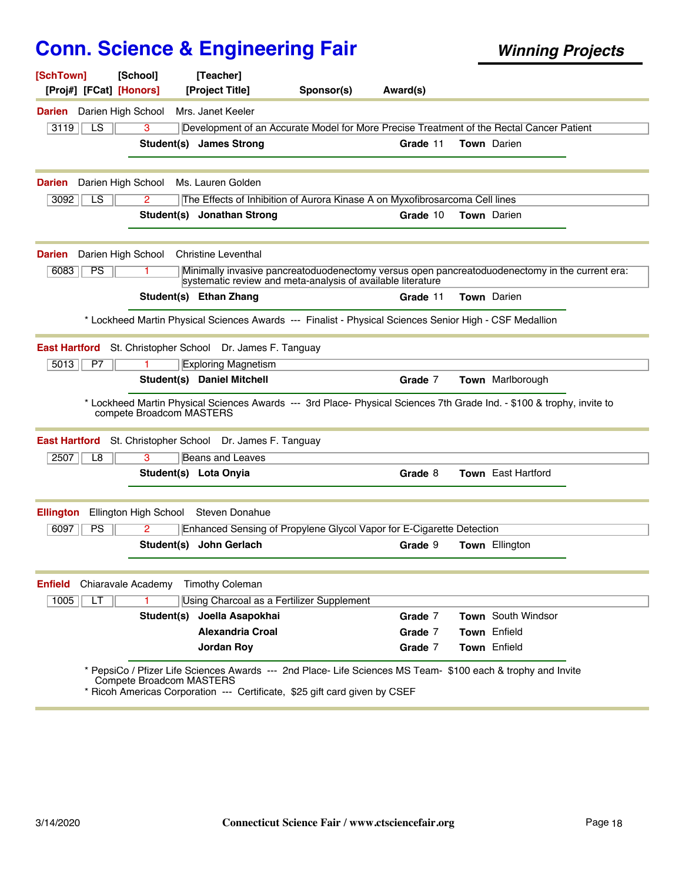| <b>Darien</b> Darien High School                           |                          | [Project Title]                                                                                         | Sponsor(s) | Award(s) |                                                                                                                        |  |
|------------------------------------------------------------|--------------------------|---------------------------------------------------------------------------------------------------------|------------|----------|------------------------------------------------------------------------------------------------------------------------|--|
|                                                            |                          | Mrs. Janet Keeler                                                                                       |            |          |                                                                                                                        |  |
| LS<br>3119                                                 | 3                        |                                                                                                         |            |          | Development of an Accurate Model for More Precise Treatment of the Rectal Cancer Patient                               |  |
|                                                            |                          | Student(s) James Strong                                                                                 |            | Grade 11 | <b>Town</b> Darien                                                                                                     |  |
| Darien High School<br>Darien                               |                          | Ms. Lauren Golden                                                                                       |            |          |                                                                                                                        |  |
| $\overline{LS}$<br>3092                                    | 2                        | The Effects of Inhibition of Aurora Kinase A on Myxofibrosarcoma Cell lines                             |            |          |                                                                                                                        |  |
|                                                            |                          | Student(s) Jonathan Strong                                                                              |            | Grade 10 | <b>Town</b> Darien                                                                                                     |  |
| Darien                                                     |                          | Darien High School Christine Leventhal                                                                  |            |          |                                                                                                                        |  |
| PS<br>6083                                                 | 1                        | systematic review and meta-analysis of available literature                                             |            |          | Minimally invasive pancreatoduodenectomy versus open pancreatoduodenectomy in the current era:                         |  |
|                                                            |                          | Student(s) Ethan Zhang                                                                                  |            | Grade 11 | <b>Town</b> Darien                                                                                                     |  |
|                                                            |                          | * Lockheed Martin Physical Sciences Awards --- Finalist - Physical Sciences Senior High - CSF Medallion |            |          |                                                                                                                        |  |
| <b>East Hartford</b>                                       |                          | St. Christopher School Dr. James F. Tanguay                                                             |            |          |                                                                                                                        |  |
| 5013<br>P7                                                 |                          |                                                                                                         |            |          |                                                                                                                        |  |
|                                                            |                          |                                                                                                         |            |          |                                                                                                                        |  |
|                                                            |                          | <b>Exploring Magnetism</b><br><b>Student(s)</b> Daniel Mitchell                                         |            | Grade 7  | Town Marlborough                                                                                                       |  |
|                                                            | compete Broadcom MASTERS | St. Christopher School Dr. James F. Tanguay                                                             |            |          | * Lockheed Martin Physical Sciences Awards --- 3rd Place- Physical Sciences 7th Grade Ind. - \$100 & trophy, invite to |  |
| 2507<br>L8                                                 | 3                        | <b>Beans and Leaves</b>                                                                                 |            |          |                                                                                                                        |  |
|                                                            |                          | Student(s) Lota Onyia                                                                                   |            | Grade 8  | Town East Hartford                                                                                                     |  |
|                                                            | Ellington High School    | <b>Steven Donahue</b>                                                                                   |            |          |                                                                                                                        |  |
| 6097<br><b>PS</b>                                          | 2                        | Enhanced Sensing of Propylene Glycol Vapor for E-Cigarette Detection                                    |            |          |                                                                                                                        |  |
|                                                            |                          | Student(s) John Gerlach                                                                                 |            | Grade 9  | Town Ellington                                                                                                         |  |
| Chiaravale Academy                                         |                          | <b>Timothy Coleman</b>                                                                                  |            |          |                                                                                                                        |  |
| LT<br>1005                                                 | 1                        |                                                                                                         |            |          |                                                                                                                        |  |
|                                                            |                          | Using Charcoal as a Fertilizer Supplement<br>Student(s) Joella Asapokhai                                |            | Grade 7  | Town South Windsor                                                                                                     |  |
| <b>East Hartford</b><br><b>Ellington</b><br><b>Enfield</b> |                          | <b>Alexandria Croal</b>                                                                                 |            | Grade 7  | Town Enfield                                                                                                           |  |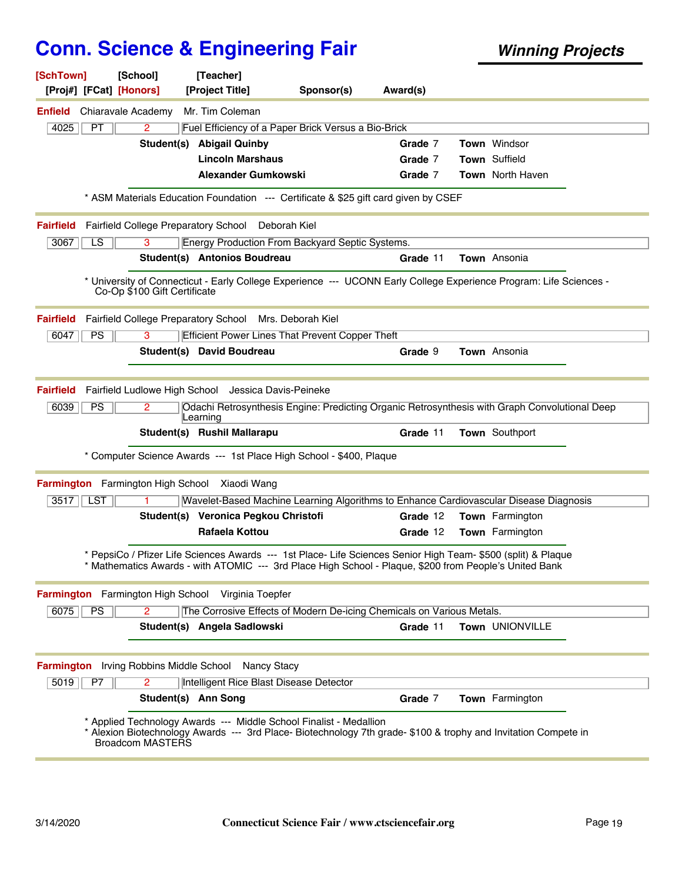| [SchTown]                                     | [School]                     | [Teacher]                                              |                                                                                                                                                                                                                         |          |                                                                                                                    |
|-----------------------------------------------|------------------------------|--------------------------------------------------------|-------------------------------------------------------------------------------------------------------------------------------------------------------------------------------------------------------------------------|----------|--------------------------------------------------------------------------------------------------------------------|
| [Proj#] [FCat] [Honors]                       |                              | [Project Title]                                        | Sponsor(s)                                                                                                                                                                                                              | Award(s) |                                                                                                                    |
| Chiaravale Academy<br>Enfield                 |                              | Mr. Tim Coleman                                        |                                                                                                                                                                                                                         |          |                                                                                                                    |
| 4025<br>PT                                    | $\overline{2}$               |                                                        | Fuel Efficiency of a Paper Brick Versus a Bio-Brick                                                                                                                                                                     |          |                                                                                                                    |
|                                               |                              | Student(s) Abigail Quinby                              |                                                                                                                                                                                                                         | Grade 7  | <b>Town</b> Windsor                                                                                                |
|                                               |                              | <b>Lincoln Marshaus</b>                                |                                                                                                                                                                                                                         | Grade 7  | Town Suffield                                                                                                      |
|                                               |                              | <b>Alexander Gumkowski</b>                             |                                                                                                                                                                                                                         | Grade 7  | <b>Town</b> North Haven                                                                                            |
|                                               |                              |                                                        | * ASM Materials Education Foundation --- Certificate & \$25 gift card given by CSEF                                                                                                                                     |          |                                                                                                                    |
| <b>Fairfield</b>                              |                              | Fairfield College Preparatory School Deborah Kiel      |                                                                                                                                                                                                                         |          |                                                                                                                    |
| LS<br>3067                                    | 3                            |                                                        | Energy Production From Backyard Septic Systems.                                                                                                                                                                         |          |                                                                                                                    |
|                                               |                              | Student(s) Antonios Boudreau                           |                                                                                                                                                                                                                         | Grade 11 | Town Ansonia                                                                                                       |
|                                               | Co-Op \$100 Gift Certificate |                                                        |                                                                                                                                                                                                                         |          | * University of Connecticut - Early College Experience --- UCONN Early College Experience Program: Life Sciences - |
| <b>Fairfield</b>                              |                              | Fairfield College Preparatory School Mrs. Deborah Kiel |                                                                                                                                                                                                                         |          |                                                                                                                    |
| PS<br>6047                                    | 3                            |                                                        | <b>Efficient Power Lines That Prevent Copper Theft</b>                                                                                                                                                                  |          |                                                                                                                    |
|                                               |                              | Student(s) David Boudreau                              |                                                                                                                                                                                                                         | Grade 9  | Town Ansonia                                                                                                       |
|                                               |                              |                                                        |                                                                                                                                                                                                                         |          |                                                                                                                    |
| <b>Fairfield</b>                              |                              | Fairfield Ludlowe High School Jessica Davis-Peineke    |                                                                                                                                                                                                                         |          |                                                                                                                    |
| PS<br>6039                                    | 2                            | Learning                                               |                                                                                                                                                                                                                         |          | Odachi Retrosynthesis Engine: Predicting Organic Retrosynthesis with Graph Convolutional Deep                      |
|                                               |                              | Student(s) Rushil Mallarapu                            |                                                                                                                                                                                                                         | Grade 11 | Town Southport                                                                                                     |
|                                               |                              |                                                        | * Computer Science Awards --- 1st Place High School - \$400, Plaque                                                                                                                                                     |          |                                                                                                                    |
| Farmington Farmington High School Xiaodi Wang |                              |                                                        |                                                                                                                                                                                                                         |          |                                                                                                                    |
| 3517   LST                                    |                              |                                                        |                                                                                                                                                                                                                         |          | Wavelet-Based Machine Learning Algorithms to Enhance Cardiovascular Disease Diagnosis                              |
|                                               |                              | Student(s) Veronica Pegkou Christofi                   |                                                                                                                                                                                                                         | Grade 12 | <b>Town</b> Farmington                                                                                             |
|                                               |                              | <b>Rafaela Kottou</b>                                  |                                                                                                                                                                                                                         | Grade 12 | <b>Town</b> Farmington                                                                                             |
|                                               |                              |                                                        | * PepsiCo / Pfizer Life Sciences Awards --- 1st Place- Life Sciences Senior High Team- \$500 (split) & Plaque<br>* Mathematics Awards - with ATOMIC --- 3rd Place High School - Plaque, \$200 from People's United Bank |          |                                                                                                                    |
|                                               |                              | Farmington Farmington High School Virginia Toepfer     |                                                                                                                                                                                                                         |          |                                                                                                                    |
| 6075<br><b>PS</b>                             | $\overline{2}$               |                                                        | The Corrosive Effects of Modern De-icing Chemicals on Various Metals.                                                                                                                                                   |          |                                                                                                                    |
|                                               |                              | Student(s) Angela Sadlowski                            |                                                                                                                                                                                                                         | Grade 11 | Town UNIONVILLE                                                                                                    |
|                                               |                              |                                                        |                                                                                                                                                                                                                         |          |                                                                                                                    |
| <b>Farmington</b>                             |                              | Irving Robbins Middle School Nancy Stacy               |                                                                                                                                                                                                                         |          |                                                                                                                    |
| 5019<br>P7                                    | $\overline{2}$               | Intelligent Rice Blast Disease Detector                |                                                                                                                                                                                                                         |          |                                                                                                                    |
|                                               |                              | Student(s) Ann Song                                    |                                                                                                                                                                                                                         | Grade 7  | Town Farmington                                                                                                    |
|                                               | Broadcom MASTERS             |                                                        | * Applied Technology Awards --- Middle School Finalist - Medallion                                                                                                                                                      |          | * Alexion Biotechnology Awards --- 3rd Place- Biotechnology 7th grade- \$100 & trophy and Invitation Compete in    |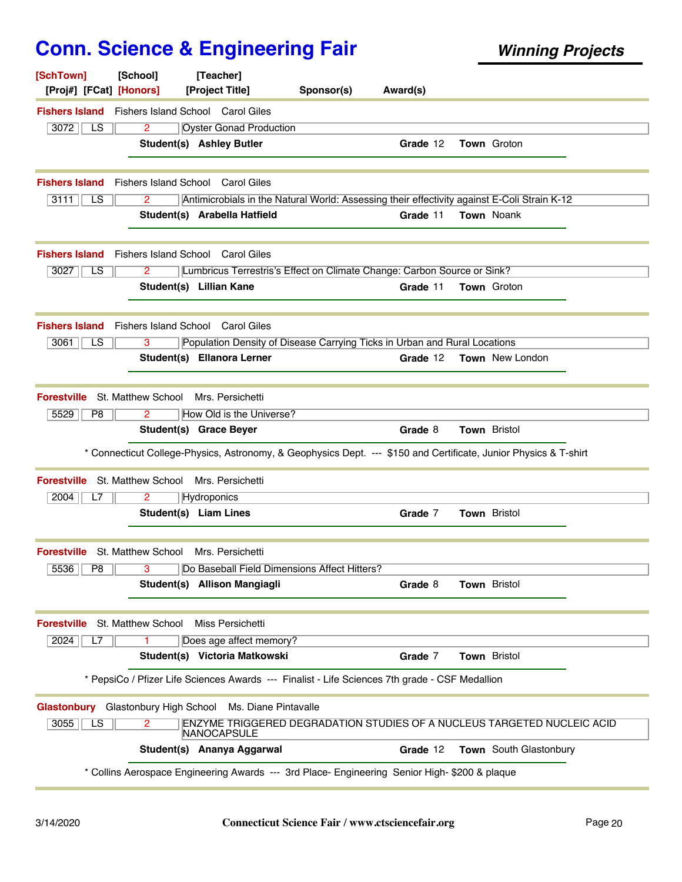| [SchTown]<br>[Proj#] [FCat] [Honors]                   | [School]             | [Teacher]<br>[Project Title]                                                                   | Sponsor(s) | Award(s) |                                                                                                                  |
|--------------------------------------------------------|----------------------|------------------------------------------------------------------------------------------------|------------|----------|------------------------------------------------------------------------------------------------------------------|
|                                                        |                      | <b>Fishers Island</b> Fishers Island School Carol Giles                                        |            |          |                                                                                                                  |
| 3072<br>LS.                                            | $\mathbf{2}^{\circ}$ | <b>Oyster Gonad Production</b>                                                                 |            |          |                                                                                                                  |
|                                                        |                      | <b>Student(s) Ashley Butler</b>                                                                |            | Grade 12 | <b>Town Groton</b>                                                                                               |
|                                                        |                      | <b>Fishers Island</b> Fishers Island School Carol Giles                                        |            |          |                                                                                                                  |
| 3111<br>LS.                                            | 2                    | Antimicrobials in the Natural World: Assessing their effectivity against E-Coli Strain K-12    |            |          |                                                                                                                  |
|                                                        |                      | Student(s) Arabella Hatfield                                                                   |            | Grade 11 | <b>Town</b> Noank                                                                                                |
|                                                        |                      | <b>Fishers Island</b> Fishers Island School Carol Giles                                        |            |          |                                                                                                                  |
| 3027<br>LS.                                            | 2                    | Lumbricus Terrestris's Effect on Climate Change: Carbon Source or Sink?                        |            |          |                                                                                                                  |
|                                                        |                      | Student(s) Lillian Kane                                                                        |            | Grade 11 | <b>Town Groton</b>                                                                                               |
|                                                        |                      | <b>Fishers Island</b> Fishers Island School Carol Giles                                        |            |          |                                                                                                                  |
| 3061<br>LS.                                            | 3                    | Population Density of Disease Carrying Ticks in Urban and Rural Locations                      |            |          |                                                                                                                  |
|                                                        |                      | Student(s) Ellanora Lerner                                                                     |            | Grade 12 | <b>Town</b> New London                                                                                           |
| <b>Forestville</b>                                     | St. Matthew School   | Mrs. Persichetti                                                                               |            |          |                                                                                                                  |
| 5529<br>P <sub>8</sub>                                 | 2                    | How Old is the Universe?                                                                       |            |          |                                                                                                                  |
|                                                        |                      | Student(s) Grace Beyer                                                                         |            | Grade 8  | Town Bristol                                                                                                     |
|                                                        |                      |                                                                                                |            |          | * Connecticut College-Physics, Astronomy, & Geophysics Dept. --- \$150 and Certificate, Junior Physics & T-shirt |
| <b>Forestville</b>                                     |                      | St. Matthew School Mrs. Persichetti                                                            |            |          |                                                                                                                  |
| 2004<br>L7                                             | 2                    | Hydroponics                                                                                    |            |          |                                                                                                                  |
|                                                        |                      | Student(s) Liam Lines                                                                          |            | Grade 7  | <b>Town Bristol</b>                                                                                              |
| <b>Forestville</b> St. Matthew School Mrs. Persichetti |                      |                                                                                                |            |          |                                                                                                                  |
| 5536 P8                                                |                      | Do Baseball Field Dimensions Affect Hitters?                                                   |            |          |                                                                                                                  |
|                                                        |                      | Student(s) Allison Mangiagli                                                                   |            | Grade 8  | Town Bristol                                                                                                     |
| <b>Forestville</b>                                     | St. Matthew School   | Miss Persichetti                                                                               |            |          |                                                                                                                  |
| 2024<br>L7                                             |                      | Does age affect memory?                                                                        |            |          |                                                                                                                  |
|                                                        |                      | Student(s) Victoria Matkowski                                                                  |            | Grade 7  | Town Bristol                                                                                                     |
|                                                        |                      | * PepsiCo / Pfizer Life Sciences Awards --- Finalist - Life Sciences 7th grade - CSF Medallion |            |          |                                                                                                                  |
| Glastonbury Glastonbury High School                    |                      | Ms. Diane Pintavalle                                                                           |            |          |                                                                                                                  |
| 3055<br>LS                                             | 2                    | NANOCAPSULE                                                                                    |            |          | ENZYME TRIGGERED DEGRADATION STUDIES OF A NUCLEUS TARGETED NUCLEIC ACID                                          |
|                                                        |                      | Student(s) Ananya Aggarwal                                                                     |            | Grade 12 | <b>Town</b> South Glastonbury                                                                                    |
|                                                        |                      | * Collins Aerospace Engineering Awards --- 3rd Place- Engineering Senior High- \$200 & plaque  |            |          |                                                                                                                  |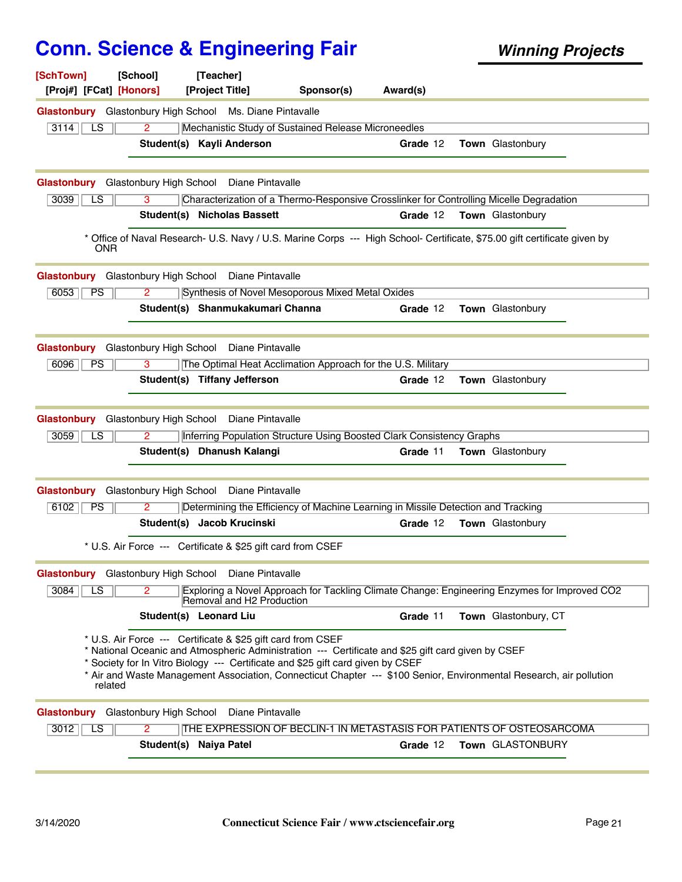| [SchTown]<br>[Proj#] [FCat] [Honors] | [School]                | [Teacher]<br>[Project Title]                                | Sponsor(s)                                                                                                                                                                                                                                                                                                   | Award(s) |                      |  |
|--------------------------------------|-------------------------|-------------------------------------------------------------|--------------------------------------------------------------------------------------------------------------------------------------------------------------------------------------------------------------------------------------------------------------------------------------------------------------|----------|----------------------|--|
|                                      |                         | Glastonbury Glastonbury High School Ms. Diane Pintavalle    |                                                                                                                                                                                                                                                                                                              |          |                      |  |
| 3114<br>$\overline{LS}$              | $\overline{2}$          |                                                             | Mechanistic Study of Sustained Release Microneedles                                                                                                                                                                                                                                                          |          |                      |  |
|                                      |                         | Student(s) Kayli Anderson                                   |                                                                                                                                                                                                                                                                                                              | Grade 12 | Town Glastonbury     |  |
| Glastonbury                          |                         | Glastonbury High School Diane Pintavalle                    |                                                                                                                                                                                                                                                                                                              |          |                      |  |
| 3039<br>LS                           | 3                       |                                                             | Characterization of a Thermo-Responsive Crosslinker for Controlling Micelle Degradation                                                                                                                                                                                                                      |          |                      |  |
|                                      |                         | <b>Student(s) Nicholas Bassett</b>                          |                                                                                                                                                                                                                                                                                                              | Grade 12 | Town Glastonbury     |  |
| <b>ONR</b>                           |                         |                                                             | * Office of Naval Research- U.S. Navy / U.S. Marine Corps --- High School- Certificate, \$75.00 gift certificate given by                                                                                                                                                                                    |          |                      |  |
|                                      |                         | Glastonbury Glastonbury High School Diane Pintavalle        |                                                                                                                                                                                                                                                                                                              |          |                      |  |
| 6053<br><b>PS</b>                    | 2                       |                                                             | Synthesis of Novel Mesoporous Mixed Metal Oxides                                                                                                                                                                                                                                                             |          |                      |  |
|                                      |                         | Student(s) Shanmukakumari Channa                            |                                                                                                                                                                                                                                                                                                              | Grade 12 | Town Glastonbury     |  |
| <b>Glastonbury</b>                   | Glastonbury High School | Diane Pintavalle                                            |                                                                                                                                                                                                                                                                                                              |          |                      |  |
| 6096<br><b>PS</b>                    | 3                       |                                                             | The Optimal Heat Acclimation Approach for the U.S. Military                                                                                                                                                                                                                                                  |          |                      |  |
|                                      |                         | Student(s) Tiffany Jefferson                                |                                                                                                                                                                                                                                                                                                              | Grade 12 | Town Glastonbury     |  |
| Glastonbury                          | Glastonbury High School | Diane Pintavalle                                            |                                                                                                                                                                                                                                                                                                              |          |                      |  |
| 3059<br>LS                           | $\overline{2}$          |                                                             | Inferring Population Structure Using Boosted Clark Consistency Graphs                                                                                                                                                                                                                                        |          |                      |  |
|                                      |                         | Student(s) Dhanush Kalangi                                  |                                                                                                                                                                                                                                                                                                              | Grade 11 | Town Glastonbury     |  |
| <b>Glastonbury</b>                   |                         | Glastonbury High School Diane Pintavalle                    |                                                                                                                                                                                                                                                                                                              |          |                      |  |
| 6102<br><b>PS</b>                    | 2                       |                                                             | Determining the Efficiency of Machine Learning in Missile Detection and Tracking                                                                                                                                                                                                                             |          |                      |  |
|                                      |                         | Student(s) Jacob Krucinski                                  |                                                                                                                                                                                                                                                                                                              | Grade 12 | Town Glastonbury     |  |
|                                      |                         | * U.S. Air Force --- Certificate & \$25 gift card from CSEF |                                                                                                                                                                                                                                                                                                              |          |                      |  |
|                                      |                         | Glastonbury Glastonbury High School Diane Pintavalle        |                                                                                                                                                                                                                                                                                                              |          |                      |  |
| 3084<br>LS.                          | 2                       | Removal and H2 Production                                   | Exploring a Novel Approach for Tackling Climate Change: Engineering Enzymes for Improved CO2                                                                                                                                                                                                                 |          |                      |  |
|                                      |                         | Student(s) Leonard Liu                                      |                                                                                                                                                                                                                                                                                                              | Grade 11 | Town Glastonbury, CT |  |
| related                              |                         | * U.S. Air Force --- Certificate & \$25 gift card from CSEF | * National Oceanic and Atmospheric Administration --- Certificate and \$25 gift card given by CSEF<br>* Society for In Vitro Biology --- Certificate and \$25 gift card given by CSEF<br>* Air and Waste Management Association, Connecticut Chapter --- \$100 Senior, Environmental Research, air pollution |          |                      |  |
| Glastonbury                          | Glastonbury High School | Diane Pintavalle                                            |                                                                                                                                                                                                                                                                                                              |          |                      |  |
| 3012<br>LS                           | $\overline{2}$          |                                                             | THE EXPRESSION OF BECLIN-1 IN METASTASIS FOR PATIENTS OF OSTEOSARCOMA                                                                                                                                                                                                                                        |          |                      |  |
|                                      |                         | Student(s) Naiya Patel                                      |                                                                                                                                                                                                                                                                                                              | Grade 12 | Town GLASTONBURY     |  |
|                                      |                         |                                                             |                                                                                                                                                                                                                                                                                                              |          |                      |  |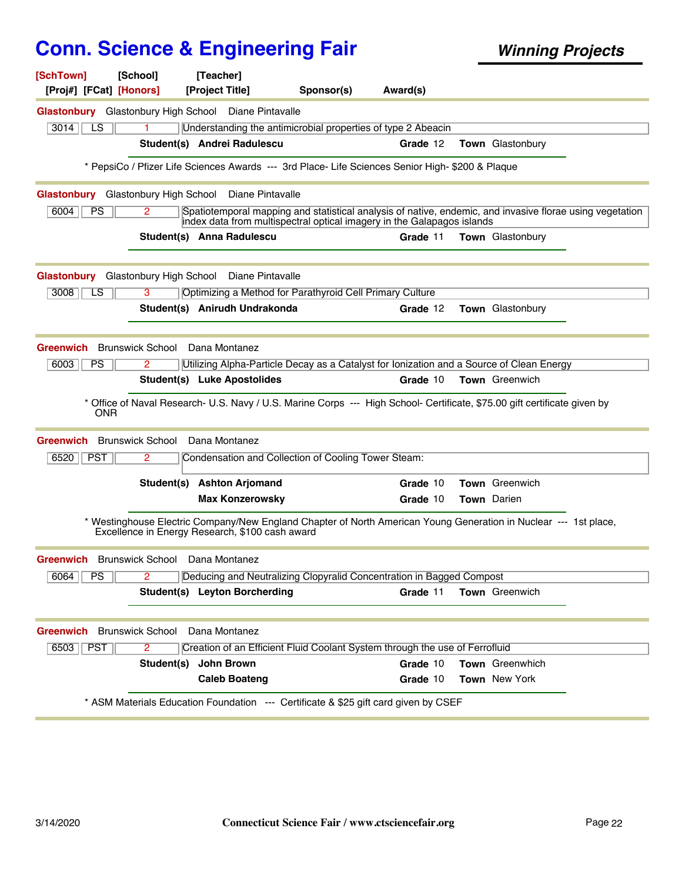| [SchTown]                                                                     | [School]                                        | [Teacher]                            |                  |                                                     |                                                                                                                                                                                    |                       |  |
|-------------------------------------------------------------------------------|-------------------------------------------------|--------------------------------------|------------------|-----------------------------------------------------|------------------------------------------------------------------------------------------------------------------------------------------------------------------------------------|-----------------------|--|
| [Proj#] [FCat] [Honors]                                                       |                                                 | [Project Title]                      |                  | Sponsor(s)                                          | Award(s)                                                                                                                                                                           |                       |  |
| <b>Glastonbury</b> Glastonbury High School Diane Pintavalle                   |                                                 |                                      |                  |                                                     |                                                                                                                                                                                    |                       |  |
| 3014<br>LS                                                                    |                                                 |                                      |                  |                                                     | Understanding the antimicrobial properties of type 2 Abeacin                                                                                                                       |                       |  |
|                                                                               |                                                 | Student(s) Andrei Radulescu          |                  |                                                     | Grade 12                                                                                                                                                                           | Town Glastonbury      |  |
|                                                                               |                                                 |                                      |                  |                                                     | * PepsiCo / Pfizer Life Sciences Awards --- 3rd Place- Life Sciences Senior High- \$200 & Plaque                                                                                   |                       |  |
| Glastonbury Glastonbury High School                                           |                                                 |                                      | Diane Pintavalle |                                                     |                                                                                                                                                                                    |                       |  |
| 6004<br><b>PS</b>                                                             | 2.                                              |                                      |                  |                                                     | Spatiotemporal mapping and statistical analysis of native, endemic, and invasive florae using vegetation<br>index data from multispectral optical imagery in the Galapagos islands |                       |  |
|                                                                               |                                                 | Student(s) Anna Radulescu            |                  |                                                     | Grade 11                                                                                                                                                                           | Town Glastonbury      |  |
| <b>Glastonbury</b>                                                            | Glastonbury High School                         |                                      | Diane Pintavalle |                                                     |                                                                                                                                                                                    |                       |  |
| 3008<br>LS                                                                    | 3                                               |                                      |                  |                                                     | Optimizing a Method for Parathyroid Cell Primary Culture                                                                                                                           |                       |  |
|                                                                               |                                                 | Student(s) Anirudh Undrakonda        |                  |                                                     | Grade 12                                                                                                                                                                           | Town Glastonbury      |  |
|                                                                               |                                                 | Dana Montanez                        |                  |                                                     |                                                                                                                                                                                    |                       |  |
|                                                                               |                                                 |                                      |                  |                                                     |                                                                                                                                                                                    |                       |  |
| <b>Brunswick School</b>                                                       |                                                 |                                      |                  |                                                     |                                                                                                                                                                                    |                       |  |
| Greenwich<br>6003<br><b>PS</b>                                                | 2                                               | <b>Student(s)</b> Luke Apostolides   |                  |                                                     | Utilizing Alpha-Particle Decay as a Catalyst for Ionization and a Source of Clean Energy<br>Grade 10                                                                               | Town Greenwich        |  |
| <b>ONR</b>                                                                    | <b>Brunswick School</b>                         | Dana Montanez                        |                  |                                                     | * Office of Naval Research- U.S. Navy / U.S. Marine Corps --- High School- Certificate, \$75.00 gift certificate given by                                                          |                       |  |
| 6520    PST                                                                   | 2                                               |                                      |                  | Condensation and Collection of Cooling Tower Steam: |                                                                                                                                                                                    |                       |  |
|                                                                               |                                                 | Student(s) Ashton Arjomand           |                  |                                                     | Grade 10                                                                                                                                                                           | Town Greenwich        |  |
|                                                                               |                                                 | <b>Max Konzerowsky</b>               |                  |                                                     | Grade 10                                                                                                                                                                           | Town Darien           |  |
|                                                                               | Excellence in Energy Research, \$100 cash award |                                      |                  |                                                     | * Westinghouse Electric Company/New England Chapter of North American Young Generation in Nuclear --- 1st place,                                                                   |                       |  |
|                                                                               |                                                 |                                      |                  |                                                     |                                                                                                                                                                                    |                       |  |
| 6064<br>PS                                                                    | 2                                               |                                      |                  |                                                     | Deducing and Neutralizing Clopyralid Concentration in Bagged Compost                                                                                                               |                       |  |
| Greenwich                                                                     |                                                 | <b>Student(s)</b> Leyton Borcherding |                  |                                                     | Grade 11                                                                                                                                                                           | <b>Town</b> Greenwich |  |
|                                                                               |                                                 | Dana Montanez                        |                  |                                                     |                                                                                                                                                                                    |                       |  |
| 6503   PST                                                                    | $\overline{2}$                                  |                                      |                  |                                                     |                                                                                                                                                                                    |                       |  |
| <b>Greenwich</b> Brunswick School Dana Montanez<br>Greenwich Brunswick School | Student(s)                                      | John Brown                           |                  |                                                     | Creation of an Efficient Fluid Coolant System through the use of Ferrofluid<br>Grade 10                                                                                            | Town Greenwhich       |  |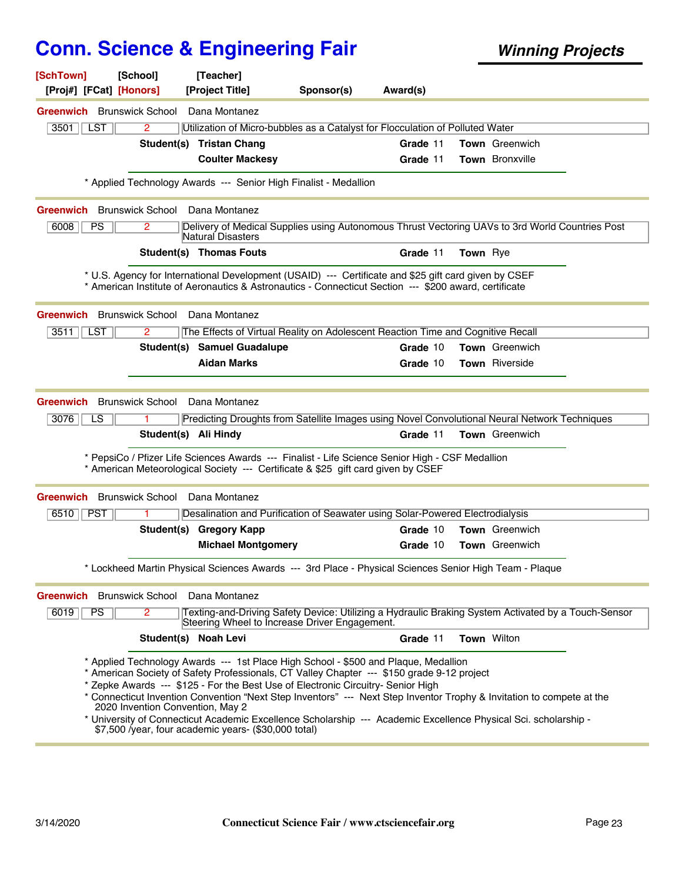| [SchTown]<br>[Proj#] [FCat] [Honors]             | [School]                         | [Teacher]<br>[Project Title]                                                                                                                                                                                                                                                                                                                                                                                                                                                                                                                                              | Sponsor(s) | Award(s) |                 |                       |  |
|--------------------------------------------------|----------------------------------|---------------------------------------------------------------------------------------------------------------------------------------------------------------------------------------------------------------------------------------------------------------------------------------------------------------------------------------------------------------------------------------------------------------------------------------------------------------------------------------------------------------------------------------------------------------------------|------------|----------|-----------------|-----------------------|--|
|                                                  |                                  |                                                                                                                                                                                                                                                                                                                                                                                                                                                                                                                                                                           |            |          |                 |                       |  |
| <b>Greenwich</b> Brunswick School<br>3501<br>LST | $\overline{2}$                   | Dana Montanez<br>Utilization of Micro-bubbles as a Catalyst for Flocculation of Polluted Water                                                                                                                                                                                                                                                                                                                                                                                                                                                                            |            |          |                 |                       |  |
|                                                  |                                  | Student(s) Tristan Chang                                                                                                                                                                                                                                                                                                                                                                                                                                                                                                                                                  |            | Grade 11 |                 | Town Greenwich        |  |
|                                                  |                                  | <b>Coulter Mackesy</b>                                                                                                                                                                                                                                                                                                                                                                                                                                                                                                                                                    |            | Grade 11 |                 | Town Bronxville       |  |
|                                                  |                                  |                                                                                                                                                                                                                                                                                                                                                                                                                                                                                                                                                                           |            |          |                 |                       |  |
|                                                  |                                  | * Applied Technology Awards --- Senior High Finalist - Medallion                                                                                                                                                                                                                                                                                                                                                                                                                                                                                                          |            |          |                 |                       |  |
| <b>Greenwich</b> Brunswick School                |                                  | Dana Montanez                                                                                                                                                                                                                                                                                                                                                                                                                                                                                                                                                             |            |          |                 |                       |  |
| 6008<br><b>PS</b>                                | $\mathbf{2}^{\prime}$            | Delivery of Medical Supplies using Autonomous Thrust Vectoring UAVs to 3rd World Countries Post<br>Natural Disasters                                                                                                                                                                                                                                                                                                                                                                                                                                                      |            |          |                 |                       |  |
|                                                  |                                  | Student(s) Thomas Fouts                                                                                                                                                                                                                                                                                                                                                                                                                                                                                                                                                   |            | Grade 11 | <b>Town</b> Rye |                       |  |
|                                                  |                                  | * U.S. Agency for International Development (USAID) --- Certificate and \$25 gift card given by CSEF<br>* American Institute of Aeronautics & Astronautics - Connecticut Section --- \$200 award, certificate                                                                                                                                                                                                                                                                                                                                                             |            |          |                 |                       |  |
| <b>Greenwich</b> Brunswick School Dana Montanez  |                                  |                                                                                                                                                                                                                                                                                                                                                                                                                                                                                                                                                                           |            |          |                 |                       |  |
| 3511<br>LST                                      | $\mathbf{2}^{\prime}$            | The Effects of Virtual Reality on Adolescent Reaction Time and Cognitive Recall                                                                                                                                                                                                                                                                                                                                                                                                                                                                                           |            |          |                 |                       |  |
|                                                  |                                  | <b>Student(s) Samuel Guadalupe</b>                                                                                                                                                                                                                                                                                                                                                                                                                                                                                                                                        |            | Grade 10 |                 | <b>Town</b> Greenwich |  |
|                                                  |                                  | <b>Aidan Marks</b>                                                                                                                                                                                                                                                                                                                                                                                                                                                                                                                                                        |            | Grade 10 |                 | <b>Town</b> Riverside |  |
|                                                  | Student(s) Ali Hindy             | * PepsiCo / Pfizer Life Sciences Awards --- Finalist - Life Science Senior High - CSF Medallion                                                                                                                                                                                                                                                                                                                                                                                                                                                                           |            | Grade 11 |                 | <b>Town</b> Greenwich |  |
|                                                  |                                  | * American Meteorological Society --- Certificate & \$25 gift card given by CSEF                                                                                                                                                                                                                                                                                                                                                                                                                                                                                          |            |          |                 |                       |  |
| <b>Greenwich</b> Brunswick School Dana Montanez  |                                  |                                                                                                                                                                                                                                                                                                                                                                                                                                                                                                                                                                           |            |          |                 |                       |  |
| 6510    PST                                      | 1.                               | Desalination and Purification of Seawater using Solar-Powered Electrodialysis                                                                                                                                                                                                                                                                                                                                                                                                                                                                                             |            |          |                 |                       |  |
|                                                  |                                  | Student(s) Gregory Kapp                                                                                                                                                                                                                                                                                                                                                                                                                                                                                                                                                   |            | Grade 10 |                 | <b>Town</b> Greenwich |  |
|                                                  |                                  | <b>Michael Montgomery</b>                                                                                                                                                                                                                                                                                                                                                                                                                                                                                                                                                 |            | Grade 10 |                 | Town Greenwich        |  |
|                                                  |                                  | * Lockheed Martin Physical Sciences Awards --- 3rd Place - Physical Sciences Senior High Team - Plaque                                                                                                                                                                                                                                                                                                                                                                                                                                                                    |            |          |                 |                       |  |
| Greenwich Brunswick School Dana Montanez         |                                  |                                                                                                                                                                                                                                                                                                                                                                                                                                                                                                                                                                           |            |          |                 |                       |  |
| 6019<br>PS                                       | $\overline{2}$                   | Texting-and-Driving Safety Device: Utilizing a Hydraulic Braking System Activated by a Touch-Sensor<br>Steering Wheel to Increase Driver Engagement.                                                                                                                                                                                                                                                                                                                                                                                                                      |            |          |                 |                       |  |
|                                                  |                                  | Student(s) Noah Levi                                                                                                                                                                                                                                                                                                                                                                                                                                                                                                                                                      |            | Grade 11 |                 | Town Wilton           |  |
|                                                  | 2020 Invention Convention, May 2 | * Applied Technology Awards --- 1st Place High School - \$500 and Plaque, Medallion<br>* American Society of Safety Professionals, CT Valley Chapter --- \$150 grade 9-12 project<br>* Zepke Awards --- \$125 - For the Best Use of Electronic Circuitry- Senior High<br>* Connecticut Invention Convention "Next Step Inventors" --- Next Step Inventor Trophy & Invitation to compete at the<br>* University of Connecticut Academic Excellence Scholarship --- Academic Excellence Physical Sci. scholarship -<br>\$7,500 /year, four academic years- (\$30,000 total) |            |          |                 |                       |  |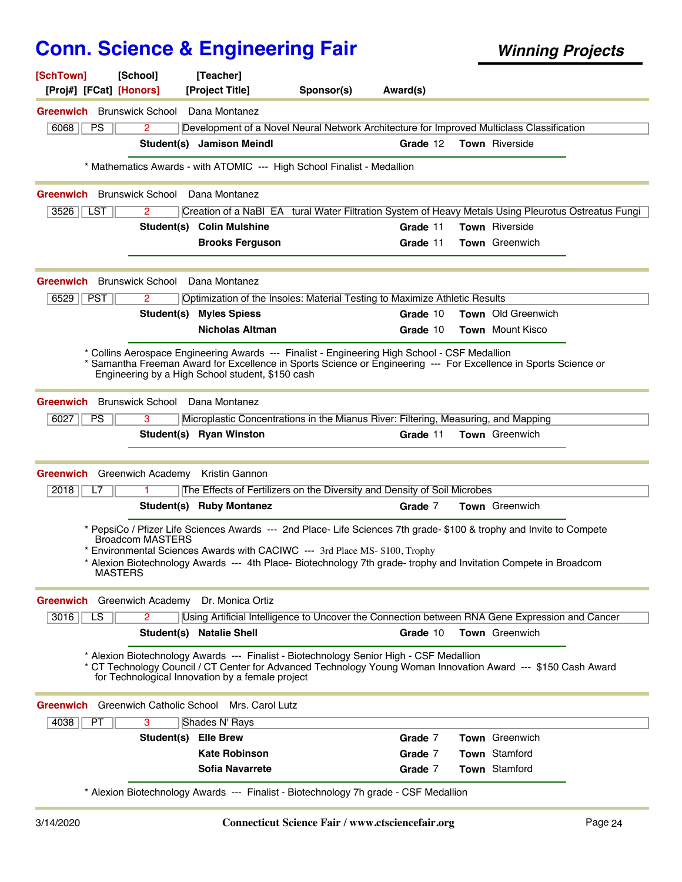| [SchTown]<br>[Proj#] [FCat] [Honors]      | [School]                                        | [Teacher]<br>[Project Title]                                                                                                                                                                                                                                                                                           | Sponsor(s) | Award(s) |                           |  |
|-------------------------------------------|-------------------------------------------------|------------------------------------------------------------------------------------------------------------------------------------------------------------------------------------------------------------------------------------------------------------------------------------------------------------------------|------------|----------|---------------------------|--|
|                                           |                                                 |                                                                                                                                                                                                                                                                                                                        |            |          |                           |  |
| <b>Greenwich</b> Brunswick School<br>6068 |                                                 | Dana Montanez                                                                                                                                                                                                                                                                                                          |            |          |                           |  |
| <b>PS</b>                                 | $\overline{2}$                                  | Development of a Novel Neural Network Architecture for Improved Multiclass Classification<br>Student(s) Jamison Meindl                                                                                                                                                                                                 |            | Grade 12 | <b>Town</b> Riverside     |  |
|                                           |                                                 |                                                                                                                                                                                                                                                                                                                        |            |          |                           |  |
|                                           |                                                 | * Mathematics Awards - with ATOMIC --- High School Finalist - Medallion                                                                                                                                                                                                                                                |            |          |                           |  |
| <b>Greenwich</b> Brunswick School         |                                                 | Dana Montanez                                                                                                                                                                                                                                                                                                          |            |          |                           |  |
| $3526$   LST                              | $\mathbf{2}^{\prime}$                           | Creation of a NaBI EA tural Water Filtration System of Heavy Metals Using Pleurotus Ostreatus Fungi                                                                                                                                                                                                                    |            |          |                           |  |
|                                           |                                                 | Student(s) Colin Mulshine                                                                                                                                                                                                                                                                                              |            | Grade 11 | Town Riverside            |  |
|                                           |                                                 | <b>Brooks Ferguson</b>                                                                                                                                                                                                                                                                                                 |            | Grade 11 | <b>Town</b> Greenwich     |  |
|                                           | <b>Greenwich</b> Brunswick School Dana Montanez |                                                                                                                                                                                                                                                                                                                        |            |          |                           |  |
| $6529$   PST                              | $\mathbf{2}^{\prime}$                           | Optimization of the Insoles: Material Testing to Maximize Athletic Results                                                                                                                                                                                                                                             |            |          |                           |  |
|                                           |                                                 | <b>Student(s) Myles Spiess</b>                                                                                                                                                                                                                                                                                         |            | Grade 10 | <b>Town</b> Old Greenwich |  |
|                                           |                                                 | <b>Nicholas Altman</b>                                                                                                                                                                                                                                                                                                 |            | Grade 10 | Town Mount Kisco          |  |
|                                           |                                                 |                                                                                                                                                                                                                                                                                                                        |            |          |                           |  |
|                                           |                                                 | * Collins Aerospace Engineering Awards --- Finalist - Engineering High School - CSF Medallion<br>* Samantha Freeman Award for Excellence in Sports Science or Engineering --- For Excellence in Sports Science or<br>Engineering by a High School student, \$150 cash                                                  |            |          |                           |  |
| <b>Greenwich</b>                          | Brunswick School Dana Montanez                  |                                                                                                                                                                                                                                                                                                                        |            |          |                           |  |
| 6027<br><b>PS</b>                         | 3                                               | Microplastic Concentrations in the Mianus River: Filtering, Measuring, and Mapping                                                                                                                                                                                                                                     |            |          |                           |  |
|                                           |                                                 | Student(s) Ryan Winston                                                                                                                                                                                                                                                                                                |            | Grade 11 | <b>Town</b> Greenwich     |  |
|                                           | Greenwich Greenwich Academy Kristin Gannon      |                                                                                                                                                                                                                                                                                                                        |            |          |                           |  |
| 2018<br>L7                                |                                                 | The Effects of Fertilizers on the Diversity and Density of Soil Microbes                                                                                                                                                                                                                                               |            |          |                           |  |
|                                           |                                                 | Student(s) Ruby Montanez                                                                                                                                                                                                                                                                                               |            | Grade 7  | <b>Town</b> Greenwich     |  |
|                                           | <b>Broadcom MASTERS</b><br><b>MASTERS</b>       | * PepsiCo / Pfizer Life Sciences Awards --- 2nd Place- Life Sciences 7th grade- \$100 & trophy and Invite to Compete<br>* Environmental Sciences Awards with CACIWC --- 3rd Place MS-\$100, Trophy<br>* Alexion Biotechnology Awards --- 4th Place- Biotechnology 7th grade- trophy and Invitation Compete in Broadcom |            |          |                           |  |
| <b>Greenwich</b>                          |                                                 | Greenwich Academy Dr. Monica Ortiz                                                                                                                                                                                                                                                                                     |            |          |                           |  |
| 3016<br>LS                                | 2                                               | Using Artificial Intelligence to Uncover the Connection between RNA Gene Expression and Cancer                                                                                                                                                                                                                         |            |          |                           |  |
|                                           |                                                 | Student(s) Natalie Shell                                                                                                                                                                                                                                                                                               |            | Grade 10 | Town Greenwich            |  |
|                                           |                                                 | * Alexion Biotechnology Awards --- Finalist - Biotechnology Senior High - CSF Medallion<br>* CT Technology Council / CT Center for Advanced Technology Young Woman Innovation Award --- \$150 Cash Award<br>for Technological Innovation by a female project                                                           |            |          |                           |  |
|                                           | <b>Greenwich</b> Greenwich Catholic School      | Mrs. Carol Lutz                                                                                                                                                                                                                                                                                                        |            |          |                           |  |
| 4038<br>PT.                               | 3                                               | Shades N' Rays                                                                                                                                                                                                                                                                                                         |            |          |                           |  |
|                                           | Student(s)                                      | <b>Elle Brew</b>                                                                                                                                                                                                                                                                                                       |            | Grade 7  | Town Greenwich            |  |
|                                           |                                                 | <b>Kate Robinson</b>                                                                                                                                                                                                                                                                                                   |            | Grade 7  | Town Stamford             |  |
|                                           |                                                 | <b>Sofia Navarrete</b>                                                                                                                                                                                                                                                                                                 |            | Grade 7  | Town Stamford             |  |
|                                           |                                                 | * Alexion Biotechnology Awards --- Finalist - Biotechnology 7h grade - CSF Medallion                                                                                                                                                                                                                                   |            |          |                           |  |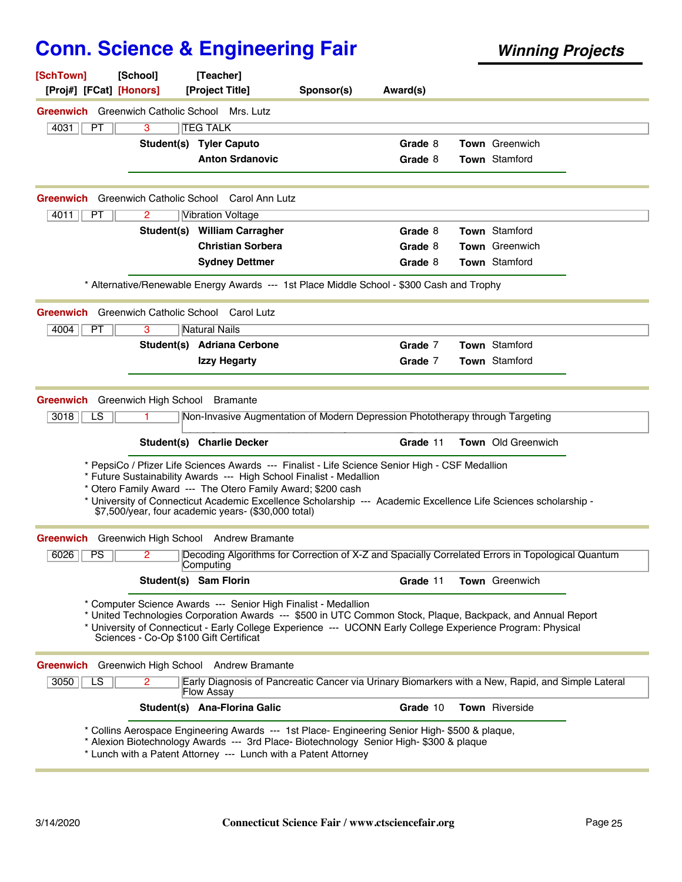| [SchTown]<br>[Proj#] [FCat] [Honors]                 | [School] | [Teacher]<br>[Project Title]                                                                                                                                                                                                                                                                                                                               | Sponsor(s) | Award(s) |                       |  |
|------------------------------------------------------|----------|------------------------------------------------------------------------------------------------------------------------------------------------------------------------------------------------------------------------------------------------------------------------------------------------------------------------------------------------------------|------------|----------|-----------------------|--|
| <b>Greenwich</b> Greenwich Catholic School Mrs. Lutz |          |                                                                                                                                                                                                                                                                                                                                                            |            |          |                       |  |
| 4031<br>PT                                           | 3        | <b>TEG TALK</b>                                                                                                                                                                                                                                                                                                                                            |            |          |                       |  |
|                                                      |          | Student(s) Tyler Caputo                                                                                                                                                                                                                                                                                                                                    |            | Grade 8  | <b>Town</b> Greenwich |  |
|                                                      |          | <b>Anton Srdanovic</b>                                                                                                                                                                                                                                                                                                                                     |            | Grade 8  | <b>Town Stamford</b>  |  |
| Greenwich                                            |          | Greenwich Catholic School Carol Ann Lutz                                                                                                                                                                                                                                                                                                                   |            |          |                       |  |
| 4011<br><b>PT</b>                                    | 2        | <b>Vibration Voltage</b>                                                                                                                                                                                                                                                                                                                                   |            |          |                       |  |
|                                                      |          | Student(s) William Carragher                                                                                                                                                                                                                                                                                                                               |            | Grade 8  | <b>Town</b> Stamford  |  |
|                                                      |          | <b>Christian Sorbera</b>                                                                                                                                                                                                                                                                                                                                   |            | Grade 8  | <b>Town</b> Greenwich |  |
|                                                      |          | <b>Sydney Dettmer</b>                                                                                                                                                                                                                                                                                                                                      |            | Grade 8  | Town Stamford         |  |
|                                                      |          | * Alternative/Renewable Energy Awards --- 1st Place Middle School - \$300 Cash and Trophy                                                                                                                                                                                                                                                                  |            |          |                       |  |
| Greenwich                                            |          | Greenwich Catholic School Carol Lutz                                                                                                                                                                                                                                                                                                                       |            |          |                       |  |
| 4004<br>РT                                           | 3        | Natural Nails                                                                                                                                                                                                                                                                                                                                              |            |          |                       |  |
|                                                      |          | Student(s) Adriana Cerbone                                                                                                                                                                                                                                                                                                                                 |            | Grade 7  | <b>Town</b> Stamford  |  |
|                                                      |          | <b>Izzy Hegarty</b>                                                                                                                                                                                                                                                                                                                                        |            | Grade 7  | Town Stamford         |  |
| $\overline{LS}$<br>3018                              | 1.       | Non-Invasive Augmentation of Modern Depression Phototherapy through Targeting<br><b>Student(s) Charlie Decker</b><br>* PepsiCo / Pfizer Life Sciences Awards --- Finalist - Life Science Senior High - CSF Medallion<br>* Future Sustainability Awards --- High School Finalist - Medallion<br>* Otero Family Award --- The Otero Family Award; \$200 cash |            | Grade 11 | Town Old Greenwich    |  |
|                                                      |          | * University of Connecticut Academic Excellence Scholarship --- Academic Excellence Life Sciences scholarship -<br>\$7,500/year, four academic years- (\$30,000 total)                                                                                                                                                                                     |            |          |                       |  |
| Greenwich                                            |          | Greenwich High School Andrew Bramante                                                                                                                                                                                                                                                                                                                      |            |          |                       |  |
| 6026<br>PS                                           | 2        | Decoding Algorithms for Correction of X-Z and Spacially Correlated Errors in Topological Quantum<br>Computing                                                                                                                                                                                                                                              |            |          |                       |  |
|                                                      |          | Student(s) Sam Florin                                                                                                                                                                                                                                                                                                                                      |            | Grade 11 | Town Greenwich        |  |
|                                                      |          | * Computer Science Awards --- Senior High Finalist - Medallion<br>* United Technologies Corporation Awards --- \$500 in UTC Common Stock, Plaque, Backpack, and Annual Report<br>* University of Connecticut - Early College Experience --- UCONN Early College Experience Program: Physical<br>Sciences - Co-Op \$100 Gift Certificat                     |            |          |                       |  |
|                                                      |          | <b>Greenwich</b> Greenwich High School Andrew Bramante                                                                                                                                                                                                                                                                                                     |            |          |                       |  |
| 3050<br>LS                                           | 2        | Early Diagnosis of Pancreatic Cancer via Urinary Biomarkers with a New, Rapid, and Simple Lateral<br><b>Flow Assay</b>                                                                                                                                                                                                                                     |            |          |                       |  |
|                                                      |          | Student(s) Ana-Florina Galic                                                                                                                                                                                                                                                                                                                               |            | Grade 10 | Town Riverside        |  |
|                                                      |          | * Collins Aerospace Engineering Awards --- 1st Place- Engineering Senior High- \$500 & plaque,<br>* Alexion Biotechnology Awards --- 3rd Place- Biotechnology Senior High- \$300 & plaque<br>* Lunch with a Patent Attorney --- Lunch with a Patent Attorney                                                                                               |            |          |                       |  |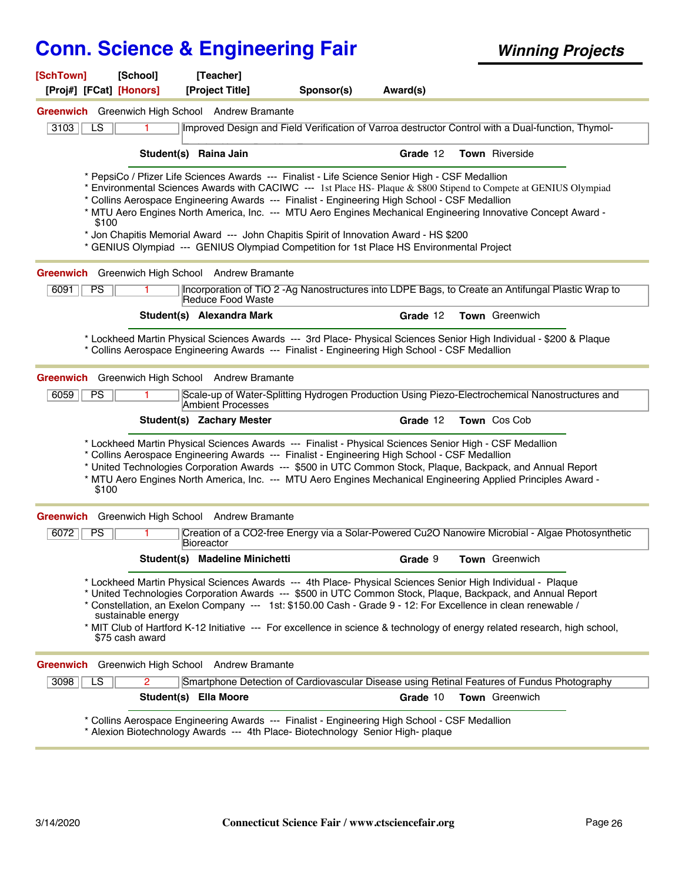| [SchTown]<br>[Proj#] [FCat] [Honors]                                                                                                                                             | [School]<br>[Teacher]<br>[Project Title] | Sponsor(s)                                                                                                                                                                                                                                                                                                                                                                            | Award(s) |                                                                                                                                                                                                                                                                                                                                                                                                                                                                           |  |
|----------------------------------------------------------------------------------------------------------------------------------------------------------------------------------|------------------------------------------|---------------------------------------------------------------------------------------------------------------------------------------------------------------------------------------------------------------------------------------------------------------------------------------------------------------------------------------------------------------------------------------|----------|---------------------------------------------------------------------------------------------------------------------------------------------------------------------------------------------------------------------------------------------------------------------------------------------------------------------------------------------------------------------------------------------------------------------------------------------------------------------------|--|
| Greenwich Greenwich High School Andrew Bramante                                                                                                                                  |                                          |                                                                                                                                                                                                                                                                                                                                                                                       |          |                                                                                                                                                                                                                                                                                                                                                                                                                                                                           |  |
| 3103<br>LS                                                                                                                                                                       |                                          |                                                                                                                                                                                                                                                                                                                                                                                       |          | Improved Design and Field Verification of Varroa destructor Control with a Dual-function, Thymol-                                                                                                                                                                                                                                                                                                                                                                         |  |
|                                                                                                                                                                                  |                                          |                                                                                                                                                                                                                                                                                                                                                                                       |          |                                                                                                                                                                                                                                                                                                                                                                                                                                                                           |  |
|                                                                                                                                                                                  | Student(s) Raina Jain                    |                                                                                                                                                                                                                                                                                                                                                                                       | Grade 12 | <b>Town</b> Riverside                                                                                                                                                                                                                                                                                                                                                                                                                                                     |  |
| \$100                                                                                                                                                                            |                                          | * PepsiCo / Pfizer Life Sciences Awards --- Finalist - Life Science Senior High - CSF Medallion<br>* Collins Aerospace Engineering Awards --- Finalist - Engineering High School - CSF Medallion<br>* Jon Chapitis Memorial Award --- John Chapitis Spirit of Innovation Award - HS \$200<br>* GENIUS Olympiad --- GENIUS Olympiad Competition for 1st Place HS Environmental Project |          | * Environmental Sciences Awards with CACIWC --- 1st Place HS- Plaque & \$800 Stipend to Compete at GENIUS Olympiad<br>* MTU Aero Engines North America, Inc. --- MTU Aero Engines Mechanical Engineering Innovative Concept Award -                                                                                                                                                                                                                                       |  |
| Greenwich Greenwich High School Andrew Bramante                                                                                                                                  |                                          |                                                                                                                                                                                                                                                                                                                                                                                       |          |                                                                                                                                                                                                                                                                                                                                                                                                                                                                           |  |
| 6091<br><b>PS</b>                                                                                                                                                                |                                          | Reduce Food Waste                                                                                                                                                                                                                                                                                                                                                                     |          | Incorporation of TiO 2 - Ag Nanostructures into LDPE Bags, to Create an Antifungal Plastic Wrap to                                                                                                                                                                                                                                                                                                                                                                        |  |
|                                                                                                                                                                                  | Student(s) Alexandra Mark                |                                                                                                                                                                                                                                                                                                                                                                                       | Grade 12 | Town Greenwich                                                                                                                                                                                                                                                                                                                                                                                                                                                            |  |
|                                                                                                                                                                                  |                                          | * Collins Aerospace Engineering Awards --- Finalist - Engineering High School - CSF Medallion                                                                                                                                                                                                                                                                                         |          | * Lockheed Martin Physical Sciences Awards --- 3rd Place- Physical Sciences Senior High Individual - \$200 & Plaque                                                                                                                                                                                                                                                                                                                                                       |  |
| Greenwich Greenwich High School Andrew Bramante                                                                                                                                  |                                          |                                                                                                                                                                                                                                                                                                                                                                                       |          |                                                                                                                                                                                                                                                                                                                                                                                                                                                                           |  |
| 6059<br>PS                                                                                                                                                                       |                                          | Ambient Processes                                                                                                                                                                                                                                                                                                                                                                     |          | Scale-up of Water-Splitting Hydrogen Production Using Piezo-Electrochemical Nanostructures and                                                                                                                                                                                                                                                                                                                                                                            |  |
|                                                                                                                                                                                  | Student(s) Zachary Mester                |                                                                                                                                                                                                                                                                                                                                                                                       | Grade 12 | Town Cos Cob                                                                                                                                                                                                                                                                                                                                                                                                                                                              |  |
| \$100                                                                                                                                                                            |                                          | * Lockheed Martin Physical Sciences Awards --- Finalist - Physical Sciences Senior High - CSF Medallion<br>* Collins Aerospace Engineering Awards --- Finalist - Engineering High School - CSF Medallion                                                                                                                                                                              |          | * United Technologies Corporation Awards --- \$500 in UTC Common Stock, Plaque, Backpack, and Annual Report<br>* MTU Aero Engines North America, Inc. --- MTU Aero Engines Mechanical Engineering Applied Principles Award -                                                                                                                                                                                                                                              |  |
| Greenwich Greenwich High School Andrew Bramante                                                                                                                                  |                                          |                                                                                                                                                                                                                                                                                                                                                                                       |          |                                                                                                                                                                                                                                                                                                                                                                                                                                                                           |  |
| 6072<br><b>PS</b>                                                                                                                                                                | Bioreactor                               |                                                                                                                                                                                                                                                                                                                                                                                       |          | Creation of a CO2-free Energy via a Solar-Powered Cu2O Nanowire Microbial - Algae Photosynthetic                                                                                                                                                                                                                                                                                                                                                                          |  |
|                                                                                                                                                                                  | Student(s) Madeline Minichetti           |                                                                                                                                                                                                                                                                                                                                                                                       | Grade 9  | Town Greenwich                                                                                                                                                                                                                                                                                                                                                                                                                                                            |  |
| \$75 cash award                                                                                                                                                                  | sustainable energy                       |                                                                                                                                                                                                                                                                                                                                                                                       |          | * Lockheed Martin Physical Sciences Awards --- 4th Place- Physical Sciences Senior High Individual - Plaque<br>* United Technologies Corporation Awards --- \$500 in UTC Common Stock, Plaque, Backpack, and Annual Report<br>* Constellation, an Exelon Company --- 1st: \$150.00 Cash - Grade 9 - 12: For Excellence in clean renewable /<br>* MIT Club of Hartford K-12 Initiative --- For excellence in science & technology of energy related research, high school, |  |
| Greenwich Greenwich High School Andrew Bramante                                                                                                                                  |                                          |                                                                                                                                                                                                                                                                                                                                                                                       |          |                                                                                                                                                                                                                                                                                                                                                                                                                                                                           |  |
| $\overline{\text{LS}}$<br>3098                                                                                                                                                   | $\overline{2}$                           |                                                                                                                                                                                                                                                                                                                                                                                       |          | Smartphone Detection of Cardiovascular Disease using Retinal Features of Fundus Photography                                                                                                                                                                                                                                                                                                                                                                               |  |
|                                                                                                                                                                                  | Student(s) Ella Moore                    |                                                                                                                                                                                                                                                                                                                                                                                       | Grade 10 | Town Greenwich                                                                                                                                                                                                                                                                                                                                                                                                                                                            |  |
| * Collins Aerospace Engineering Awards --- Finalist - Engineering High School - CSF Medallion<br>* Alexion Biotechnology Awards --- 4th Place- Biotechnology Senior High- plaque |                                          |                                                                                                                                                                                                                                                                                                                                                                                       |          |                                                                                                                                                                                                                                                                                                                                                                                                                                                                           |  |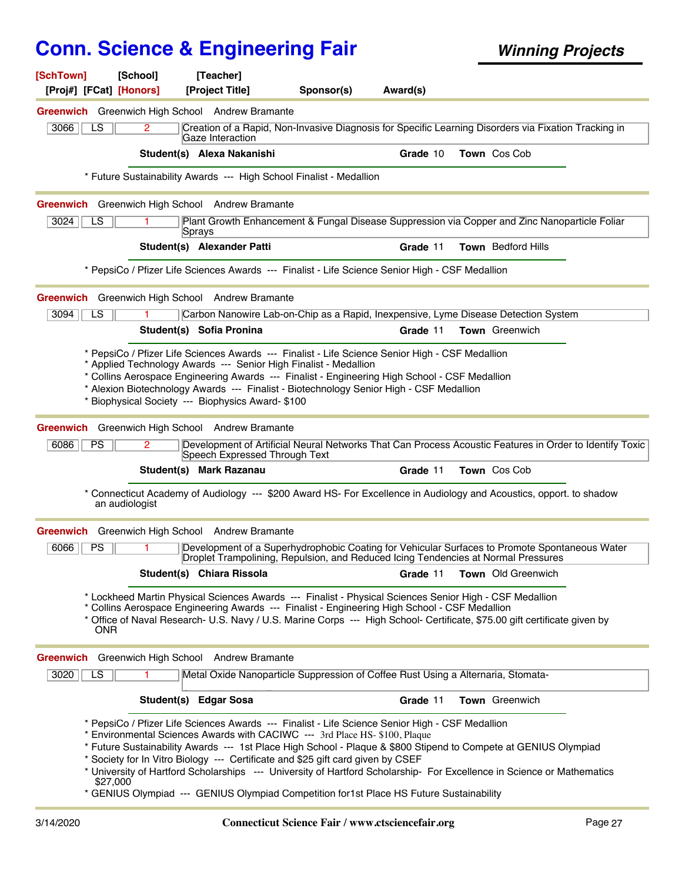| [SchTown]<br>[Proj#] [FCat] [Honors] | [School]       | [Teacher]<br>[Project Title]                                                                                                                                                                                                                                                                                                                                                                                                                                                                                                                                                                              | Sponsor(s) | Award(s) |                |                             |  |
|--------------------------------------|----------------|-----------------------------------------------------------------------------------------------------------------------------------------------------------------------------------------------------------------------------------------------------------------------------------------------------------------------------------------------------------------------------------------------------------------------------------------------------------------------------------------------------------------------------------------------------------------------------------------------------------|------------|----------|----------------|-----------------------------|--|
|                                      |                |                                                                                                                                                                                                                                                                                                                                                                                                                                                                                                                                                                                                           |            |          |                |                             |  |
| LS<br>3066                           | $\overline{2}$ | Greenwich Greenwich High School Andrew Bramante<br>Creation of a Rapid, Non-Invasive Diagnosis for Specific Learning Disorders via Fixation Tracking in                                                                                                                                                                                                                                                                                                                                                                                                                                                   |            |          |                |                             |  |
|                                      |                | Gaze Interaction                                                                                                                                                                                                                                                                                                                                                                                                                                                                                                                                                                                          |            |          |                |                             |  |
|                                      |                | Student(s) Alexa Nakanishi                                                                                                                                                                                                                                                                                                                                                                                                                                                                                                                                                                                |            | Grade 10 | Town Cos Cob   |                             |  |
|                                      |                | * Future Sustainability Awards --- High School Finalist - Medallion                                                                                                                                                                                                                                                                                                                                                                                                                                                                                                                                       |            |          |                |                             |  |
|                                      |                | Greenwich Greenwich High School Andrew Bramante                                                                                                                                                                                                                                                                                                                                                                                                                                                                                                                                                           |            |          |                |                             |  |
| 3024<br>LS                           |                | Plant Growth Enhancement & Fungal Disease Suppression via Copper and Zinc Nanoparticle Foliar<br>Sprays                                                                                                                                                                                                                                                                                                                                                                                                                                                                                                   |            |          |                |                             |  |
|                                      |                | Student(s) Alexander Patti                                                                                                                                                                                                                                                                                                                                                                                                                                                                                                                                                                                |            | Grade 11 |                | <b>Town</b> Bedford Hills   |  |
|                                      |                | * PepsiCo / Pfizer Life Sciences Awards --- Finalist - Life Science Senior High - CSF Medallion                                                                                                                                                                                                                                                                                                                                                                                                                                                                                                           |            |          |                |                             |  |
|                                      |                | Greenwich Greenwich High School Andrew Bramante                                                                                                                                                                                                                                                                                                                                                                                                                                                                                                                                                           |            |          |                |                             |  |
| 3094<br>LS                           |                | Carbon Nanowire Lab-on-Chip as a Rapid, Inexpensive, Lyme Disease Detection System                                                                                                                                                                                                                                                                                                                                                                                                                                                                                                                        |            |          |                |                             |  |
|                                      |                | Student(s) Sofia Pronina                                                                                                                                                                                                                                                                                                                                                                                                                                                                                                                                                                                  |            | Grade 11 | Town Greenwich |                             |  |
|                                      |                | * PepsiCo / Pfizer Life Sciences Awards --- Finalist - Life Science Senior High - CSF Medallion                                                                                                                                                                                                                                                                                                                                                                                                                                                                                                           |            |          |                |                             |  |
|                                      |                | * Applied Technology Awards --- Senior High Finalist - Medallion<br>* Collins Aerospace Engineering Awards --- Finalist - Engineering High School - CSF Medallion                                                                                                                                                                                                                                                                                                                                                                                                                                         |            |          |                |                             |  |
|                                      |                | * Alexion Biotechnology Awards --- Finalist - Biotechnology Senior High - CSF Medallion                                                                                                                                                                                                                                                                                                                                                                                                                                                                                                                   |            |          |                |                             |  |
|                                      |                | Biophysical Society --- Biophysics Award- \$100                                                                                                                                                                                                                                                                                                                                                                                                                                                                                                                                                           |            |          |                |                             |  |
|                                      |                | Greenwich Greenwich High School Andrew Bramante                                                                                                                                                                                                                                                                                                                                                                                                                                                                                                                                                           |            |          |                |                             |  |
| 6086<br><b>PS</b>                    | 2              | Development of Artificial Neural Networks That Can Process Acoustic Features in Order to Identify Toxic<br>Speech Expressed Through Text                                                                                                                                                                                                                                                                                                                                                                                                                                                                  |            |          |                |                             |  |
|                                      |                | Student(s) Mark Razanau                                                                                                                                                                                                                                                                                                                                                                                                                                                                                                                                                                                   |            | Grade 11 | Town Cos Cob   |                             |  |
|                                      | an audiologist | * Connecticut Academy of Audiology --- \$200 Award HS- For Excellence in Audiology and Acoustics, opport. to shadow                                                                                                                                                                                                                                                                                                                                                                                                                                                                                       |            |          |                |                             |  |
|                                      |                | Greenwich Greenwich High School Andrew Bramante                                                                                                                                                                                                                                                                                                                                                                                                                                                                                                                                                           |            |          |                |                             |  |
| 6066<br><b>PS</b>                    |                | Development of a Superhydrophobic Coating for Vehicular Surfaces to Promote Spontaneous Water<br>Droplet Trampolining, Repulsion, and Reduced Icing Tendencies at Normal Pressures                                                                                                                                                                                                                                                                                                                                                                                                                        |            |          |                |                             |  |
|                                      |                | Student(s) Chiara Rissola                                                                                                                                                                                                                                                                                                                                                                                                                                                                                                                                                                                 |            |          |                | Grade 11 Town Old Greenwich |  |
| <b>ONR</b>                           |                | * Lockheed Martin Physical Sciences Awards --- Finalist - Physical Sciences Senior High - CSF Medallion<br>* Collins Aerospace Engineering Awards --- Finalist - Engineering High School - CSF Medallion<br>* Office of Naval Research- U.S. Navy / U.S. Marine Corps --- High School- Certificate, \$75.00 gift certificate given by                                                                                                                                                                                                                                                                     |            |          |                |                             |  |
|                                      |                | Greenwich Greenwich High School Andrew Bramante                                                                                                                                                                                                                                                                                                                                                                                                                                                                                                                                                           |            |          |                |                             |  |
| 3020<br>LS                           |                | Metal Oxide Nanoparticle Suppression of Coffee Rust Using a Alternaria, Stomata-                                                                                                                                                                                                                                                                                                                                                                                                                                                                                                                          |            |          |                |                             |  |
|                                      |                | Student(s) Edgar Sosa                                                                                                                                                                                                                                                                                                                                                                                                                                                                                                                                                                                     |            | Grade 11 | Town Greenwich |                             |  |
|                                      | \$27,000       | * PepsiCo / Pfizer Life Sciences Awards --- Finalist - Life Science Senior High - CSF Medallion<br>* Environmental Sciences Awards with CACIWC --- 3rd Place HS- \$100, Plaque<br>* Future Sustainability Awards --- 1st Place High School - Plaque & \$800 Stipend to Compete at GENIUS Olympiad<br>* Society for In Vitro Biology --- Certificate and \$25 gift card given by CSEF<br>* University of Hartford Scholarships --- University of Hartford Scholarship- For Excellence in Science or Mathematics<br>* GENIUS Olympiad --- GENIUS Olympiad Competition for1st Place HS Future Sustainability |            |          |                |                             |  |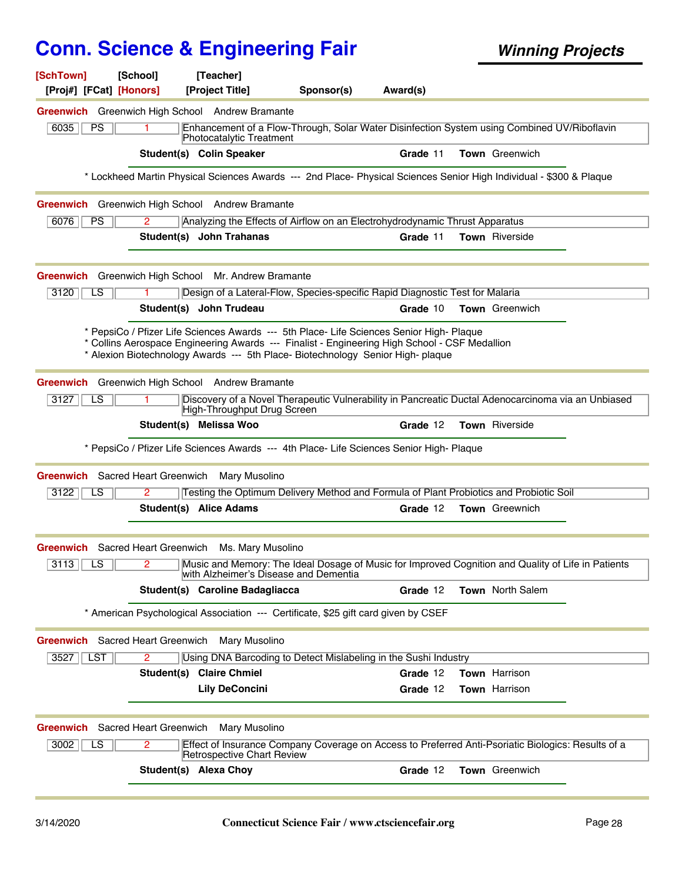| [SchTown]<br>[Proj#] [FCat] [Honors]                      | [School]   | [Teacher]<br>[Project Title]                                                                                                                                                                                                                                                 | Sponsor(s) | Award(s) |                                                                                                                     |
|-----------------------------------------------------------|------------|------------------------------------------------------------------------------------------------------------------------------------------------------------------------------------------------------------------------------------------------------------------------------|------------|----------|---------------------------------------------------------------------------------------------------------------------|
| Greenwich Greenwich High School Andrew Bramante           |            |                                                                                                                                                                                                                                                                              |            |          |                                                                                                                     |
| 6035<br>PS                                                | 1          | Photocatalytic Treatment                                                                                                                                                                                                                                                     |            |          | Enhancement of a Flow-Through, Solar Water Disinfection System using Combined UV/Riboflavin                         |
|                                                           |            | Student(s) Colin Speaker                                                                                                                                                                                                                                                     |            | Grade 11 | <b>Town</b> Greenwich                                                                                               |
|                                                           |            |                                                                                                                                                                                                                                                                              |            |          | * Lockheed Martin Physical Sciences Awards --- 2nd Place- Physical Sciences Senior High Individual - \$300 & Plaque |
| Greenwich Greenwich High School Andrew Bramante           |            |                                                                                                                                                                                                                                                                              |            |          |                                                                                                                     |
| 6076<br><b>PS</b>                                         | 2          | Analyzing the Effects of Airflow on an Electrohydrodynamic Thrust Apparatus                                                                                                                                                                                                  |            |          |                                                                                                                     |
|                                                           |            | Student(s) John Trahanas                                                                                                                                                                                                                                                     |            | Grade 11 | Town Riverside                                                                                                      |
| <b>Greenwich</b> Greenwich High School                    |            | Mr. Andrew Bramante                                                                                                                                                                                                                                                          |            |          |                                                                                                                     |
| 3120<br>LS                                                |            | Design of a Lateral-Flow, Species-specific Rapid Diagnostic Test for Malaria                                                                                                                                                                                                 |            |          |                                                                                                                     |
|                                                           |            | Student(s) John Trudeau                                                                                                                                                                                                                                                      |            | Grade 10 | <b>Town</b> Greenwich                                                                                               |
|                                                           |            | * PepsiCo / Pfizer Life Sciences Awards --- 5th Place- Life Sciences Senior High- Plaque<br>* Collins Aerospace Engineering Awards --- Finalist - Engineering High School - CSF Medallion<br>* Alexion Biotechnology Awards --- 5th Place- Biotechnology Senior High- plaque |            |          |                                                                                                                     |
| Greenwich Greenwich High School Andrew Bramante           |            |                                                                                                                                                                                                                                                                              |            |          |                                                                                                                     |
| 3127<br>LS                                                |            | High-Throughput Drug Screen                                                                                                                                                                                                                                                  |            |          | Discovery of a Novel Therapeutic Vulnerability in Pancreatic Ductal Adenocarcinoma via an Unbiased                  |
|                                                           |            | Student(s) Melissa Woo                                                                                                                                                                                                                                                       |            | Grade 12 | Town Riverside                                                                                                      |
|                                                           |            | * PepsiCo / Pfizer Life Sciences Awards --- 4th Place- Life Sciences Senior High- Plaque                                                                                                                                                                                     |            |          |                                                                                                                     |
| <b>Greenwich</b> Sacred Heart Greenwich Mary Musolino     |            |                                                                                                                                                                                                                                                                              |            |          |                                                                                                                     |
| 3122<br>LS.                                               | 2          | Testing the Optimum Delivery Method and Formula of Plant Probiotics and Probiotic Soil                                                                                                                                                                                       |            |          |                                                                                                                     |
|                                                           |            | Student(s) Alice Adams                                                                                                                                                                                                                                                       |            | Grade 12 | <b>Town</b> Greewnich                                                                                               |
| <b>Greenwich</b> Sacred Heart Greenwich Ms. Mary Musolino |            |                                                                                                                                                                                                                                                                              |            |          |                                                                                                                     |
| 3113<br>LS                                                |            | with Alzheimer's Disease and Dementia                                                                                                                                                                                                                                        |            |          | Music and Memory: The Ideal Dosage of Music for Improved Cognition and Quality of Life in Patients                  |
|                                                           |            | Student(s) Caroline Badagliacca                                                                                                                                                                                                                                              |            | Grade 12 | Town North Salem                                                                                                    |
|                                                           |            | * American Psychological Association --- Certificate, \$25 gift card given by CSEF                                                                                                                                                                                           |            |          |                                                                                                                     |
| <b>Greenwich</b> Sacred Heart Greenwich Mary Musolino     |            |                                                                                                                                                                                                                                                                              |            |          |                                                                                                                     |
| 3527    LST                                               | 2          | Using DNA Barcoding to Detect Mislabeling in the Sushi Industry                                                                                                                                                                                                              |            |          |                                                                                                                     |
|                                                           | Student(s) | <b>Claire Chmiel</b>                                                                                                                                                                                                                                                         |            | Grade 12 | <b>Town</b> Harrison                                                                                                |
|                                                           |            | <b>Lily DeConcini</b>                                                                                                                                                                                                                                                        |            | Grade 12 | Town Harrison                                                                                                       |
| Greenwich Sacred Heart Greenwich                          |            | Mary Musolino                                                                                                                                                                                                                                                                |            |          |                                                                                                                     |
| $\overline{LS}$<br>3002                                   | 2          | Retrospective Chart Review                                                                                                                                                                                                                                                   |            |          | Effect of Insurance Company Coverage on Access to Preferred Anti-Psoriatic Biologics: Results of a                  |
|                                                           |            | Student(s) Alexa Choy                                                                                                                                                                                                                                                        |            | Grade 12 | Town Greenwich                                                                                                      |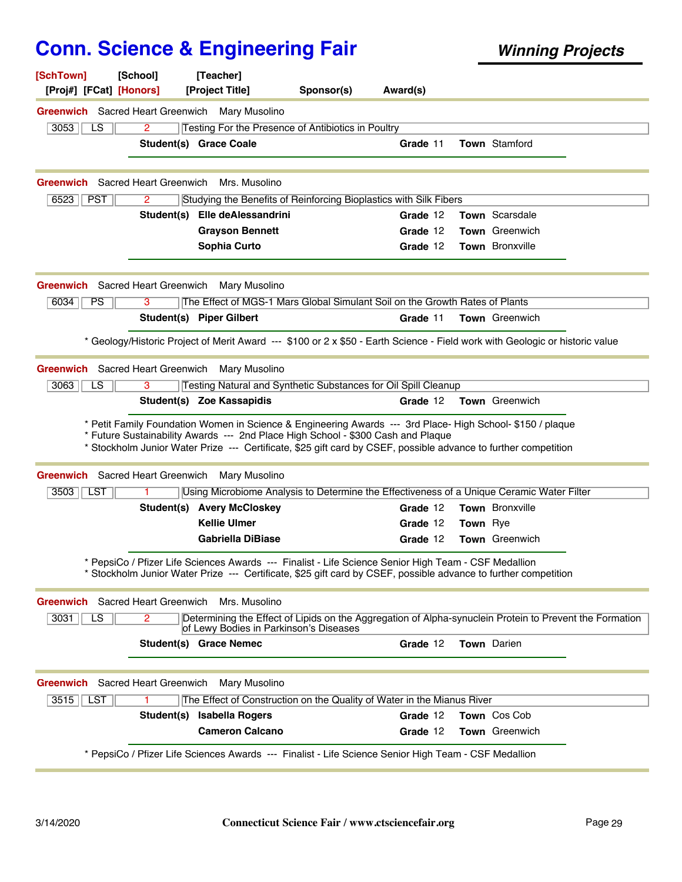| [SchTown]<br>[Proj#] [FCat] [Honors]                                        | [School]     | [Project Title]                                                                                                                                                                                                                                                                                                   | Sponsor(s) | Award(s) |                 |                                                                                                                              |  |
|-----------------------------------------------------------------------------|--------------|-------------------------------------------------------------------------------------------------------------------------------------------------------------------------------------------------------------------------------------------------------------------------------------------------------------------|------------|----------|-----------------|------------------------------------------------------------------------------------------------------------------------------|--|
|                                                                             |              | <b>Greenwich</b> Sacred Heart Greenwich Mary Musolino                                                                                                                                                                                                                                                             |            |          |                 |                                                                                                                              |  |
| 3053<br>LS                                                                  | 2            | Testing For the Presence of Antibiotics in Poultry                                                                                                                                                                                                                                                                |            |          |                 |                                                                                                                              |  |
|                                                                             |              | Student(s) Grace Coale                                                                                                                                                                                                                                                                                            |            | Grade 11 |                 | <b>Town Stamford</b>                                                                                                         |  |
| <b>Greenwich</b> Sacred Heart Greenwich                                     |              | Mrs. Musolino                                                                                                                                                                                                                                                                                                     |            |          |                 |                                                                                                                              |  |
| 6523<br><b>PST</b>                                                          | 2            | Studying the Benefits of Reinforcing Bioplastics with Silk Fibers                                                                                                                                                                                                                                                 |            |          |                 |                                                                                                                              |  |
|                                                                             |              | Student(s) Elle deAlessandrini                                                                                                                                                                                                                                                                                    |            | Grade 12 |                 | <b>Town</b> Scarsdale                                                                                                        |  |
|                                                                             |              | <b>Grayson Bennett</b>                                                                                                                                                                                                                                                                                            |            | Grade 12 |                 | <b>Town</b> Greenwich                                                                                                        |  |
|                                                                             |              | Sophia Curto                                                                                                                                                                                                                                                                                                      |            | Grade 12 |                 | <b>Town</b> Bronxville                                                                                                       |  |
| <b>Greenwich</b> Sacred Heart Greenwich                                     |              | Mary Musolino                                                                                                                                                                                                                                                                                                     |            |          |                 |                                                                                                                              |  |
| 6034<br><b>PS</b>                                                           | 3            | The Effect of MGS-1 Mars Global Simulant Soil on the Growth Rates of Plants                                                                                                                                                                                                                                       |            |          |                 |                                                                                                                              |  |
|                                                                             |              | Student(s) Piper Gilbert                                                                                                                                                                                                                                                                                          |            | Grade 11 |                 | Town Greenwich                                                                                                               |  |
|                                                                             |              |                                                                                                                                                                                                                                                                                                                   |            |          |                 | * Geology/Historic Project of Merit Award --- \$100 or 2 x \$50 - Earth Science - Field work with Geologic or historic value |  |
|                                                                             |              |                                                                                                                                                                                                                                                                                                                   |            |          |                 |                                                                                                                              |  |
|                                                                             |              | <b>Greenwich</b> Sacred Heart Greenwich Mary Musolino                                                                                                                                                                                                                                                             |            |          |                 |                                                                                                                              |  |
| 3063<br>LS                                                                  | 3            | Testing Natural and Synthetic Substances for Oil Spill Cleanup                                                                                                                                                                                                                                                    |            |          |                 |                                                                                                                              |  |
|                                                                             |              | Student(s) Zoe Kassapidis                                                                                                                                                                                                                                                                                         |            | Grade 12 |                 | <b>Town</b> Greenwich                                                                                                        |  |
|                                                                             |              | * Petit Family Foundation Women in Science & Engineering Awards --- 3rd Place- High School- \$150 / plaque<br>* Future Sustainability Awards --- 2nd Place High School - \$300 Cash and Plaque<br>* Stockholm Junior Water Prize --- Certificate, \$25 gift card by CSEF, possible advance to further competition |            |          |                 |                                                                                                                              |  |
|                                                                             |              | <b>Greenwich</b> Sacred Heart Greenwich Mary Musolino                                                                                                                                                                                                                                                             |            |          |                 |                                                                                                                              |  |
| 3503    LST                                                                 |              |                                                                                                                                                                                                                                                                                                                   |            | Grade 12 |                 | Using Microbiome Analysis to Determine the Effectiveness of a Unique Ceramic Water Filter<br>Town Bronxville                 |  |
|                                                                             |              | <b>Student(s) Avery McCloskey</b><br><b>Kellie Ulmer</b>                                                                                                                                                                                                                                                          |            | Grade 12 | <b>Town</b> Rye |                                                                                                                              |  |
|                                                                             |              | <b>Gabriella DiBiase</b>                                                                                                                                                                                                                                                                                          |            | Grade 12 |                 | Town Greenwich                                                                                                               |  |
|                                                                             |              | * PepsiCo / Pfizer Life Sciences Awards --- Finalist - Life Science Senior High Team - CSF Medallion<br>Stockholm Junior Water Prize --- Certificate, \$25 gift card by CSEF, possible advance to further competition                                                                                             |            |          |                 |                                                                                                                              |  |
|                                                                             |              | Mrs. Musolino                                                                                                                                                                                                                                                                                                     |            |          |                 |                                                                                                                              |  |
| 3031<br>LS                                                                  | $\mathbf{2}$ | of Lewy Bodies in Parkinson's Diseases                                                                                                                                                                                                                                                                            |            |          |                 | Determining the Effect of Lipids on the Aggregation of Alpha-synuclein Protein to Prevent the Formation                      |  |
|                                                                             |              | <b>Student(s) Grace Nemec</b>                                                                                                                                                                                                                                                                                     |            | Grade 12 |                 | Town Darien                                                                                                                  |  |
|                                                                             |              | Mary Musolino                                                                                                                                                                                                                                                                                                     |            |          |                 |                                                                                                                              |  |
| $3515$    LST                                                               | 1.           | The Effect of Construction on the Quality of Water in the Mianus River                                                                                                                                                                                                                                            |            |          |                 |                                                                                                                              |  |
| <b>Greenwich</b> Sacred Heart Greenwich<br>Greenwich Sacred Heart Greenwich |              | Student(s) Isabella Rogers                                                                                                                                                                                                                                                                                        |            | Grade 12 |                 | Town Cos Cob                                                                                                                 |  |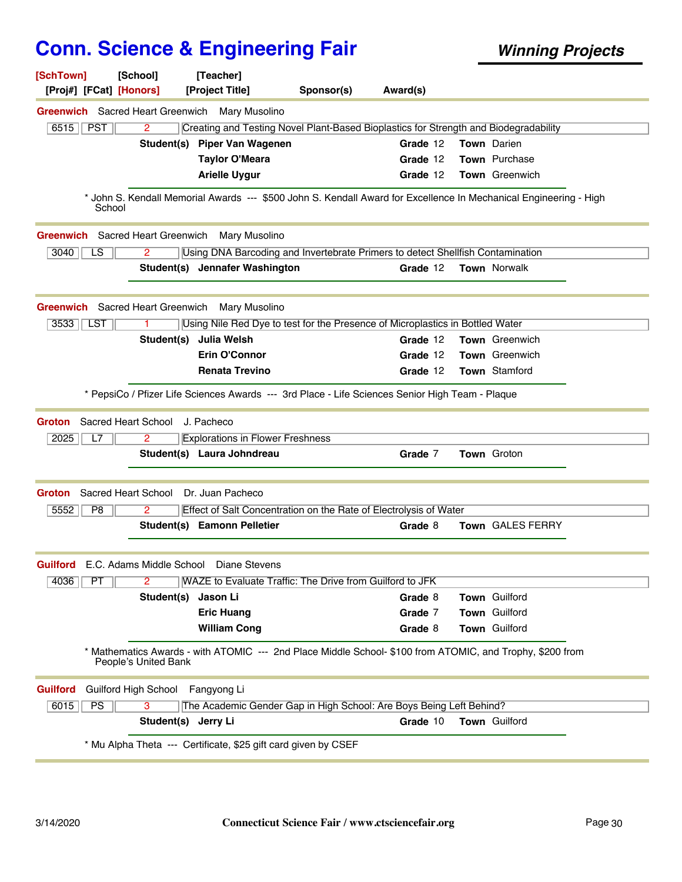| [SchTown]<br>[Proj#] [FCat] [Honors]    | [School]<br>[Teacher]<br>[Project Title]                                                                                          | Sponsor(s) | Award(s) |                                                                                      |  |
|-----------------------------------------|-----------------------------------------------------------------------------------------------------------------------------------|------------|----------|--------------------------------------------------------------------------------------|--|
|                                         | <b>Greenwich</b> Sacred Heart Greenwich Mary Musolino                                                                             |            |          |                                                                                      |  |
| 6515    PST                             | $\overline{2}$                                                                                                                    |            |          | Creating and Testing Novel Plant-Based Bioplastics for Strength and Biodegradability |  |
|                                         | Student(s)<br><b>Piper Van Wagenen</b>                                                                                            |            | Grade 12 | Town Darien                                                                          |  |
|                                         | <b>Taylor O'Meara</b>                                                                                                             |            | Grade 12 | Town Purchase                                                                        |  |
|                                         | <b>Arielle Uygur</b>                                                                                                              |            | Grade 12 | <b>Town</b> Greenwich                                                                |  |
| School                                  | * John S. Kendall Memorial Awards --- \$500 John S. Kendall Award for Excellence In Mechanical Engineering - High                 |            |          |                                                                                      |  |
| <b>Greenwich</b>                        | Sacred Heart Greenwich<br><b>Mary Musolino</b>                                                                                    |            |          |                                                                                      |  |
| 3040<br>LS                              | 2<br>Using DNA Barcoding and Invertebrate Primers to detect Shellfish Contamination                                               |            |          |                                                                                      |  |
|                                         | Student(s) Jennafer Washington                                                                                                    |            | Grade 12 | Town Norwalk                                                                         |  |
| <b>Greenwich</b> Sacred Heart Greenwich | Mary Musolino                                                                                                                     |            |          |                                                                                      |  |
| 3533   LST                              | Using Nile Red Dye to test for the Presence of Microplastics in Bottled Water                                                     |            |          |                                                                                      |  |
|                                         | Student(s) Julia Welsh                                                                                                            |            | Grade 12 | Town Greenwich                                                                       |  |
|                                         | <b>Erin O'Connor</b>                                                                                                              |            | Grade 12 | <b>Town</b> Greenwich                                                                |  |
|                                         | <b>Renata Trevino</b>                                                                                                             |            | Grade 12 | Town Stamford                                                                        |  |
|                                         | * PepsiCo / Pfizer Life Sciences Awards --- 3rd Place - Life Sciences Senior High Team - Plaque                                   |            |          |                                                                                      |  |
| Sacred Heart School<br><b>Groton</b>    | J. Pacheco                                                                                                                        |            |          |                                                                                      |  |
| 2025<br>L7                              | <b>Explorations in Flower Freshness</b><br>2                                                                                      |            |          |                                                                                      |  |
|                                         | Student(s) Laura Johndreau                                                                                                        |            | Grade 7  | Town Groton                                                                          |  |
| <b>Groton</b>                           | Sacred Heart School Dr. Juan Pacheco                                                                                              |            |          |                                                                                      |  |
| P8<br>5552                              | Effect of Salt Concentration on the Rate of Electrolysis of Water<br>2                                                            |            |          |                                                                                      |  |
|                                         | Student(s) Eamonn Pelletier                                                                                                       |            | Grade 8  | <b>Town GALES FERRY</b>                                                              |  |
|                                         | <b>Guilford</b> E.C. Adams Middle School Diane Stevens                                                                            |            |          |                                                                                      |  |
| 4036<br>PT                              | WAZE to Evaluate Traffic: The Drive from Guilford to JFK<br>2                                                                     |            |          |                                                                                      |  |
|                                         | Student(s)<br>Jason Li                                                                                                            |            | Grade 8  | Town Guilford                                                                        |  |
|                                         | <b>Eric Huang</b>                                                                                                                 |            | Grade 7  | Town Guilford                                                                        |  |
|                                         | <b>William Cong</b>                                                                                                               |            | Grade 8  | Town Guilford                                                                        |  |
|                                         | * Mathematics Awards - with ATOMIC --- 2nd Place Middle School- \$100 from ATOMIC, and Trophy, \$200 from<br>People's United Bank |            |          |                                                                                      |  |
| <b>Guilford</b>                         | Guilford High School Fangyong Li                                                                                                  |            |          |                                                                                      |  |
| 6015<br>PS                              | 3<br>The Academic Gender Gap in High School: Are Boys Being Left Behind?                                                          |            |          |                                                                                      |  |
|                                         | Student(s) Jerry Li                                                                                                               |            | Grade 10 | <b>Town</b> Guilford                                                                 |  |
|                                         | * Mu Alpha Theta --- Certificate, \$25 gift card given by CSEF                                                                    |            |          |                                                                                      |  |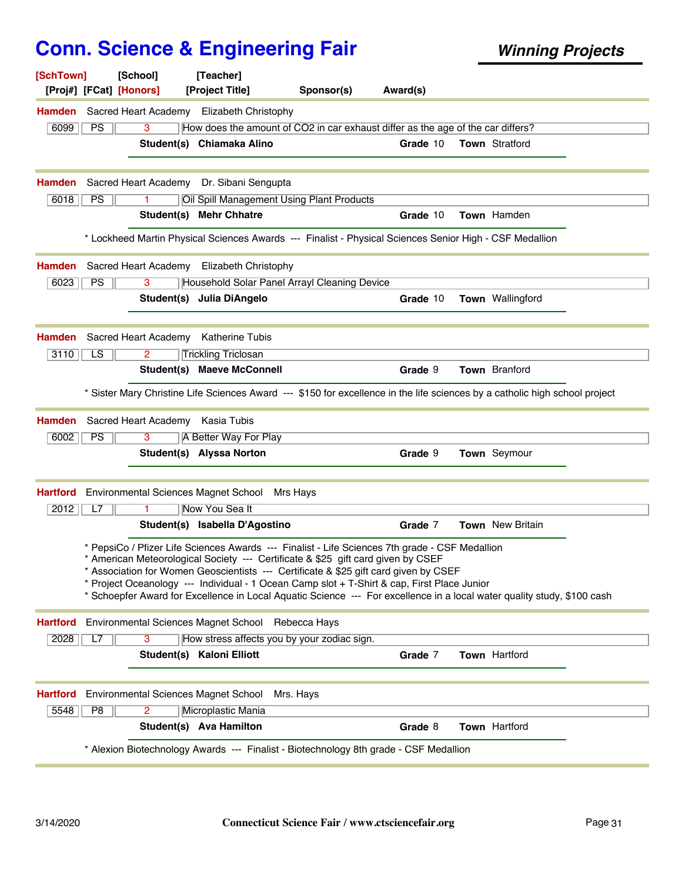| [SchTown]       |                | [School]<br>[Proj#] [FCat] [Honors]  | [Teacher]<br>[Project Title]                                                                                                                                                                                                                                                                                                                                              | Sponsor(s) | Award(s) |                                                                                                                             |
|-----------------|----------------|--------------------------------------|---------------------------------------------------------------------------------------------------------------------------------------------------------------------------------------------------------------------------------------------------------------------------------------------------------------------------------------------------------------------------|------------|----------|-----------------------------------------------------------------------------------------------------------------------------|
|                 |                |                                      | <b>Hamden</b> Sacred Heart Academy Elizabeth Christophy                                                                                                                                                                                                                                                                                                                   |            |          |                                                                                                                             |
| 6099            | <b>PS</b>      | 3                                    | How does the amount of CO2 in car exhaust differ as the age of the car differs?                                                                                                                                                                                                                                                                                           |            |          |                                                                                                                             |
|                 |                |                                      | Student(s) Chiamaka Alino                                                                                                                                                                                                                                                                                                                                                 |            | Grade 10 | Town Stratford                                                                                                              |
| <b>Hamden</b>   |                |                                      | Sacred Heart Academy Dr. Sibani Sengupta                                                                                                                                                                                                                                                                                                                                  |            |          |                                                                                                                             |
| 6018            | PS             |                                      | Oil Spill Management Using Plant Products                                                                                                                                                                                                                                                                                                                                 |            |          |                                                                                                                             |
|                 |                | Student(s)                           | <b>Mehr Chhatre</b>                                                                                                                                                                                                                                                                                                                                                       |            | Grade 10 | Town Hamden                                                                                                                 |
|                 |                |                                      | * Lockheed Martin Physical Sciences Awards --- Finalist - Physical Sciences Senior High - CSF Medallion                                                                                                                                                                                                                                                                   |            |          |                                                                                                                             |
| <b>Hamden</b>   |                |                                      | Sacred Heart Academy Elizabeth Christophy                                                                                                                                                                                                                                                                                                                                 |            |          |                                                                                                                             |
| 6023            | PS             | 3                                    | Household Solar Panel Arrayl Cleaning Device                                                                                                                                                                                                                                                                                                                              |            |          |                                                                                                                             |
|                 |                |                                      | Student(s) Julia DiAngelo                                                                                                                                                                                                                                                                                                                                                 |            | Grade 10 | Town Wallingford                                                                                                            |
| <b>Hamden</b>   |                |                                      | Sacred Heart Academy Katherine Tubis                                                                                                                                                                                                                                                                                                                                      |            |          |                                                                                                                             |
| 3110            | LS.            | 2                                    | <b>Trickling Triclosan</b>                                                                                                                                                                                                                                                                                                                                                |            |          |                                                                                                                             |
|                 |                |                                      | Student(s) Maeve McConnell                                                                                                                                                                                                                                                                                                                                                |            | Grade 9  | <b>Town</b> Branford                                                                                                        |
|                 |                |                                      |                                                                                                                                                                                                                                                                                                                                                                           |            |          | * Sister Mary Christine Life Sciences Award --- \$150 for excellence in the life sciences by a catholic high school project |
| <b>Hamden</b>   |                | Sacred Heart Academy Kasia Tubis     |                                                                                                                                                                                                                                                                                                                                                                           |            |          |                                                                                                                             |
| 6002            | PS             | 3                                    | A Better Way For Play                                                                                                                                                                                                                                                                                                                                                     |            |          |                                                                                                                             |
|                 |                |                                      | Student(s) Alyssa Norton                                                                                                                                                                                                                                                                                                                                                  |            | Grade 9  | Town Seymour                                                                                                                |
| <b>Hartford</b> |                |                                      | Environmental Sciences Magnet School                                                                                                                                                                                                                                                                                                                                      | Mrs Hays   |          |                                                                                                                             |
| 2012            | L7             |                                      | Now You Sea It                                                                                                                                                                                                                                                                                                                                                            |            |          |                                                                                                                             |
|                 |                |                                      | Student(s) Isabella D'Agostino                                                                                                                                                                                                                                                                                                                                            |            | Grade 7  | <b>Town</b> New Britain                                                                                                     |
|                 |                |                                      | * PepsiCo / Pfizer Life Sciences Awards --- Finalist - Life Sciences 7th grade - CSF Medallion<br>* American Meteorological Society --- Certificate & \$25 gift card given by CSEF<br>* Association for Women Geoscientists --- Certificate & \$25 gift card given by CSEF<br>* Project Oceanology --- Individual - 1 Ocean Camp slot + T-Shirt & cap, First Place Junior |            |          | * Schoepfer Award for Excellence in Local Aquatic Science --- For excellence in a local water quality study, \$100 cash     |
| <b>Hartford</b> |                |                                      | Environmental Sciences Magnet School Rebecca Hays                                                                                                                                                                                                                                                                                                                         |            |          |                                                                                                                             |
| 2028            | L7             | 3                                    | How stress affects you by your zodiac sign.                                                                                                                                                                                                                                                                                                                               |            |          |                                                                                                                             |
|                 |                |                                      | Student(s) Kaloni Elliott                                                                                                                                                                                                                                                                                                                                                 |            | Grade 7  | Town Hartford                                                                                                               |
| <b>Hartford</b> |                | Environmental Sciences Magnet School |                                                                                                                                                                                                                                                                                                                                                                           | Mrs. Hays  |          |                                                                                                                             |
| 5548            | P <sub>8</sub> | $\overline{2}$                       | Microplastic Mania                                                                                                                                                                                                                                                                                                                                                        |            |          |                                                                                                                             |
|                 |                |                                      | Student(s) Ava Hamilton                                                                                                                                                                                                                                                                                                                                                   |            | Grade 8  | Town Hartford                                                                                                               |
|                 |                |                                      | * Alexion Biotechnology Awards --- Finalist - Biotechnology 8th grade - CSF Medallion                                                                                                                                                                                                                                                                                     |            |          |                                                                                                                             |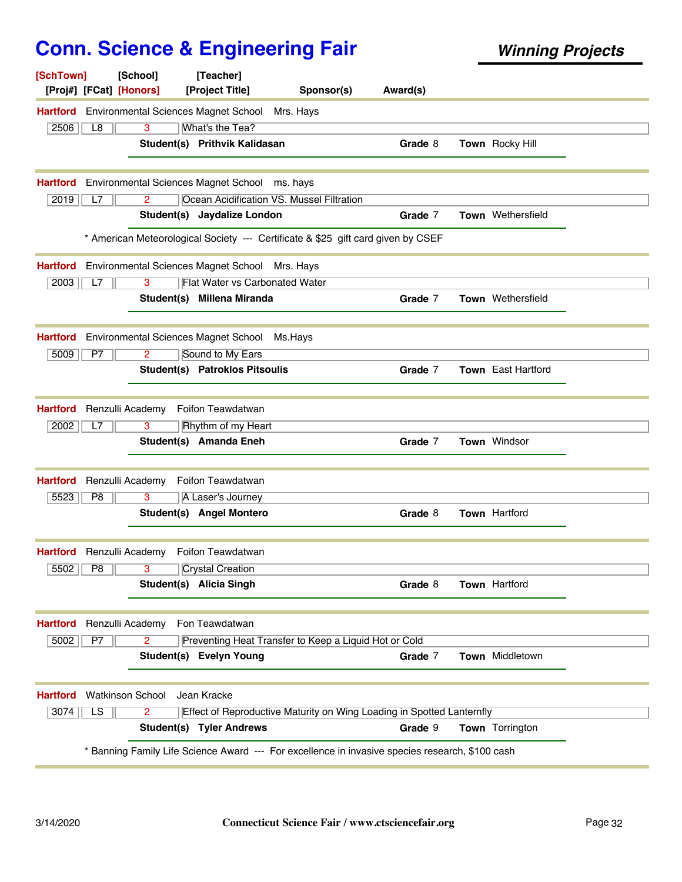| [SchTown]       |                        | [School]<br>[Proj#] [FCat] [Honors] | [Teacher]<br>[Project Title]                       | Sponsor(s)                                            | Award(s)                                                                                      |                    |  |
|-----------------|------------------------|-------------------------------------|----------------------------------------------------|-------------------------------------------------------|-----------------------------------------------------------------------------------------------|--------------------|--|
| <b>Hartford</b> |                        |                                     | <b>Environmental Sciences Magnet School</b>        | Mrs. Hays                                             |                                                                                               |                    |  |
| 2506            | L8                     | 3                                   | What's the Tea?                                    |                                                       |                                                                                               |                    |  |
|                 |                        |                                     | Student(s) Prithvik Kalidasan                      |                                                       | Grade 8                                                                                       | Town Rocky Hill    |  |
| <b>Hartford</b> |                        |                                     | Environmental Sciences Magnet School ms. hays      |                                                       |                                                                                               |                    |  |
| 2019            | L7                     | $\overline{2}$                      |                                                    | Ocean Acidification VS. Mussel Filtration             |                                                                                               |                    |  |
|                 |                        |                                     | Student(s) Jaydalize London                        |                                                       | Grade 7                                                                                       | Town Wethersfield  |  |
|                 |                        |                                     |                                                    |                                                       | * American Meteorological Society --- Certificate & \$25 gift card given by CSEF              |                    |  |
| <b>Hartford</b> |                        |                                     | Environmental Sciences Magnet School Mrs. Hays     |                                                       |                                                                                               |                    |  |
| 2003            | L7                     | 3                                   | <b>Flat Water vs Carbonated Water</b>              |                                                       |                                                                                               |                    |  |
|                 |                        |                                     | Student(s) Millena Miranda                         |                                                       | Grade 7                                                                                       | Town Wethersfield  |  |
| <b>Hartford</b> |                        |                                     | Environmental Sciences Magnet School               | Ms.Hays                                               |                                                                                               |                    |  |
| 5009            | P7                     | 2                                   | Sound to My Ears                                   |                                                       |                                                                                               |                    |  |
|                 |                        |                                     | <b>Student(s) Patroklos Pitsoulis</b>              |                                                       | Grade 7                                                                                       | Town East Hartford |  |
| <b>Hartford</b> |                        | Renzulli Academy                    | Foifon Teawdatwan                                  |                                                       |                                                                                               |                    |  |
| 2002            | L7                     | 3                                   | Rhythm of my Heart                                 |                                                       |                                                                                               |                    |  |
|                 |                        |                                     | Student(s) Amanda Eneh                             |                                                       | Grade 7                                                                                       | Town Windsor       |  |
| <b>Hartford</b> |                        | Renzulli Academy                    | Foifon Teawdatwan                                  |                                                       |                                                                                               |                    |  |
| 5523            | P8                     | 3                                   | A Laser's Journey                                  |                                                       |                                                                                               |                    |  |
|                 |                        |                                     | Student(s) Angel Montero                           |                                                       | Grade 8                                                                                       | Town Hartford      |  |
|                 |                        |                                     | <b>Hartford</b> Renzulli Academy Foifon Teawdatwan |                                                       |                                                                                               |                    |  |
| $5502$ $P8$     |                        | $\overline{\mathbf{3}}$             | Crystal Creation                                   |                                                       |                                                                                               |                    |  |
|                 |                        |                                     | Student(s) Alicia Singh                            |                                                       | Grade 8                                                                                       | Town Hartford      |  |
| <b>Hartford</b> |                        | Renzulli Academy                    | Fon Teawdatwan                                     |                                                       |                                                                                               |                    |  |
| 5002            | P7                     | $\overline{2}$                      |                                                    | Preventing Heat Transfer to Keep a Liquid Hot or Cold |                                                                                               |                    |  |
|                 |                        |                                     | Student(s) Evelyn Young                            |                                                       | Grade 7                                                                                       | Town Middletown    |  |
|                 |                        |                                     |                                                    |                                                       |                                                                                               |                    |  |
| <b>Hartford</b> |                        | <b>Watkinson School</b>             | Jean Kracke                                        |                                                       |                                                                                               |                    |  |
| 3074            | $\overline{\text{LS}}$ | 2                                   |                                                    |                                                       | Effect of Reproductive Maturity on Wing Loading in Spotted Lanternfly                         |                    |  |
|                 |                        |                                     | <b>Student(s) Tyler Andrews</b>                    |                                                       | Grade 9                                                                                       | Town Torrington    |  |
|                 |                        |                                     |                                                    |                                                       | Banning Family Life Science Award --- For excellence in invasive species research, \$100 cash |                    |  |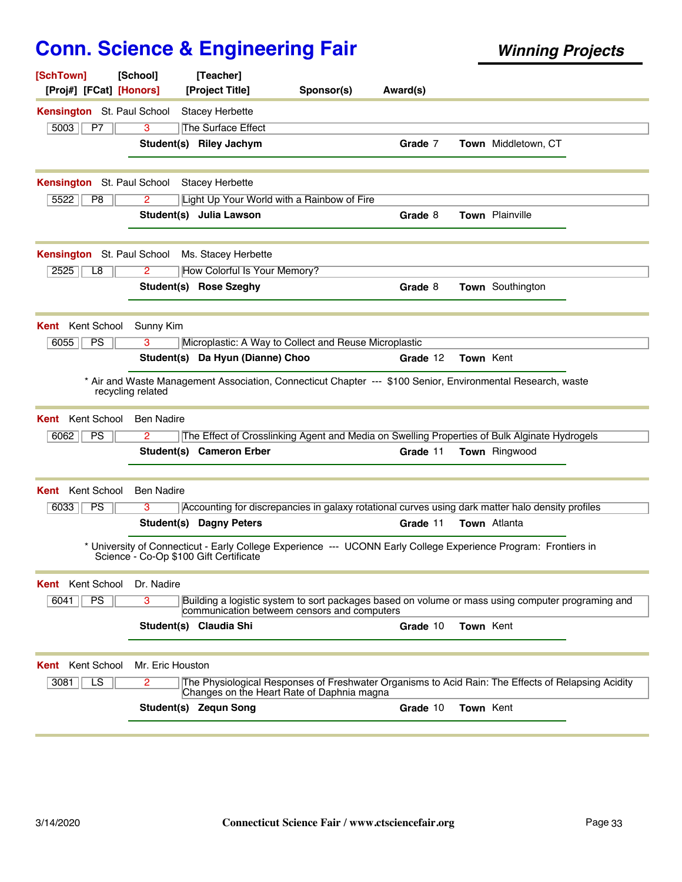| [SchTown]<br>[Proj#] [FCat] [Honors] | [School]          | [Teacher]<br>[Project Title]           | Sponsor(s)                                                                                                                                       | Award(s) |           |                     |  |
|--------------------------------------|-------------------|----------------------------------------|--------------------------------------------------------------------------------------------------------------------------------------------------|----------|-----------|---------------------|--|
| Kensington St. Paul School           |                   | <b>Stacey Herbette</b>                 |                                                                                                                                                  |          |           |                     |  |
| 5003<br>P7                           | 3                 | <b>The Surface Effect</b>              |                                                                                                                                                  |          |           |                     |  |
|                                      |                   | Student(s) Riley Jachym                |                                                                                                                                                  | Grade 7  |           | Town Middletown, CT |  |
| Kensington St. Paul School           |                   | <b>Stacey Herbette</b>                 |                                                                                                                                                  |          |           |                     |  |
| 5522<br>P <sub>8</sub>               | 2                 |                                        | Light Up Your World with a Rainbow of Fire                                                                                                       |          |           |                     |  |
|                                      |                   | Student(s) Julia Lawson                |                                                                                                                                                  | Grade 8  |           | Town Plainville     |  |
| <b>Kensington</b> St. Paul School    |                   | Ms. Stacey Herbette                    |                                                                                                                                                  |          |           |                     |  |
| 2525<br>L8                           | 2                 | How Colorful Is Your Memory?           |                                                                                                                                                  |          |           |                     |  |
|                                      |                   | Student(s) Rose Szeghy                 |                                                                                                                                                  | Grade 8  |           | Town Southington    |  |
| <b>Kent</b> Kent School              | Sunny Kim         |                                        |                                                                                                                                                  |          |           |                     |  |
| 6055<br><b>PS</b>                    | 3                 |                                        | Microplastic: A Way to Collect and Reuse Microplastic                                                                                            |          |           |                     |  |
|                                      |                   | Student(s) Da Hyun (Dianne) Choo       |                                                                                                                                                  | Grade 12 | Town Kent |                     |  |
|                                      | recycling related |                                        | * Air and Waste Management Association, Connecticut Chapter --- \$100 Senior, Environmental Research, waste                                      |          |           |                     |  |
| Kent School<br>Kent                  | <b>Ben Nadire</b> |                                        |                                                                                                                                                  |          |           |                     |  |
| PS<br>6062                           | 2                 |                                        | The Effect of Crosslinking Agent and Media on Swelling Properties of Bulk Alginate Hydrogels                                                     |          |           |                     |  |
|                                      |                   | Student(s) Cameron Erber               |                                                                                                                                                  | Grade 11 |           | Town Ringwood       |  |
| Kent School<br>Kent                  | Ben Nadire        |                                        |                                                                                                                                                  |          |           |                     |  |
| 6033<br><b>PS</b>                    | 3                 |                                        | Accounting for discrepancies in galaxy rotational curves using dark matter halo density profiles                                                 |          |           |                     |  |
|                                      |                   | Student(s) Dagny Peters                |                                                                                                                                                  | Grade 11 |           | Town Atlanta        |  |
|                                      |                   | Science - Co-Op \$100 Gift Certificate | * University of Connecticut - Early College Experience --- UCONN Early College Experience Program: Frontiers in                                  |          |           |                     |  |
| Kent School<br>Kent                  | Dr. Nadire        |                                        |                                                                                                                                                  |          |           |                     |  |
| <b>PS</b><br>6041                    | 3                 |                                        | Building a logistic system to sort packages based on volume or mass using computer programing and<br>communication betweem censors and computers |          |           |                     |  |
|                                      |                   | Student(s) Claudia Shi                 |                                                                                                                                                  | Grade 10 | Town Kent |                     |  |
| Kent School<br>Kent                  | Mr. Eric Houston  |                                        |                                                                                                                                                  |          |           |                     |  |
| 3081<br>LS                           | 2                 |                                        | The Physiological Responses of Freshwater Organisms to Acid Rain: The Effects of Relapsing Acidity<br>Changes on the Heart Rate of Daphnia magna |          |           |                     |  |
|                                      |                   | Student(s) Zequn Song                  |                                                                                                                                                  | Grade 10 | Town Kent |                     |  |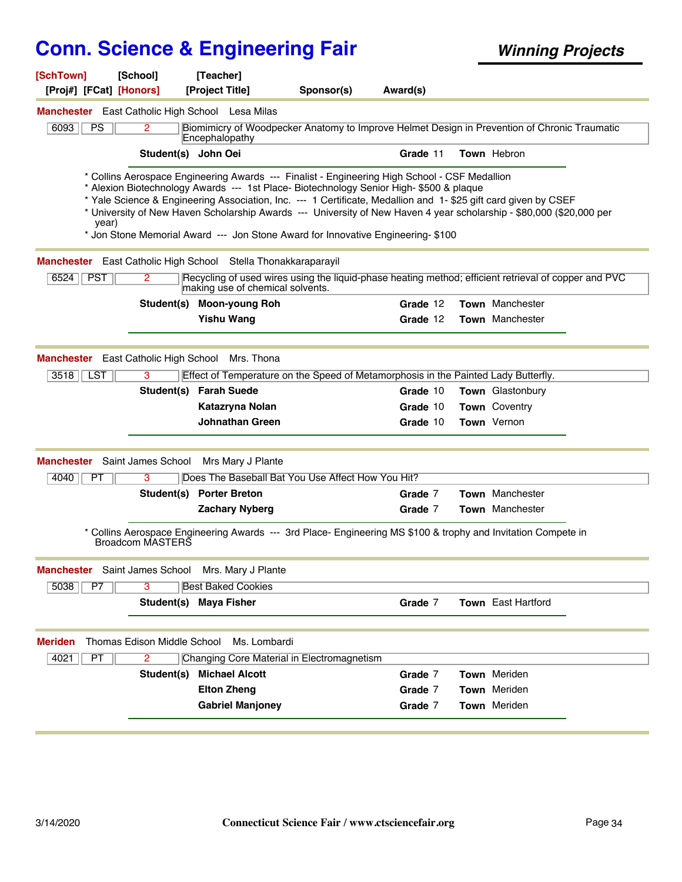| [SchTown]<br>[Proj#] [FCat] [Honors]                | [School]                           | [Teacher]<br>[Project Title]                                  | Sponsor(s)                                                                                                                                                                                                                                                                                                                                                                                     | Award(s) |                                                                                                                      |
|-----------------------------------------------------|------------------------------------|---------------------------------------------------------------|------------------------------------------------------------------------------------------------------------------------------------------------------------------------------------------------------------------------------------------------------------------------------------------------------------------------------------------------------------------------------------------------|----------|----------------------------------------------------------------------------------------------------------------------|
|                                                     |                                    | <b>Manchester</b> East Catholic High School Lesa Milas        |                                                                                                                                                                                                                                                                                                                                                                                                |          |                                                                                                                      |
| 6093<br>PS                                          | 2                                  | Encephalopathy                                                |                                                                                                                                                                                                                                                                                                                                                                                                |          | Biomimicry of Woodpecker Anatomy to Improve Helmet Design in Prevention of Chronic Traumatic                         |
|                                                     | Student(s) John Oei                |                                                               |                                                                                                                                                                                                                                                                                                                                                                                                | Grade 11 | Town Hebron                                                                                                          |
| year)                                               |                                    |                                                               | * Collins Aerospace Engineering Awards --- Finalist - Engineering High School - CSF Medallion<br>* Alexion Biotechnology Awards --- 1st Place- Biotechnology Senior High- \$500 & plaque<br>* Yale Science & Engineering Association, Inc. --- 1 Certificate, Medallion and 1-\$25 gift card given by CSEF<br>* Jon Stone Memorial Award --- Jon Stone Award for Innovative Engineering- \$100 |          | * University of New Haven Scholarship Awards --- University of New Haven 4 year scholarship - \$80,000 (\$20,000 per |
|                                                     |                                    | Manchester East Catholic High School Stella Thonakkaraparayil |                                                                                                                                                                                                                                                                                                                                                                                                |          |                                                                                                                      |
| 6524   PST                                          | $\mathbf{2}^{\circ}$               | making use of chemical solvents.                              |                                                                                                                                                                                                                                                                                                                                                                                                |          | Recycling of used wires using the liquid-phase heating method; efficient retrieval of copper and PVC                 |
|                                                     | Student(s)                         | <b>Moon-young Roh</b>                                         |                                                                                                                                                                                                                                                                                                                                                                                                | Grade 12 | <b>Town</b> Manchester                                                                                               |
|                                                     |                                    | <b>Yishu Wang</b>                                             |                                                                                                                                                                                                                                                                                                                                                                                                | Grade 12 | Town Manchester                                                                                                      |
| Manchester East Catholic High School<br>3518<br>LST | 3                                  | Mrs. Thona<br>Student(s) Farah Suede                          | Effect of Temperature on the Speed of Metamorphosis in the Painted Lady Butterfly.                                                                                                                                                                                                                                                                                                             | Grade 10 | Town Glastonbury                                                                                                     |
|                                                     |                                    | Katazryna Nolan                                               |                                                                                                                                                                                                                                                                                                                                                                                                | Grade 10 | <b>Town</b> Coventry                                                                                                 |
|                                                     |                                    | <b>Johnathan Green</b>                                        |                                                                                                                                                                                                                                                                                                                                                                                                | Grade 10 | Town Vernon                                                                                                          |
| <b>Manchester</b> Saint James School                |                                    | Mrs Mary J Plante                                             |                                                                                                                                                                                                                                                                                                                                                                                                |          |                                                                                                                      |
| 4040<br>PT                                          | 3                                  |                                                               | Does The Baseball Bat You Use Affect How You Hit?                                                                                                                                                                                                                                                                                                                                              |          |                                                                                                                      |
|                                                     |                                    | Student(s) Porter Breton                                      |                                                                                                                                                                                                                                                                                                                                                                                                | Grade 7  | Town Manchester                                                                                                      |
|                                                     |                                    | <b>Zachary Nyberg</b>                                         |                                                                                                                                                                                                                                                                                                                                                                                                | Grade 7  | <b>Town</b> Manchester                                                                                               |
|                                                     | Broadcom MASTERS                   |                                                               |                                                                                                                                                                                                                                                                                                                                                                                                |          | * Collins Aerospace Engineering Awards --- 3rd Place- Engineering MS \$100 & trophy and Invitation Compete in        |
| <b>Manchester</b>                                   |                                    | Saint James School Mrs. Mary J Plante                         |                                                                                                                                                                                                                                                                                                                                                                                                |          |                                                                                                                      |
| 5038<br>P7                                          | 3                                  | <b>Best Baked Cookies</b>                                     |                                                                                                                                                                                                                                                                                                                                                                                                |          |                                                                                                                      |
|                                                     |                                    | Student(s) Maya Fisher                                        |                                                                                                                                                                                                                                                                                                                                                                                                | Grade 7  | <b>Town</b> East Hartford                                                                                            |
| <b>Meriden</b>                                      | <b>Thomas Edison Middle School</b> | Ms. Lombardi                                                  |                                                                                                                                                                                                                                                                                                                                                                                                |          |                                                                                                                      |
| 4021<br>PT                                          | 2                                  |                                                               | Changing Core Material in Electromagnetism                                                                                                                                                                                                                                                                                                                                                     |          |                                                                                                                      |
|                                                     | Student(s)                         | <b>Michael Alcott</b>                                         |                                                                                                                                                                                                                                                                                                                                                                                                | Grade 7  | Town Meriden                                                                                                         |
|                                                     |                                    | <b>Elton Zheng</b>                                            |                                                                                                                                                                                                                                                                                                                                                                                                | Grade 7  | Town Meriden                                                                                                         |
|                                                     |                                    | <b>Gabriel Manjoney</b>                                       |                                                                                                                                                                                                                                                                                                                                                                                                | Grade 7  | Town Meriden                                                                                                         |
|                                                     |                                    |                                                               |                                                                                                                                                                                                                                                                                                                                                                                                |          |                                                                                                                      |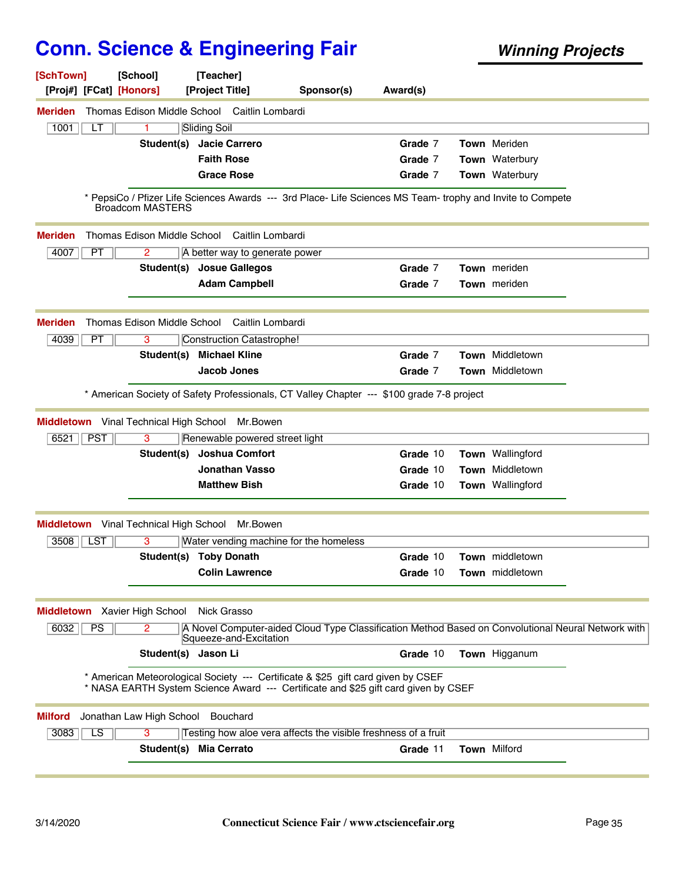| [SchTown]<br>[Proj#] [FCat] [Honors]          | [School]                    | [Teacher]<br>[Project Title]                                                                                                                                           | Sponsor(s) | Award(s) |                                                                                                    |  |
|-----------------------------------------------|-----------------------------|------------------------------------------------------------------------------------------------------------------------------------------------------------------------|------------|----------|----------------------------------------------------------------------------------------------------|--|
| <b>Meriden</b>                                |                             | Thomas Edison Middle School Caitlin Lombardi                                                                                                                           |            |          |                                                                                                    |  |
| 1001<br>LТ                                    | 1                           | Sliding Soil                                                                                                                                                           |            |          |                                                                                                    |  |
|                                               | Student(s)                  | <b>Jacie Carrero</b>                                                                                                                                                   |            | Grade 7  | Town Meriden                                                                                       |  |
|                                               |                             | <b>Faith Rose</b>                                                                                                                                                      |            | Grade 7  | Town Waterbury                                                                                     |  |
|                                               |                             | <b>Grace Rose</b>                                                                                                                                                      |            | Grade 7  | Town Waterbury                                                                                     |  |
|                                               | <b>Broadcom MASTERS</b>     | * PepsiCo / Pfizer Life Sciences Awards --- 3rd Place- Life Sciences MS Team- trophy and Invite to Compete                                                             |            |          |                                                                                                    |  |
| <b>Meriden</b>                                | Thomas Edison Middle School | Caitlin Lombardi                                                                                                                                                       |            |          |                                                                                                    |  |
| 4007<br>PT                                    | 2                           | A better way to generate power                                                                                                                                         |            |          |                                                                                                    |  |
|                                               | Student(s)                  | <b>Josue Gallegos</b>                                                                                                                                                  |            | Grade 7  | <b>Town</b> meriden                                                                                |  |
|                                               |                             | <b>Adam Campbell</b>                                                                                                                                                   |            | Grade 7  | Town meriden                                                                                       |  |
| <b>Meriden</b>                                | Thomas Edison Middle School | Caitlin Lombardi                                                                                                                                                       |            |          |                                                                                                    |  |
| 4039<br>PT                                    | 3                           | Construction Catastrophe!                                                                                                                                              |            |          |                                                                                                    |  |
|                                               | Student(s)                  | <b>Michael Kline</b>                                                                                                                                                   |            | Grade 7  | Town Middletown                                                                                    |  |
|                                               |                             | Jacob Jones                                                                                                                                                            |            | Grade 7  | Town Middletown                                                                                    |  |
|                                               |                             |                                                                                                                                                                        |            |          |                                                                                                    |  |
|                                               |                             | * American Society of Safety Professionals, CT Valley Chapter --- \$100 grade 7-8 project                                                                              |            |          |                                                                                                    |  |
| <b>Middletown</b> Vinal Technical High School |                             | Mr.Bowen                                                                                                                                                               |            |          |                                                                                                    |  |
| <b>PST</b><br>6521                            | 3                           | Renewable powered street light                                                                                                                                         |            |          |                                                                                                    |  |
|                                               | Student(s)                  | <b>Joshua Comfort</b>                                                                                                                                                  |            | Grade 10 | Town Wallingford                                                                                   |  |
|                                               |                             | <b>Jonathan Vasso</b>                                                                                                                                                  |            | Grade 10 | <b>Town</b> Middletown                                                                             |  |
|                                               |                             | <b>Matthew Bish</b>                                                                                                                                                    |            | Grade 10 | Town Wallingford                                                                                   |  |
| <b>Middletown</b> Vinal Technical High School |                             | Mr.Bowen                                                                                                                                                               |            |          |                                                                                                    |  |
| 3508<br><b>LST</b>                            | 3                           | Water vending machine for the homeless                                                                                                                                 |            |          |                                                                                                    |  |
|                                               |                             | Student(s) Toby Donath                                                                                                                                                 |            | Grade 10 | Town middletown                                                                                    |  |
|                                               |                             | <b>Colin Lawrence</b>                                                                                                                                                  |            | Grade 10 | Town middletown                                                                                    |  |
|                                               |                             |                                                                                                                                                                        |            |          |                                                                                                    |  |
| <b>Middletown</b> Xavier High School          |                             | Nick Grasso                                                                                                                                                            |            |          |                                                                                                    |  |
| 6032<br><b>PS</b>                             | 2                           | Squeeze-and-Excitation                                                                                                                                                 |            |          | A Novel Computer-aided Cloud Type Classification Method Based on Convolutional Neural Network with |  |
|                                               | Student(s) Jason Li         |                                                                                                                                                                        |            | Grade 10 | Town Higganum                                                                                      |  |
|                                               |                             | * American Meteorological Society --- Certificate & \$25 gift card given by CSEF<br>* NASA EARTH System Science Award --- Certificate and \$25 gift card given by CSEF |            |          |                                                                                                    |  |
| <b>Milford</b>                                | Jonathan Law High School    | Bouchard                                                                                                                                                               |            |          |                                                                                                    |  |
| $\overline{LS}$<br>3083                       | 3                           | Testing how aloe vera affects the visible freshness of a fruit                                                                                                         |            |          |                                                                                                    |  |
|                                               |                             | Student(s) Mia Cerrato                                                                                                                                                 |            | Grade 11 | <b>Town Milford</b>                                                                                |  |
|                                               |                             |                                                                                                                                                                        |            |          |                                                                                                    |  |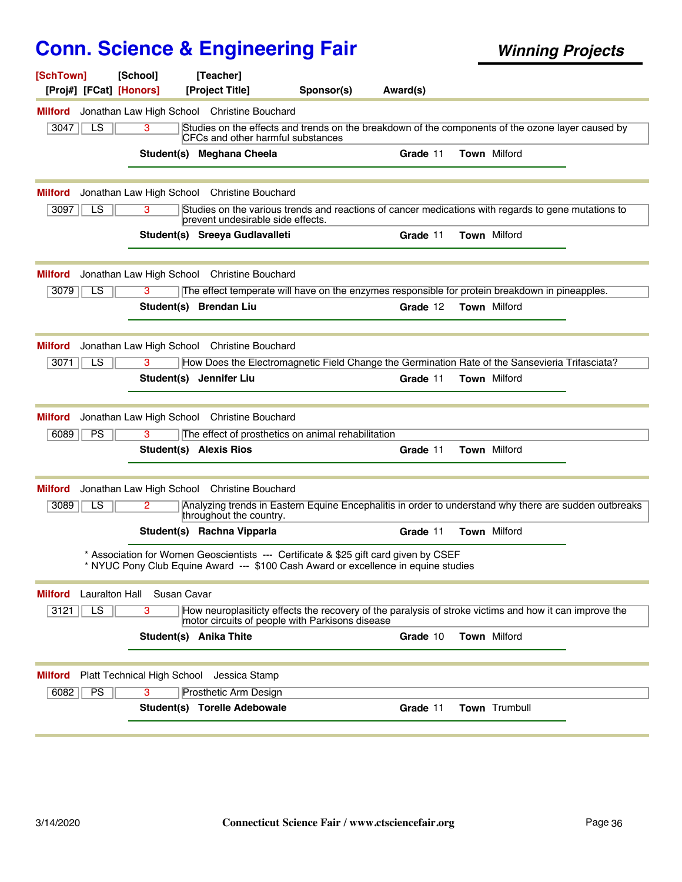| [SchTown]<br>[Proj#] [FCat] [Honors] | [School]                    | [Teacher]<br>[Project Title]                | Sponsor(s)                                                                                                                                                                 | Award(s) |                     |                     |  |
|--------------------------------------|-----------------------------|---------------------------------------------|----------------------------------------------------------------------------------------------------------------------------------------------------------------------------|----------|---------------------|---------------------|--|
| Milford                              |                             | Jonathan Law High School Christine Bouchard |                                                                                                                                                                            |          |                     |                     |  |
| LS<br>3047                           | 3                           | <b>CFCs and other harmful substances</b>    | Studies on the effects and trends on the breakdown of the components of the ozone layer caused by                                                                          |          |                     |                     |  |
|                                      |                             | Student(s) Meghana Cheela                   |                                                                                                                                                                            | Grade 11 | <b>Town Milford</b> |                     |  |
| <b>Milford</b>                       |                             | Jonathan Law High School Christine Bouchard |                                                                                                                                                                            |          |                     |                     |  |
| 3097<br>LS                           | 3                           | prevent undesirable side effects.           | Studies on the various trends and reactions of cancer medications with regards to gene mutations to                                                                        |          |                     |                     |  |
|                                      |                             | Student(s) Sreeya Gudlavalleti              |                                                                                                                                                                            | Grade 11 |                     | Town Milford        |  |
| <b>Milford</b>                       |                             | Jonathan Law High School Christine Bouchard |                                                                                                                                                                            |          |                     |                     |  |
| LS<br>3079                           | 3                           |                                             | The effect temperate will have on the enzymes responsible for protein breakdown in pineapples.                                                                             |          |                     |                     |  |
|                                      |                             | Student(s) Brendan Liu                      |                                                                                                                                                                            | Grade 12 |                     | Town Milford        |  |
| Milford                              |                             | Jonathan Law High School Christine Bouchard |                                                                                                                                                                            |          |                     |                     |  |
| LS<br>3071                           | 3                           |                                             | How Does the Electromagnetic Field Change the Germination Rate of the Sansevieria Trifasciata?                                                                             |          |                     |                     |  |
|                                      |                             | Student(s) Jennifer Liu                     |                                                                                                                                                                            | Grade 11 |                     | <b>Town Milford</b> |  |
| Milford                              |                             | Jonathan Law High School Christine Bouchard |                                                                                                                                                                            |          |                     |                     |  |
| PS<br>6089                           | 3                           |                                             | The effect of prosthetics on animal rehabilitation                                                                                                                         |          |                     |                     |  |
|                                      |                             | <b>Student(s) Alexis Rios</b>               |                                                                                                                                                                            | Grade 11 |                     | Town Milford        |  |
| Milford                              |                             | Jonathan Law High School Christine Bouchard |                                                                                                                                                                            |          |                     |                     |  |
| 3089<br>LS                           | 2                           | throughout the country.                     | Analyzing trends in Eastern Equine Encephalitis in order to understand why there are sudden outbreaks                                                                      |          |                     |                     |  |
|                                      |                             | Student(s) Rachna Vipparla                  |                                                                                                                                                                            | Grade 11 |                     | <b>Town Milford</b> |  |
|                                      |                             |                                             | * Association for Women Geoscientists --- Certificate & \$25 gift card given by CSEF<br>* NYUC Pony Club Equine Award --- \$100 Cash Award or excellence in equine studies |          |                     |                     |  |
| Lauralton Hall<br><b>Milford</b>     | Susan Cavar                 |                                             |                                                                                                                                                                            |          |                     |                     |  |
| $\overline{LS}$<br>3121              | 3                           |                                             | How neuroplasiticty effects the recovery of the paralysis of stroke victims and how it can improve the<br>motor circuits of people with Parkisons disease                  |          |                     |                     |  |
|                                      |                             | Student(s) Anika Thite                      |                                                                                                                                                                            | Grade 10 | <b>Town Milford</b> |                     |  |
| <b>Milford</b>                       | Platt Technical High School | Jessica Stamp                               |                                                                                                                                                                            |          |                     |                     |  |
| 6082<br><b>PS</b>                    | 3                           | Prosthetic Arm Design                       |                                                                                                                                                                            |          |                     |                     |  |
|                                      |                             | Student(s) Torelle Adebowale                |                                                                                                                                                                            | Grade 11 |                     | Town Trumbull       |  |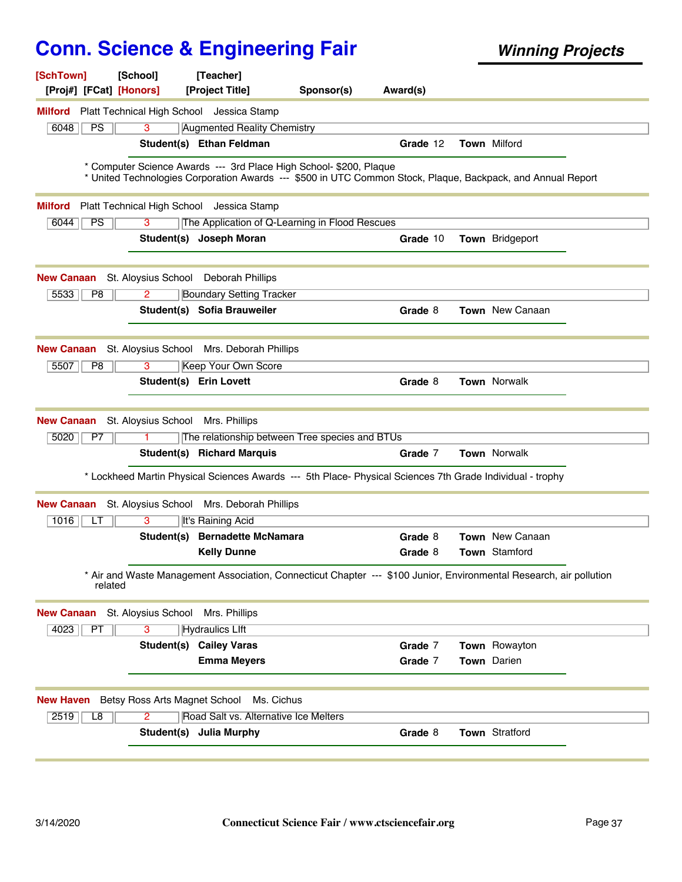| [SchTown]<br>[Proj#] [FCat] [Honors] | [School]                      | [Teacher]<br>[Project Title]                                                                                                                                                      | Sponsor(s) | Award(s) |                        |  |
|--------------------------------------|-------------------------------|-----------------------------------------------------------------------------------------------------------------------------------------------------------------------------------|------------|----------|------------------------|--|
|                                      |                               | Milford Platt Technical High School Jessica Stamp                                                                                                                                 |            |          |                        |  |
| 6048<br>PS                           | 3                             | <b>Augmented Reality Chemistry</b>                                                                                                                                                |            |          |                        |  |
|                                      |                               | Student(s) Ethan Feldman                                                                                                                                                          |            | Grade 12 | <b>Town Milford</b>    |  |
|                                      |                               | * Computer Science Awards --- 3rd Place High School- \$200, Plaque<br>* United Technologies Corporation Awards --- \$500 in UTC Common Stock, Plaque, Backpack, and Annual Report |            |          |                        |  |
| <b>Milford</b>                       |                               | Platt Technical High School Jessica Stamp                                                                                                                                         |            |          |                        |  |
| PS<br>6044                           | 3                             | The Application of Q-Learning in Flood Rescues                                                                                                                                    |            |          |                        |  |
|                                      |                               | Student(s) Joseph Moran                                                                                                                                                           |            | Grade 10 | <b>Town</b> Bridgeport |  |
| <b>New Canaan</b>                    | St. Aloysius School           | Deborah Phillips                                                                                                                                                                  |            |          |                        |  |
| 5533<br>P8                           | $\overline{2}$                | <b>Boundary Setting Tracker</b>                                                                                                                                                   |            |          |                        |  |
|                                      |                               | Student(s) Sofia Brauweiler                                                                                                                                                       |            | Grade 8  | <b>Town</b> New Canaan |  |
| <b>New Canaan</b>                    |                               | St. Aloysius School Mrs. Deborah Phillips                                                                                                                                         |            |          |                        |  |
| 5507<br>P8                           | 3                             | <b>Keep Your Own Score</b>                                                                                                                                                        |            |          |                        |  |
|                                      |                               | <b>Student(s) Erin Lovett</b>                                                                                                                                                     |            | Grade 8  | Town Norwalk           |  |
| <b>New Canaan</b>                    | St. Aloysius School           | Mrs. Phillips                                                                                                                                                                     |            |          |                        |  |
| 5020<br>P7                           |                               | The relationship between Tree species and BTUs                                                                                                                                    |            |          |                        |  |
|                                      |                               | <b>Student(s) Richard Marquis</b>                                                                                                                                                 |            | Grade 7  | Town Norwalk           |  |
|                                      |                               | * Lockheed Martin Physical Sciences Awards --- 5th Place- Physical Sciences 7th Grade Individual - trophy                                                                         |            |          |                        |  |
| <b>New Canaan</b>                    | St. Aloysius School           | Mrs. Deborah Phillips                                                                                                                                                             |            |          |                        |  |
| 1016<br>LТ                           | 3                             | It's Raining Acid                                                                                                                                                                 |            |          |                        |  |
|                                      |                               | Student(s) Bernadette McNamara                                                                                                                                                    |            | Grade 8  | <b>Town</b> New Canaan |  |
|                                      |                               | <b>Kelly Dunne</b>                                                                                                                                                                |            | Grade 8  | <b>Town</b> Stamford   |  |
| related                              |                               | * Air and Waste Management Association, Connecticut Chapter --- \$100 Junior, Environmental Research, air pollution                                                               |            |          |                        |  |
| <b>New Canaan</b>                    | St. Aloysius School           | Mrs. Phillips                                                                                                                                                                     |            |          |                        |  |
| 4023<br>PT                           | $\overline{3}$                | <b>Hydraulics LIft</b>                                                                                                                                                            |            |          |                        |  |
|                                      |                               | <b>Student(s) Cailey Varas</b>                                                                                                                                                    |            | Grade 7  | Town Rowayton          |  |
|                                      |                               | <b>Emma Meyers</b>                                                                                                                                                                |            | Grade 7  | Town Darien            |  |
| <b>New Haven</b>                     | Betsy Ross Arts Magnet School | Ms. Cichus                                                                                                                                                                        |            |          |                        |  |
| 2519<br>L8                           | $\overline{2}$                | Road Salt vs. Alternative Ice Melters                                                                                                                                             |            |          |                        |  |
|                                      | Student(s)                    | <b>Julia Murphy</b>                                                                                                                                                               |            | Grade 8  | Town Stratford         |  |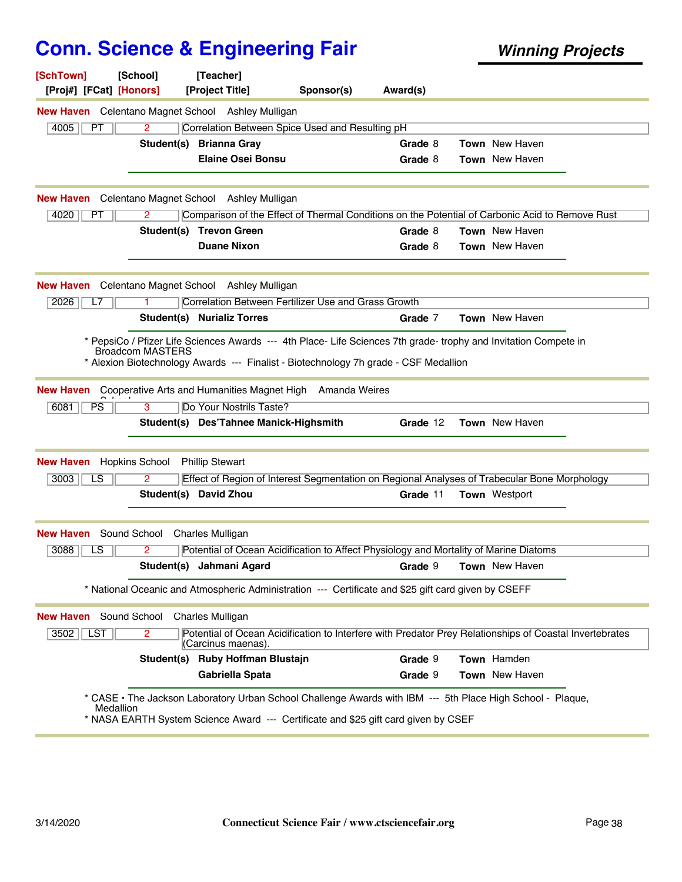| [SchTown]<br>[Proj#] [FCat] [Honors]           | [School]                      | [Teacher]<br>[Project Title]                                                                        | Sponsor(s) | Award(s) |                                                                                                                      |  |
|------------------------------------------------|-------------------------------|-----------------------------------------------------------------------------------------------------|------------|----------|----------------------------------------------------------------------------------------------------------------------|--|
|                                                |                               | <b>New Haven</b> Celentano Magnet School Ashley Mulligan                                            |            |          |                                                                                                                      |  |
| 4005<br>PT                                     | 2                             | Correlation Between Spice Used and Resulting pH                                                     |            |          |                                                                                                                      |  |
|                                                |                               | Student(s) Brianna Gray                                                                             |            | Grade 8  | <b>Town</b> New Haven                                                                                                |  |
|                                                |                               | <b>Elaine Osei Bonsu</b>                                                                            |            | Grade 8  | Town New Haven                                                                                                       |  |
|                                                |                               |                                                                                                     |            |          |                                                                                                                      |  |
|                                                |                               | <b>New Haven</b> Celentano Magnet School Ashley Mulligan                                            |            |          |                                                                                                                      |  |
| 4020<br>PT.                                    | 2                             |                                                                                                     |            |          | Comparison of the Effect of Thermal Conditions on the Potential of Carbonic Acid to Remove Rust                      |  |
|                                                |                               | Student(s) Trevon Green                                                                             |            | Grade 8  | <b>Town</b> New Haven                                                                                                |  |
|                                                |                               | <b>Duane Nixon</b>                                                                                  |            | Grade 8  | <b>Town</b> New Haven                                                                                                |  |
|                                                |                               |                                                                                                     |            |          |                                                                                                                      |  |
|                                                |                               | <b>New Haven</b> Celentano Magnet School Ashley Mulligan                                            |            |          |                                                                                                                      |  |
| 2026<br>L7                                     |                               | Correlation Between Fertilizer Use and Grass Growth                                                 |            |          |                                                                                                                      |  |
|                                                |                               | <b>Student(s) Nurializ Torres</b>                                                                   |            | Grade 7  | Town New Haven                                                                                                       |  |
|                                                | <b>Broadcom MASTERS</b>       | * Alexion Biotechnology Awards --- Finalist - Biotechnology 7h grade - CSF Medallion                |            |          | * PepsiCo / Pfizer Life Sciences Awards --- 4th Place- Life Sciences 7th grade- trophy and Invitation Compete in     |  |
| <b>New Haven</b>                               |                               | Cooperative Arts and Humanities Magnet High Amanda Weires                                           |            |          |                                                                                                                      |  |
| 6081<br>PS.                                    | 3                             | Do Your Nostrils Taste?                                                                             |            |          |                                                                                                                      |  |
|                                                |                               | Student(s) Des'Tahnee Manick-Highsmith                                                              |            | Grade 12 | <b>Town</b> New Haven                                                                                                |  |
|                                                |                               |                                                                                                     |            |          |                                                                                                                      |  |
| <b>New Haven</b> Hopkins School<br>3003<br>LS. | 2                             | <b>Phillip Stewart</b>                                                                              |            |          |                                                                                                                      |  |
|                                                |                               | Student(s) David Zhou                                                                               |            | Grade 11 | Effect of Region of Interest Segmentation on Regional Analyses of Trabecular Bone Morphology<br><b>Town</b> Westport |  |
|                                                |                               |                                                                                                     |            |          |                                                                                                                      |  |
| <b>New Haven</b>                               | Sound School Charles Mulligan |                                                                                                     |            |          |                                                                                                                      |  |
| 3088<br>LS                                     | 2                             |                                                                                                     |            |          | Potential of Ocean Acidification to Affect Physiology and Mortality of Marine Diatoms                                |  |
|                                                |                               | Student(s) Jahmani Agard                                                                            |            |          | Grade 9 Town New Haven                                                                                               |  |
|                                                |                               | * National Oceanic and Atmospheric Administration --- Certificate and \$25 gift card given by CSEFF |            |          |                                                                                                                      |  |
| <b>New Haven</b> Sound School                  |                               | Charles Mulligan                                                                                    |            |          |                                                                                                                      |  |
| 3502<br>LST                                    | $\overline{2}$                | (Carcinus maenas).                                                                                  |            |          | Potential of Ocean Acidification to Interfere with Predator Prey Relationships of Coastal Invertebrates              |  |
|                                                |                               | Student(s) Ruby Hoffman Blustajn                                                                    |            | Grade 9  | Town Hamden                                                                                                          |  |
|                                                |                               | <b>Gabriella Spata</b>                                                                              |            | Grade 9  | Town New Haven                                                                                                       |  |
| Medallion                                      |                               | * NASA EARTH System Science Award --- Certificate and \$25 gift card given by CSEF                  |            |          | * CASE • The Jackson Laboratory Urban School Challenge Awards with IBM --- 5th Place High School - Plaque,           |  |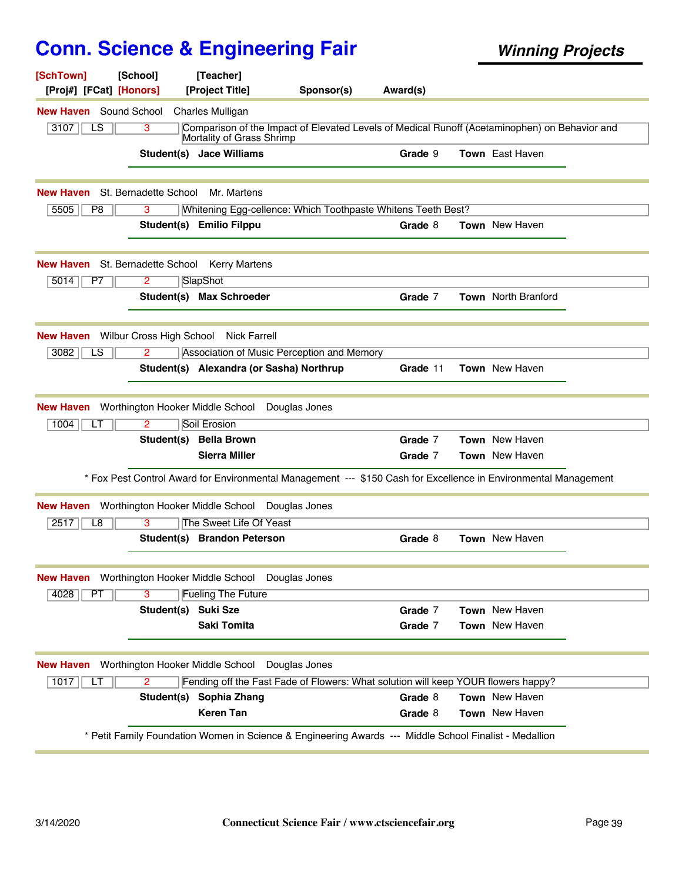|                                                                              | [School]<br>[Proj#] [FCat] [Honors] | [Teacher]<br>[Project Title]                   | Sponsor(s)                                                                        | Award(s) |                                                                                                                 |
|------------------------------------------------------------------------------|-------------------------------------|------------------------------------------------|-----------------------------------------------------------------------------------|----------|-----------------------------------------------------------------------------------------------------------------|
| <b>New Haven</b> Sound School                                                |                                     | <b>Charles Mulligan</b>                        |                                                                                   |          |                                                                                                                 |
| LS<br>3107                                                                   | 3                                   | Mortality of Grass Shrimp                      |                                                                                   |          | Comparison of the Impact of Elevated Levels of Medical Runoff (Acetaminophen) on Behavior and                   |
|                                                                              |                                     | Student(s) Jace Williams                       |                                                                                   | Grade 9  | <b>Town</b> East Haven                                                                                          |
| New Haven                                                                    | St. Bernadette School               | Mr. Martens                                    |                                                                                   |          |                                                                                                                 |
| 5505<br>P8                                                                   | 3                                   |                                                | Whitening Egg-cellence: Which Toothpaste Whitens Teeth Best?                      |          |                                                                                                                 |
|                                                                              |                                     | Student(s) Emilio Filppu                       |                                                                                   | Grade 8  | Town New Haven                                                                                                  |
| <b>New Haven</b> St. Bernadette School                                       |                                     | <b>Kerry Martens</b>                           |                                                                                   |          |                                                                                                                 |
| 5014<br>P <sub>7</sub>                                                       | 2                                   | SlapShot                                       |                                                                                   |          |                                                                                                                 |
|                                                                              |                                     | Student(s) Max Schroeder                       |                                                                                   | Grade 7  | <b>Town</b> North Branford                                                                                      |
| <b>New Haven</b>                                                             | Wilbur Cross High School            | <b>Nick Farrell</b>                            |                                                                                   |          |                                                                                                                 |
| 3082<br>LS                                                                   | $\overline{2}$                      |                                                | Association of Music Perception and Memory                                        |          |                                                                                                                 |
|                                                                              |                                     | Student(s) Alexandra (or Sasha) Northrup       |                                                                                   | Grade 11 | Town New Haven                                                                                                  |
| New Haven                                                                    | Worthington Hooker Middle School    |                                                | Douglas Jones                                                                     |          |                                                                                                                 |
| 1004<br>LT                                                                   | $\overline{2}$                      | Soil Erosion                                   |                                                                                   |          |                                                                                                                 |
|                                                                              |                                     | Student(s) Bella Brown                         |                                                                                   | Grade 7  | Town New Haven                                                                                                  |
|                                                                              |                                     |                                                |                                                                                   | Grade 7  | <b>Town</b> New Haven                                                                                           |
|                                                                              |                                     | <b>Sierra Miller</b>                           |                                                                                   |          |                                                                                                                 |
|                                                                              |                                     |                                                |                                                                                   |          | * Fox Pest Control Award for Environmental Management --- \$150 Cash for Excellence in Environmental Management |
|                                                                              |                                     | Worthington Hooker Middle School Douglas Jones |                                                                                   |          |                                                                                                                 |
| 2517<br>L8                                                                   | 3                                   | The Sweet Life Of Yeast                        |                                                                                   |          |                                                                                                                 |
|                                                                              |                                     | Student(s) Brandon Peterson                    |                                                                                   | Grade 8  | Town New Haven                                                                                                  |
|                                                                              |                                     |                                                |                                                                                   |          |                                                                                                                 |
| 4028<br>PT                                                                   | $\overline{\mathbf{3}}$             | <b>Fueling The Future</b>                      |                                                                                   |          |                                                                                                                 |
|                                                                              | Student(s) Suki Sze                 |                                                |                                                                                   | Grade 7  | Town New Haven                                                                                                  |
| <b>New Haven</b><br>New Haven Worthington Hooker Middle School Douglas Jones |                                     | Saki Tomita                                    |                                                                                   | Grade 7  | Town New Haven                                                                                                  |
|                                                                              | Worthington Hooker Middle School    |                                                | Douglas Jones                                                                     |          |                                                                                                                 |
| 1017<br>LТ                                                                   | $\overline{2}$                      |                                                | Fending off the Fast Fade of Flowers: What solution will keep YOUR flowers happy? |          |                                                                                                                 |
| <b>New Haven</b>                                                             | Student(s)                          | Sophia Zhang                                   |                                                                                   | Grade 8  | Town New Haven                                                                                                  |
|                                                                              |                                     | <b>Keren Tan</b>                               |                                                                                   | Grade 8  | Town New Haven                                                                                                  |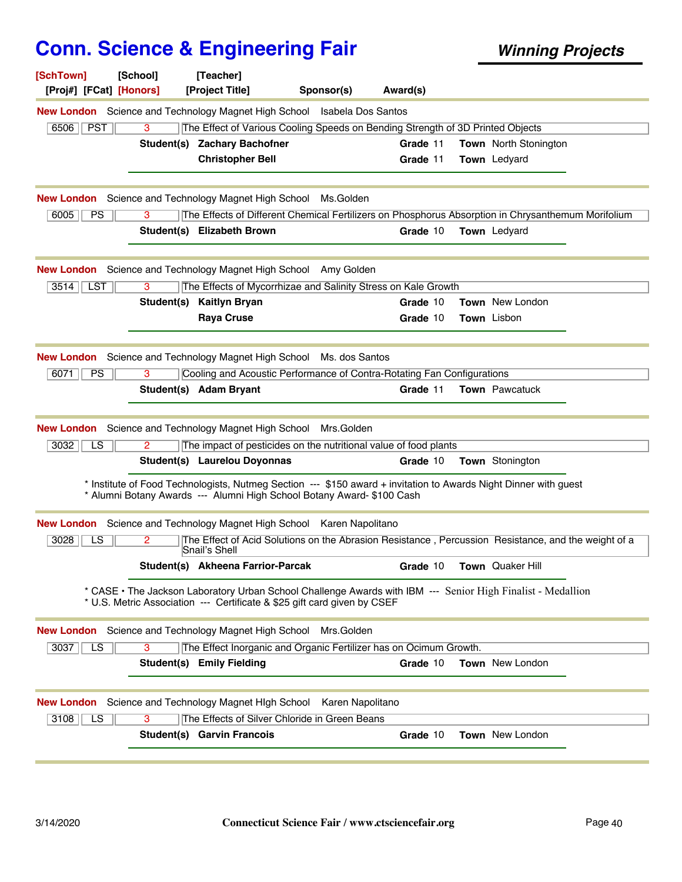| [SchTown]<br>[School]<br>[Proj#] [FCat] [Honors]            | [Teacher]<br>[Project Title]<br>Sponsor(s)                                     | Award(s)                                                                                                         |
|-------------------------------------------------------------|--------------------------------------------------------------------------------|------------------------------------------------------------------------------------------------------------------|
|                                                             | New London Science and Technology Magnet High School Isabela Dos Santos        |                                                                                                                  |
| $6506$    PST<br>3                                          | The Effect of Various Cooling Speeds on Bending Strength of 3D Printed Objects |                                                                                                                  |
|                                                             | Student(s) Zachary Bachofner                                                   | Grade 11<br><b>Town</b> North Stonington                                                                         |
|                                                             | <b>Christopher Bell</b>                                                        | Town Ledyard<br>Grade 11                                                                                         |
| <b>New London</b> Science and Technology Magnet High School | Ms.Golden                                                                      |                                                                                                                  |
| 6005<br><b>PS</b><br>3                                      |                                                                                | The Effects of Different Chemical Fertilizers on Phosphorus Absorption in Chrysanthemum Morifolium               |
|                                                             | Student(s) Elizabeth Brown                                                     | Grade 10<br><b>Town</b> Ledyard                                                                                  |
|                                                             | <b>New London</b> Science and Technology Magnet High School Amy Golden         |                                                                                                                  |
| $3514$ LST<br>3                                             | The Effects of Mycorrhizae and Salinity Stress on Kale Growth                  |                                                                                                                  |
| Student(s)                                                  | <b>Kaitlyn Bryan</b>                                                           | Grade 10<br><b>Town</b> New London                                                                               |
|                                                             | <b>Raya Cruse</b>                                                              | Town Lisbon<br>Grade 10                                                                                          |
|                                                             | <b>New London</b> Science and Technology Magnet High School Ms. dos Santos     |                                                                                                                  |
| 6071<br><b>PS</b><br>3                                      | Cooling and Acoustic Performance of Contra-Rotating Fan Configurations         |                                                                                                                  |
|                                                             | Student(s) Adam Bryant                                                         | <b>Town</b> Pawcatuck<br>Grade 11                                                                                |
| <b>New London</b> Science and Technology Magnet High School | Mrs.Golden                                                                     |                                                                                                                  |
| 3032<br><b>LS</b><br>2                                      | The impact of pesticides on the nutritional value of food plants               |                                                                                                                  |
|                                                             | Student(s) Laurelou Doyonnas                                                   | Grade 10<br><b>Town</b> Stonington                                                                               |
|                                                             | * Alumni Botany Awards --- Alumni High School Botany Award- \$100 Cash         | * Institute of Food Technologists, Nutmeg Section --- \$150 award + invitation to Awards Night Dinner with guest |
|                                                             | New London Science and Technology Magnet High School Karen Napolitano          |                                                                                                                  |
| 3028<br>LS<br>$\mathbf{2}^{\prime}$                         | Snail's Shell                                                                  | The Effect of Acid Solutions on the Abrasion Resistance, Percussion Resistance, and the weight of a              |
|                                                             | Student(s) Akheena Farrior-Parcak                                              | Grade 10<br><b>Town</b> Quaker Hill                                                                              |
|                                                             | * U.S. Metric Association --- Certificate & \$25 gift card given by CSEF       | * CASE • The Jackson Laboratory Urban School Challenge Awards with IBM --- Senior High Finalist - Medallion      |
|                                                             | <b>New London</b> Science and Technology Magnet High School Mrs. Golden        |                                                                                                                  |
| $\overline{3}$<br>3037<br>LS.                               | The Effect Inorganic and Organic Fertilizer has on Ocimum Growth.              |                                                                                                                  |
|                                                             | Student(s) Emily Fielding                                                      | Town New London<br>Grade 10                                                                                      |
|                                                             | New London Science and Technology Magnet High School Karen Napolitano          |                                                                                                                  |
| 3108<br>LS<br>3                                             | The Effects of Silver Chloride in Green Beans                                  |                                                                                                                  |
|                                                             | Student(s) Garvin Francois                                                     | Grade 10<br><b>Town</b> New London                                                                               |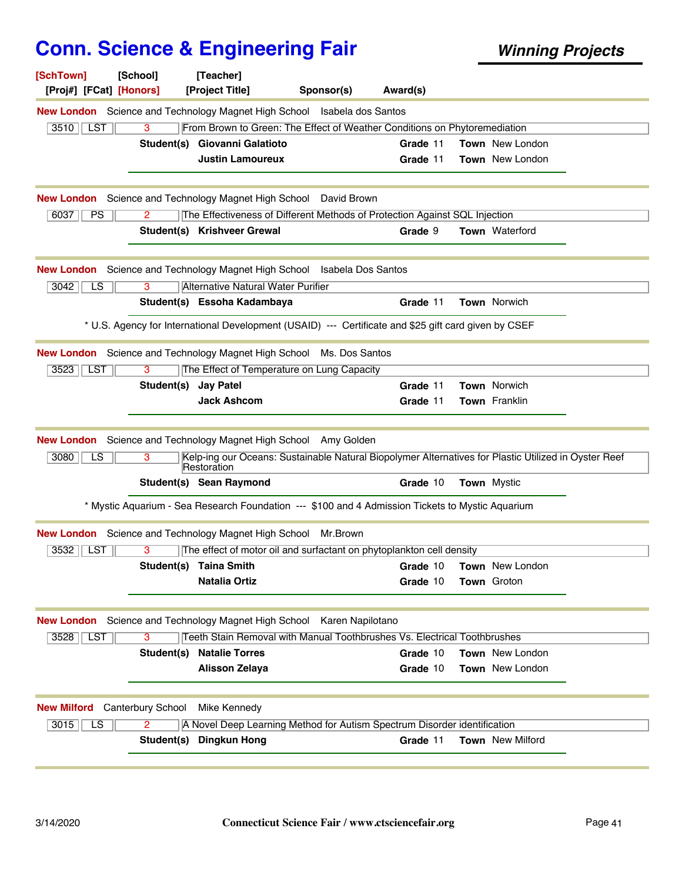| [SchTown]<br>[Proj#] [FCat] [Honors]              | [School]             | [Teacher]<br>[Project Title]                                                                                        | Sponsor(s) | Award(s) |                          |  |
|---------------------------------------------------|----------------------|---------------------------------------------------------------------------------------------------------------------|------------|----------|--------------------------|--|
|                                                   |                      | New London Science and Technology Magnet High School Isabela dos Santos                                             |            |          |                          |  |
| $3510$    LST                                     | 3                    | From Brown to Green: The Effect of Weather Conditions on Phytoremediation                                           |            |          |                          |  |
|                                                   | Student(s)           | Giovanni Galatioto                                                                                                  |            | Grade 11 | Town New London          |  |
|                                                   |                      | <b>Justin Lamoureux</b>                                                                                             |            | Grade 11 | Town New London          |  |
|                                                   |                      | <b>New London</b> Science and Technology Magnet High School David Brown                                             |            |          |                          |  |
| PS<br>6037                                        | 2                    | The Effectiveness of Different Methods of Protection Against SQL Injection                                          |            |          |                          |  |
|                                                   |                      | Student(s) Krishveer Grewal                                                                                         |            | Grade 9  | Town Waterford           |  |
|                                                   |                      | <b>New London</b> Science and Technology Magnet High School Isabela Dos Santos                                      |            |          |                          |  |
| 3042<br>LS                                        | 3                    | Alternative Natural Water Purifier                                                                                  |            |          |                          |  |
|                                                   |                      | Student(s) Essoha Kadambaya                                                                                         |            | Grade 11 | <b>Town Norwich</b>      |  |
|                                                   |                      | * U.S. Agency for International Development (USAID) --- Certificate and \$25 gift card given by CSEF                |            |          |                          |  |
|                                                   |                      | New London Science and Technology Magnet High School Ms. Dos Santos                                                 |            |          |                          |  |
| 3523<br>∣ LST                                     | 3                    | The Effect of Temperature on Lung Capacity                                                                          |            |          |                          |  |
|                                                   | Student(s) Jay Patel |                                                                                                                     |            | Grade 11 | Town Norwich             |  |
|                                                   |                      | <b>Jack Ashcom</b>                                                                                                  |            | Grade 11 | <b>Town</b> Franklin     |  |
|                                                   |                      | New London Science and Technology Magnet High School Amy Golden                                                     |            |          |                          |  |
| 3080<br>LS                                        | 3                    | Kelp-ing our Oceans: Sustainable Natural Biopolymer Alternatives for Plastic Utilized in Oyster Reef<br>Restoration |            |          |                          |  |
|                                                   |                      | Student(s) Sean Raymond                                                                                             |            | Grade 10 | <b>Town</b> Mystic       |  |
|                                                   |                      | * Mystic Aquarium - Sea Research Foundation --- \$100 and 4 Admission Tickets to Mystic Aquarium                    |            |          |                          |  |
|                                                   |                      | New London Science and Technology Magnet High School Mr. Brown                                                      |            |          |                          |  |
| 3532<br><b>LST</b>                                | 3                    | The effect of motor oil and surfactant on phytoplankton cell density                                                |            |          |                          |  |
|                                                   |                      | Student(s) Taina Smith                                                                                              |            |          | Grade 10 Town New London |  |
|                                                   |                      | <b>Natalia Ortiz</b>                                                                                                |            | Grade 10 | <b>Town Groton</b>       |  |
|                                                   |                      | New London Science and Technology Magnet High School Karen Napilotano                                               |            |          |                          |  |
| 3528   LST                                        | 3                    | Teeth Stain Removal with Manual Toothbrushes Vs. Electrical Toothbrushes                                            |            |          |                          |  |
|                                                   |                      | <b>Student(s) Natalie Torres</b>                                                                                    |            | Grade 10 | Town New London          |  |
|                                                   |                      | <b>Alisson Zelaya</b>                                                                                               |            | Grade 10 | Town New London          |  |
| <b>New Milford</b> Canterbury School Mike Kennedy |                      |                                                                                                                     |            |          |                          |  |
| 3015<br>LS                                        | $\overline{2}$       | A Novel Deep Learning Method for Autism Spectrum Disorder identification                                            |            |          |                          |  |
|                                                   |                      | Student(s) Dingkun Hong                                                                                             |            | Grade 11 | Town New Milford         |  |
|                                                   |                      |                                                                                                                     |            |          |                          |  |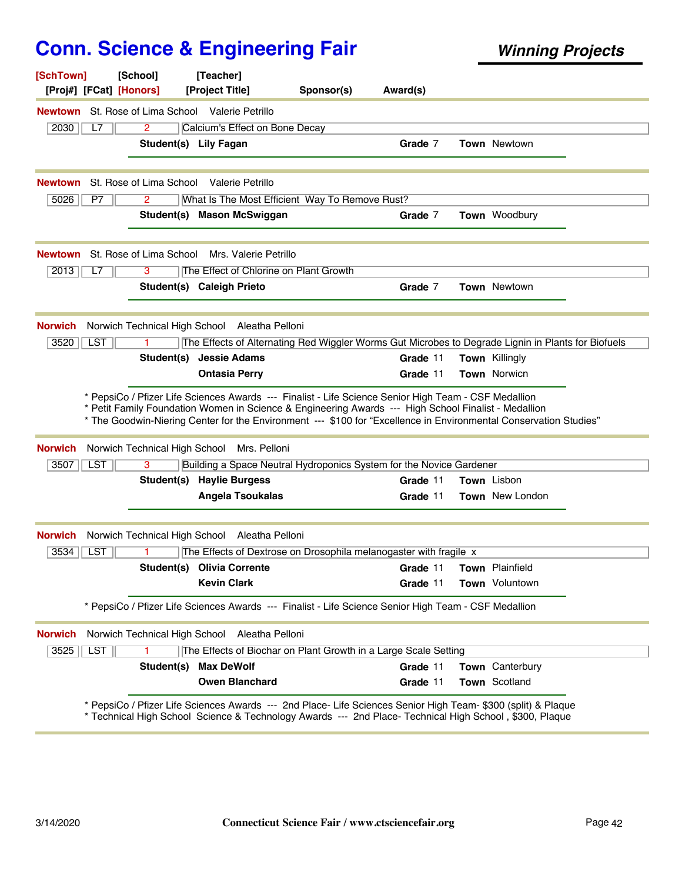| [SchTown]<br>[Proj#] [FCat] [Honors] | [School]                                                | [Teacher]<br>[Project Title]     | Sponsor(s)                                                                                                                                                                                                                | Award(s) |                        |  |
|--------------------------------------|---------------------------------------------------------|----------------------------------|---------------------------------------------------------------------------------------------------------------------------------------------------------------------------------------------------------------------------|----------|------------------------|--|
|                                      | <b>Newtown</b> St. Rose of Lima School Valerie Petrillo |                                  |                                                                                                                                                                                                                           |          |                        |  |
| 2030<br>L7                           | 2                                                       | Calcium's Effect on Bone Decay   |                                                                                                                                                                                                                           |          |                        |  |
|                                      |                                                         | Student(s) Lily Fagan            |                                                                                                                                                                                                                           | Grade 7  | <b>Town Newtown</b>    |  |
| <b>Newtown</b>                       | St. Rose of Lima School Valerie Petrillo                |                                  |                                                                                                                                                                                                                           |          |                        |  |
| 5026<br>P7                           | 2                                                       |                                  | What Is The Most Efficient Way To Remove Rust?                                                                                                                                                                            |          |                        |  |
|                                      |                                                         | Student(s) Mason McSwiggan       |                                                                                                                                                                                                                           | Grade 7  | Town Woodbury          |  |
| <b>Newtown</b>                       | St. Rose of Lima School Mrs. Valerie Petrillo           |                                  |                                                                                                                                                                                                                           |          |                        |  |
| 2013<br>L7                           | 3                                                       |                                  | The Effect of Chlorine on Plant Growth                                                                                                                                                                                    |          |                        |  |
|                                      |                                                         | Student(s) Caleigh Prieto        |                                                                                                                                                                                                                           | Grade 7  | <b>Town Newtown</b>    |  |
| <b>Norwich</b>                       | Norwich Technical High School Aleatha Pelloni           |                                  |                                                                                                                                                                                                                           |          |                        |  |
| 3520<br><b>LST</b>                   |                                                         |                                  | The Effects of Alternating Red Wiggler Worms Gut Microbes to Degrade Lignin in Plants for Biofuels                                                                                                                        |          |                        |  |
|                                      |                                                         | Student(s) Jessie Adams          |                                                                                                                                                                                                                           | Grade 11 | Town Killingly         |  |
|                                      |                                                         | <b>Ontasia Perry</b>             |                                                                                                                                                                                                                           | Grade 11 | <b>Town Norwicn</b>    |  |
| <b>Norwich</b>                       | Norwich Technical High School                           | Mrs. Pelloni                     | * Petit Family Foundation Women in Science & Engineering Awards --- High School Finalist - Medallion<br>* The Goodwin-Niering Center for the Environment --- \$100 for "Excellence in Environmental Conservation Studies" |          |                        |  |
| <b>LST</b><br>3507                   | 3                                                       |                                  | Building a Space Neutral Hydroponics System for the Novice Gardener                                                                                                                                                       |          |                        |  |
|                                      |                                                         | <b>Student(s) Haylie Burgess</b> |                                                                                                                                                                                                                           | Grade 11 | Town Lisbon            |  |
|                                      |                                                         | <b>Angela Tsoukalas</b>          |                                                                                                                                                                                                                           | Grade 11 | <b>Town</b> New London |  |
| <b>Norwich</b>                       | Norwich Technical High School                           | Aleatha Pelloni                  |                                                                                                                                                                                                                           |          |                        |  |
| 3534<br><b>LST</b>                   | 1.                                                      |                                  | The Effects of Dextrose on Drosophila melanogaster with fragile x                                                                                                                                                         |          |                        |  |
|                                      |                                                         | Student(s) Olivia Corrente       |                                                                                                                                                                                                                           | Grade 11 | Town Plainfield        |  |
|                                      |                                                         | <b>Kevin Clark</b>               |                                                                                                                                                                                                                           | Grade 11 | <b>Town</b> Voluntown  |  |
|                                      |                                                         |                                  | * PepsiCo / Pfizer Life Sciences Awards --- Finalist - Life Science Senior High Team - CSF Medallion                                                                                                                      |          |                        |  |
| <b>Norwich</b>                       | Norwich Technical High School                           | Aleatha Pelloni                  |                                                                                                                                                                                                                           |          |                        |  |
| <b>LST</b><br>3525                   |                                                         |                                  | The Effects of Biochar on Plant Growth in a Large Scale Setting                                                                                                                                                           |          |                        |  |
|                                      | Student(s)                                              | <b>Max DeWolf</b>                |                                                                                                                                                                                                                           | Grade 11 | Town Canterbury        |  |
|                                      |                                                         | <b>Owen Blanchard</b>            |                                                                                                                                                                                                                           | Grade 11 | Town Scotland          |  |
|                                      |                                                         |                                  | * PepsiCo / Pfizer Life Sciences Awards --- 2nd Place- Life Sciences Senior High Team- \$300 (split) & Plaque                                                                                                             |          |                        |  |
|                                      |                                                         |                                  | * Technical High School Science & Technology Awards --- 2nd Place- Technical High School, \$300, Plaque                                                                                                                   |          |                        |  |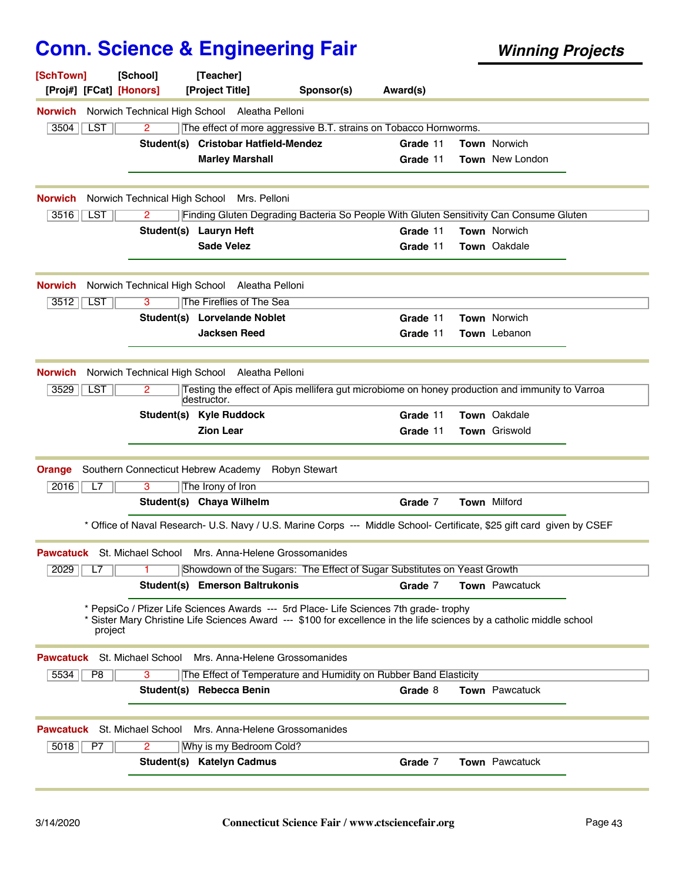| [SchTown]<br>[Proj#] [FCat] [Honors] | [School]                      | [Teacher]<br>[Project Title]                                                                                                                                                                                    | Sponsor(s)           | Award(s) |                     |  |
|--------------------------------------|-------------------------------|-----------------------------------------------------------------------------------------------------------------------------------------------------------------------------------------------------------------|----------------------|----------|---------------------|--|
| Norwich                              |                               | Norwich Technical High School Aleatha Pelloni                                                                                                                                                                   |                      |          |                     |  |
| 3504<br>LST                          | 2                             | The effect of more aggressive B.T. strains on Tobacco Hornworms.                                                                                                                                                |                      |          |                     |  |
|                                      | Student(s)                    | <b>Cristobar Hatfield-Mendez</b>                                                                                                                                                                                |                      | Grade 11 | Town Norwich        |  |
|                                      |                               | <b>Marley Marshall</b>                                                                                                                                                                                          |                      | Grade 11 | Town New London     |  |
| <b>Norwich</b>                       | Norwich Technical High School | Mrs. Pelloni                                                                                                                                                                                                    |                      |          |                     |  |
| <b>LST</b><br>3516                   | 2                             | Finding Gluten Degrading Bacteria So People With Gluten Sensitivity Can Consume Gluten                                                                                                                          |                      |          |                     |  |
|                                      |                               | Student(s) Lauryn Heft                                                                                                                                                                                          |                      | Grade 11 | <b>Town Norwich</b> |  |
|                                      |                               | <b>Sade Velez</b>                                                                                                                                                                                               |                      | Grade 11 | Town Oakdale        |  |
| Norwich                              |                               | Norwich Technical High School Aleatha Pelloni                                                                                                                                                                   |                      |          |                     |  |
| 3512<br>LST                          | 3                             | The Fireflies of The Sea                                                                                                                                                                                        |                      |          |                     |  |
|                                      |                               | Student(s) Lorvelande Noblet                                                                                                                                                                                    |                      | Grade 11 | Town Norwich        |  |
|                                      |                               | <b>Jacksen Reed</b>                                                                                                                                                                                             |                      | Grade 11 | Town Lebanon        |  |
| <b>Norwich</b>                       | Norwich Technical High School | Aleatha Pelloni                                                                                                                                                                                                 |                      |          |                     |  |
| <b>LST</b><br>3529                   | 2                             | Testing the effect of Apis mellifera gut microbiome on honey production and immunity to Varroa<br>destructor.                                                                                                   |                      |          |                     |  |
|                                      |                               | Student(s) Kyle Ruddock                                                                                                                                                                                         |                      | Grade 11 | Town Oakdale        |  |
|                                      |                               | <b>Zion Lear</b>                                                                                                                                                                                                |                      | Grade 11 | Town Griswold       |  |
| Orange<br>2016<br>L7                 | 3                             | Southern Connecticut Hebrew Academy<br>The Irony of Iron                                                                                                                                                        | <b>Robyn Stewart</b> |          |                     |  |
|                                      |                               | Student(s) Chaya Wilhelm                                                                                                                                                                                        |                      | Grade 7  | <b>Town Milford</b> |  |
|                                      |                               | * Office of Naval Research- U.S. Navy / U.S. Marine Corps --- Middle School- Certificate, \$25 gift card given by CSEF                                                                                          |                      |          |                     |  |
|                                      |                               | <b>Pawcatuck</b> St. Michael School Mrs. Anna-Helene Grossomanides                                                                                                                                              |                      |          |                     |  |
| $2029$ $L7$                          |                               | Showdown of the Sugars: The Effect of Sugar Substitutes on Yeast Growth                                                                                                                                         |                      |          |                     |  |
|                                      |                               | Student(s) Emerson Baltrukonis                                                                                                                                                                                  |                      | Grade 7  | Town Pawcatuck      |  |
| project                              |                               | * PepsiCo / Pfizer Life Sciences Awards --- 5rd Place- Life Sciences 7th grade- trophy<br>* Sister Mary Christine Life Sciences Award --- \$100 for excellence in the life sciences by a catholic middle school |                      |          |                     |  |
| Pawcatuck                            | St. Michael School            | Mrs. Anna-Helene Grossomanides                                                                                                                                                                                  |                      |          |                     |  |
| 5534<br>P <sub>8</sub>               | 3                             | The Effect of Temperature and Humidity on Rubber Band Elasticity                                                                                                                                                |                      |          |                     |  |
|                                      |                               | Student(s) Rebecca Benin                                                                                                                                                                                        |                      | Grade 8  | Town Pawcatuck      |  |
| Pawcatuck                            | St. Michael School            | Mrs. Anna-Helene Grossomanides                                                                                                                                                                                  |                      |          |                     |  |
| 5018<br>P7                           | $\overline{2}$                | Why is my Bedroom Cold?                                                                                                                                                                                         |                      |          |                     |  |
|                                      |                               | Student(s) Katelyn Cadmus                                                                                                                                                                                       |                      | Grade 7  | Town Pawcatuck      |  |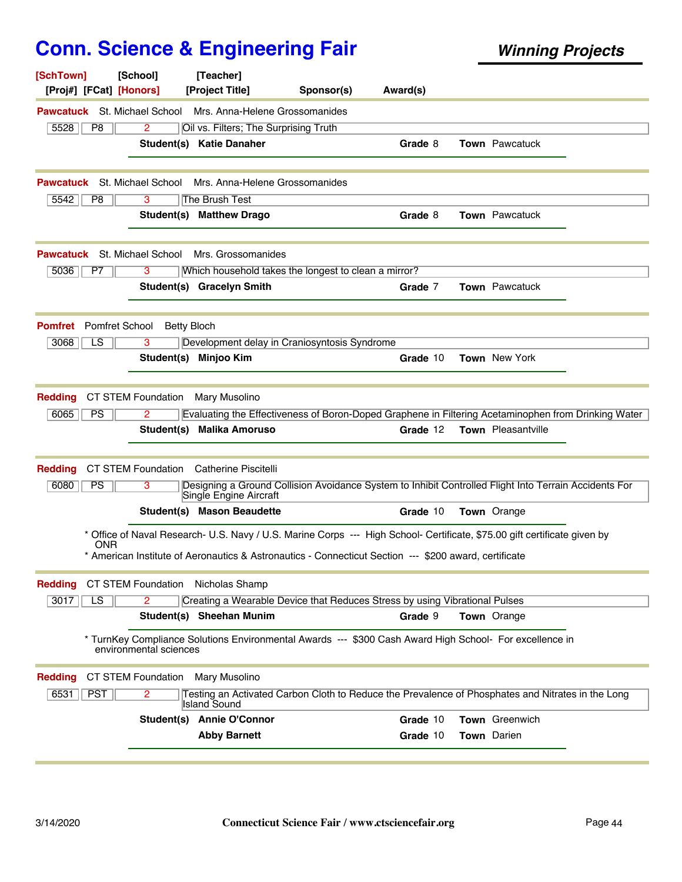| [SchTown]<br>[Proj#] [FCat] [Honors]    | [School]               | [Teacher]<br>[Project Title]                                                                                                                                                                                                       | Sponsor(s) | Award(s) |                       |  |
|-----------------------------------------|------------------------|------------------------------------------------------------------------------------------------------------------------------------------------------------------------------------------------------------------------------------|------------|----------|-----------------------|--|
| <b>Pawcatuck</b> St. Michael School     |                        | Mrs. Anna-Helene Grossomanides                                                                                                                                                                                                     |            |          |                       |  |
| 5528<br>P <sub>8</sub>                  | 2                      | Oil vs. Filters; The Surprising Truth                                                                                                                                                                                              |            |          |                       |  |
|                                         |                        | Student(s) Katie Danaher                                                                                                                                                                                                           |            | Grade 8  | <b>Town</b> Pawcatuck |  |
| Pawcatuck                               | St. Michael School     | Mrs. Anna-Helene Grossomanides                                                                                                                                                                                                     |            |          |                       |  |
| 5542<br>P8                              | 3                      | The Brush Test                                                                                                                                                                                                                     |            |          |                       |  |
|                                         | Student(s)             | <b>Matthew Drago</b>                                                                                                                                                                                                               |            | Grade 8  | <b>Town</b> Pawcatuck |  |
| Pawcatuck                               | St. Michael School     | Mrs. Grossomanides                                                                                                                                                                                                                 |            |          |                       |  |
| 5036<br>P7                              | 3                      | Which household takes the longest to clean a mirror?                                                                                                                                                                               |            |          |                       |  |
|                                         |                        | Student(s) Gracelyn Smith                                                                                                                                                                                                          |            | Grade 7  | Town Pawcatuck        |  |
| <b>Pomfret School</b><br><b>Pomfret</b> | <b>Betty Bloch</b>     |                                                                                                                                                                                                                                    |            |          |                       |  |
| LS<br>3068                              | 3                      | Development delay in Craniosyntosis Syndrome                                                                                                                                                                                       |            |          |                       |  |
|                                         |                        | Student(s) Minjoo Kim                                                                                                                                                                                                              |            | Grade 10 | <b>Town</b> New York  |  |
| <b>Redding</b>                          | CT STEM Foundation     | Mary Musolino                                                                                                                                                                                                                      |            |          |                       |  |
| <b>PS</b><br>6065                       | 2                      | Evaluating the Effectiveness of Boron-Doped Graphene in Filtering Acetaminophen from Drinking Water                                                                                                                                |            |          |                       |  |
|                                         | Student(s)             | <b>Malika Amoruso</b>                                                                                                                                                                                                              |            | Grade 12 | Town Pleasantville    |  |
| <b>Redding</b>                          | CT STEM Foundation     | <b>Catherine Piscitelli</b>                                                                                                                                                                                                        |            |          |                       |  |
| 6080<br><b>PS</b>                       | 3                      | Designing a Ground Collision Avoidance System to Inhibit Controlled Flight Into Terrain Accidents For<br>Single Engine Aircraft                                                                                                    |            |          |                       |  |
|                                         |                        | Student(s) Mason Beaudette                                                                                                                                                                                                         |            | Grade 10 | <b>Town</b> Orange    |  |
| ONR                                     |                        | * Office of Naval Research- U.S. Navy / U.S. Marine Corps --- High School- Certificate, \$75.00 gift certificate given by<br>* American Institute of Aeronautics & Astronautics - Connecticut Section --- \$200 award, certificate |            |          |                       |  |
| <b>Redding</b>                          | CT STEM Foundation     | Nicholas Shamp                                                                                                                                                                                                                     |            |          |                       |  |
| 3017<br>$\overline{LS}$                 | 2                      | Creating a Wearable Device that Reduces Stress by using Vibrational Pulses                                                                                                                                                         |            |          |                       |  |
|                                         |                        | Student(s) Sheehan Munim                                                                                                                                                                                                           |            | Grade 9  | <b>Town</b> Orange    |  |
|                                         | environmental sciences | * TurnKey Compliance Solutions Environmental Awards --- \$300 Cash Award High School- For excellence in                                                                                                                            |            |          |                       |  |
| <b>Redding</b>                          | CT STEM Foundation     | Mary Musolino                                                                                                                                                                                                                      |            |          |                       |  |
| 6531<br><b>PST</b>                      | 2                      | Testing an Activated Carbon Cloth to Reduce the Prevalence of Phosphates and Nitrates in the Long<br><b>Island Sound</b>                                                                                                           |            |          |                       |  |
|                                         |                        | Student(s) Annie O'Connor                                                                                                                                                                                                          |            | Grade 10 | Town Greenwich        |  |
|                                         |                        | <b>Abby Barnett</b>                                                                                                                                                                                                                |            | Grade 10 | <b>Town</b> Darien    |  |
|                                         |                        |                                                                                                                                                                                                                                    |            |          |                       |  |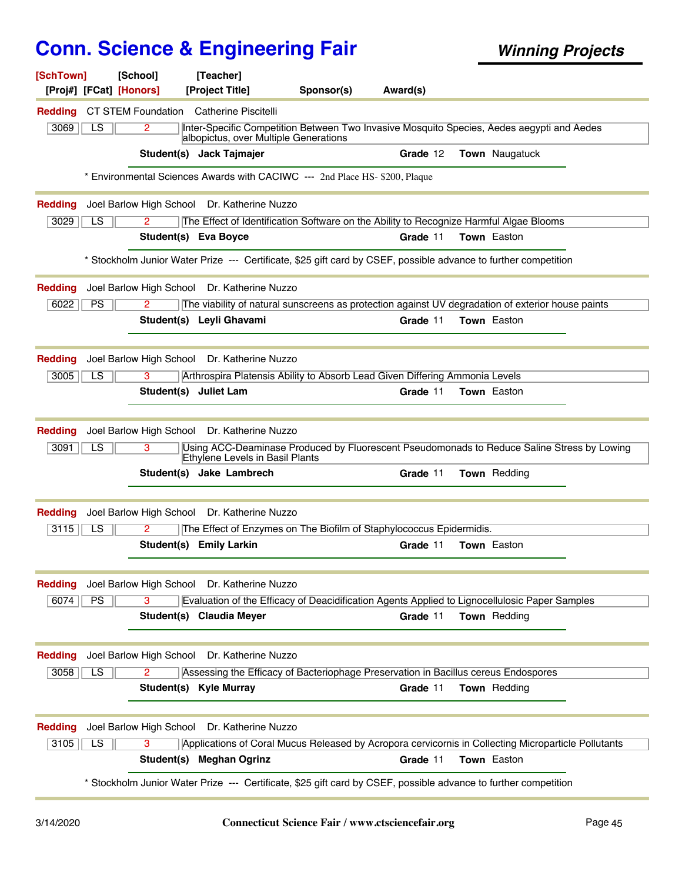| [SchTown]                                                                                                       | [School]                | [Teacher]                                                                                                                          |            |          |                    |  |  |  |  |
|-----------------------------------------------------------------------------------------------------------------|-------------------------|------------------------------------------------------------------------------------------------------------------------------------|------------|----------|--------------------|--|--|--|--|
| [Proj#] [FCat] [Honors]                                                                                         |                         | [Project Title]                                                                                                                    | Sponsor(s) | Award(s) |                    |  |  |  |  |
| <b>Redding</b>                                                                                                  | CT STEM Foundation      | Catherine Piscitelli                                                                                                               |            |          |                    |  |  |  |  |
| 3069<br>LS                                                                                                      | $\overline{2}$          | Inter-Specific Competition Between Two Invasive Mosquito Species, Aedes aegypti and Aedes<br>albopictus, over Multiple Generations |            |          |                    |  |  |  |  |
|                                                                                                                 |                         | Student(s) Jack Tajmajer                                                                                                           |            | Grade 12 | Town Naugatuck     |  |  |  |  |
|                                                                                                                 |                         | * Environmental Sciences Awards with CACIWC --- 2nd Place HS- \$200, Plaque                                                        |            |          |                    |  |  |  |  |
| <b>Redding</b>                                                                                                  | Joel Barlow High School | Dr. Katherine Nuzzo                                                                                                                |            |          |                    |  |  |  |  |
| 3029<br>LS                                                                                                      | $\overline{2}$          | The Effect of Identification Software on the Ability to Recognize Harmful Algae Blooms                                             |            |          |                    |  |  |  |  |
|                                                                                                                 |                         | Student(s) Eva Boyce                                                                                                               |            | Grade 11 | <b>Town Easton</b> |  |  |  |  |
| * Stockholm Junior Water Prize --- Certificate, \$25 gift card by CSEF, possible advance to further competition |                         |                                                                                                                                    |            |          |                    |  |  |  |  |
| <b>Redding</b>                                                                                                  | Joel Barlow High School | Dr. Katherine Nuzzo                                                                                                                |            |          |                    |  |  |  |  |
| 6022<br>PS                                                                                                      | 2                       | The viability of natural sunscreens as protection against UV degradation of exterior house paints                                  |            |          |                    |  |  |  |  |
|                                                                                                                 |                         | Student(s) Leyli Ghavami                                                                                                           |            | Grade 11 | <b>Town</b> Easton |  |  |  |  |
| <b>Redding</b>                                                                                                  | Joel Barlow High School | Dr. Katherine Nuzzo                                                                                                                |            |          |                    |  |  |  |  |
| 3005<br>LS.                                                                                                     | 3                       | Arthrospira Platensis Ability to Absorb Lead Given Differing Ammonia Levels                                                        |            |          |                    |  |  |  |  |
|                                                                                                                 | Student(s)              | <b>Juliet Lam</b>                                                                                                                  |            | Grade 11 | <b>Town</b> Easton |  |  |  |  |
|                                                                                                                 |                         |                                                                                                                                    |            |          |                    |  |  |  |  |
| <b>Redding</b>                                                                                                  |                         | Joel Barlow High School Dr. Katherine Nuzzo                                                                                        |            |          |                    |  |  |  |  |
| LS<br>3091                                                                                                      | $\overline{3}$          | Using ACC-Deaminase Produced by Fluorescent Pseudomonads to Reduce Saline Stress by Lowing<br>Ethylene Levels in Basil Plants      |            |          |                    |  |  |  |  |
|                                                                                                                 |                         | Student(s) Jake Lambrech                                                                                                           |            | Grade 11 | Town Redding       |  |  |  |  |
| <b>Redding</b>                                                                                                  | Joel Barlow High School | Dr. Katherine Nuzzo                                                                                                                |            |          |                    |  |  |  |  |
| 3115<br>LS                                                                                                      | $\mathbf{2}$            | The Effect of Enzymes on The Biofilm of Staphylococcus Epidermidis.                                                                |            |          |                    |  |  |  |  |
|                                                                                                                 |                         | Student(s) Emily Larkin                                                                                                            |            | Grade 11 | <b>Town</b> Easton |  |  |  |  |
| <b>Redding</b>                                                                                                  | Joel Barlow High School | Dr. Katherine Nuzzo                                                                                                                |            |          |                    |  |  |  |  |
| 6074<br>PS                                                                                                      | $\overline{3}$          | Evaluation of the Efficacy of Deacidification Agents Applied to Lignocellulosic Paper Samples                                      |            |          |                    |  |  |  |  |
|                                                                                                                 |                         | Student(s) Claudia Meyer                                                                                                           |            | Grade 11 | Town Redding       |  |  |  |  |
|                                                                                                                 |                         |                                                                                                                                    |            |          |                    |  |  |  |  |
| <b>Redding</b>                                                                                                  | Joel Barlow High School | Dr. Katherine Nuzzo                                                                                                                |            |          |                    |  |  |  |  |
| 3058<br>LS                                                                                                      | 2                       | Assessing the Efficacy of Bacteriophage Preservation in Bacillus cereus Endospores                                                 |            |          |                    |  |  |  |  |
|                                                                                                                 |                         | Student(s) Kyle Murray                                                                                                             |            | Grade 11 | Town Redding       |  |  |  |  |
| <b>Redding</b>                                                                                                  | Joel Barlow High School | Dr. Katherine Nuzzo                                                                                                                |            |          |                    |  |  |  |  |
| 3105<br>LS                                                                                                      | $\overline{3}$          | Applications of Coral Mucus Released by Acropora cervicornis in Collecting Microparticle Pollutants                                |            |          |                    |  |  |  |  |
|                                                                                                                 |                         | Student(s) Meghan Ogrinz                                                                                                           |            | Grade 11 | Town Easton        |  |  |  |  |
|                                                                                                                 |                         | * Stockholm Junior Water Prize --- Certificate, \$25 gift card by CSEF, possible advance to further competition                    |            |          |                    |  |  |  |  |
|                                                                                                                 |                         |                                                                                                                                    |            |          |                    |  |  |  |  |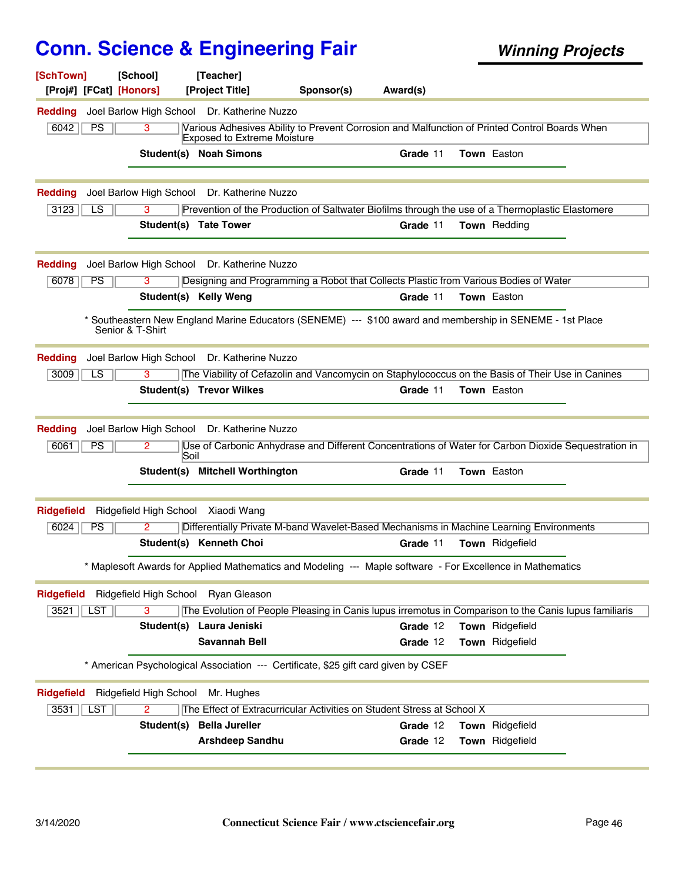| [SchTown]         | [Proj#] [FCat] [Honors] | [School]               | [Teacher]<br>[Project Title]                    | Sponsor(s)                                                                                                 | Award(s)             |                                    |  |
|-------------------|-------------------------|------------------------|-------------------------------------------------|------------------------------------------------------------------------------------------------------------|----------------------|------------------------------------|--|
| <b>Redding</b>    |                         |                        | Joel Barlow High School Dr. Katherine Nuzzo     |                                                                                                            |                      |                                    |  |
| 6042              | PS                      | $\overline{3}$         | <b>Exposed to Extreme Moisture</b>              | Various Adhesives Ability to Prevent Corrosion and Malfunction of Printed Control Boards When              |                      |                                    |  |
|                   |                         |                        | <b>Student(s) Noah Simons</b>                   |                                                                                                            | Grade 11             | <b>Town</b> Easton                 |  |
| <b>Redding</b>    |                         |                        | Joel Barlow High School Dr. Katherine Nuzzo     |                                                                                                            |                      |                                    |  |
| 3123              | LS                      | 3                      |                                                 | Prevention of the Production of Saltwater Biofilms through the use of a Thermoplastic Elastomere           |                      |                                    |  |
|                   |                         | Student(s) Tate Tower  |                                                 |                                                                                                            | Grade 11             | <b>Town</b> Redding                |  |
| <b>Redding</b>    |                         |                        | Joel Barlow High School Dr. Katherine Nuzzo     |                                                                                                            |                      |                                    |  |
| 6078              | <b>PS</b>               | 3                      |                                                 | Designing and Programming a Robot that Collects Plastic from Various Bodies of Water                       |                      |                                    |  |
|                   |                         |                        | Student(s) Kelly Weng                           |                                                                                                            | Grade 11             | <b>Town</b> Easton                 |  |
|                   | Senior & T-Shirt        |                        |                                                 | * Southeastern New England Marine Educators (SENEME) --- \$100 award and membership in SENEME - 1st Place  |                      |                                    |  |
| <b>Redding</b>    |                         |                        | Joel Barlow High School Dr. Katherine Nuzzo     |                                                                                                            |                      |                                    |  |
| 3009              | LS.                     | 3                      |                                                 | The Viability of Cefazolin and Vancomycin on Staphylococcus on the Basis of Their Use in Canines           |                      |                                    |  |
|                   |                         |                        | Student(s) Trevor Wilkes                        |                                                                                                            | Grade 11             | <b>Town Easton</b>                 |  |
| <b>Redding</b>    |                         |                        | Joel Barlow High School Dr. Katherine Nuzzo     |                                                                                                            |                      |                                    |  |
| 6061              | PS                      | 2<br>Soil              |                                                 | Use of Carbonic Anhydrase and Different Concentrations of Water for Carbon Dioxide Sequestration in        |                      |                                    |  |
|                   |                         |                        | Student(s) Mitchell Worthington                 |                                                                                                            | Grade 11             | Town Easton                        |  |
| <b>Ridgefield</b> |                         |                        | Ridgefield High School Xiaodi Wang              |                                                                                                            |                      |                                    |  |
| 6024              | PS                      | 2                      |                                                 | Differentially Private M-band Wavelet-Based Mechanisms in Machine Learning Environments                    |                      |                                    |  |
|                   |                         |                        | Student(s) Kenneth Choi                         |                                                                                                            | Grade 11             | <b>Town</b> Ridgefield             |  |
|                   |                         |                        |                                                 | * Maplesoft Awards for Applied Mathematics and Modeling --- Maple software - For Excellence in Mathematics |                      |                                    |  |
| <b>Ridgefield</b> |                         |                        | Ridgefield High School Ryan Gleason             |                                                                                                            |                      |                                    |  |
| 3521              | LST                     | 3                      |                                                 | The Evolution of People Pleasing in Canis lupus irremotus in Comparison to the Canis lupus familiaris      |                      |                                    |  |
|                   |                         |                        | Student(s) Laura Jeniski                        |                                                                                                            | Grade 12             | Town Ridgefield                    |  |
|                   |                         |                        | <b>Savannah Bell</b>                            |                                                                                                            | Grade 12             | Town Ridgefield                    |  |
|                   |                         |                        |                                                 | * American Psychological Association --- Certificate, \$25 gift card given by CSEF                         |                      |                                    |  |
| <b>Ridgefield</b> |                         | Ridgefield High School | Mr. Hughes                                      |                                                                                                            |                      |                                    |  |
| 3531              | <b>LST</b>              | $\overline{2}$         |                                                 | The Effect of Extracurricular Activities on Student Stress at School X                                     |                      |                                    |  |
|                   |                         | Student(s)             | <b>Bella Jureller</b><br><b>Arshdeep Sandhu</b> |                                                                                                            | Grade 12<br>Grade 12 | Town Ridgefield<br>Town Ridgefield |  |
|                   |                         |                        |                                                 |                                                                                                            |                      |                                    |  |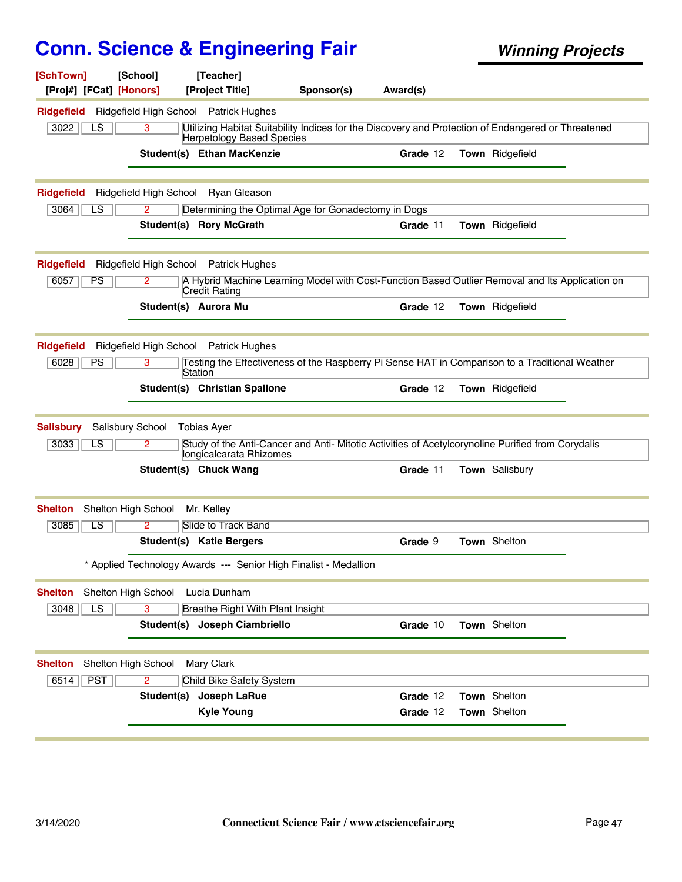| [SchTown]<br>[Proj#] [FCat] [Honors] | [School]             | [Teacher]<br>[Project Title]             | Sponsor(s)                                                                                         | Award(s) |                 |  |
|--------------------------------------|----------------------|------------------------------------------|----------------------------------------------------------------------------------------------------|----------|-----------------|--|
| <b>Ridgefield</b>                    |                      | Ridgefield High School Patrick Hughes    |                                                                                                    |          |                 |  |
| 3022<br>LS                           | 3                    | Herpetology Based Species                | Utilizing Habitat Suitability Indices for the Discovery and Protection of Endangered or Threatened |          |                 |  |
|                                      |                      | Student(s) Ethan MacKenzie               |                                                                                                    | Grade 12 | Town Ridgefield |  |
| <b>Ridgefield</b>                    |                      | Ridgefield High School Ryan Gleason      |                                                                                                    |          |                 |  |
| 3064<br>LS                           | 2                    |                                          | Determining the Optimal Age for Gonadectomy in Dogs                                                |          |                 |  |
|                                      |                      | Student(s) Rory McGrath                  |                                                                                                    | Grade 11 | Town Ridgefield |  |
| <b>Ridgefield</b>                    |                      | Ridgefield High School Patrick Hughes    |                                                                                                    |          |                 |  |
| 6057<br><b>PS</b>                    | 2                    | Credit Rating                            | A Hybrid Machine Learning Model with Cost-Function Based Outlier Removal and Its Application on    |          |                 |  |
|                                      | Student(s) Aurora Mu |                                          |                                                                                                    | Grade 12 | Town Ridgefield |  |
| <b>RIdgefield</b>                    |                      | Ridgefield High School Patrick Hughes    |                                                                                                    |          |                 |  |
| 6028<br><b>PS</b>                    | 3                    |                                          | Testing the Effectiveness of the Raspberry Pi Sense HAT in Comparison to a Traditional Weather     |          |                 |  |
|                                      |                      | Station<br>Student(s) Christian Spallone |                                                                                                    | Grade 12 | Town Ridgefield |  |
| <b>Salisbury</b>                     | Salisbury School     | <b>Tobias Ayer</b>                       |                                                                                                    |          |                 |  |
| 3033<br>$\overline{\text{LS}}$       | 2                    | longicalcarata Rhizomes                  | Study of the Anti-Cancer and Anti- Mitotic Activities of Acetylcorynoline Purified from Corydalis  |          |                 |  |
|                                      |                      | Student(s) Chuck Wang                    |                                                                                                    | Grade 11 | Town Salisbury  |  |
| <b>Shelton</b>                       | Shelton High School  | Mr. Kelley                               |                                                                                                    |          |                 |  |
| $\overline{\text{LS}}$<br>3085       | 2                    | Slide to Track Band                      |                                                                                                    |          |                 |  |
|                                      |                      | Student(s) Katie Bergers                 |                                                                                                    | Grade 9  | Town Shelton    |  |
|                                      |                      |                                          | * Applied Technology Awards --- Senior High Finalist - Medallion                                   |          |                 |  |
| <b>Shelton</b>                       | Shelton High School  | Lucia Dunham                             |                                                                                                    |          |                 |  |
| 3048<br>$\overline{LS}$              | 3                    | <b>Breathe Right With Plant Insight</b>  |                                                                                                    |          |                 |  |
|                                      |                      | Student(s) Joseph Ciambriello            |                                                                                                    | Grade 10 | Town Shelton    |  |
| <b>Shelton</b>                       | Shelton High School  | Mary Clark                               |                                                                                                    |          |                 |  |
| <b>PST</b><br>6514                   | $\overline{2}$       | Child Bike Safety System                 |                                                                                                    |          |                 |  |
|                                      | Student(s)           | Joseph LaRue                             |                                                                                                    | Grade 12 | Town Shelton    |  |
|                                      |                      | <b>Kyle Young</b>                        |                                                                                                    | Grade 12 | Town Shelton    |  |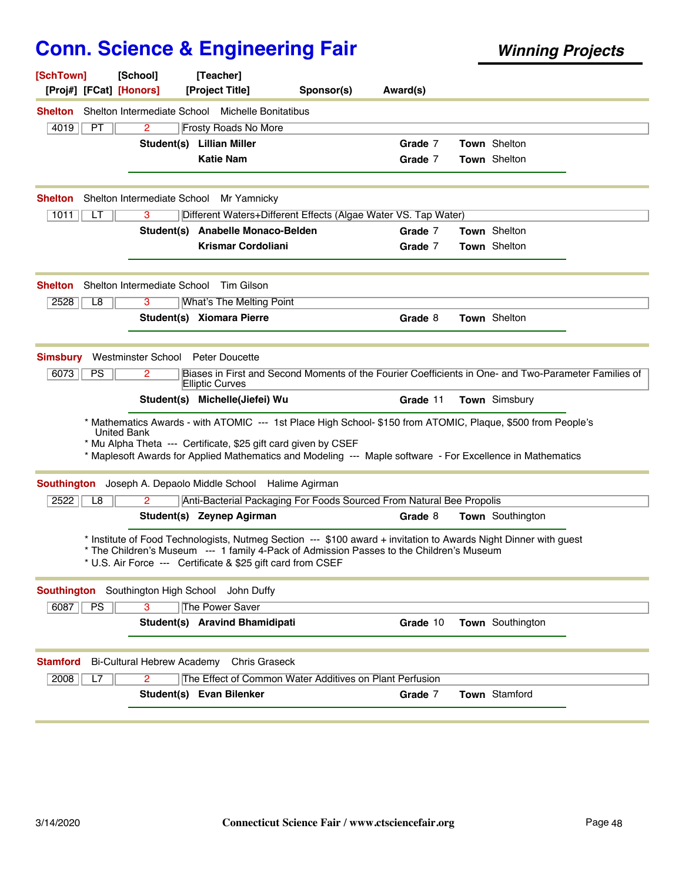| [SchTown]<br>[Proj#] [FCat] [Honors]           | [School]                          | [Teacher]<br>[Project Title]                                                                                                                            | Sponsor(s) | Award(s) |                                                                                                                                                                                                                            |
|------------------------------------------------|-----------------------------------|---------------------------------------------------------------------------------------------------------------------------------------------------------|------------|----------|----------------------------------------------------------------------------------------------------------------------------------------------------------------------------------------------------------------------------|
|                                                |                                   | <b>Shelton</b> Shelton Intermediate School Michelle Bonitatibus                                                                                         |            |          |                                                                                                                                                                                                                            |
| 4019<br>PT.                                    | 2                                 | <b>Frosty Roads No More</b>                                                                                                                             |            |          |                                                                                                                                                                                                                            |
|                                                |                                   | Student(s) Lillian Miller                                                                                                                               |            | Grade 7  | Town Shelton                                                                                                                                                                                                               |
|                                                |                                   | <b>Katie Nam</b>                                                                                                                                        |            | Grade 7  | Town Shelton                                                                                                                                                                                                               |
|                                                |                                   |                                                                                                                                                         |            |          |                                                                                                                                                                                                                            |
| <b>Shelton</b>                                 |                                   | Shelton Intermediate School Mr Yamnicky                                                                                                                 |            |          |                                                                                                                                                                                                                            |
| 1011<br>LT                                     | 3                                 | Different Waters+Different Effects (Algae Water VS. Tap Water)                                                                                          |            |          |                                                                                                                                                                                                                            |
|                                                |                                   | Student(s) Anabelle Monaco-Belden                                                                                                                       |            | Grade 7  | <b>Town Shelton</b>                                                                                                                                                                                                        |
|                                                |                                   | <b>Krismar Cordoliani</b>                                                                                                                               |            | Grade 7  | Town Shelton                                                                                                                                                                                                               |
| Shelton                                        |                                   | Shelton Intermediate School Tim Gilson                                                                                                                  |            |          |                                                                                                                                                                                                                            |
| 2528<br>L8                                     | 3                                 | <b>What's The Melting Point</b>                                                                                                                         |            |          |                                                                                                                                                                                                                            |
|                                                |                                   | Student(s) Xiomara Pierre                                                                                                                               |            | Grade 8  | Town Shelton                                                                                                                                                                                                               |
| <b>Simsbury</b>                                | Westminster School Peter Doucette |                                                                                                                                                         |            |          |                                                                                                                                                                                                                            |
| 6073<br><b>PS</b>                              | 2                                 |                                                                                                                                                         |            |          | Biases in First and Second Moments of the Fourier Coefficients in One- and Two-Parameter Families of                                                                                                                       |
|                                                |                                   | <b>Elliptic Curves</b><br>Student(s) Michelle(Jiefei) Wu                                                                                                |            | Grade 11 | Town Simsbury                                                                                                                                                                                                              |
| <b>United Bank</b>                             |                                   | * Mu Alpha Theta --- Certificate, \$25 gift card given by CSEF                                                                                          |            |          | * Mathematics Awards - with ATOMIC --- 1st Place High School- \$150 from ATOMIC, Plaque, \$500 from People's<br>* Maplesoft Awards for Applied Mathematics and Modeling --- Maple software - For Excellence in Mathematics |
|                                                |                                   | Southington Joseph A. Depaolo Middle School Halime Agirman                                                                                              |            |          |                                                                                                                                                                                                                            |
| 2522<br>L8                                     | $\mathbf{2}^{\circ}$              | Anti-Bacterial Packaging For Foods Sourced From Natural Bee Propolis                                                                                    |            |          |                                                                                                                                                                                                                            |
|                                                |                                   | Student(s) Zeynep Agirman                                                                                                                               |            | Grade 8  | Town Southington                                                                                                                                                                                                           |
|                                                |                                   | * The Children's Museum --- 1 family 4-Pack of Admission Passes to the Children's Museum<br>* U.S. Air Force --- Certificate & \$25 gift card from CSEF |            |          | * Institute of Food Technologists, Nutmeg Section --- \$100 award + invitation to Awards Night Dinner with guest                                                                                                           |
| Southington Southington High School John Duffy |                                   |                                                                                                                                                         |            |          |                                                                                                                                                                                                                            |
| 6087<br>PS                                     | $\overline{\mathbf{3}}$           | <b>The Power Saver</b>                                                                                                                                  |            |          |                                                                                                                                                                                                                            |
|                                                |                                   | Student(s) Aravind Bhamidipati                                                                                                                          |            | Grade 10 | Town Southington                                                                                                                                                                                                           |
| <b>Stamford</b>                                | Bi-Cultural Hebrew Academy        | <b>Chris Graseck</b>                                                                                                                                    |            |          |                                                                                                                                                                                                                            |
| 2008<br>L7                                     | $\overline{2}$                    | The Effect of Common Water Additives on Plant Perfusion                                                                                                 |            |          |                                                                                                                                                                                                                            |
|                                                |                                   | Student(s) Evan Bilenker                                                                                                                                |            | Grade 7  | Town Stamford                                                                                                                                                                                                              |
|                                                |                                   |                                                                                                                                                         |            |          |                                                                                                                                                                                                                            |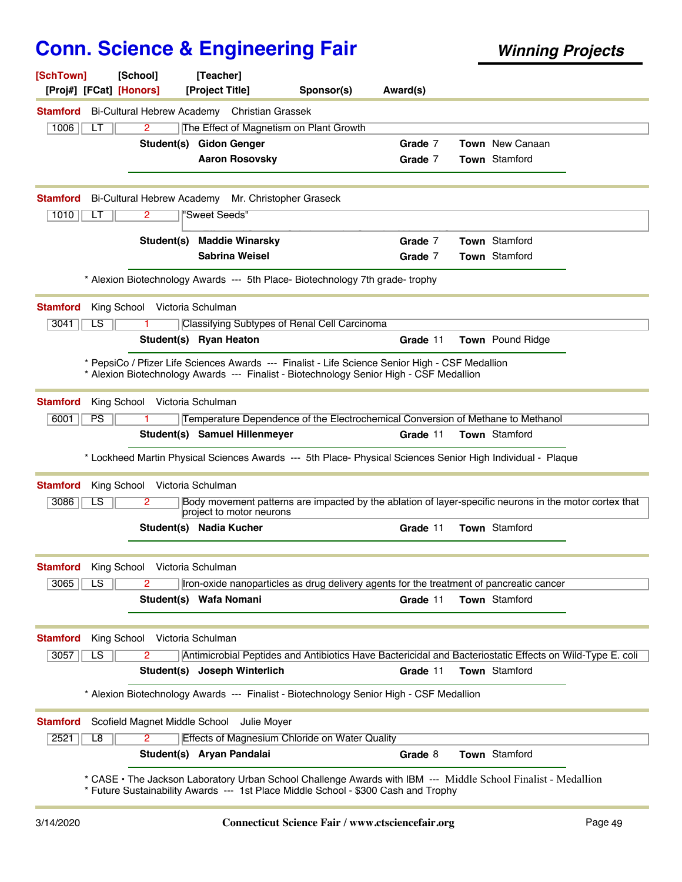| [SchTown]               | [School]<br>[Proj#] [FCat] [Honors] |            | [Teacher]<br>[Project Title]                 | Sponsor(s)                                                                                                                                                                                 | Award(s) |                                                                                                               |
|-------------------------|-------------------------------------|------------|----------------------------------------------|--------------------------------------------------------------------------------------------------------------------------------------------------------------------------------------------|----------|---------------------------------------------------------------------------------------------------------------|
| <b>Stamford</b>         |                                     |            | Bi-Cultural Hebrew Academy Christian Grassek |                                                                                                                                                                                            |          |                                                                                                               |
| 1006                    | LТ                                  | 2          |                                              | The Effect of Magnetism on Plant Growth                                                                                                                                                    |          |                                                                                                               |
|                         |                                     | Student(s) | <b>Gidon Genger</b>                          |                                                                                                                                                                                            | Grade 7  | <b>Town</b> New Canaan                                                                                        |
|                         |                                     |            | <b>Aaron Rosovsky</b>                        |                                                                                                                                                                                            | Grade 7  | Town Stamford                                                                                                 |
|                         |                                     |            |                                              |                                                                                                                                                                                            |          |                                                                                                               |
| <b>Stamford</b><br>1010 | Bi-Cultural Hebrew Academy<br>LT    | 2          | "Sweet Seeds"                                | Mr. Christopher Graseck                                                                                                                                                                    |          |                                                                                                               |
|                         |                                     |            |                                              |                                                                                                                                                                                            |          |                                                                                                               |
|                         |                                     | Student(s) | <b>Maddie Winarsky</b>                       |                                                                                                                                                                                            | Grade 7  | Town Stamford                                                                                                 |
|                         |                                     |            | <b>Sabrina Weisel</b>                        |                                                                                                                                                                                            | Grade 7  | Town Stamford                                                                                                 |
|                         |                                     |            |                                              | * Alexion Biotechnology Awards --- 5th Place- Biotechnology 7th grade-trophy                                                                                                               |          |                                                                                                               |
| <b>Stamford</b>         | King School Victoria Schulman       |            |                                              |                                                                                                                                                                                            |          |                                                                                                               |
| 3041                    | LS                                  |            |                                              | Classifying Subtypes of Renal Cell Carcinoma                                                                                                                                               |          |                                                                                                               |
|                         |                                     |            | Student(s) Ryan Heaton                       |                                                                                                                                                                                            | Grade 11 | Town Pound Ridge                                                                                              |
|                         |                                     |            |                                              | * PepsiCo / Pfizer Life Sciences Awards --- Finalist - Life Science Senior High - CSF Medallion<br>* Alexion Biotechnology Awards --- Finalist - Biotechnology Senior High - CSF Medallion |          |                                                                                                               |
| <b>Stamford</b>         | King School Victoria Schulman       |            |                                              |                                                                                                                                                                                            |          |                                                                                                               |
| 6001                    | PS                                  |            |                                              | Temperature Dependence of the Electrochemical Conversion of Methane to Methanol                                                                                                            |          |                                                                                                               |
|                         |                                     |            | Student(s) Samuel Hillenmeyer                |                                                                                                                                                                                            | Grade 11 | <b>Town</b> Stamford                                                                                          |
|                         |                                     |            |                                              | * Lockheed Martin Physical Sciences Awards --- 5th Place- Physical Sciences Senior High Individual - Plaque                                                                                |          |                                                                                                               |
| <b>Stamford</b>         | King School                         |            | Victoria Schulman                            |                                                                                                                                                                                            |          |                                                                                                               |
| 3086                    | LS                                  | 2          | project to motor neurons                     |                                                                                                                                                                                            |          | Body movement patterns are impacted by the ablation of layer-specific neurons in the motor cortex that        |
|                         |                                     |            | Student(s) Nadia Kucher                      |                                                                                                                                                                                            | Grade 11 | Town Stamford                                                                                                 |
| <b>Stamford</b>         | King School Victoria Schulman       |            |                                              |                                                                                                                                                                                            |          |                                                                                                               |
| 3065                    | LS                                  | 2          |                                              | Iron-oxide nanoparticles as drug delivery agents for the treatment of pancreatic cancer                                                                                                    |          |                                                                                                               |
|                         |                                     |            | Student(s) Wafa Nomani                       |                                                                                                                                                                                            | Grade 11 | <b>Town</b> Stamford                                                                                          |
|                         |                                     |            |                                              |                                                                                                                                                                                            |          |                                                                                                               |
| <b>Stamford</b>         | King School                         |            | Victoria Schulman                            |                                                                                                                                                                                            |          |                                                                                                               |
| 3057                    | LS                                  | 2          |                                              |                                                                                                                                                                                            |          | Antimicrobial Peptides and Antibiotics Have Bactericidal and Bacteriostatic Effects on Wild-Type E. coli      |
|                         |                                     |            | Student(s) Joseph Winterlich                 |                                                                                                                                                                                            | Grade 11 | Town Stamford                                                                                                 |
|                         |                                     |            |                                              | * Alexion Biotechnology Awards --- Finalist - Biotechnology Senior High - CSF Medallion                                                                                                    |          |                                                                                                               |
| <b>Stamford</b>         |                                     |            | Scofield Magnet Middle School Julie Moyer    |                                                                                                                                                                                            |          |                                                                                                               |
| 2521                    | L8                                  | 2          |                                              | Effects of Magnesium Chloride on Water Quality                                                                                                                                             |          |                                                                                                               |
|                         |                                     |            | Student(s) Aryan Pandalai                    |                                                                                                                                                                                            | Grade 8  | Town Stamford                                                                                                 |
|                         |                                     |            |                                              | * Future Sustainability Awards --- 1st Place Middle School - \$300 Cash and Trophy                                                                                                         |          | * CASE • The Jackson Laboratory Urban School Challenge Awards with IBM --- Middle School Finalist - Medallion |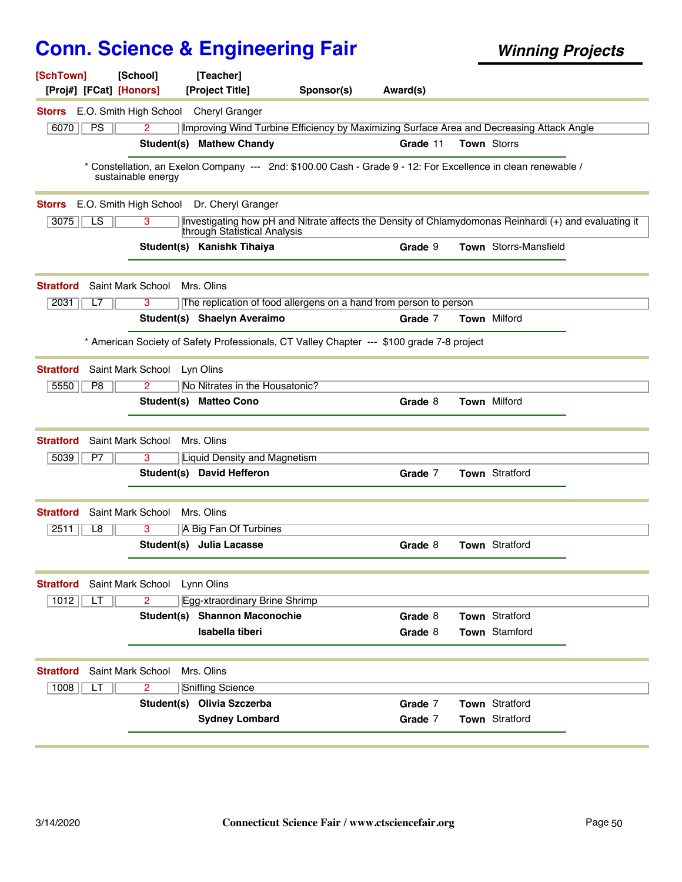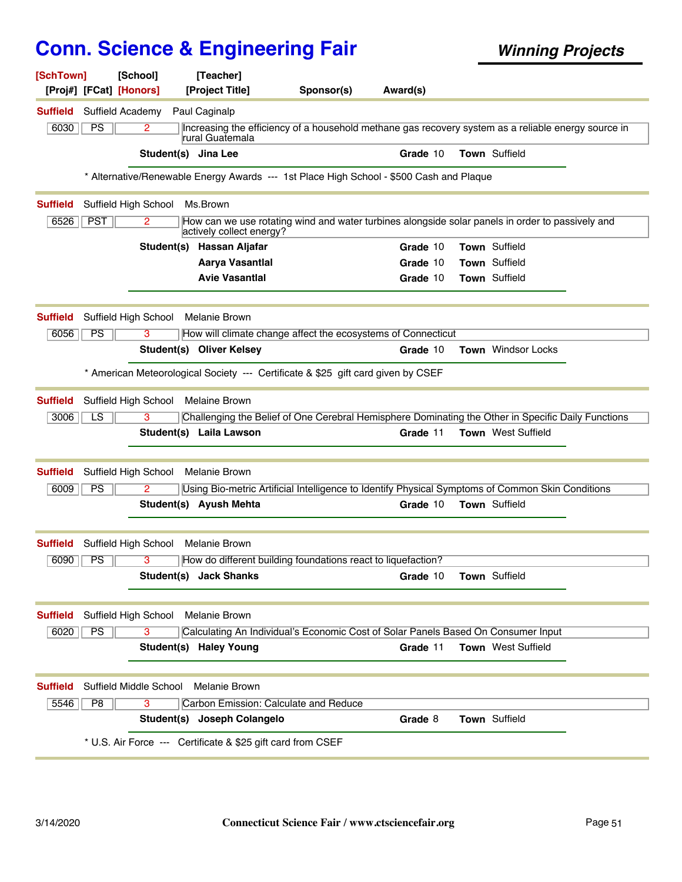| [SchTown]<br>[Proj#] [FCat] [Honors] | [School]                | [Teacher]<br>[Project Title]                                | Sponsor(s)                                                                                          | Award(s) |                           |                    |  |
|--------------------------------------|-------------------------|-------------------------------------------------------------|-----------------------------------------------------------------------------------------------------|----------|---------------------------|--------------------|--|
| <b>Suffield</b>                      | <b>Suffield Academy</b> | Paul Caginalp                                               |                                                                                                     |          |                           |                    |  |
| 6030<br>PS                           | $\overline{2}$          | rural Guatemala                                             | Increasing the efficiency of a household methane gas recovery system as a reliable energy source in |          |                           |                    |  |
|                                      |                         | Student(s) Jina Lee                                         |                                                                                                     | Grade 10 | Town Suffield             |                    |  |
|                                      |                         |                                                             | * Alternative/Renewable Energy Awards --- 1st Place High School - \$500 Cash and Plaque             |          |                           |                    |  |
| <b>Suffield</b>                      | Suffield High School    | Ms.Brown                                                    |                                                                                                     |          |                           |                    |  |
| <b>PST</b><br>6526                   | 2                       | actively collect energy?                                    | How can we use rotating wind and water turbines alongside solar panels in order to passively and    |          |                           |                    |  |
|                                      |                         | Student(s) Hassan Aljafar                                   |                                                                                                     | Grade 10 | Town Suffield             |                    |  |
|                                      |                         | Aarya Vasantlal                                             |                                                                                                     | Grade 10 | Town Suffield             |                    |  |
|                                      |                         | <b>Avie Vasantial</b>                                       |                                                                                                     | Grade 10 | Town Suffield             |                    |  |
| <b>Suffield</b>                      | Suffield High School    | <b>Melanie Brown</b>                                        |                                                                                                     |          |                           |                    |  |
| PS<br>6056                           | 3                       |                                                             | How will climate change affect the ecosystems of Connecticut                                        |          |                           |                    |  |
|                                      |                         | <b>Student(s) Oliver Kelsey</b>                             |                                                                                                     | Grade 10 |                           | Town Windsor Locks |  |
|                                      |                         |                                                             | * American Meteorological Society --- Certificate & \$25 gift card given by CSEF                    |          |                           |                    |  |
| <b>Suffield</b>                      | Suffield High School    | <b>Melaine Brown</b>                                        |                                                                                                     |          |                           |                    |  |
| $\overline{LS}$<br>3006              | 3                       |                                                             | Challenging the Belief of One Cerebral Hemisphere Dominating the Other in Specific Daily Functions  |          |                           |                    |  |
|                                      |                         | Student(s) Laila Lawson                                     |                                                                                                     | Grade 11 | <b>Town</b> West Suffield |                    |  |
| <b>Suffield</b>                      | Suffield High School    | Melanie Brown                                               |                                                                                                     |          |                           |                    |  |
| PS<br>6009                           | 2                       |                                                             | Using Bio-metric Artificial Intelligence to Identify Physical Symptoms of Common Skin Conditions    |          |                           |                    |  |
|                                      |                         | Student(s) Ayush Mehta                                      |                                                                                                     | Grade 10 | Town Suffield             |                    |  |
| <b>Suffield</b>                      | Suffield High School    | Melanie Brown                                               |                                                                                                     |          |                           |                    |  |
| 6090<br><b>PS</b>                    | 3                       |                                                             | How do different building foundations react to liquefaction?                                        |          |                           |                    |  |
|                                      |                         | Student(s) Jack Shanks                                      |                                                                                                     | Grade 10 | Town Suffield             |                    |  |
| Suffield                             | Suffield High School    | <b>Melanie Brown</b>                                        |                                                                                                     |          |                           |                    |  |
| PS<br>6020                           | 3                       |                                                             | Calculating An Individual's Economic Cost of Solar Panels Based On Consumer Input                   |          |                           |                    |  |
|                                      |                         | Student(s) Haley Young                                      |                                                                                                     | Grade 11 | Town West Suffield        |                    |  |
| <b>Suffield</b>                      | Suffield Middle School  | Melanie Brown                                               |                                                                                                     |          |                           |                    |  |
| P8<br>5546                           | 3                       | Carbon Emission: Calculate and Reduce                       |                                                                                                     |          |                           |                    |  |
|                                      |                         | Student(s) Joseph Colangelo                                 |                                                                                                     | Grade 8  | <b>Town Suffield</b>      |                    |  |
|                                      |                         | * U.S. Air Force --- Certificate & \$25 gift card from CSEF |                                                                                                     |          |                           |                    |  |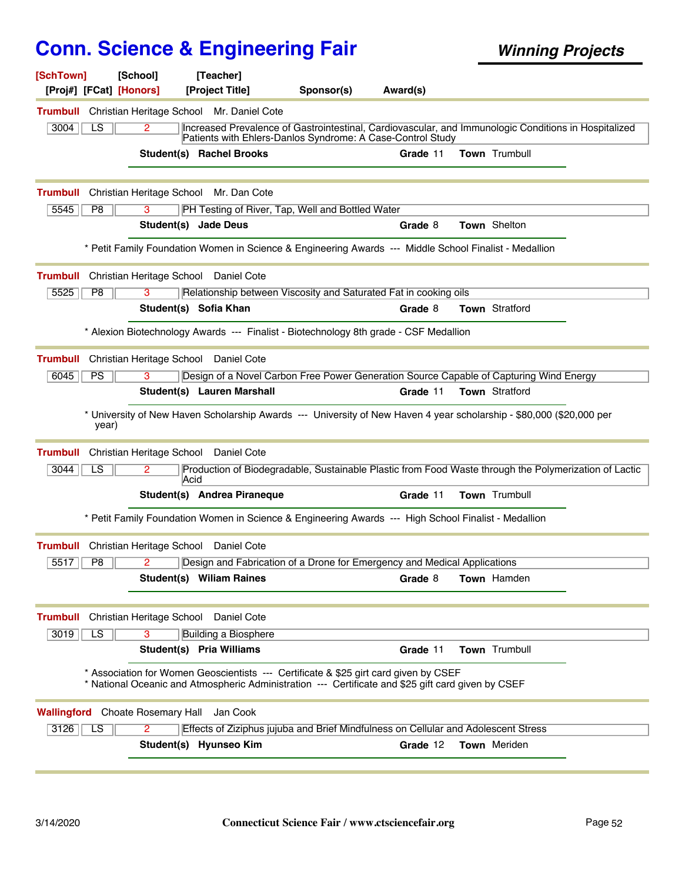| [SchTown]       |                        | [School]<br>[Proj#] [FCat] [Honors]     |      | [Teacher]<br>[Project Title]                       | Sponsor(s)                                       | Award(s)                                                                                                                                                                                   |                |  |
|-----------------|------------------------|-----------------------------------------|------|----------------------------------------------------|--------------------------------------------------|--------------------------------------------------------------------------------------------------------------------------------------------------------------------------------------------|----------------|--|
|                 |                        |                                         |      | Trumbull Christian Heritage School Mr. Daniel Cote |                                                  |                                                                                                                                                                                            |                |  |
| 3004            | LS                     | 2                                       |      |                                                    |                                                  | Increased Prevalence of Gastrointestinal, Cardiovascular, and Immunologic Conditions in Hospitalized<br>Patients with Ehlers-Danlos Syndrome: A Case-Control Study                         |                |  |
|                 |                        |                                         |      | Student(s) Rachel Brooks                           |                                                  | Grade 11                                                                                                                                                                                   | Town Trumbull  |  |
| <b>Trumbull</b> |                        |                                         |      | Christian Heritage School Mr. Dan Cote             |                                                  |                                                                                                                                                                                            |                |  |
| 5545            | P <sub>8</sub>         | 3                                       |      | Student(s) Jade Deus                               | PH Testing of River, Tap, Well and Bottled Water | Grade 8                                                                                                                                                                                    | Town Shelton   |  |
|                 |                        |                                         |      |                                                    |                                                  | * Petit Family Foundation Women in Science & Engineering Awards --- Middle School Finalist - Medallion                                                                                     |                |  |
| <b>Trumbull</b> |                        | Christian Heritage School               |      | Daniel Cote                                        |                                                  |                                                                                                                                                                                            |                |  |
| 5525            | P <sub>8</sub>         | 3                                       |      |                                                    |                                                  | Relationship between Viscosity and Saturated Fat in cooking oils                                                                                                                           |                |  |
|                 |                        |                                         |      | Student(s) Sofia Khan                              |                                                  | Grade 8                                                                                                                                                                                    | Town Stratford |  |
|                 |                        |                                         |      |                                                    |                                                  | * Alexion Biotechnology Awards --- Finalist - Biotechnology 8th grade - CSF Medallion                                                                                                      |                |  |
| <b>Trumbull</b> |                        | Christian Heritage School               |      | Daniel Cote                                        |                                                  |                                                                                                                                                                                            |                |  |
| 6045            | <b>PS</b>              | 3                                       |      |                                                    |                                                  | Design of a Novel Carbon Free Power Generation Source Capable of Capturing Wind Energy                                                                                                     |                |  |
|                 |                        |                                         |      | Student(s) Lauren Marshall                         |                                                  | Grade 11                                                                                                                                                                                   | Town Stratford |  |
|                 | year)                  |                                         |      |                                                    |                                                  | * University of New Haven Scholarship Awards --- University of New Haven 4 year scholarship - \$80,000 (\$20,000 per                                                                       |                |  |
| <b>Trumbull</b> |                        | Christian Heritage School               |      | Daniel Cote                                        |                                                  |                                                                                                                                                                                            |                |  |
| 3044            | LS                     | 2                                       | Acid |                                                    |                                                  | Production of Biodegradable, Sustainable Plastic from Food Waste through the Polymerization of Lactic                                                                                      |                |  |
|                 |                        |                                         |      | Student(s) Andrea Piraneque                        |                                                  | Grade 11                                                                                                                                                                                   | Town Trumbull  |  |
|                 |                        |                                         |      |                                                    |                                                  | * Petit Family Foundation Women in Science & Engineering Awards --- High School Finalist - Medallion                                                                                       |                |  |
| <b>Trumbull</b> |                        | Christian Heritage School               |      | Daniel Cote                                        |                                                  |                                                                                                                                                                                            |                |  |
| 5517            | P8                     | 2                                       |      |                                                    |                                                  | Design and Fabrication of a Drone for Emergency and Medical Applications                                                                                                                   |                |  |
|                 |                        |                                         |      | Student(s) William Raines                          |                                                  | Grade 8                                                                                                                                                                                    | Town Hamden    |  |
| <b>Trumbull</b> |                        | Christian Heritage School               |      | Daniel Cote                                        |                                                  |                                                                                                                                                                                            |                |  |
| 3019            | $\overline{\text{LS}}$ | 3                                       |      | <b>Building a Biosphere</b>                        |                                                  |                                                                                                                                                                                            |                |  |
|                 |                        |                                         |      | Student(s) Pria Williams                           |                                                  | Grade 11                                                                                                                                                                                   | Town Trumbull  |  |
|                 |                        |                                         |      |                                                    |                                                  | * Association for Women Geoscientists --- Certificate & \$25 girt card given by CSEF<br>* National Oceanic and Atmospheric Administration --- Certificate and \$25 gift card given by CSEF |                |  |
|                 |                        | <b>Wallingford</b> Choate Rosemary Hall |      | Jan Cook                                           |                                                  |                                                                                                                                                                                            |                |  |
| 3126            | LS                     | 2                                       |      |                                                    |                                                  | Effects of Ziziphus jujuba and Brief Mindfulness on Cellular and Adolescent Stress                                                                                                         |                |  |
|                 |                        |                                         |      | Student(s) Hyunseo Kim                             |                                                  | Grade 12                                                                                                                                                                                   | Town Meriden   |  |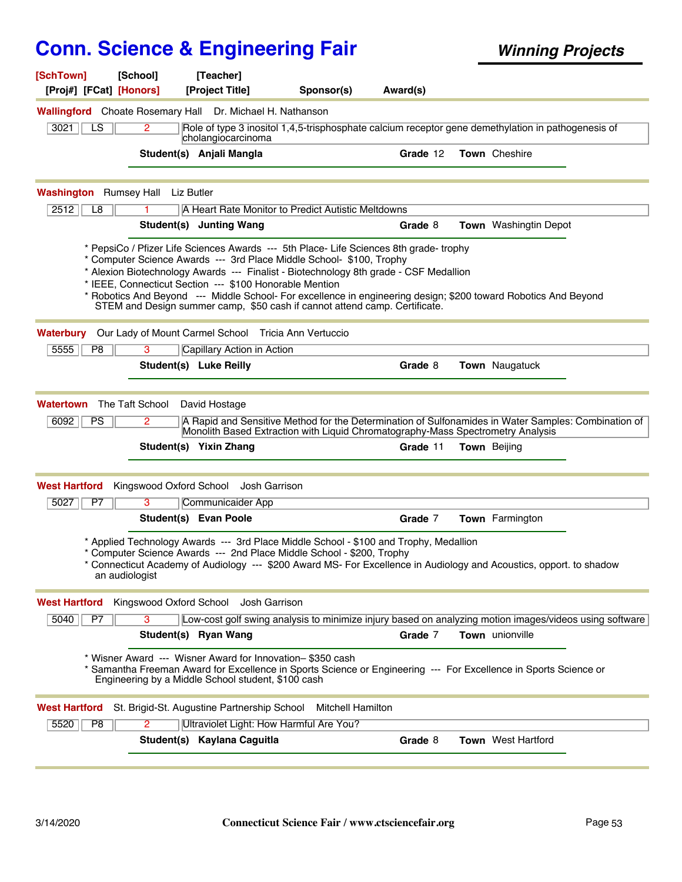| [SchTown]<br>[Proj#] [FCat] [Honors]     | [School]                | [Teacher]<br>[Project Title]                                                                                     | Sponsor(s)                                                                                                                                                                                                                                                                                                                                                                                                                                              | Award(s) |                        |  |
|------------------------------------------|-------------------------|------------------------------------------------------------------------------------------------------------------|---------------------------------------------------------------------------------------------------------------------------------------------------------------------------------------------------------------------------------------------------------------------------------------------------------------------------------------------------------------------------------------------------------------------------------------------------------|----------|------------------------|--|
|                                          |                         | <b>Wallingford</b> Choate Rosemary Hall Dr. Michael H. Nathanson                                                 |                                                                                                                                                                                                                                                                                                                                                                                                                                                         |          |                        |  |
| 3021<br>LS.                              | 2                       | cholangiocarcinoma                                                                                               | Role of type 3 inositol 1,4,5-trisphosphate calcium receptor gene demethylation in pathogenesis of                                                                                                                                                                                                                                                                                                                                                      |          |                        |  |
|                                          |                         | Student(s) Anjali Mangla                                                                                         |                                                                                                                                                                                                                                                                                                                                                                                                                                                         | Grade 12 | Town Cheshire          |  |
| <b>Washington</b> Rumsey Hall Liz Butler |                         |                                                                                                                  |                                                                                                                                                                                                                                                                                                                                                                                                                                                         |          |                        |  |
| 2512<br>L <sub>8</sub>                   |                         |                                                                                                                  | A Heart Rate Monitor to Predict Autistic Meltdowns                                                                                                                                                                                                                                                                                                                                                                                                      |          |                        |  |
|                                          |                         | Student(s) Junting Wang                                                                                          |                                                                                                                                                                                                                                                                                                                                                                                                                                                         | Grade 8  | Town Washingtin Depot  |  |
|                                          |                         | * IEEE, Connecticut Section --- \$100 Honorable Mention                                                          | * PepsiCo / Pfizer Life Sciences Awards --- 5th Place- Life Sciences 8th grade-trophy<br>* Computer Science Awards --- 3rd Place Middle School- \$100, Trophy<br>* Alexion Biotechnology Awards --- Finalist - Biotechnology 8th grade - CSF Medallion<br>* Robotics And Beyond --- Middle School- For excellence in engineering design; \$200 toward Robotics And Beyond<br>STEM and Design summer camp, \$50 cash if cannot attend camp. Certificate. |          |                        |  |
| Waterbury                                |                         | Our Lady of Mount Carmel School Tricia Ann Vertuccio                                                             |                                                                                                                                                                                                                                                                                                                                                                                                                                                         |          |                        |  |
| 5555<br>P <sub>8</sub>                   | 3                       | Capillary Action in Action                                                                                       |                                                                                                                                                                                                                                                                                                                                                                                                                                                         |          |                        |  |
|                                          |                         | Student(s) Luke Reilly                                                                                           |                                                                                                                                                                                                                                                                                                                                                                                                                                                         | Grade 8  | Town Naugatuck         |  |
| 6092<br><b>PS</b>                        | 2                       | Student(s) Yixin Zhang                                                                                           | A Rapid and Sensitive Method for the Determination of Sulfonamides in Water Samples: Combination of<br>Monolith Based Extraction with Liquid Chromatography-Mass Spectrometry Analysis                                                                                                                                                                                                                                                                  | Grade 11 | <b>Town</b> Beijing    |  |
| <b>West Hartford</b>                     |                         | Kingswood Oxford School Josh Garrison                                                                            |                                                                                                                                                                                                                                                                                                                                                                                                                                                         |          |                        |  |
| 5027<br>P7                               | 3                       | Communicaider App                                                                                                |                                                                                                                                                                                                                                                                                                                                                                                                                                                         |          |                        |  |
|                                          |                         | Student(s) Evan Poole                                                                                            |                                                                                                                                                                                                                                                                                                                                                                                                                                                         | Grade 7  | <b>Town</b> Farmington |  |
|                                          | an audiologist          |                                                                                                                  | * Applied Technology Awards --- 3rd Place Middle School - \$100 and Trophy, Medallion<br>* Computer Science Awards --- 2nd Place Middle School - \$200, Trophy<br>* Connecticut Academy of Audiology --- \$200 Award MS- For Excellence in Audiology and Acoustics, opport. to shadow                                                                                                                                                                   |          |                        |  |
| <b>West Hartford</b>                     | Kingswood Oxford School | Josh Garrison                                                                                                    |                                                                                                                                                                                                                                                                                                                                                                                                                                                         |          |                        |  |
| 5040<br>P7                               | 3                       |                                                                                                                  | Low-cost golf swing analysis to minimize injury based on analyzing motion images/videos using software                                                                                                                                                                                                                                                                                                                                                  |          |                        |  |
|                                          |                         | Student(s) Ryan Wang                                                                                             |                                                                                                                                                                                                                                                                                                                                                                                                                                                         | Grade 7  | Town unionville        |  |
|                                          |                         | * Wisner Award --- Wisner Award for Innovation- \$350 cash<br>Engineering by a Middle School student, \$100 cash | * Samantha Freeman Award for Excellence in Sports Science or Engineering --- For Excellence in Sports Science or                                                                                                                                                                                                                                                                                                                                        |          |                        |  |
| <b>West Hartford</b>                     |                         |                                                                                                                  | St. Brigid-St. Augustine Partnership School Mitchell Hamilton                                                                                                                                                                                                                                                                                                                                                                                           |          |                        |  |
| 5520<br>P <sub>8</sub>                   | $\mathbf{2}^{\prime}$   | Ultraviolet Light: How Harmful Are You?                                                                          |                                                                                                                                                                                                                                                                                                                                                                                                                                                         |          |                        |  |
|                                          |                         | Student(s) Kaylana Caguitla                                                                                      |                                                                                                                                                                                                                                                                                                                                                                                                                                                         | Grade 8  | Town West Hartford     |  |
|                                          |                         |                                                                                                                  |                                                                                                                                                                                                                                                                                                                                                                                                                                                         |          |                        |  |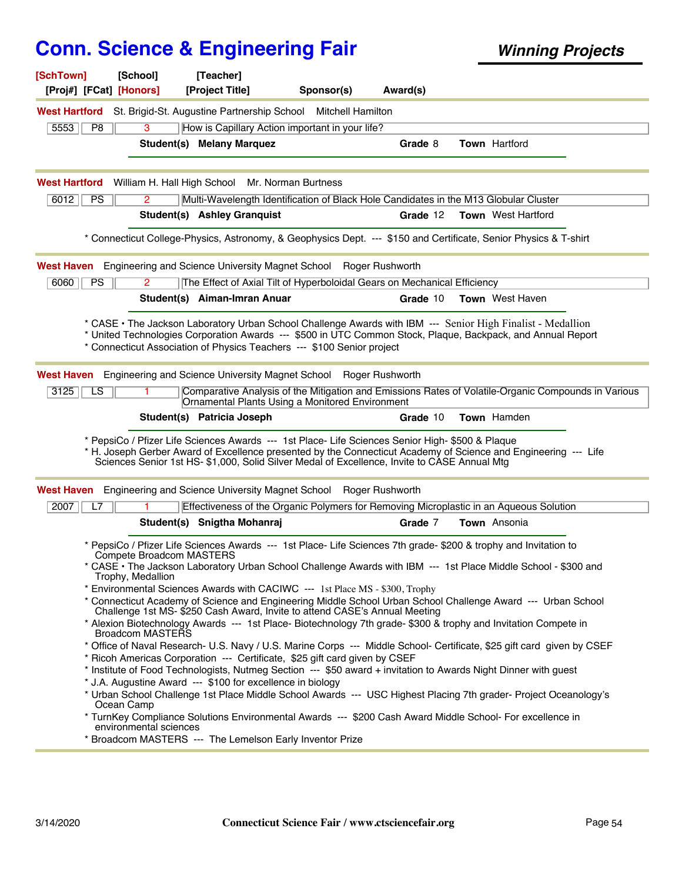| [SchTown]<br>[Proj#] [FCat] [Honors] | [School]                                      | [Teacher]<br>[Project Title]                               | Sponsor(s)                                                                                                                                                                                       | Award(s)        |                                                                                                                                                                                                                            |  |
|--------------------------------------|-----------------------------------------------|------------------------------------------------------------|--------------------------------------------------------------------------------------------------------------------------------------------------------------------------------------------------|-----------------|----------------------------------------------------------------------------------------------------------------------------------------------------------------------------------------------------------------------------|--|
| <b>West Hartford</b>                 |                                               |                                                            | St. Brigid-St. Augustine Partnership School Mitchell Hamilton                                                                                                                                    |                 |                                                                                                                                                                                                                            |  |
| 5553<br>P <sub>8</sub>               | 3                                             |                                                            | How is Capillary Action important in your life?                                                                                                                                                  |                 |                                                                                                                                                                                                                            |  |
|                                      |                                               | Student(s) Melany Marquez                                  |                                                                                                                                                                                                  | Grade 8         | <b>Town Hartford</b>                                                                                                                                                                                                       |  |
| <b>West Hartford</b>                 | William H. Hall High School                   |                                                            | Mr. Norman Burtness                                                                                                                                                                              |                 |                                                                                                                                                                                                                            |  |
| 6012<br><b>PS</b>                    | 2                                             |                                                            |                                                                                                                                                                                                  |                 | Multi-Wavelength Identification of Black Hole Candidates in the M13 Globular Cluster                                                                                                                                       |  |
|                                      |                                               | <b>Student(s) Ashley Granquist</b>                         |                                                                                                                                                                                                  | Grade 12        | <b>Town</b> West Hartford                                                                                                                                                                                                  |  |
|                                      |                                               |                                                            |                                                                                                                                                                                                  |                 | * Connecticut College-Physics, Astronomy, & Geophysics Dept. --- \$150 and Certificate, Senior Physics & T-shirt                                                                                                           |  |
| West Haven                           |                                               | Engineering and Science University Magnet School           |                                                                                                                                                                                                  | Roger Rushworth |                                                                                                                                                                                                                            |  |
| 6060<br>PS                           | 2                                             |                                                            | The Effect of Axial Tilt of Hyperboloidal Gears on Mechanical Efficiency                                                                                                                         |                 |                                                                                                                                                                                                                            |  |
|                                      |                                               | Student(s) Aiman-Imran Anuar                               |                                                                                                                                                                                                  | Grade 10        | <b>Town</b> West Haven                                                                                                                                                                                                     |  |
|                                      |                                               |                                                            | * Connecticut Association of Physics Teachers --- \$100 Senior project                                                                                                                           |                 | * CASE • The Jackson Laboratory Urban School Challenge Awards with IBM --- Senior High Finalist - Medallion<br>* United Technologies Corporation Awards --- \$500 in UTC Common Stock, Plaque, Backpack, and Annual Report |  |
|                                      |                                               |                                                            | West Haven Engineering and Science University Magnet School Roger Rushworth                                                                                                                      |                 |                                                                                                                                                                                                                            |  |
| $\overline{\text{LS}}$<br>3125       |                                               |                                                            | Ornamental Plants Using a Monitored Environment                                                                                                                                                  |                 | Comparative Analysis of the Mitigation and Emissions Rates of Volatile-Organic Compounds in Various                                                                                                                        |  |
|                                      |                                               | Student(s) Patricia Joseph                                 |                                                                                                                                                                                                  | Grade 10        | Town Hamden                                                                                                                                                                                                                |  |
|                                      |                                               |                                                            | * PepsiCo / Pfizer Life Sciences Awards --- 1st Place- Life Sciences Senior High- \$500 & Plaque<br>Sciences Senior 1st HS- \$1,000, Solid Silver Medal of Excellence, Invite to CASE Annual Mtg |                 | * H. Joseph Gerber Award of Excellence presented by the Connecticut Academy of Science and Engineering --- Life                                                                                                            |  |
|                                      |                                               |                                                            | <b>West Haven</b> Engineering and Science University Magnet School Roger Rushworth                                                                                                               |                 |                                                                                                                                                                                                                            |  |
| 2007<br>L7                           |                                               |                                                            |                                                                                                                                                                                                  |                 | Effectiveness of the Organic Polymers for Removing Microplastic in an Aqueous Solution                                                                                                                                     |  |
|                                      |                                               | Student(s) Snigtha Mohanraj                                |                                                                                                                                                                                                  | Grade 7         | Town Ansonia                                                                                                                                                                                                               |  |
|                                      |                                               |                                                            |                                                                                                                                                                                                  |                 | * PepsiCo / Pfizer Life Sciences Awards --- 1st Place- Life Sciences 7th grade- \$200 & trophy and Invitation to                                                                                                           |  |
|                                      | Compete Broadcom MASTERS<br>Trophy, Medallion |                                                            |                                                                                                                                                                                                  |                 | * CASE • The Jackson Laboratory Urban School Challenge Awards with IBM --- 1st Place Middle School - \$300 and                                                                                                             |  |
|                                      |                                               |                                                            | * Environmental Sciences Awards with CACIWC --- 1st Place MS - \$300, Trophy                                                                                                                     |                 | * Connecticut Academy of Science and Engineering Middle School Urban School Challenge Award --- Urban School                                                                                                               |  |
|                                      | Broadcom MASTERS                              |                                                            | Challenge 1st MS-\$250 Cash Award, Invite to attend CASE's Annual Meeting                                                                                                                        |                 | * Alexion Biotechnology Awards --- 1st Place- Biotechnology 7th grade-\$300 & trophy and Invitation Compete in                                                                                                             |  |
|                                      |                                               |                                                            | * Ricoh Americas Corporation --- Certificate, \$25 gift card given by CSEF                                                                                                                       |                 | * Office of Naval Research- U.S. Navy / U.S. Marine Corps --- Middle School- Certificate, \$25 gift card given by CSEF                                                                                                     |  |
|                                      |                                               | * J.A. Augustine Award --- \$100 for excellence in biology |                                                                                                                                                                                                  |                 | * Institute of Food Technologists, Nutmeg Section --- \$50 award + invitation to Awards Night Dinner with guest                                                                                                            |  |
|                                      | Ocean Camp                                    |                                                            |                                                                                                                                                                                                  |                 | * Urban School Challenge 1st Place Middle School Awards --- USC Highest Placing 7th grader- Project Oceanology's                                                                                                           |  |
|                                      | environmental sciences                        |                                                            |                                                                                                                                                                                                  |                 | * TurnKey Compliance Solutions Environmental Awards --- \$200 Cash Award Middle School- For excellence in                                                                                                                  |  |
|                                      |                                               | * Broadcom MASTERS --- The Lemelson Early Inventor Prize   |                                                                                                                                                                                                  |                 |                                                                                                                                                                                                                            |  |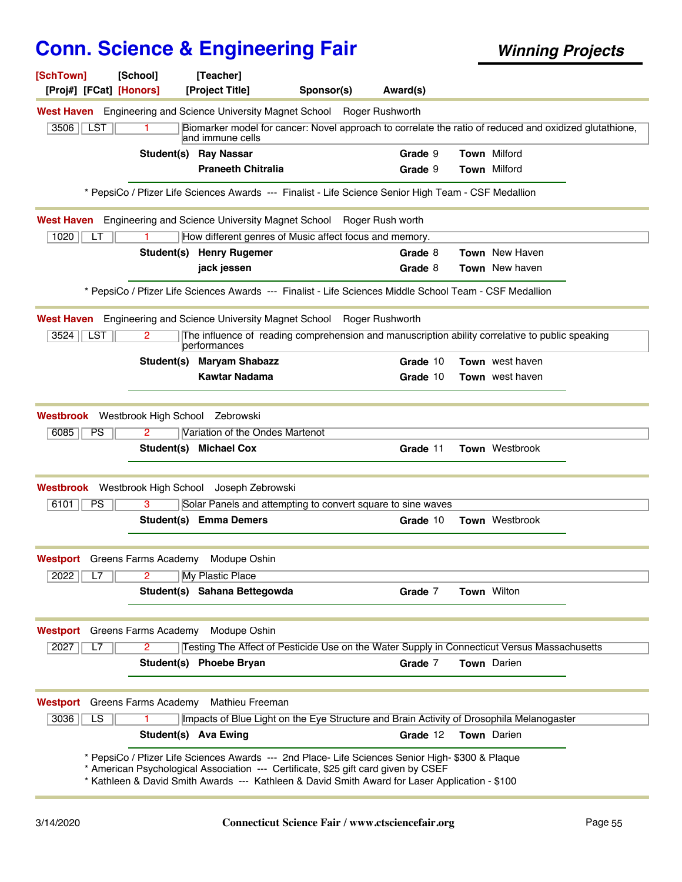| [SchTown]<br>[Proj#] [FCat] [Honors] | [School]<br>[Teacher]<br>[Project Title]                                                                                                                                                                                                                                                 | Sponsor(s)                                                                                             | Award(s)        |                        |  |
|--------------------------------------|------------------------------------------------------------------------------------------------------------------------------------------------------------------------------------------------------------------------------------------------------------------------------------------|--------------------------------------------------------------------------------------------------------|-----------------|------------------------|--|
|                                      | West Haven Engineering and Science University Magnet School Roger Rushworth                                                                                                                                                                                                              |                                                                                                        |                 |                        |  |
| <b>LST</b><br>3506                   | 1.<br>and immune cells                                                                                                                                                                                                                                                                   | Biomarker model for cancer: Novel approach to correlate the ratio of reduced and oxidized glutathione, |                 |                        |  |
|                                      | <b>Student(s) Ray Nassar</b>                                                                                                                                                                                                                                                             |                                                                                                        | Grade 9         | <b>Town Milford</b>    |  |
|                                      | <b>Praneeth Chitralia</b>                                                                                                                                                                                                                                                                |                                                                                                        | Grade 9         | Town Milford           |  |
|                                      | * PepsiCo / Pfizer Life Sciences Awards --- Finalist - Life Science Senior High Team - CSF Medallion                                                                                                                                                                                     |                                                                                                        |                 |                        |  |
|                                      | West Haven Engineering and Science University Magnet School Roger Rush worth                                                                                                                                                                                                             |                                                                                                        |                 |                        |  |
| 1020<br>LT                           | How different genres of Music affect focus and memory.                                                                                                                                                                                                                                   |                                                                                                        |                 |                        |  |
|                                      | Student(s) Henry Rugemer                                                                                                                                                                                                                                                                 |                                                                                                        | Grade 8         | <b>Town</b> New Haven  |  |
|                                      | jack jessen                                                                                                                                                                                                                                                                              |                                                                                                        | Grade 8         | <b>Town</b> New haven  |  |
|                                      | * PepsiCo / Pfizer Life Sciences Awards --- Finalist - Life Sciences Middle School Team - CSF Medallion                                                                                                                                                                                  |                                                                                                        |                 |                        |  |
| West Haven                           | Engineering and Science University Magnet School                                                                                                                                                                                                                                         |                                                                                                        | Roger Rushworth |                        |  |
| 3524<br>LST                          | The influence of reading comprehension and manuscription ability correlative to public speaking<br>2<br>performances                                                                                                                                                                     |                                                                                                        |                 |                        |  |
|                                      | <b>Maryam Shabazz</b><br>Student(s)                                                                                                                                                                                                                                                      |                                                                                                        | Grade 10        | <b>Town</b> west haven |  |
|                                      | <b>Kawtar Nadama</b>                                                                                                                                                                                                                                                                     |                                                                                                        | Grade 10        | Town west haven        |  |
|                                      | Westbrook Westbrook High School Zebrowski                                                                                                                                                                                                                                                |                                                                                                        |                 |                        |  |
| 6085<br><b>PS</b>                    | Variation of the Ondes Martenot<br>$\mathbf{2}^{\prime}$                                                                                                                                                                                                                                 |                                                                                                        |                 |                        |  |
|                                      | Student(s) Michael Cox                                                                                                                                                                                                                                                                   |                                                                                                        | Grade 11        | <b>Town</b> Westbrook  |  |
|                                      | Westbrook Westbrook High School Joseph Zebrowski                                                                                                                                                                                                                                         |                                                                                                        |                 |                        |  |
| 6101<br><b>PS</b>                    | Solar Panels and attempting to convert square to sine waves<br>3                                                                                                                                                                                                                         |                                                                                                        |                 |                        |  |
|                                      | <b>Student(s) Emma Demers</b>                                                                                                                                                                                                                                                            |                                                                                                        | Grade 10        | Town Westbrook         |  |
| <b>Westport</b> Greens Farms Academy | Modupe Oshin                                                                                                                                                                                                                                                                             |                                                                                                        |                 |                        |  |
| 2022<br>L7                           | $\overline{2}$<br><b>My Plastic Place</b>                                                                                                                                                                                                                                                |                                                                                                        |                 |                        |  |
|                                      | Student(s) Sahana Bettegowda                                                                                                                                                                                                                                                             |                                                                                                        | Grade 7         | <b>Town Wilton</b>     |  |
|                                      |                                                                                                                                                                                                                                                                                          |                                                                                                        |                 |                        |  |
| Westport                             | Greens Farms Academy<br>Modupe Oshin                                                                                                                                                                                                                                                     |                                                                                                        |                 |                        |  |
| 2027<br>L7                           | $\overline{2}$<br>Testing The Affect of Pesticide Use on the Water Supply in Connecticut Versus Massachusetts<br>Student(s) Phoebe Bryan                                                                                                                                                 |                                                                                                        | Grade 7         | <b>Town</b> Darien     |  |
|                                      |                                                                                                                                                                                                                                                                                          |                                                                                                        |                 |                        |  |
| Westport                             | Greens Farms Academy<br>Mathieu Freeman                                                                                                                                                                                                                                                  |                                                                                                        |                 |                        |  |
| 3036<br>LS                           | Impacts of Blue Light on the Eye Structure and Brain Activity of Drosophila Melanogaster                                                                                                                                                                                                 |                                                                                                        |                 |                        |  |
|                                      | Student(s) Ava Ewing                                                                                                                                                                                                                                                                     |                                                                                                        | Grade 12        | <b>Town</b> Darien     |  |
|                                      | * PepsiCo / Pfizer Life Sciences Awards --- 2nd Place- Life Sciences Senior High- \$300 & Plaque<br>* American Psychological Association --- Certificate, \$25 gift card given by CSEF<br>* Kathleen & David Smith Awards --- Kathleen & David Smith Award for Laser Application - \$100 |                                                                                                        |                 |                        |  |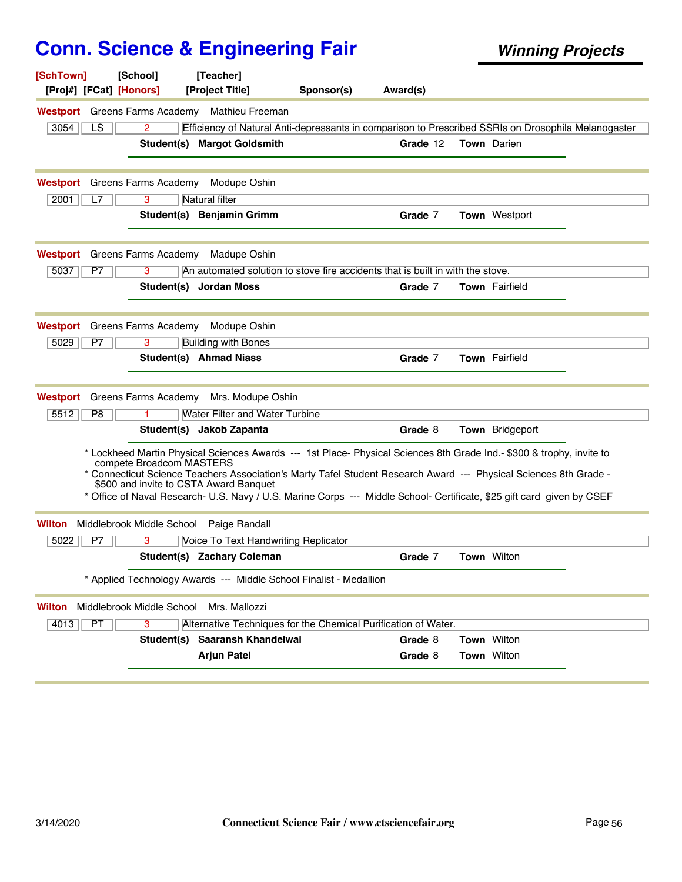| [SchTown]<br>[Proj#] [FCat] [Honors] | [School]                  | [Teacher]<br>[Project Title]                                                                                                                                                                                                                                                         | Sponsor(s) | Award(s) |                    |  |
|--------------------------------------|---------------------------|--------------------------------------------------------------------------------------------------------------------------------------------------------------------------------------------------------------------------------------------------------------------------------------|------------|----------|--------------------|--|
|                                      |                           | Westport Greens Farms Academy Mathieu Freeman                                                                                                                                                                                                                                        |            |          |                    |  |
| 3054<br>LS.                          | 2                         | Efficiency of Natural Anti-depressants in comparison to Prescribed SSRIs on Drosophila Melanogaster                                                                                                                                                                                  |            |          |                    |  |
|                                      |                           | Student(s) Margot Goldsmith                                                                                                                                                                                                                                                          |            | Grade 12 | <b>Town</b> Darien |  |
| <b>Westport</b> Greens Farms Academy |                           | Modupe Oshin                                                                                                                                                                                                                                                                         |            |          |                    |  |
| 2001<br>L7                           | 3                         | Natural filter                                                                                                                                                                                                                                                                       |            |          |                    |  |
|                                      |                           | Student(s) Benjamin Grimm                                                                                                                                                                                                                                                            |            | Grade 7  | Town Westport      |  |
| Westport                             | Greens Farms Academy      | Madupe Oshin                                                                                                                                                                                                                                                                         |            |          |                    |  |
| 5037<br>P7                           | 3                         | An automated solution to stove fire accidents that is built in with the stove.                                                                                                                                                                                                       |            |          |                    |  |
|                                      |                           | Student(s) Jordan Moss                                                                                                                                                                                                                                                               |            | Grade 7  | Town Fairfield     |  |
| Westport                             | Greens Farms Academy      | Modupe Oshin                                                                                                                                                                                                                                                                         |            |          |                    |  |
| 5029<br>P7                           | 3                         | <b>Building with Bones</b>                                                                                                                                                                                                                                                           |            |          |                    |  |
|                                      |                           | Student(s) Ahmad Niass                                                                                                                                                                                                                                                               |            | Grade 7  | Town Fairfield     |  |
| Westport                             | Greens Farms Academy      | Mrs. Modupe Oshin                                                                                                                                                                                                                                                                    |            |          |                    |  |
| 5512<br>P8                           |                           | <b>Water Filter and Water Turbine</b>                                                                                                                                                                                                                                                |            |          |                    |  |
|                                      |                           | Student(s) Jakob Zapanta                                                                                                                                                                                                                                                             |            | Grade 8  | Town Bridgeport    |  |
|                                      | compete Broadcom MASTERS  | * Lockheed Martin Physical Sciences Awards --- 1st Place- Physical Sciences 8th Grade Ind.- \$300 & trophy, invite to<br>* Connecticut Science Teachers Association's Marty Tafel Student Research Award --- Physical Sciences 8th Grade -<br>\$500 and invite to CSTA Award Banquet |            |          |                    |  |
|                                      |                           | * Office of Naval Research- U.S. Navy / U.S. Marine Corps --- Middle School- Certificate, \$25 gift card given by CSEF                                                                                                                                                               |            |          |                    |  |
| <b>Wilton</b>                        |                           | Middlebrook Middle School Paige Randall                                                                                                                                                                                                                                              |            |          |                    |  |
| 5022<br>P7                           | 3                         | Voice To Text Handwriting Replicator                                                                                                                                                                                                                                                 |            |          |                    |  |
|                                      |                           | Student(s) Zachary Coleman                                                                                                                                                                                                                                                           |            | Grade 7  | Town Wilton        |  |
|                                      |                           | * Applied Technology Awards --- Middle School Finalist - Medallion                                                                                                                                                                                                                   |            |          |                    |  |
| Wilton                               | Middlebrook Middle School | Mrs. Mallozzi                                                                                                                                                                                                                                                                        |            |          |                    |  |
| PT<br>4013                           | 3                         | Alternative Techniques for the Chemical Purification of Water.                                                                                                                                                                                                                       |            |          |                    |  |
|                                      |                           | Student(s) Saaransh Khandelwal                                                                                                                                                                                                                                                       |            | Grade 8  | Town Wilton        |  |
|                                      |                           | <b>Arjun Patel</b>                                                                                                                                                                                                                                                                   |            | Grade 8  | Town Wilton        |  |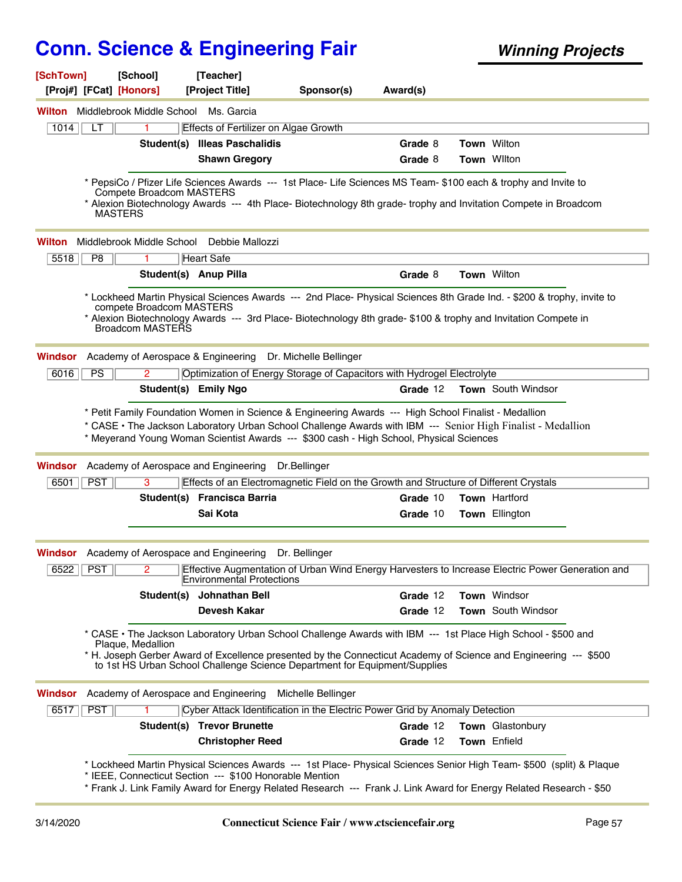| [SchTown]<br>[Proj#] [FCat] [Honors] | [School]                                            | [Teacher]<br>[Project Title]                                                                                                                                                     | Sponsor(s)         | Award(s) |                                                                                                                                                                                                                                             |
|--------------------------------------|-----------------------------------------------------|----------------------------------------------------------------------------------------------------------------------------------------------------------------------------------|--------------------|----------|---------------------------------------------------------------------------------------------------------------------------------------------------------------------------------------------------------------------------------------------|
| Wilton                               | Middlebrook Middle School                           | Ms. Garcia                                                                                                                                                                       |                    |          |                                                                                                                                                                                                                                             |
| 1014<br>LТ                           | 1                                                   | Effects of Fertilizer on Algae Growth                                                                                                                                            |                    |          |                                                                                                                                                                                                                                             |
|                                      | Student(s)                                          | <b>Illeas Paschalidis</b>                                                                                                                                                        |                    | Grade 8  | Town Wilton                                                                                                                                                                                                                                 |
|                                      |                                                     | <b>Shawn Gregory</b>                                                                                                                                                             |                    | Grade 8  | Town Wilton                                                                                                                                                                                                                                 |
|                                      | Compete Broadcom MASTERS<br><b>MASTERS</b>          |                                                                                                                                                                                  |                    |          | * PepsiCo / Pfizer Life Sciences Awards --- 1st Place- Life Sciences MS Team- \$100 each & trophy and Invite to<br>* Alexion Biotechnology Awards --- 4th Place- Biotechnology 8th grade- trophy and Invitation Compete in Broadcom         |
| Wilton                               | Middlebrook Middle School                           | Debbie Mallozzi                                                                                                                                                                  |                    |          |                                                                                                                                                                                                                                             |
| 5518<br>P8                           | 1.                                                  | <b>Heart Safe</b>                                                                                                                                                                |                    |          |                                                                                                                                                                                                                                             |
|                                      |                                                     | Student(s) Anup Pilla                                                                                                                                                            |                    | Grade 8  | <b>Town Wilton</b>                                                                                                                                                                                                                          |
|                                      | compete Broadcom MASTERS<br>Broadcom MASTERS        |                                                                                                                                                                                  |                    |          | * Lockheed Martin Physical Sciences Awards --- 2nd Place- Physical Sciences 8th Grade Ind. - \$200 & trophy, invite to<br>* Alexion Biotechnology Awards --- 3rd Place- Biotechnology 8th grade- \$100 & trophy and Invitation Compete in   |
| Windsor                              |                                                     | Academy of Aerospace & Engineering Dr. Michelle Bellinger                                                                                                                        |                    |          |                                                                                                                                                                                                                                             |
| PS<br>6016                           | 2                                                   | Optimization of Energy Storage of Capacitors with Hydrogel Electrolyte                                                                                                           |                    |          |                                                                                                                                                                                                                                             |
|                                      |                                                     | Student(s) Emily Ngo                                                                                                                                                             |                    | Grade 12 | <b>Town</b> South Windsor                                                                                                                                                                                                                   |
| Windsor<br><b>PST</b><br>$6501$      | Academy of Aerospace and Engineering<br>3           | * Meyerand Young Woman Scientist Awards --- \$300 cash - High School, Physical Sciences<br>Effects of an Electromagnetic Field on the Growth and Structure of Different Crystals | Dr.Bellinger       |          | * CASE • The Jackson Laboratory Urban School Challenge Awards with IBM --- Senior High Finalist - Medallion                                                                                                                                 |
|                                      |                                                     | Student(s) Francisca Barria                                                                                                                                                      |                    | Grade 10 | Town Hartford                                                                                                                                                                                                                               |
|                                      |                                                     | Sai Kota                                                                                                                                                                         |                    | Grade 10 | <b>Town Ellington</b>                                                                                                                                                                                                                       |
|                                      | <b>Windsor</b> Academy of Aerospace and Engineering |                                                                                                                                                                                  | Dr. Bellinger      |          |                                                                                                                                                                                                                                             |
| $6522$ PST                           | 2                                                   | Environmental Protections                                                                                                                                                        |                    |          | Effective Augmentation of Urban Wind Energy Harvesters to Increase Electric Power Generation and                                                                                                                                            |
|                                      | Student(s)                                          | Johnathan Bell                                                                                                                                                                   |                    | Grade 12 | Town Windsor                                                                                                                                                                                                                                |
|                                      |                                                     | <b>Devesh Kakar</b>                                                                                                                                                              |                    | Grade 12 | Town South Windsor                                                                                                                                                                                                                          |
|                                      | Plaque, Medallion                                   | to 1st HS Urban School Challenge Science Department for Equipment/Supplies                                                                                                       |                    |          | * CASE • The Jackson Laboratory Urban School Challenge Awards with IBM --- 1st Place High School - \$500 and<br>* H. Joseph Gerber Award of Excellence presented by the Connecticut Academy of Science and Engineering --- \$500            |
| Windsor                              | Academy of Aerospace and Engineering                |                                                                                                                                                                                  | Michelle Bellinger |          |                                                                                                                                                                                                                                             |
| PST<br>6517                          |                                                     | Cyber Attack Identification in the Electric Power Grid by Anomaly Detection                                                                                                      |                    |          |                                                                                                                                                                                                                                             |
|                                      |                                                     | <b>Student(s) Trevor Brunette</b>                                                                                                                                                |                    | Grade 12 | Town Glastonbury                                                                                                                                                                                                                            |
|                                      |                                                     | <b>Christopher Reed</b>                                                                                                                                                          |                    | Grade 12 | Town Enfield                                                                                                                                                                                                                                |
|                                      |                                                     | * IEEE, Connecticut Section --- \$100 Honorable Mention                                                                                                                          |                    |          | * Lockheed Martin Physical Sciences Awards --- 1st Place- Physical Sciences Senior High Team- \$500 (split) & Plaque<br>* Frank J. Link Family Award for Energy Related Research --- Frank J. Link Award for Energy Related Research - \$50 |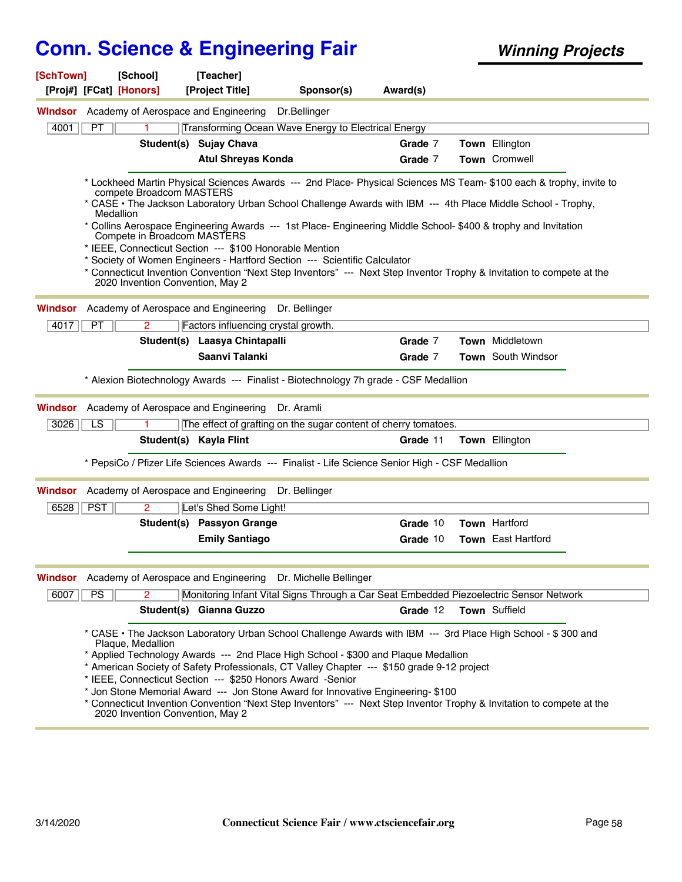| [SchTown]<br>[Proj#] [FCat] [Honors] | [School]                                                                                                 | [Teacher]<br>[Project Title]                                                                                                                                                                                                                                                                                                       | Sponsor(s)   | Award(s) |                                                                                                                                                                                                                                                                                                                                                              |
|--------------------------------------|----------------------------------------------------------------------------------------------------------|------------------------------------------------------------------------------------------------------------------------------------------------------------------------------------------------------------------------------------------------------------------------------------------------------------------------------------|--------------|----------|--------------------------------------------------------------------------------------------------------------------------------------------------------------------------------------------------------------------------------------------------------------------------------------------------------------------------------------------------------------|
|                                      | <b>Windsor</b> Academy of Aerospace and Engineering                                                      |                                                                                                                                                                                                                                                                                                                                    | Dr.Bellinger |          |                                                                                                                                                                                                                                                                                                                                                              |
| 4001<br>PT                           |                                                                                                          | Transforming Ocean Wave Energy to Electrical Energy                                                                                                                                                                                                                                                                                |              |          |                                                                                                                                                                                                                                                                                                                                                              |
|                                      |                                                                                                          | Student(s) Sujay Chava                                                                                                                                                                                                                                                                                                             |              | Grade 7  | Town Ellington                                                                                                                                                                                                                                                                                                                                               |
|                                      |                                                                                                          | <b>Atul Shreyas Konda</b>                                                                                                                                                                                                                                                                                                          |              | Grade 7  | Town Cromwell                                                                                                                                                                                                                                                                                                                                                |
|                                      | compete Broadcom MASTERS<br>Medallion<br>Compete in Broadcom MASTERS<br>2020 Invention Convention, May 2 | * Collins Aerospace Engineering Awards --- 1st Place- Engineering Middle School- \$400 & trophy and Invitation<br>* IEEE, Connecticut Section --- \$100 Honorable Mention<br>* Society of Women Engineers - Hartford Section --- Scientific Calculator                                                                             |              |          | * Lockheed Martin Physical Sciences Awards --- 2nd Place- Physical Sciences MS Team- \$100 each & trophy, invite to<br>* CASE • The Jackson Laboratory Urban School Challenge Awards with IBM --- 4th Place Middle School - Trophy,<br>* Connecticut Invention Convention "Next Step Inventors" --- Next Step Inventor Trophy & Invitation to compete at the |
| Windsor                              |                                                                                                          | Academy of Aerospace and Engineering Dr. Bellinger                                                                                                                                                                                                                                                                                 |              |          |                                                                                                                                                                                                                                                                                                                                                              |
| PT<br>4017                           | 2                                                                                                        | Factors influencing crystal growth.                                                                                                                                                                                                                                                                                                |              |          |                                                                                                                                                                                                                                                                                                                                                              |
|                                      |                                                                                                          | Student(s) Laasya Chintapalli                                                                                                                                                                                                                                                                                                      |              | Grade 7  | Town Middletown                                                                                                                                                                                                                                                                                                                                              |
|                                      |                                                                                                          | Saanvi Talanki                                                                                                                                                                                                                                                                                                                     |              | Grade 7  | <b>Town</b> South Windsor                                                                                                                                                                                                                                                                                                                                    |
|                                      |                                                                                                          | * Alexion Biotechnology Awards --- Finalist - Biotechnology 7h grade - CSF Medallion                                                                                                                                                                                                                                               |              |          |                                                                                                                                                                                                                                                                                                                                                              |
| Windsor                              | Academy of Aerospace and Engineering                                                                     |                                                                                                                                                                                                                                                                                                                                    | Dr. Aramli   |          |                                                                                                                                                                                                                                                                                                                                                              |
| $\overline{LS}$<br>3026              | 1.                                                                                                       | The effect of grafting on the sugar content of cherry tomatoes.                                                                                                                                                                                                                                                                    |              |          |                                                                                                                                                                                                                                                                                                                                                              |
|                                      |                                                                                                          | Student(s) Kayla Flint                                                                                                                                                                                                                                                                                                             |              | Grade 11 | Town Ellington                                                                                                                                                                                                                                                                                                                                               |
|                                      |                                                                                                          | * PepsiCo / Pfizer Life Sciences Awards --- Finalist - Life Science Senior High - CSF Medallion                                                                                                                                                                                                                                    |              |          |                                                                                                                                                                                                                                                                                                                                                              |
| Windsor                              |                                                                                                          | Academy of Aerospace and Engineering Dr. Bellinger                                                                                                                                                                                                                                                                                 |              |          |                                                                                                                                                                                                                                                                                                                                                              |
| 6528<br><b>PST</b>                   | 2                                                                                                        | Let's Shed Some Light!                                                                                                                                                                                                                                                                                                             |              |          |                                                                                                                                                                                                                                                                                                                                                              |
|                                      |                                                                                                          | Student(s) Passyon Grange                                                                                                                                                                                                                                                                                                          |              | Grade 10 | Town Hartford                                                                                                                                                                                                                                                                                                                                                |
|                                      |                                                                                                          | <b>Emily Santiago</b>                                                                                                                                                                                                                                                                                                              |              | Grade 10 | Town East Hartford                                                                                                                                                                                                                                                                                                                                           |
|                                      |                                                                                                          | Windsor Academy of Aerospace and Engineering Dr. Michelle Bellinger                                                                                                                                                                                                                                                                |              |          |                                                                                                                                                                                                                                                                                                                                                              |
| PS<br>6007                           |                                                                                                          | Monitoring Infant Vital Signs Through a Car Seat Embedded Piezoelectric Sensor Network                                                                                                                                                                                                                                             |              |          |                                                                                                                                                                                                                                                                                                                                                              |
|                                      |                                                                                                          | Student(s) Gianna Guzzo                                                                                                                                                                                                                                                                                                            |              | Grade 12 | Town Suffield                                                                                                                                                                                                                                                                                                                                                |
|                                      | Plaque, Medallion<br>2020 Invention Convention, May 2                                                    | * Applied Technology Awards --- 2nd Place High School - \$300 and Plaque Medallion<br>* American Society of Safety Professionals, CT Valley Chapter --- \$150 grade 9-12 project<br>* IEEE, Connecticut Section --- \$250 Honors Award -Senior<br>* Jon Stone Memorial Award --- Jon Stone Award for Innovative Engineering- \$100 |              |          | * CASE • The Jackson Laboratory Urban School Challenge Awards with IBM --- 3rd Place High School - \$300 and<br>* Connecticut Invention Convention "Next Step Inventors" --- Next Step Inventor Trophy & Invitation to compete at the                                                                                                                        |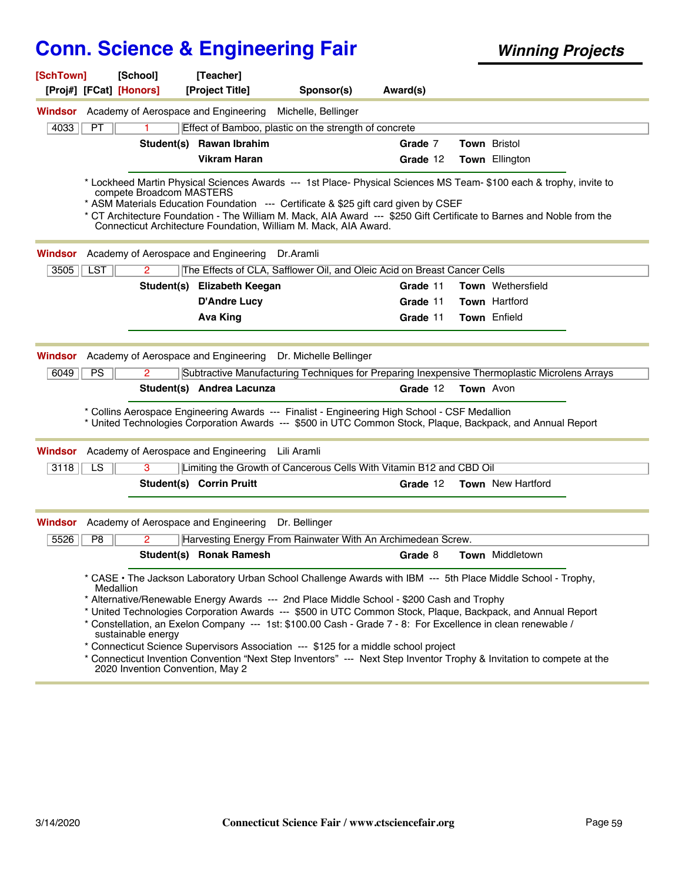|                    | [SchTown]  | [School]<br>[Proj#] [FCat] [Honors] | [Teacher]<br>[Project Title]                                                                                                                                                        | Sponsor(s)                                                               | Award(s) |                                                                                                                                                                                                                                              |
|--------------------|------------|-------------------------------------|-------------------------------------------------------------------------------------------------------------------------------------------------------------------------------------|--------------------------------------------------------------------------|----------|----------------------------------------------------------------------------------------------------------------------------------------------------------------------------------------------------------------------------------------------|
|                    |            |                                     | <b>Windsor</b> Academy of Aerospace and Engineering                                                                                                                                 | Michelle, Bellinger                                                      |          |                                                                                                                                                                                                                                              |
| 4033               | PT         | 1                                   |                                                                                                                                                                                     | Effect of Bamboo, plastic on the strength of concrete                    |          |                                                                                                                                                                                                                                              |
|                    |            |                                     | Student(s) Rawan Ibrahim                                                                                                                                                            |                                                                          | Grade 7  | <b>Town Bristol</b>                                                                                                                                                                                                                          |
|                    |            |                                     | <b>Vikram Haran</b>                                                                                                                                                                 |                                                                          | Grade 12 | Town Ellington                                                                                                                                                                                                                               |
|                    |            |                                     | compete Broadcom MASTERS<br>* ASM Materials Education Foundation --- Certificate & \$25 gift card given by CSEF<br>Connecticut Architecture Foundation, William M. Mack, AIA Award. |                                                                          |          | * Lockheed Martin Physical Sciences Awards --- 1st Place- Physical Sciences MS Team- \$100 each & trophy, invite to<br>* CT Architecture Foundation - The William M. Mack, AIA Award --- \$250 Gift Certificate to Barnes and Noble from the |
| Windsor            |            |                                     | Academy of Aerospace and Engineering Dr.Aramli                                                                                                                                      |                                                                          |          |                                                                                                                                                                                                                                              |
| 3505               | <b>LST</b> | $\mathbf{2}$                        |                                                                                                                                                                                     | The Effects of CLA, Safflower Oil, and Oleic Acid on Breast Cancer Cells |          |                                                                                                                                                                                                                                              |
|                    |            |                                     | Student(s) Elizabeth Keegan                                                                                                                                                         |                                                                          | Grade 11 | Town Wethersfield                                                                                                                                                                                                                            |
|                    |            |                                     | <b>D'Andre Lucy</b>                                                                                                                                                                 |                                                                          | Grade 11 | <b>Town Hartford</b>                                                                                                                                                                                                                         |
|                    |            |                                     | <b>Ava King</b>                                                                                                                                                                     |                                                                          | Grade 11 | Town Enfield                                                                                                                                                                                                                                 |
| <b>Windsor</b>     |            |                                     |                                                                                                                                                                                     | Academy of Aerospace and Engineering Dr. Michelle Bellinger              |          |                                                                                                                                                                                                                                              |
|                    |            |                                     |                                                                                                                                                                                     |                                                                          |          |                                                                                                                                                                                                                                              |
|                    |            |                                     |                                                                                                                                                                                     |                                                                          |          |                                                                                                                                                                                                                                              |
| 6049               | PS         | $\overline{2}$                      | Student(s) Andrea Lacunza                                                                                                                                                           |                                                                          | Grade 12 | Subtractive Manufacturing Techniques for Preparing Inexpensive Thermoplastic Microlens Arrays<br><b>Town</b> Avon                                                                                                                            |
|                    |            |                                     | * Collins Aerospace Engineering Awards --- Finalist - Engineering High School - CSF Medallion<br>Academy of Aerospace and Engineering                                               | Lili Aramli                                                              |          | * United Technologies Corporation Awards --- \$500 in UTC Common Stock, Plaque, Backpack, and Annual Report                                                                                                                                  |
| 3118               | LS         | 3                                   |                                                                                                                                                                                     | Limiting the Growth of Cancerous Cells With Vitamin B12 and CBD Oil      |          |                                                                                                                                                                                                                                              |
|                    |            |                                     | Student(s) Corrin Pruitt                                                                                                                                                            |                                                                          | Grade 12 | <b>Town</b> New Hartford                                                                                                                                                                                                                     |
|                    |            |                                     | Academy of Aerospace and Engineering                                                                                                                                                | Dr. Bellinger                                                            |          |                                                                                                                                                                                                                                              |
| 5526               | P8         | 2                                   |                                                                                                                                                                                     | Harvesting Energy From Rainwater With An Archimedean Screw.              |          |                                                                                                                                                                                                                                              |
| Windsor<br>Windsor |            |                                     | Student(s) Ronak Ramesh                                                                                                                                                             |                                                                          | Grade 8  | Town Middletown                                                                                                                                                                                                                              |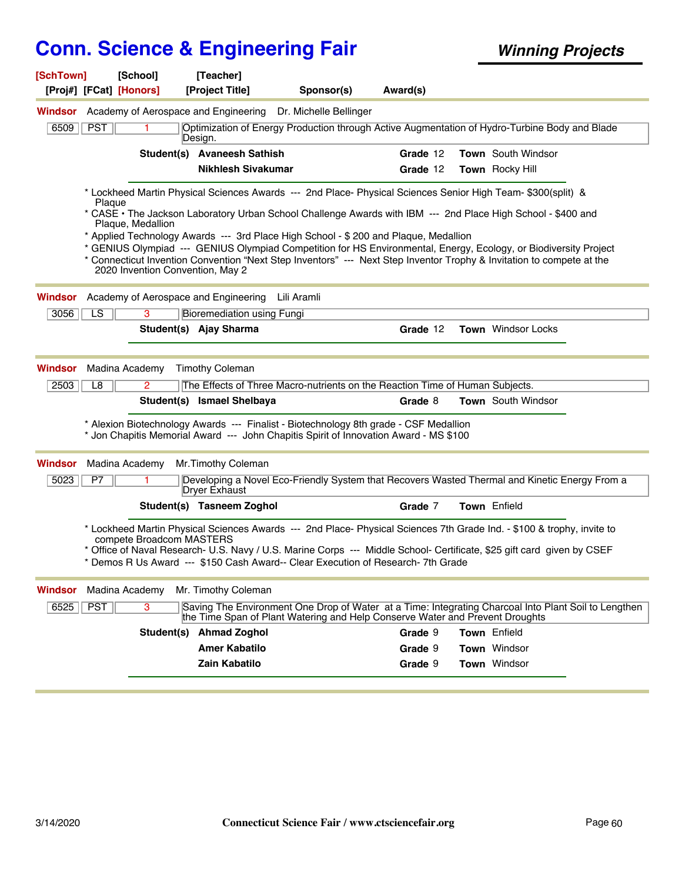| [SchTown]      |            | [School]<br>[Proj#] [FCat] [Honors] | [Teacher]<br>[Project Title]         | Sponsor(s)                                                                                                                                                                                                 | Award(s) |                           |  |
|----------------|------------|-------------------------------------|--------------------------------------|------------------------------------------------------------------------------------------------------------------------------------------------------------------------------------------------------------|----------|---------------------------|--|
| Windsor        |            |                                     | Academy of Aerospace and Engineering | Dr. Michelle Bellinger                                                                                                                                                                                     |          |                           |  |
|                |            |                                     |                                      |                                                                                                                                                                                                            |          |                           |  |
| 6509           | <b>PST</b> |                                     | Design.                              | Optimization of Energy Production through Active Augmentation of Hydro-Turbine Body and Blade                                                                                                              |          |                           |  |
|                |            |                                     | Student(s) Avaneesh Sathish          |                                                                                                                                                                                                            | Grade 12 | Town South Windsor        |  |
|                |            |                                     | <b>Nikhlesh Sivakumar</b>            |                                                                                                                                                                                                            | Grade 12 | <b>Town</b> Rocky Hill    |  |
|                | Plaque     |                                     |                                      | * Lockheed Martin Physical Sciences Awards --- 2nd Place- Physical Sciences Senior High Team- \$300(split) &                                                                                               |          |                           |  |
|                |            | Plaque, Medallion                   |                                      | * CASE • The Jackson Laboratory Urban School Challenge Awards with IBM --- 2nd Place High School - \$400 and                                                                                               |          |                           |  |
|                |            |                                     |                                      | * Applied Technology Awards --- 3rd Place High School - \$200 and Plaque, Medallion                                                                                                                        |          |                           |  |
|                |            |                                     |                                      | * GENIUS Olympiad --- GENIUS Olympiad Competition for HS Environmental, Energy, Ecology, or Biodiversity Project                                                                                           |          |                           |  |
|                |            | 2020 Invention Convention, May 2    |                                      | * Connecticut Invention Convention "Next Step Inventors" --- Next Step Inventor Trophy & Invitation to compete at the                                                                                      |          |                           |  |
| Windsor        |            |                                     | Academy of Aerospace and Engineering | Lili Aramli                                                                                                                                                                                                |          |                           |  |
| 3056           | LS         | $\overline{3}$                      | <b>Bioremediation using Fungi</b>    |                                                                                                                                                                                                            |          |                           |  |
|                |            |                                     | Student(s) Ajay Sharma               |                                                                                                                                                                                                            | Grade 12 | <b>Town</b> Windsor Locks |  |
|                |            |                                     |                                      |                                                                                                                                                                                                            |          |                           |  |
| Windsor        |            | Madina Academy                      | <b>Timothy Coleman</b>               |                                                                                                                                                                                                            |          |                           |  |
| 2503           | L8         | $\overline{2}$                      |                                      | The Effects of Three Macro-nutrients on the Reaction Time of Human Subjects.                                                                                                                               |          |                           |  |
|                |            |                                     | Student(s) Ismael Shelbaya           |                                                                                                                                                                                                            | Grade 8  | Town South Windsor        |  |
|                |            |                                     |                                      | * Alexion Biotechnology Awards --- Finalist - Biotechnology 8th grade - CSF Medallion<br>* Jon Chapitis Memorial Award --- John Chapitis Spirit of Innovation Award - MS \$100                             |          |                           |  |
| Windsor        |            | Madina Academy                      | Mr.Timothy Coleman                   |                                                                                                                                                                                                            |          |                           |  |
| 5023           | P7         |                                     | <b>Dryer Exhaust</b>                 | Developing a Novel Eco-Friendly System that Recovers Wasted Thermal and Kinetic Energy From a                                                                                                              |          |                           |  |
|                |            |                                     | Student(s) Tasneem Zoghol            |                                                                                                                                                                                                            | Grade 7  | Town Enfield              |  |
|                |            | compete Broadcom MASTERS            |                                      | * Lockheed Martin Physical Sciences Awards --- 2nd Place- Physical Sciences 7th Grade Ind. - \$100 & trophy, invite to                                                                                     |          |                           |  |
|                |            |                                     |                                      | * Office of Naval Research- U.S. Navy / U.S. Marine Corps --- Middle School- Certificate, \$25 gift card given by CSEF<br>* Demos R Us Award --- \$150 Cash Award-- Clear Execution of Research- 7th Grade |          |                           |  |
| <b>Windsor</b> |            | Madina Academy                      | Mr. Timothy Coleman                  |                                                                                                                                                                                                            |          |                           |  |
| 6525           | <b>PST</b> | $\overline{3}$                      |                                      | Saving The Environment One Drop of Water at a Time: Integrating Charcoal Into Plant Soil to Lengthen<br>the Time Span of Plant Watering and Help Conserve Water and Prevent Droughts                       |          |                           |  |
|                |            | Student(s)                          | <b>Ahmad Zoghol</b>                  |                                                                                                                                                                                                            | Grade 9  | Town Enfield              |  |
|                |            |                                     | <b>Amer Kabatilo</b>                 |                                                                                                                                                                                                            | Grade 9  | Town Windsor              |  |
|                |            |                                     | Zain Kabatilo                        |                                                                                                                                                                                                            | Grade 9  | <b>Town</b> Windsor       |  |
|                |            |                                     |                                      |                                                                                                                                                                                                            |          |                           |  |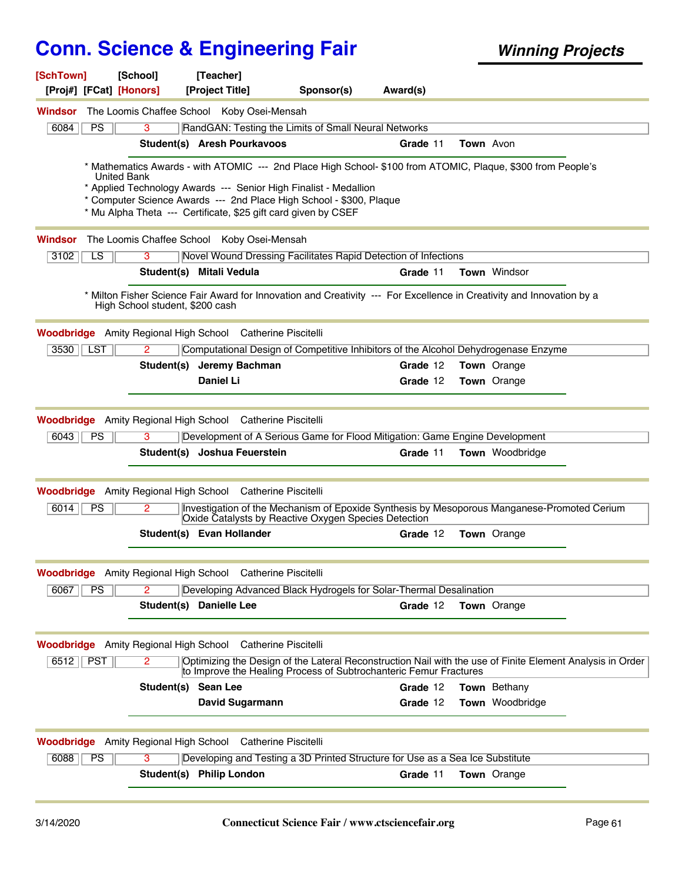| [SchTown]<br>[Proj#] [FCat] [Honors]         | [School]                        | [Teacher]<br>[Project Title]                                      | Sponsor(s)                                                                                                                                                                     | Award(s) |                        |  |
|----------------------------------------------|---------------------------------|-------------------------------------------------------------------|--------------------------------------------------------------------------------------------------------------------------------------------------------------------------------|----------|------------------------|--|
| Windsor                                      |                                 | The Loomis Chaffee School Koby Osei-Mensah                        |                                                                                                                                                                                |          |                        |  |
| $\overline{PS}$<br>6084                      | 3                               |                                                                   | RandGAN: Testing the Limits of Small Neural Networks                                                                                                                           |          |                        |  |
|                                              |                                 | Student(s) Aresh Pourkavoos                                       |                                                                                                                                                                                | Grade 11 | Town Avon              |  |
|                                              |                                 |                                                                   | * Mathematics Awards - with ATOMIC --- 2nd Place High School- \$100 from ATOMIC, Plaque, \$300 from People's                                                                   |          |                        |  |
|                                              | <b>United Bank</b>              |                                                                   |                                                                                                                                                                                |          |                        |  |
|                                              |                                 |                                                                   | * Applied Technology Awards --- Senior High Finalist - Medallion<br>* Computer Science Awards --- 2nd Place High School - \$300, Plaque                                        |          |                        |  |
|                                              |                                 |                                                                   | * Mu Alpha Theta --- Certificate, \$25 gift card given by CSEF                                                                                                                 |          |                        |  |
| Windsor                                      |                                 | The Loomis Chaffee School Koby Osei-Mensah                        |                                                                                                                                                                                |          |                        |  |
| 3102<br>LS                                   | 3                               |                                                                   | Novel Wound Dressing Facilitates Rapid Detection of Infections                                                                                                                 |          |                        |  |
|                                              |                                 | Student(s) Mitali Vedula                                          |                                                                                                                                                                                | Grade 11 | Town Windsor           |  |
|                                              | High School student, \$200 cash |                                                                   | Milton Fisher Science Fair Award for Innovation and Creativity --- For Excellence in Creativity and Innovation by a                                                            |          |                        |  |
|                                              |                                 | <b>Woodbridge</b> Amity Regional High School Catherine Piscitelli |                                                                                                                                                                                |          |                        |  |
| 3530   LST                                   | 2                               |                                                                   | Computational Design of Competitive Inhibitors of the Alcohol Dehydrogenase Enzyme                                                                                             |          |                        |  |
|                                              |                                 | Student(s) Jeremy Bachman                                         |                                                                                                                                                                                | Grade 12 | Town Orange            |  |
|                                              |                                 | Daniel Li                                                         |                                                                                                                                                                                | Grade 12 | Town Orange            |  |
|                                              |                                 |                                                                   |                                                                                                                                                                                |          |                        |  |
|                                              |                                 | <b>Woodbridge</b> Amity Regional High School Catherine Piscitelli |                                                                                                                                                                                |          |                        |  |
| 6043<br><b>PS</b>                            | 3                               |                                                                   | Development of A Serious Game for Flood Mitigation: Game Engine Development                                                                                                    |          |                        |  |
|                                              |                                 | Student(s) Joshua Feuerstein                                      |                                                                                                                                                                                | Grade 11 | <b>Town</b> Woodbridge |  |
|                                              |                                 | <b>Woodbridge</b> Amity Regional High School Catherine Piscitelli |                                                                                                                                                                                |          |                        |  |
| 6014<br>PS                                   | $\overline{2}$                  |                                                                   | Investigation of the Mechanism of Epoxide Synthesis by Mesoporous Manganese-Promoted Cerium<br>Oxide Catalysts by Reactive Oxygen Species Detection                            |          |                        |  |
|                                              |                                 | Student(s) Evan Hollander                                         |                                                                                                                                                                                | Grade 12 | Town Orange            |  |
|                                              |                                 | <b>Woodbridge</b> Amity Regional High School Catherine Piscitelli |                                                                                                                                                                                |          |                        |  |
| 6067<br>PS                                   | $\overline{2}$                  |                                                                   | Developing Advanced Black Hydrogels for Solar-Thermal Desalination                                                                                                             |          |                        |  |
|                                              |                                 | Student(s) Danielle Lee                                           |                                                                                                                                                                                | Grade 12 | <b>Town</b> Orange     |  |
|                                              |                                 |                                                                   |                                                                                                                                                                                |          |                        |  |
|                                              |                                 | <b>Woodbridge</b> Amity Regional High School Catherine Piscitelli |                                                                                                                                                                                |          |                        |  |
| 6512<br>PST                                  | $\overline{2}$                  |                                                                   | Optimizing the Design of the Lateral Reconstruction Nail with the use of Finite Element Analysis in Order<br>to Improve the Healing Process of Subtrochanteric Femur Fractures |          |                        |  |
|                                              | Student(s) Sean Lee             |                                                                   |                                                                                                                                                                                | Grade 12 | Town Bethany           |  |
|                                              |                                 | David Sugarmann                                                   |                                                                                                                                                                                | Grade 12 | Town Woodbridge        |  |
| <b>Woodbridge</b> Amity Regional High School |                                 |                                                                   | <b>Catherine Piscitelli</b>                                                                                                                                                    |          |                        |  |
| 6088<br><b>PS</b>                            | 3                               |                                                                   | Developing and Testing a 3D Printed Structure for Use as a Sea Ice Substitute                                                                                                  |          |                        |  |
|                                              |                                 | Student(s) Philip London                                          |                                                                                                                                                                                | Grade 11 | <b>Town</b> Orange     |  |
|                                              |                                 |                                                                   |                                                                                                                                                                                |          |                        |  |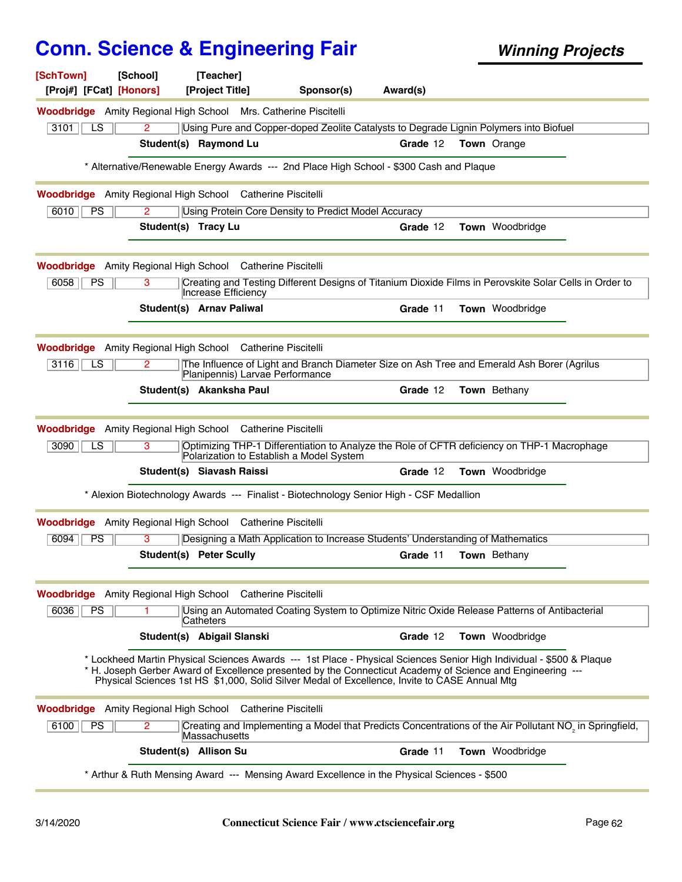| [SchTown]<br>[Proj#] [FCat] [Honors]                                   | [School]             | [Teacher]<br>[Project Title]                    | Sponsor(s)                                                                                                                                                                                                                                                                                                                          | Award(s) |                     |                                                                                                                     |
|------------------------------------------------------------------------|----------------------|-------------------------------------------------|-------------------------------------------------------------------------------------------------------------------------------------------------------------------------------------------------------------------------------------------------------------------------------------------------------------------------------------|----------|---------------------|---------------------------------------------------------------------------------------------------------------------|
| <b>Woodbridge</b> Amity Regional High School Mrs. Catherine Piscitelli |                      |                                                 |                                                                                                                                                                                                                                                                                                                                     |          |                     |                                                                                                                     |
| 3101<br>LS                                                             | 2                    |                                                 | Using Pure and Copper-doped Zeolite Catalysts to Degrade Lignin Polymers into Biofuel                                                                                                                                                                                                                                               |          |                     |                                                                                                                     |
|                                                                        |                      | Student(s) Raymond Lu                           |                                                                                                                                                                                                                                                                                                                                     | Grade 12 | <b>Town</b> Orange  |                                                                                                                     |
|                                                                        |                      |                                                 | * Alternative/Renewable Energy Awards --- 2nd Place High School - \$300 Cash and Plaque                                                                                                                                                                                                                                             |          |                     |                                                                                                                     |
| <b>Woodbridge</b> Amity Regional High School Catherine Piscitelli      |                      |                                                 |                                                                                                                                                                                                                                                                                                                                     |          |                     |                                                                                                                     |
| 6010<br><b>PS</b>                                                      | 2                    |                                                 | Using Protein Core Density to Predict Model Accuracy                                                                                                                                                                                                                                                                                |          |                     |                                                                                                                     |
|                                                                        | Student(s) Tracy Lu  |                                                 |                                                                                                                                                                                                                                                                                                                                     | Grade 12 | Town Woodbridge     |                                                                                                                     |
| <b>Woodbridge</b> Amity Regional High School Catherine Piscitelli      |                      |                                                 |                                                                                                                                                                                                                                                                                                                                     |          |                     |                                                                                                                     |
| PS<br>6058                                                             | 3                    | Increase Efficiency                             |                                                                                                                                                                                                                                                                                                                                     |          |                     | Creating and Testing Different Designs of Titanium Dioxide Films in Perovskite Solar Cells in Order to              |
|                                                                        |                      | <b>Student(s) Arnav Paliwal</b>                 |                                                                                                                                                                                                                                                                                                                                     | Grade 11 | Town Woodbridge     |                                                                                                                     |
| <b>Woodbridge</b> Amity Regional High School Catherine Piscitelli      |                      |                                                 |                                                                                                                                                                                                                                                                                                                                     |          |                     |                                                                                                                     |
| 3116<br>LS                                                             | $\mathbf{2}^{\circ}$ | Planipennis) Larvae Performance                 | The Influence of Light and Branch Diameter Size on Ash Tree and Emerald Ash Borer (Agrilus                                                                                                                                                                                                                                          |          |                     |                                                                                                                     |
|                                                                        |                      | Student(s) Akanksha Paul                        |                                                                                                                                                                                                                                                                                                                                     | Grade 12 | Town Bethany        |                                                                                                                     |
| Woodbridge                                                             |                      | Amity Regional High School Catherine Piscitelli |                                                                                                                                                                                                                                                                                                                                     |          |                     |                                                                                                                     |
| $\overline{LS}$<br>3090                                                | 3                    | Polarization to Establish a Model System        | Optimizing THP-1 Differentiation to Analyze the Role of CFTR deficiency on THP-1 Macrophage                                                                                                                                                                                                                                         |          |                     |                                                                                                                     |
|                                                                        |                      | Student(s) Siavash Raissi                       |                                                                                                                                                                                                                                                                                                                                     | Grade 12 | Town Woodbridge     |                                                                                                                     |
|                                                                        |                      |                                                 | * Alexion Biotechnology Awards --- Finalist - Biotechnology Senior High - CSF Medallion                                                                                                                                                                                                                                             |          |                     |                                                                                                                     |
| <b>Woodbridge</b> Amity Regional High School Catherine Piscitelli      |                      |                                                 |                                                                                                                                                                                                                                                                                                                                     |          |                     |                                                                                                                     |
| 6094<br><b>PS</b>                                                      | 3                    |                                                 | Designing a Math Application to Increase Students' Understanding of Mathematics                                                                                                                                                                                                                                                     |          |                     |                                                                                                                     |
|                                                                        |                      | Student(s) Peter Scully                         |                                                                                                                                                                                                                                                                                                                                     | Grade 11 | <b>Town</b> Bethany |                                                                                                                     |
| <b>Woodbridge</b> Amity Regional High School Catherine Piscitelli      |                      |                                                 |                                                                                                                                                                                                                                                                                                                                     |          |                     |                                                                                                                     |
| PS<br>6036                                                             |                      | Catheters                                       | Using an Automated Coating System to Optimize Nitric Oxide Release Patterns of Antibacterial                                                                                                                                                                                                                                        |          |                     |                                                                                                                     |
|                                                                        |                      | Student(s) Abigail Slanski                      |                                                                                                                                                                                                                                                                                                                                     | Grade 12 | Town Woodbridge     |                                                                                                                     |
|                                                                        |                      |                                                 | * Lockheed Martin Physical Sciences Awards --- 1st Place - Physical Sciences Senior High Individual - \$500 & Plaque<br>* H. Joseph Gerber Award of Excellence presented by the Connecticut Academy of Science and Engineering ---<br>Physical Sciences 1st HS \$1,000, Solid Silver Medal of Excellence, Invite to CASE Annual Mtg |          |                     |                                                                                                                     |
| <b>Woodbridge</b> Amity Regional High School Catherine Piscitelli      |                      |                                                 |                                                                                                                                                                                                                                                                                                                                     |          |                     |                                                                                                                     |
| 6100<br><b>PS</b>                                                      | $\mathbf{2}^{\circ}$ | Massachusetts                                   |                                                                                                                                                                                                                                                                                                                                     |          |                     | Creating and Implementing a Model that Predicts Concentrations of the Air Pollutant NO <sub>2</sub> in Springfield, |
|                                                                        |                      | Student(s) Allison Su                           |                                                                                                                                                                                                                                                                                                                                     | Grade 11 | Town Woodbridge     |                                                                                                                     |
|                                                                        |                      |                                                 | * Arthur & Ruth Mensing Award --- Mensing Award Excellence in the Physical Sciences - \$500                                                                                                                                                                                                                                         |          |                     |                                                                                                                     |